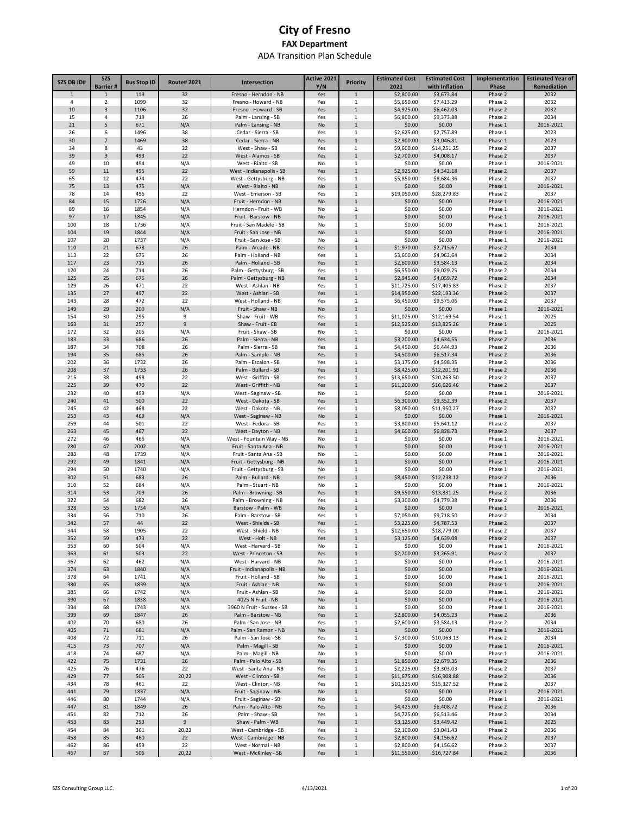| SZS DB ID#   | <b>SZS</b>                      | <b>Bus Stop ID</b> | <b>Route# 2021</b> | Intersection                                     | Active 2021 | <b>Priority</b>              | <b>Estimated Cost</b>     | <b>Estimated Cost</b>        | Implementation     | <b>Estimated Year of</b> |
|--------------|---------------------------------|--------------------|--------------------|--------------------------------------------------|-------------|------------------------------|---------------------------|------------------------------|--------------------|--------------------------|
| $\mathbf{1}$ | <b>Barrier#</b><br>$\mathbf{1}$ | 119                | 32                 | Fresno - Herndon - NB                            | Y/N<br>Yes  | $1\,$                        | 2021<br>\$2,800.00        | with Inflation<br>\$3,673.84 | Phase<br>Phase 2   | Remediation<br>2032      |
| 4            | $\overline{2}$                  | 1099               | 32                 | Fresno - Howard - NB                             | Yes         | 1                            | \$5,650.00                | \$7,413.29                   | Phase 2            | 2032                     |
| 10           | 3                               | 1106               | 32                 | Fresno - Howard - SB                             | Yes         | $\mathbf{1}$                 | \$4,925.00                | \$6,462.03                   | Phase 2            | 2032                     |
| 15           | $\overline{4}$                  | 719                | 26                 | Palm - Lansing - SB                              | Yes         | $\mathbf{1}$                 | \$6,800.00                | \$9,373.88                   | Phase 2            | 2034                     |
| 21           | 5                               | 671                | N/A                | Palm - Lansing - NB                              | No          | $\mathbf 1$                  | \$0.00                    | \$0.00                       | Phase 1            | 2016-2021                |
| 26           | 6                               | 1496               | 38                 | Cedar - Sierra - SB                              | Yes         | 1                            | \$2,625.00                | \$2,757.89                   | Phase 1            | 2023                     |
| 30           | $\overline{7}$                  | 1469               | 38                 | Cedar - Sierra - NB                              | Yes         | $\mathbf{1}$                 | \$2,900.00                | \$3,046.81                   | Phase 1            | 2023                     |
| 34<br>39     | 8<br>9                          | 43<br>493          | 22<br>22           | West - Shaw - SB<br>West - Alamos - SB           | Yes<br>Yes  | $\mathbf{1}$<br>$\mathbf 1$  | \$9,600.00<br>\$2,700.00  | \$14,251.25<br>\$4,008.17    | Phase 2<br>Phase 2 | 2037<br>2037             |
| 49           | 10                              | 494                | N/A                | West - Rialto - SB                               | No          | $1\,$                        | \$0.00                    | \$0.00                       | Phase 1            | 2016-2021                |
| 59           | 11                              | 495                | 22                 | West - Indianapolis - SB                         | Yes         | $\mathbf 1$                  | \$2,925.00                | \$4,342.18                   | Phase 2            | 2037                     |
| 65           | 12                              | 474                | 22                 | West - Gettysburg - NB                           | Yes         | 1                            | \$5,850.00                | \$8,684.36                   | Phase 2            | 2037                     |
| 75           | 13                              | 475                | N/A                | West - Rialto - NB                               | No          | $\mathbf 1$                  | \$0.00                    | \$0.00                       | Phase 1            | 2016-2021                |
| 78           | 14                              | 496                | 22                 | West - Emerson - SB                              | Yes         | 1                            | \$19,050.00               | \$28,279.83                  | Phase 2            | 2037                     |
| 84           | 15                              | 1726               | N/A                | Fruit - Herndon - NB                             | No          | $\mathbf 1$                  | \$0.00                    | \$0.00                       | Phase 1            | 2016-2021                |
| 89<br>97     | 16<br>17                        | 1854<br>1845       | N/A<br>N/A         | Herndon - Fruit - WB<br>Fruit - Barstow - NB     | No<br>No    | $1\,$<br>$\mathbf 1$         | \$0.00<br>\$0.00          | \$0.00<br>\$0.00             | Phase 1<br>Phase 1 | 2016-2021<br>2016-2021   |
| 100          | 18                              | 1736               | N/A                | Fruit - San Madele - SB                          | No          | $1\,$                        | \$0.00                    | \$0.00                       | Phase 1            | 2016-2021                |
| 104          | 19                              | 1844               | N/A                | Fruit - San Jose - NB                            | No          | $\mathbf{1}$                 | \$0.00                    | \$0.00                       | Phase 1            | 2016-2021                |
| 107          | 20                              | 1737               | N/A                | Fruit - San Jose - SB                            | No          | $1\,$                        | \$0.00                    | \$0.00                       | Phase 1            | 2016-2021                |
| 110          | 21                              | 678                | 26                 | Palm - Arcade - NB                               | Yes         | $\,1\,$                      | \$1,970.00                | \$2,715.67                   | Phase 2            | 2034                     |
| 113          | 22                              | 675                | 26                 | Palm - Holland - NB                              | Yes         | $1\,$                        | \$3,600.00                | \$4,962.64                   | Phase 2            | 2034                     |
| 117          | 23                              | 715                | 26                 | Palm - Holland - SB                              | Yes         | $\mathbf{1}$                 | \$2,600.00                | \$3,584.13                   | Phase 2            | 2034                     |
| 120          | 24                              | 714                | 26                 | Palm - Gettysburg - SB                           | Yes         | 1                            | \$6,550.00                | \$9,029.25                   | Phase 2            | 2034                     |
| 125<br>129   | 25<br>26                        | 676<br>471         | 26<br>22           | Palm - Gettysburg - NB<br>West - Ashlan - NB     | Yes<br>Yes  | $\mathbf{1}$<br>1            | \$2,945.00<br>\$11,725.00 | \$4,059.72<br>\$17,405.83    | Phase 2<br>Phase 2 | 2034<br>2037             |
| 135          | 27                              | 497                | 22                 | West - Ashlan - SB                               | Yes         | $\mathbf{1}$                 | \$14,950.00               | \$22,193.36                  | Phase 2            | 2037                     |
| 143          | 28                              | 472                | 22                 | West - Holland - NB                              | Yes         | 1                            | \$6,450.00                | \$9,575.06                   | Phase 2            | 2037                     |
| 149          | 29                              | 200                | N/A                | Fruit - Shaw - NB                                | No          | $\mathbf{1}$                 | \$0.00                    | \$0.00                       | Phase 1            | 2016-2021                |
| 154          | 30                              | 295                | 9                  | Shaw - Fruit - WB                                | Yes         | 1                            | \$11,025.00               | \$12,169.54                  | Phase 1            | 2025                     |
| 163          | 31                              | 257                | $\overline{9}$     | Shaw - Fruit - EB                                | Yes         | $\mathbf{1}$                 | \$12,525.00               | \$13,825.26                  | Phase 1            | 2025                     |
| 172          | 32                              | 205                | N/A                | Fruit - Shaw - SB                                | No          | 1                            | \$0.00                    | \$0.00                       | Phase 1            | 2016-2021                |
| 183          | 33                              | 686                | 26                 | Palm - Sierra - NB                               | Yes         | $\mathbf{1}$                 | \$3,200.00                | \$4,634.55                   | Phase 2            | 2036                     |
| 187          | 34<br>35                        | 708                | 26<br>26           | Palm - Sierra - SB                               | Yes         | 1                            | \$4,450.00                | \$6,444.93                   | Phase 2            | 2036                     |
| 194<br>202   | 36                              | 685<br>1732        | 26                 | Palm - Sample - NB<br>Palm - Escalon - SB        | Yes<br>Yes  | $\mathbf{1}$<br>$\,1\,$      | \$4,500.00<br>\$3,175.00  | \$6,517.34<br>\$4,598.35     | Phase 2<br>Phase 2 | 2036<br>2036             |
| 208          | 37                              | 1733               | 26                 | Palm - Bullard - SB                              | Yes         | $\mathbf{1}$                 | \$8,425.00                | \$12,201.91                  | Phase 2            | 2036                     |
| 215          | 38                              | 498                | 22                 | West - Griffith - SB                             | Yes         | $\,1\,$                      | \$13,650.00               | \$20,263.50                  | Phase 2            | 2037                     |
| 225          | 39                              | 470                | 22                 | West - Griffith - NB                             | Yes         | $\mathbf 1$                  | \$11,200.00               | \$16,626.46                  | Phase 2            | 2037                     |
| 232          | 40                              | 499                | N/A                | West - Saginaw - SB                              | No          | $1\,$                        | \$0.00                    | \$0.00                       | Phase 1            | 2016-2021                |
| 240          | 41                              | 500                | 22                 | West - Dakota - SB                               | Yes         | $\mathbf{1}$                 | \$6,300.00                | \$9,352.39                   | Phase 2            | 2037                     |
| 245          | 42                              | 468                | 22                 | West - Dakota - NB                               | Yes         | $\mathbf{1}$                 | \$8,050.00                | \$11,950.27                  | Phase 2            | 2037                     |
| 253          | 43                              | 469                | N/A                | West - Saginaw - NB                              | No          | $\mathbf{1}$                 | \$0.00                    | \$0.00                       | Phase 1            | 2016-2021                |
| 259          | 44                              | 501                | 22                 | West - Fedora - SB                               | Yes         | $\mathbf{1}$                 | \$3,800.00                | \$5,641.12                   | Phase 2            | 2037                     |
| 263<br>272   | 45<br>46                        | 467<br>466         | 22<br>N/A          | West - Dayton - NB<br>West - Fountain Way - NB   | Yes<br>No   | $\mathbf{1}$<br>$\mathbf{1}$ | \$4,600.00<br>\$0.00      | \$6,828.73<br>\$0.00         | Phase 2<br>Phase 1 | 2037<br>2016-2021        |
| 280          | 47                              | 2002               | N/A                | Fruit - Santa Ana - NB                           | No          | $\mathbf 1$                  | \$0.00                    | \$0.00                       | Phase 1            | 2016-2021                |
| 283          | 48                              | 1739               | N/A                | Fruit - Santa Ana - SB                           | No          | 1                            | \$0.00                    | \$0.00                       | Phase 1            | 2016-2021                |
| 292          | 49                              | 1841               | N/A                | Fruit - Gettysburg - NB                          | No          | $\mathbf{1}$                 | \$0.00                    | \$0.00                       | Phase 1            | 2016-2021                |
| 294          | 50                              | 1740               | N/A                | Fruit - Gettysburg - SB                          | No          | 1                            | \$0.00                    | \$0.00                       | Phase 1            | 2016-2021                |
| 302          | 51                              | 683                | 26                 | Palm - Bullard - NB                              | Yes         | $\mathbf{1}$                 | \$8,450.00                | \$12,238.12                  | Phase 2            | 2036                     |
| 310          | 52                              | 684                | N/A                | Palm - Stuart - NB                               | No          | 1                            | \$0.00                    | \$0.00                       | Phase 1            | 2016-2021                |
| 314<br>322   | 53<br>54                        | 709<br>682         | 26<br>26           | Palm - Browning - SB<br>Palm - Browning - NB     | Yes<br>Yes  | $\mathbf{1}$<br>$\mathbf{1}$ | \$9,550.00<br>\$3,300.00  | \$13,831.25<br>\$4,779.38    | Phase 2<br>Phase 2 | 2036<br>2036             |
| 328          | 55                              | 1734               | N/A                | Barstow - Palm - WB                              | No          | $\mathbf 1$                  | \$0.00                    | \$0.00                       | Phase 1            | 2016-2021                |
| 334          | 56                              | 710                | 26                 | Palm - Barstow - SB                              | Yes         | 1                            | \$7,050.00                | \$9,718.50                   | Phase 2            | 2034                     |
| 342          | 57                              | 44                 | 22                 | West - Shields - SB                              | Yes         | $\mathbf 1$                  | \$3,225.00                | \$4,787.53                   | Phase 2            | 2037                     |
| 344          | 58                              | 1905               | 22                 | West - Shield - NB                               | Yes         | $\mathbf{1}$                 | \$12,650.00               | \$18,779.00                  | Phase 2            | 2037                     |
| 352          | 59                              | 473                | 22                 | West - Holt - NB                                 | Yes         | $\mathbf 1$                  | \$3,125.00                | \$4,639.08                   | Phase 2            | 2037                     |
| 353          | 60                              | 504                | N/A                | West - Harvard - SB                              | No          | $\,1\,$                      | \$0.00                    | \$0.00                       | Phase 1            | 2016-2021                |
| 363          | 61                              | 503                | 22                 | West - Princeton - SB                            | Yes         | $\mathbf 1$                  | \$2,200.00                | \$3,265.91                   | Phase 2            | 2037                     |
| 367<br>374   | 62<br>63                        | 462<br>1840        | N/A<br>N/A         | West - Harvard - NB<br>Fruit - Indianapolis - NB | No<br>No    | $\,1\,$<br>$\mathbf 1$       | \$0.00<br>\$0.00          | \$0.00<br>\$0.00             | Phase 1<br>Phase 1 | 2016-2021<br>2016-2021   |
| 378          | 64                              | 1741               | N/A                | Fruit - Holland - SB                             | No          | $\,1\,$                      | \$0.00                    | \$0.00                       | Phase 1            | 2016-2021                |
| 380          | 65                              | 1839               | N/A                | Fruit - Ashlan - NB                              | No          | $\mathbf 1$                  | \$0.00                    | \$0.00                       | Phase 1            | 2016-2021                |
| 385          | 66                              | 1742               | N/A                | Fruit - Ashlan - SB                              | No          | $\,1\,$                      | \$0.00                    | \$0.00                       | Phase 1            | 2016-2021                |
| 390          | 67                              | 1838               | N/A                | 4025 N Fruit - NB                                | No          | $\mathbf 1$                  | \$0.00                    | \$0.00                       | Phase 1            | 2016-2021                |
| 394          | 68                              | 1743               | N/A                | 3960 N Fruit - Sussex - SB                       | No          | $1\,$                        | \$0.00                    | \$0.00                       | Phase 1            | 2016-2021                |
| 399          | 69                              | 1847               | 26                 | Palm - Barstow - NB                              | Yes         | $\mathbf 1$                  | \$2,800.00                | \$4,055.23                   | Phase 2            | 2036                     |
| 402          | 70                              | 680                | 26                 | Palm - San Jose - NB                             | Yes         | $\,1\,$                      | \$2,600.00                | \$3,584.13                   | Phase 2            | 2034                     |
| 405<br>408   | 71<br>72                        | 681<br>711         | N/A<br>26          | Palm - San Ramon - NB<br>Palm - San Jose - SB    | No<br>Yes   | $\mathbf 1$<br>$\,1\,$       | \$0.00<br>\$7,300.00      | \$0.00<br>\$10,063.13        | Phase 1<br>Phase 2 | 2016-2021<br>2034        |
| 415          | 73                              | 707                | N/A                | Palm - Magill - SB                               | No          | $\mathbf 1$                  | \$0.00                    | \$0.00                       | Phase 1            | 2016-2021                |
| 418          | 74                              | 687                | N/A                | Palm - Magill - NB                               | No          | $1\,$                        | \$0.00                    | \$0.00                       | Phase 1            | 2016-2021                |
| 422          | 75                              | 1731               | 26                 | Palm - Palo Alto - SB                            | Yes         | $\mathbf 1$                  | \$1,850.00                | \$2,679.35                   | Phase 2            | 2036                     |
| 425          | 76                              | 476                | 22                 | West - Santa Ana - NB                            | Yes         | 1                            | \$2,225.00                | \$3,303.03                   | Phase 2            | 2037                     |
| 429          | 77                              | 505                | 20,22              | West - Clinton - SB                              | Yes         | $\mathbf 1$                  | \$11,675.00               | \$16,908.88                  | Phase 2            | 2036                     |
| 434          | 78                              | 461                | 22                 | West - Clinton - NB                              | Yes         | $1\,$                        | \$10,325.00               | \$15,327.52                  | Phase 2            | 2037                     |
| 441          | 79                              | 1837               | N/A                | Fruit - Saginaw - NB                             | No          | $\mathbf{1}$                 | \$0.00                    | \$0.00                       | Phase 1            | 2016-2021                |
| 446          | 80                              | 1744               | N/A                | Fruit - Saginaw - SB                             | No          | $\,1\,$                      | \$0.00                    | \$0.00                       | Phase 1            | 2016-2021                |
| 447<br>451   | 81<br>82                        | 1849<br>712        | 26<br>26           | Palm - Palo Alto - NB<br>Palm - Shaw - SB        | Yes<br>Yes  | $\mathbf 1$<br>$\,1\,$       | \$4,425.00<br>\$4,725.00  | \$6,408.72<br>\$6,513.46     | Phase 2<br>Phase 2 | 2036<br>2034             |
| 453          | 83                              | 293                | 9                  | Shaw - Palm - WB                                 | Yes         | $\mathbf 1$                  | \$3,125.00                | \$3,449.42                   | Phase 1            | 2025                     |
| 454          | 84                              | 361                | 20,22              | West - Cambridge - SB                            | Yes         | $\mathbf 1$                  | \$2,100.00                | \$3,041.43                   | Phase 2            | 2036                     |
| 458          | 85                              | 460                | 22                 | West - Cambridge - NB                            | Yes         | $\mathbf 1$                  | \$2,800.00                | \$4,156.62                   | Phase 2            | 2037                     |
| 462          | 86                              | 459                | 22                 | West - Normal - NB                               | Yes         | $\,1\,$                      | \$2,800.00                | \$4,156.62                   | Phase 2            | 2037                     |
| 467          | 87                              | 506                | 20,22              | West - McKinley - SB                             | Yes         | $\,1\,$                      | \$11,550.00               | \$16,727.84                  | Phase 2            | 2036                     |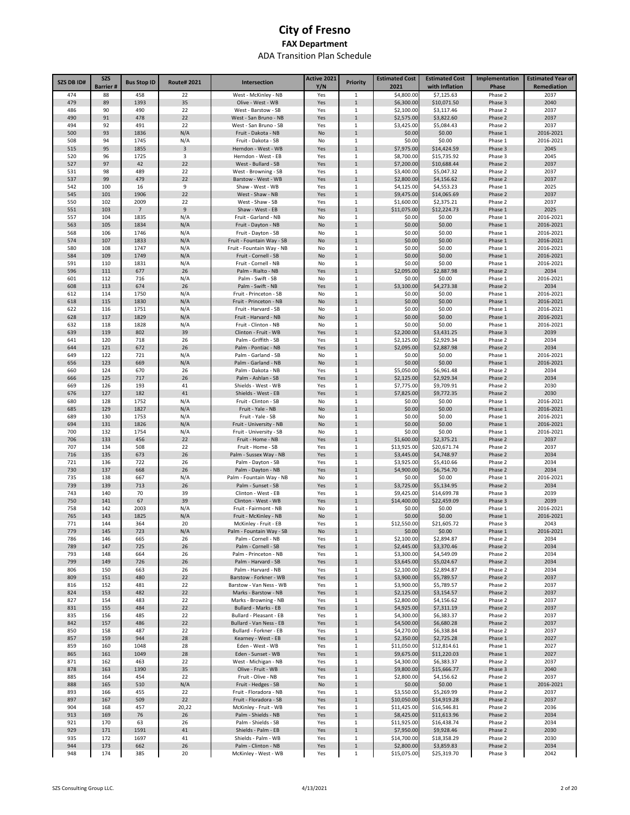| SZS DB ID# | <b>SZS</b><br><b>Barrier#</b> | <b>Bus Stop ID</b> | <b>Route# 2021</b> | Intersection                                     | Active 2021<br>Y/N | <b>Priority</b>              | <b>Estimated Cost</b><br>2021 | <b>Estimated Cost</b><br>with Inflation | Implementation<br>Phase | <b>Estimated Year of</b><br>Remediation |
|------------|-------------------------------|--------------------|--------------------|--------------------------------------------------|--------------------|------------------------------|-------------------------------|-----------------------------------------|-------------------------|-----------------------------------------|
| 474        | 88                            | 458                | 22                 | West - McKinley - NB                             | Yes                | 1                            | \$4,800.00                    | \$7,125.63                              | Phase 2                 | 2037                                    |
| 479        | 89                            | 1393               | 35                 | Olive - West - WB                                | Yes                | $\mathbf 1$                  | \$6,300.00                    | \$10,071.50                             | Phase 3                 | 2040                                    |
| 486        | 90                            | 490                | 22                 | West - Barstow - SB                              | Yes                | $1\,$                        | \$2,100.00                    | \$3,117.46                              | Phase 2                 | 2037                                    |
| 490<br>494 | 91<br>92                      | 478<br>491         | 22<br>22           | West - San Bruno - NB<br>West - San Bruno - SB   | Yes<br>Yes         | $\mathbf 1$<br>$\mathbf{1}$  | \$2,575.00<br>\$3,425.00      | \$3,822.60<br>\$5,084.43                | Phase 2<br>Phase 2      | 2037<br>2037                            |
| 500        | 93                            | 1836               | N/A                | Fruit - Dakota - NB                              | No                 | $\mathbf{1}$                 | \$0.00                        | \$0.00                                  | Phase 1                 | 2016-2021                               |
| 508        | 94                            | 1745               | N/A                | Fruit - Dakota - SB                              | No                 | 1                            | \$0.00                        | \$0.00                                  | Phase 1                 | 2016-2021                               |
| 515        | 95                            | 1855               | 3                  | Herndon - West - WB                              | Yes                | $\mathbf{1}$                 | \$7,975.00                    | \$14,424.59                             | Phase 3                 | 2045                                    |
| 520        | 96                            | 1725               | 3                  | Herndon - West - EB                              | Yes                | 1                            | \$8,700.00                    | \$15,735.92                             | Phase 3                 | 2045                                    |
| 527<br>531 | 97<br>98                      | 42<br>489          | 22<br>22           | West - Bullard - SB<br>West - Browning - SB      | Yes                | $\mathbf 1$<br>1             | \$7,200.00<br>\$3,400.00      | \$10,688.44<br>\$5,047.32               | Phase 2<br>Phase 2      | 2037<br>2037                            |
| 537        | 99                            | 479                | 22                 | Barstow - West - WB                              | Yes<br>Yes         | $\mathbf 1$                  | \$2,800.00                    | \$4,156.62                              | Phase 2                 | 2037                                    |
| 542        | 100                           | 16                 | 9                  | Shaw - West - WB                                 | Yes                | 1                            | \$4,125.00                    | \$4,553.23                              | Phase 1                 | 2025                                    |
| 545        | 101                           | 1906               | 22                 | West - Shaw - NB                                 | Yes                | $\mathbf 1$                  | \$9,475.00                    | \$14,065.69                             | Phase 2                 | 2037                                    |
| 550        | 102                           | 2009               | 22                 | West - Shaw - SB                                 | Yes                | 1                            | \$1,600.00                    | \$2,375.21                              | Phase 2                 | 2037                                    |
| 551        | 103                           | $\overline{7}$     | $\mathsf g$        | Shaw - West - EB                                 | Yes                | $\mathbf{1}$                 | \$11,075.00                   | \$12,224.73                             | Phase 1                 | 2025                                    |
| 557<br>563 | 104<br>105                    | 1835<br>1834       | N/A<br>N/A         | Fruit - Garland - NB<br>Fruit - Dayton - NB      | No<br>No           | $\mathbf{1}$<br>$\mathbf{1}$ | \$0.00<br>\$0.00              | \$0.00<br>\$0.00                        | Phase 1<br>Phase 1      | 2016-2021<br>2016-2021                  |
| 568        | 106                           | 1746               | N/A                | Fruit - Dayton - SB                              | No                 | 1                            | \$0.00                        | \$0.00                                  | Phase 1                 | 2016-2021                               |
| 574        | 107                           | 1833               | N/A                | Fruit - Fountain Way - SB                        | No                 | $\mathbf{1}$                 | \$0.00                        | \$0.00                                  | Phase 1                 | 2016-2021                               |
| 580        | 108                           | 1747               | N/A                | Fruit - Fountain Way - NB                        | No                 | 1                            | \$0.00                        | \$0.00                                  | Phase 1                 | 2016-2021                               |
| 584        | 109                           | 1749               | N/A                | Fruit - Cornell - SB                             | No                 | $\mathbf 1$                  | \$0.00                        | \$0.00                                  | Phase 1                 | 2016-2021                               |
| 591<br>596 | 110<br>111                    | 1831<br>677        | N/A<br>26          | Fruit - Cornell - NB<br>Palm - Rialto - NB       | No<br>Yes          | 1<br>$\mathbf{1}$            | \$0.00<br>\$2,095.00          | \$0.00<br>\$2,887.98                    | Phase 1<br>Phase 2      | 2016-2021<br>2034                       |
| 601        | 112                           | 716                | N/A                | Palm - Swift - SB                                | No                 | 1                            | \$0.00                        | \$0.00                                  | Phase 1                 | 2016-2021                               |
| 608        | 113                           | 674                | 26                 | Palm - Swift - NB                                | Yes                | $\mathbf{1}$                 | \$3,100.00                    | \$4,273.38                              | Phase 2                 | 2034                                    |
| 612        | 114                           | 1750               | N/A                | Fruit - Princeton - SB                           | No                 | 1                            | \$0.00                        | \$0.00                                  | Phase 1                 | 2016-2021                               |
| 618        | 115                           | 1830               | N/A                | Fruit - Princeton - NB                           | No                 | $\mathbf{1}$                 | \$0.00                        | \$0.00                                  | Phase 1                 | 2016-2021                               |
| 622<br>628 | 116<br>117                    | 1751<br>1829       | N/A<br>N/A         | Fruit - Harvard - SB<br>Fruit - Harvard - NB     | No<br>No           | 1<br>$\mathbf{1}$            | \$0.00<br>\$0.00              | \$0.00<br>\$0.00                        | Phase 1<br>Phase 1      | 2016-2021<br>2016-2021                  |
| 632        | 118                           | 1828               | N/A                | Fruit - Clinton - NB                             | No                 | 1                            | \$0.00                        | \$0.00                                  | Phase 1                 | 2016-2021                               |
| 639        | 119                           | 802                | 39                 | Clinton - Fruit - WB                             | Yes                | $\mathbf{1}$                 | \$2,200.00                    | \$3,431.25                              | Phase 3                 | 2039                                    |
| 641        | 120                           | 718                | 26                 | Palm - Griffith - SB                             | Yes                | 1                            | \$2,125.00                    | \$2,929.34                              | Phase 2                 | 2034                                    |
| 644        | 121                           | 672                | 26                 | Palm - Pontiac - NB                              | Yes                | $\mathbf{1}$                 | \$2,095.00                    | \$2,887.98                              | Phase 2                 | 2034                                    |
| 649        | 122                           | 721                | N/A                | Palm - Garland - SB                              | No                 | $\mathbf{1}$                 | \$0.00                        | \$0.00                                  | Phase 1                 | 2016-2021                               |
| 656<br>660 | 123<br>124                    | 669<br>670         | N/A<br>26          | Palm - Garland - NB<br>Palm - Dakota - NB        | No<br>Yes          | $\mathbf{1}$<br>1            | \$0.00<br>\$5,050.00          | \$0.00<br>\$6,961.48                    | Phase 1<br>Phase 2      | 2016-2021<br>2034                       |
| 666        | 125                           | 717                | 26                 | Palm - Ashlan - SB                               | Yes                | $\mathbf{1}$                 | \$2,125.00                    | \$2,929.34                              | Phase 2                 | 2034                                    |
| 669        | 126                           | 193                | 41                 | Shields - West - WB                              | Yes                | 1                            | \$7,775.00                    | \$9,709.91                              | Phase 2                 | 2030                                    |
| 676        | 127                           | 182                | 41                 | Shields - West - EB                              | Yes                | $\mathbf{1}$                 | \$7,825.00                    | \$9,772.35                              | Phase 2                 | 2030                                    |
| 680        | 128                           | 1752               | N/A                | Fruit - Clinton - SB                             | No                 | $\mathbf 1$                  | \$0.00                        | \$0.00                                  | Phase 1                 | 2016-2021                               |
| 685<br>689 | 129<br>130                    | 1827<br>1753       | N/A<br>N/A         | Fruit - Yale - NB<br>Fruit - Yale - SB           | No<br>No           | $\mathbf{1}$<br>1            | \$0.00<br>\$0.00              | \$0.00<br>\$0.00                        | Phase 1<br>Phase 1      | 2016-2021<br>2016-2021                  |
| 694        | 131                           | 1826               | N/A                | Fruit - University - NB                          | No                 | $\mathbf{1}$                 | \$0.00                        | \$0.00                                  | Phase 1                 | 2016-2021                               |
| 700        | 132                           | 1754               | N/A                | Fruit - University - SB                          | No                 | $1\,$                        | \$0.00                        | \$0.00                                  | Phase 1                 | 2016-2021                               |
| 706        | 133                           | 456                | 22                 | Fruit - Home - NB                                | Yes                | $\mathbf{1}$                 | \$1,600.00                    | \$2,375.21                              | Phase 2                 | 2037                                    |
| 707        | 134                           | 508                | 22                 | Fruit - Home - SB                                | Yes                | 1                            | \$13,925.00                   | \$20,671.74                             | Phase 2                 | 2037                                    |
| 716<br>721 | 135<br>136                    | 673<br>722         | 26<br>26           | Palm - Sussex Way - NB<br>Palm - Dayton - SB     | Yes<br>Yes         | $\mathbf{1}$<br>$\mathbf{1}$ | \$3,445.00<br>\$3,925.00      | \$4,748.97<br>\$5,410.66                | Phase 2<br>Phase 2      | 2034<br>2034                            |
| 730        | 137                           | 668                | 26                 | Palm - Dayton - NB                               | Yes                | $\mathbf{1}$                 | \$4,900.00                    | \$6,754.70                              | Phase 2                 | 2034                                    |
| 735        | 138                           | 667                | N/A                | Palm - Fountain Way - NB                         | No                 | $\mathbf{1}$                 | \$0.00                        | \$0.00                                  | Phase 1                 | 2016-2021                               |
| 739        | 139                           | 713                | 26                 | Palm - Sunset - SB                               | Yes                | $\mathbf{1}$                 | \$3,725.00                    | \$5,134.95                              | Phase 2                 | 2034                                    |
| 743        | 140                           | 70                 | 39                 | Clinton - West - EB                              | Yes                | $\mathbf{1}$                 | \$9,425.00                    | \$14,699.78                             | Phase 3                 | 2039                                    |
| 750<br>758 | 141<br>142                    | 67<br>2003         | 39<br>N/A          | Clinton - West - WB<br>Fruit - Fairmont - NB     | Yes<br>No          | $\mathbf{1}$<br>$\mathbf{1}$ | \$14,400.00<br>\$0.00         | \$22,459.09<br>\$0.00                   | Phase 3<br>Phase 1      | 2039<br>2016-2021                       |
| 765        | 143                           | 1825               | N/A                | Fruit - McKinley - NB                            | No                 | $\mathbf{1}$                 | \$0.00                        | \$0.00                                  | Phase 1                 | 2016-2021                               |
| 771        | 144                           | 364                | 20                 | McKinley - Fruit - EB                            | Yes                | 1                            | \$12,550.00                   | \$21,605.72                             | Phase 3                 | 2043                                    |
| 779        | 145                           | 723                | N/A                | Palm - Fountain Way - SB                         | No                 | $\mathbf{1}$                 | \$0.00                        | \$0.00                                  | Phase 1                 | 2016-2021                               |
| 786        | 146                           | 665                | 26                 | Palm - Cornell - NB                              | Yes                | 1                            | \$2,100.00                    | \$2,894.87                              | Phase 2                 | 2034                                    |
| 789<br>793 | 147<br>148                    | 725<br>664         | 26<br>26           | Palm - Cornell - SB<br>Palm - Princeton - NB     | Yes<br>Yes         | $\mathbf 1$<br>1             | \$2,445.00<br>\$3,300.00      | \$3,370.46<br>\$4,549.09                | Phase 2<br>Phase 2      | 2034<br>2034                            |
| 799        | 149                           | 726                | 26                 | Palm - Harvard - SB                              | Yes                | $\mathbf 1$                  | \$3,645.00                    | \$5,024.67                              | Phase 2                 | 2034                                    |
| 806        | 150                           | 663                | 26                 | Palm - Harvard - NB                              | Yes                | 1                            | \$2,100.00                    | \$2,894.87                              | Phase 2                 | 2034                                    |
| 809        | 151                           | 480                | 22                 | Barstow - Forkner - WB                           | Yes                | $\mathbf 1$                  | \$3,900.00                    | \$5,789.57                              | Phase 2                 | 2037                                    |
| 816        | 152                           | 481                | 22                 | Barstow - Van Ness - WB                          | Yes                | 1                            | \$3,900.00                    | \$5,789.57                              | Phase 2                 | 2037                                    |
| 824<br>827 | 153<br>154                    | 482<br>483         | 22<br>22           | Marks - Barstow - NB<br>Marks - Browning - NB    | Yes<br>Yes         | $\mathbf 1$<br>1             | \$2,125.00<br>\$2,800.00      | \$3,154.57<br>\$4,156.62                | Phase 2<br>Phase 2      | 2037<br>2037                            |
| 831        | 155                           | 484                | 22                 | Bullard - Marks - EB                             | Yes                | $\mathbf 1$                  | \$4,925.00                    | \$7,311.19                              | Phase 2                 | 2037                                    |
| 835        | 156                           | 485                | 22                 | Bullard - Pleasant - EB                          | Yes                | $\mathbf{1}$                 | \$4,300.00                    | \$6,383.37                              | Phase 2                 | 2037                                    |
| 842        | 157                           | 486                | 22                 | Bullard - Van Ness - EB                          | Yes                | $\mathbf 1$                  | \$4,500.00                    | \$6,680.28                              | Phase 2                 | 2037                                    |
| 850        | 158                           | 487                | 22                 | Bullard - Forkner - EB                           | Yes                | $\mathbf{1}$                 | \$4,270.00                    | \$6,338.84                              | Phase 2                 | 2037                                    |
| 857        | 159                           | 944                | 28                 | Kearney - West - EB                              | Yes                | $\mathbf 1$                  | \$2,350.00                    | \$2,725.28                              | Phase 1                 | 2027                                    |
| 859<br>865 | 160<br>161                    | 1048<br>1049       | 28<br>28           | Eden - West - WB<br>Eden - Sunset - WB           | Yes<br>Yes         | $\mathbf{1}$<br>$\mathbf 1$  | \$11,050.00<br>\$9,675.00     | \$12,814.61<br>\$11,220.03              | Phase 1<br>Phase 1      | 2027<br>2027                            |
| 871        | 162                           | 463                | 22                 | West - Michigan - NB                             | Yes                | 1                            | \$4,300.00                    | \$6,383.37                              | Phase 2                 | 2037                                    |
| 878        | 163                           | 1390               | 35                 | Olive - Fruit - WB                               | Yes                | $\mathbf 1$                  | \$9,800.00                    | \$15,666.77                             | Phase 3                 | 2040                                    |
| 885        | 164                           | 454                | 22                 | Fruit - Olive - NB                               | Yes                | $\mathbf{1}$                 | \$2,800.00                    | \$4,156.62                              | Phase 2                 | 2037                                    |
| 888        | 165                           | 510                | N/A                | Fruit - Hedges - SB                              | No                 | $\mathbf 1$                  | \$0.00                        | \$0.00                                  | Phase 1                 | 2016-2021                               |
| 893<br>897 | 166<br>167                    | 455<br>509         | 22<br>22           | Fruit - Floradora - NB<br>Fruit - Floradora - SB | Yes<br>Yes         | $\mathbf{1}$<br>$\mathbf 1$  | \$3,550.00<br>\$10,050.00     | \$5,269.99<br>\$14,919.28               | Phase 2<br>Phase 2      | 2037<br>2037                            |
| 904        | 168                           | 457                | 20,22              | McKinley - Fruit - WB                            | Yes                | 1                            | \$11,425.00                   | \$16,546.81                             | Phase 2                 | 2036                                    |
| 913        | 169                           | 76                 | 26                 | Palm - Shields - NB                              | Yes                | $\mathbf{1}$                 | \$8,425.00                    | \$11,613.96                             | Phase 2                 | 2034                                    |
| 921        | 170                           | 63                 | 26                 | Palm - Shields - SB                              | Yes                | $\mathbf{1}$                 | \$11,925.00                   | \$16,438.74                             | Phase 2                 | 2034                                    |
| 929        | 171                           | 1591               | 41                 | Shields - Palm - EB                              | Yes                | $\mathbf{1}$                 | \$7,950.00                    | \$9,928.46                              | Phase 2                 | 2030                                    |
| 935<br>944 | 172<br>173                    | 1697<br>662        | 41<br>26           | Shields - Palm - WB<br>Palm - Clinton - NB       | Yes<br>Yes         | 1<br>$\mathbf{1}$            | \$14,700.00<br>\$2,800.00     | \$18,358.29<br>\$3,859.83               | Phase 2<br>Phase 2      | 2030<br>2034                            |
| 948        | 174                           | 385                | 20                 | McKinley - West - WB                             | Yes                | $\mathbf 1$                  | \$15,075.00                   | \$25,319.70                             | Phase 3                 | 2042                                    |
|            |                               |                    |                    |                                                  |                    |                              |                               |                                         |                         |                                         |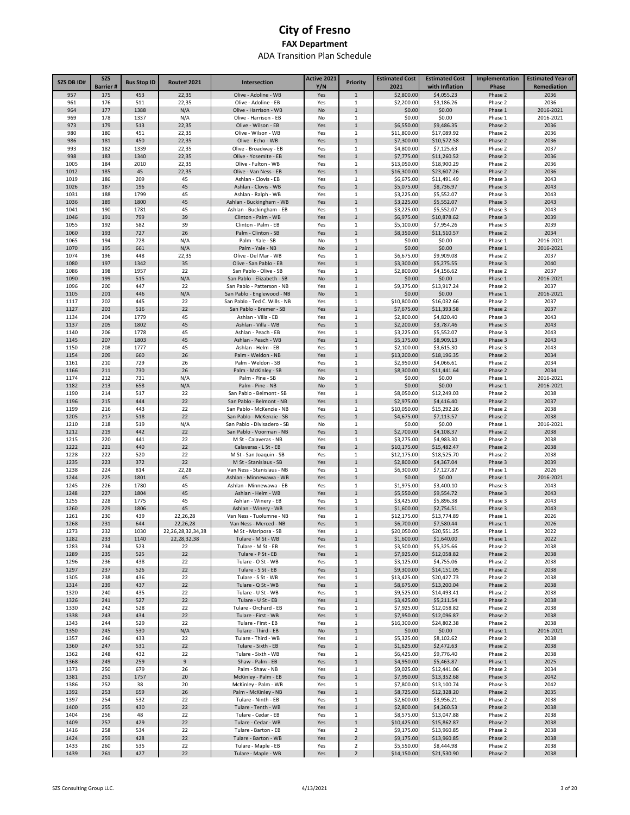| SZS DB ID#   | <b>SZS</b><br><b>Barrier#</b> | <b>Bus Stop ID</b> | <b>Route#2021</b>                        | Intersection                                                | Active 2021<br>Y/N | <b>Priority</b>             | <b>Estimated Cost</b><br>2021 | <b>Estimated Cost</b><br>with Inflation | Implementation<br>Phase | <b>Estimated Year of</b><br>Remediation |
|--------------|-------------------------------|--------------------|------------------------------------------|-------------------------------------------------------------|--------------------|-----------------------------|-------------------------------|-----------------------------------------|-------------------------|-----------------------------------------|
| 957          | 175                           | 453                | 22,35                                    | Olive - Adoline - WB                                        | Yes                | $1\,$                       | \$2,800.00                    | \$4,055.23                              | Phase 2                 | 2036                                    |
| 961          | 176                           | 511                | 22,35                                    | Olive - Adoline - EB                                        | Yes                | 1                           | \$2,200.00                    | \$3,186.26                              | Phase 2                 | 2036                                    |
| 964          | 177                           | 1388               | N/A                                      | Olive - Harrison - WB                                       | No                 | $\mathbf{1}$                | \$0.00                        | \$0.00                                  | Phase 1                 | 2016-2021                               |
| 969<br>973   | 178<br>179                    | 1337<br>513        | N/A<br>22,35                             | Olive - Harrison - EB<br>Olive - Wilson - EB                | No<br>Yes          | 1<br>$\mathbf{1}$           | \$0.00<br>\$6,550.00          | \$0.00<br>\$9,486.35                    | Phase 1<br>Phase 2      | 2016-2021<br>2036                       |
| 980          | 180                           | 451                | 22,35                                    | Olive - Wilson - WB                                         | Yes                | 1                           | \$11,800.00                   | \$17,089.92                             | Phase 2                 | 2036                                    |
| 986          | 181                           | 450                | 22,35                                    | Olive - Echo - WB                                           | Yes                | $\mathbf{1}$                | \$7,300.00                    | \$10,572.58                             | Phase 2                 | 2036                                    |
| 993          | 182                           | 1339               | 22,35                                    | Olive - Broadway - EB                                       | Yes                | $\mathbf{1}$                | \$4,800.00                    | \$7,125.63                              | Phase 2                 | 2037                                    |
| 998          | 183                           | 1340               | 22,35                                    | Olive - Yosemite - EB<br>Olive - Fulton - WB                | Yes                | $\mathbf{1}$                | \$7,775.00                    | \$11,260.52                             | Phase 2                 | 2036                                    |
| 1005<br>1012 | 184<br>185                    | 2010<br>45         | 22,35<br>22,35                           | Olive - Van Ness - EB                                       | Yes<br>Yes         | 1<br>$\mathbf{1}$           | \$13,050.00<br>\$16,300.00    | \$18,900.29<br>\$23,607.26              | Phase 2<br>Phase 2      | 2036<br>2036                            |
| 1019         | 186                           | 209                | 45                                       | Ashlan - Clovis - EB                                        | Yes                | 1                           | \$6,675.00                    | \$11,491.49                             | Phase 3                 | 2043                                    |
| 1026         | 187                           | 196                | 45                                       | Ashlan - Clovis - WB                                        | Yes                | $\mathbf 1$                 | \$5,075.00                    | \$8,736.97                              | Phase 3                 | 2043                                    |
| 1031         | 188                           | 1799               | 45                                       | Ashlan - Ralph - WB                                         | Yes                | 1                           | \$3,225.00                    | \$5,552.07                              | Phase 3                 | 2043                                    |
| 1036<br>1041 | 189<br>190                    | 1800<br>1781       | 45<br>45                                 | Ashlan - Buckingham - WB<br>Ashlan - Buckingham - EB        | Yes                | $\mathbf 1$<br>1            | \$3,225.00                    | \$5,552.07<br>\$5,552.07                | Phase 3<br>Phase 3      | 2043<br>2043                            |
| 1046         | 191                           | 799                | 39                                       | Clinton - Palm - WB                                         | Yes<br>Yes         | $\mathbf 1$                 | \$3,225.00<br>\$6,975.00      | \$10,878.62                             | Phase 3                 | 2039                                    |
| 1055         | 192                           | 582                | 39                                       | Clinton - Palm - EB                                         | Yes                | $1\,$                       | \$5,100.00                    | \$7,954.26                              | Phase 3                 | 2039                                    |
| 1060         | 193                           | 727                | 26                                       | Palm - Clinton - SB                                         | Yes                | $\mathbf 1$                 | \$8,350.00                    | \$11,510.57                             | Phase 2                 | 2034                                    |
| 1065         | 194                           | 728                | N/A                                      | Palm - Yale - SB                                            | No                 | $1\,$                       | \$0.00                        | \$0.00                                  | Phase 1                 | 2016-2021                               |
| 1070<br>1074 | 195<br>196                    | 661<br>448         | N/A<br>22,35                             | Palm - Yale - NB<br>Olive - Del Mar - WB                    | No                 | $\mathbf 1$<br>1            | \$0.00<br>\$6,675.00          | \$0.00<br>\$9,909.08                    | Phase 1<br>Phase 2      | 2016-2021<br>2037                       |
| 1080         | 197                           | 1342               | 35                                       | Olive - San Pablo - EB                                      | Yes<br>Yes         | $\mathbf 1$                 | \$3,300.00                    | \$5,275.55                              | Phase 3                 | 2040                                    |
| 1086         | 198                           | 1957               | 22                                       | San Pablo - Olive - SB                                      | Yes                | $1\,$                       | \$2,800.00                    | \$4,156.62                              | Phase 2                 | 2037                                    |
| 1090         | 199                           | 515                | N/A                                      | San Pablo - Elizabeth - SB                                  | No                 | $\mathbf{1}$                | \$0.00                        | \$0.00                                  | Phase 1                 | 2016-2021                               |
| 1096         | 200                           | 447                | 22                                       | San Pablo - Patterson - NB                                  | Yes                | 1                           | \$9,375.00                    | \$13,917.24                             | Phase 2                 | 2037                                    |
| 1105         | 201                           | 446                | N/A                                      | San Pablo - Englewood - NB<br>San Pablo - Ted C. Wills - NB | No                 | $\mathbf{1}$                | \$0.00<br>\$10,800.00         | \$0.00                                  | Phase 1                 | 2016-2021                               |
| 1117<br>1127 | 202<br>203                    | 445<br>516         | 22<br>22                                 | San Pablo - Bremer - SB                                     | Yes<br>Yes         | 1<br>$\mathbf{1}$           | \$7,675.00                    | \$16,032.66<br>\$11,393.58              | Phase 2<br>Phase 2      | 2037<br>2037                            |
| 1134         | 204                           | 1779               | 45                                       | Ashlan - Villa - EB                                         | Yes                | 1                           | \$2,800.00                    | \$4,820.40                              | Phase 3                 | 2043                                    |
| 1137         | 205                           | 1802               | 45                                       | Ashlan - Villa - WB                                         | Yes                | $\mathbf{1}$                | \$2,200.00                    | \$3,787.46                              | Phase 3                 | 2043                                    |
| 1140         | 206                           | 1778               | 45                                       | Ashlan - Peach - EB                                         | Yes                | 1                           | \$3,225.00                    | \$5,552.07                              | Phase 3                 | 2043                                    |
| 1145         | 207                           | 1803               | 45                                       | Ashlan - Peach - WB                                         | Yes                | $\mathbf{1}$                | \$5,175.00                    | \$8,909.13                              | Phase 3                 | 2043                                    |
| 1150<br>1154 | 208<br>209                    | 1777<br>660        | 45<br>26                                 | Ashlan - Helm - EB<br>Palm - Weldon - NB                    | Yes<br>Yes         | 1<br>$\mathbf{1}$           | \$2,100.00<br>\$13,200.00     | \$3,615.30<br>\$18,196.35               | Phase 3<br>Phase 2      | 2043<br>2034                            |
| 1161         | 210                           | 729                | 26                                       | Palm - Weldon - SB                                          | Yes                | $\mathbf 1$                 | \$2,950.00                    | \$4,066.61                              | Phase 2                 | 2034                                    |
| 1166         | 211                           | 730                | 26                                       | Palm - McKinley - SB                                        | Yes                | $\mathbf{1}$                | \$8,300.00                    | \$11,441.64                             | Phase 2                 | 2034                                    |
| 1174         | 212                           | 731                | N/A                                      | Palm - Pine - SB                                            | No                 | $\,1\,$                     | \$0.00                        | \$0.00                                  | Phase 1                 | 2016-2021                               |
| 1182         | 213                           | 658                | N/A                                      | Palm - Pine - NB                                            | No                 | $\mathbf{1}$                | \$0.00                        | \$0.00                                  | Phase 1                 | 2016-2021                               |
| 1190<br>1196 | 214<br>215                    | 517<br>444         | 22<br>22                                 | San Pablo - Belmont - SB<br>San Pablo - Belmont - NB        | Yes<br>Yes         | $\,1\,$<br>$\mathbf{1}$     | \$8,050.00<br>\$2,975.00      | \$12,249.03<br>\$4,416.40               | Phase 2<br>Phase 2      | 2038<br>2037                            |
| 1199         | 216                           | 443                | 22                                       | San Pablo - McKenzie - NB                                   | Yes                | 1                           | \$10,050.00                   | \$15,292.26                             | Phase 2                 | 2038                                    |
| 1205         | 217                           | 518                | 22                                       | San Pablo - McKenzie - SB                                   | Yes                | $\mathbf{1}$                | \$4,675.00                    | \$7,113.57                              | Phase 2                 | 2038                                    |
| 1210         | 218                           | 519                | N/A                                      | San Pablo - Divisadero - SB                                 | No                 | $\mathbf{1}$                | \$0.00                        | \$0.00                                  | Phase 1                 | 2016-2021                               |
| 1212         | 219                           | 442                | 22                                       | San Pablo - Voorman - NB                                    | Yes                | $\mathbf{1}$                | \$2,700.00                    | \$4,108.37                              | Phase 2                 | 2038                                    |
| 1215<br>1222 | 220<br>221                    | 441<br>440         | 22<br>22                                 | M St - Calaveras - NB<br>Calaveras - L St - EB              | Yes<br>Yes         | $1\,$<br>$\mathbf 1$        | \$3,275.00<br>\$10,175.00     | \$4,983.30<br>\$15,482.47               | Phase 2<br>Phase 2      | 2038<br>2038                            |
| 1228         | 222                           | 520                | 22                                       | M St - San Joaquin - SB                                     | Yes                | $1\,$                       | \$12,175.00                   | \$18,525.70                             | Phase 2                 | 2038                                    |
| 1235         | 223                           | 372                | 22                                       | M St - Stanislaus - SB                                      | Yes                | $\mathbf{1}$                | \$2,800.00                    | \$4,367.04                              | Phase 3                 | 2039                                    |
| 1238         | 224                           | 814                | 22,28                                    | Van Ness - Stanislaus - NB                                  | Yes                | 1                           | \$6,300.00                    | \$7,127.87                              | Phase 1                 | 2026                                    |
| 1244         | 225                           | 1801               | 45                                       | Ashlan - Minnewawa - WB                                     | Yes                | $\mathbf{1}$                | \$0.00                        | \$0.00                                  | Phase 1                 | 2016-2021                               |
| 1245<br>1248 | 226<br>227                    | 1780<br>1804       | 45<br>45                                 | Ashlan - Minnewawa - EB<br>Ashlan - Helm - WB               | Yes<br>Yes         | 1<br>$\mathbf{1}$           | \$1,975.00<br>\$5,550.00      | \$3,400.10<br>\$9,554.72                | Phase 3<br>Phase 3      | 2043<br>2043                            |
| 1255         | 228                           | 1775               | 45                                       | Ashlan - Winery - EB                                        | Yes                | 1                           | \$3,425.00                    | \$5,896.38                              | Phase 3                 | 2043                                    |
| 1260         | 229                           | 1806               | 45                                       | Ashlan - Winery - WB                                        | Yes                | $\mathbf{1}$                | \$1,600.00                    | \$2,754.51                              | Phase 3                 | 2043                                    |
| 1261         | 230                           | 439                | 22,26,28                                 | Van Ness - Tuolumne - NB                                    | Yes                | 1                           | \$12,175.00                   | \$13,774.89                             | Phase 1                 | 2026                                    |
| 1268         | 231                           | 644                | 22,26,28                                 | Van Ness - Merced - NB                                      | Yes                | $\mathbf{1}$                | \$6,700.00                    | \$7,580.44                              | Phase 1                 | 2026                                    |
| 1273<br>1282 | 232<br>233                    | 1030<br>1140       | 22, 26, 28, 32, 34, 38<br>22, 28, 32, 38 | M St - Mariposa - SB<br>Tulare - M St - WB                  | Yes<br>Yes         | $\mathbf{1}$<br>$\mathbf 1$ | \$20,050.00<br>\$1,600.00     | \$20.551.25<br>\$1,640.00               | Phase 1<br>Phase 1      | 2022<br>2022                            |
| 1283         | 234                           | 523                | 22                                       | Tulare - M St - EB                                          | Yes                | $\mathbf{1}$                | \$3,500.00                    | \$5,325.66                              | Phase 2                 | 2038                                    |
| 1289         | 235                           | 525                | 22                                       | Tulare - P St - EB                                          | Yes                | $\mathbf 1$                 | \$7,925.00                    | \$12,058.82                             | Phase 2                 | 2038                                    |
| 1296         | 236                           | 438                | 22                                       | Tulare - O St - WB                                          | Yes                | $\mathbf 1$                 | \$3,125.00                    | \$4,755.06                              | Phase 2                 | 2038                                    |
| 1297         | 237                           | 526                | 22                                       | Tulare - S St - EB                                          | Yes                | $\mathbf 1$                 | \$9,300.00                    | \$14,151.05                             | Phase 2                 | 2038                                    |
| 1305<br>1314 | 238<br>239                    | 436<br>437         | 22<br>22                                 | Tulare - S St - WB<br>Tulare - Q St - WB                    | Yes<br>Yes         | $\,1\,$<br>$\mathbf 1$      | \$13,425.00<br>\$8,675.00     | \$20,427.73<br>\$13,200.04              | Phase 2<br>Phase 2      | 2038<br>2038                            |
| 1320         | 240                           | 435                | 22                                       | Tulare - U St - WB                                          | Yes                | $\,1\,$                     | \$9,525.00                    | \$14,493.41                             | Phase 2                 | 2038                                    |
| 1326         | 241                           | 527                | 22                                       | Tulare - U St - EB                                          | Yes                | $\mathbf 1$                 | \$3,425.00                    | \$5,211.54                              | Phase 2                 | 2038                                    |
| 1330         | 242                           | 528                | 22                                       | Tulare - Orchard - EB                                       | Yes                | $1\,$                       | \$7,925.00                    | \$12,058.82                             | Phase 2                 | 2038                                    |
| 1338         | 243                           | 434                | 22                                       | Tulare - First - WB<br>Tulare - First - EB                  | Yes                | $\mathbf 1$                 | \$7,950.00                    | \$12,096.87                             | Phase 2                 | 2038                                    |
| 1343<br>1350 | 244<br>245                    | 529<br>530         | 22<br>N/A                                | Tulare - Third - EB                                         | Yes<br>No          | $\,1\,$<br>$\mathbf 1$      | \$16,300.00<br>\$0.00         | \$24,802.38<br>\$0.00                   | Phase 2<br>Phase 1      | 2038<br>2016-2021                       |
| 1357         | 246                           | 433                | 22                                       | Tulare - Third - WB                                         | Yes                | $\,1\,$                     | \$5,325.00                    | \$8,102.62                              | Phase 2                 | 2038                                    |
| 1360         | 247                           | 531                | 22                                       | Tulare - Sixth - EB                                         | Yes                | $\mathbf 1$                 | \$1,625.00                    | \$2,472.63                              | Phase 2                 | 2038                                    |
| 1362         | 248                           | 432                | 22                                       | Tulare - Sixth - WB                                         | Yes                | $\,1\,$                     | \$6,425.00                    | \$9,776.40                              | Phase 2                 | 2038                                    |
| 1368         | 249                           | 259                | 9                                        | Shaw - Palm - EB                                            | Yes                | $1\,$                       | \$4,950.00                    | \$5,463.87                              | Phase 1                 | 2025                                    |
| 1373<br>1381 | 250<br>251                    | 679<br>1757        | 26<br>20                                 | Palm - Shaw - NB<br>McKinley - Palm - EB                    | Yes<br>Yes         | 1<br>$\mathbf 1$            | \$9,025.00<br>\$7,950.00      | \$12,441.06<br>\$13,352.68              | Phase 2<br>Phase 3      | 2034<br>2042                            |
| 1386         | 252                           | 38                 | 20                                       | McKinley - Palm - WB                                        | Yes                | 1                           | \$7,800.00                    | \$13,100.74                             | Phase 3                 | 2042                                    |
| 1392         | 253                           | 659                | 26                                       | Palm - McKinley - NB                                        | Yes                | $1\,$                       | \$8,725.00                    | \$12,328.20                             | Phase 2                 | 2035                                    |
| 1397         | 254                           | 532                | 22                                       | Tulare - Ninth - EB                                         | Yes                | 1                           | \$2,600.00                    | \$3,956.21                              | Phase 2                 | 2038                                    |
| 1400         | 255                           | 430                | 22                                       | Tulare - Tenth - WB                                         | Yes                | $1\,$                       | \$2,800.00                    | \$4,260.53                              | Phase 2                 | 2038                                    |
| 1404<br>1409 | 256<br>257                    | 48<br>429          | 22<br>22                                 | Tulare - Cedar - EB<br>Tulare - Cedar - WB                  | Yes<br>Yes         | $\,1\,$<br>$1\,$            | \$8,575.00<br>\$10,425.00     | \$13,047.88<br>\$15,862.87              | Phase 2<br>Phase 2      | 2038<br>2038                            |
| 1416         | 258                           | 534                | 22                                       | Tulare - Barton - EB                                        | Yes                | $\overline{\mathbf{2}}$     | \$9,175.00                    | \$13,960.85                             | Phase 2                 | 2038                                    |
| 1424         | 259                           | 428                | 22                                       | Tulare - Barton - WB                                        | Yes                | $\overline{2}$              | \$9,175.00                    | \$13,960.85                             | Phase 2                 | 2038                                    |
| 1433         | 260                           | 535                | 22                                       | Tulare - Maple - EB                                         | Yes                | $\overline{\mathbf{2}}$     | \$5,550.00                    | \$8,444.98                              | Phase 2                 | 2038                                    |
| 1439         | 261                           | 427                | 22                                       | Tulare - Maple - WB                                         | Yes                | $\overline{\mathbf{c}}$     | \$14,150.00                   | \$21,530.90                             | Phase 2                 | 2038                                    |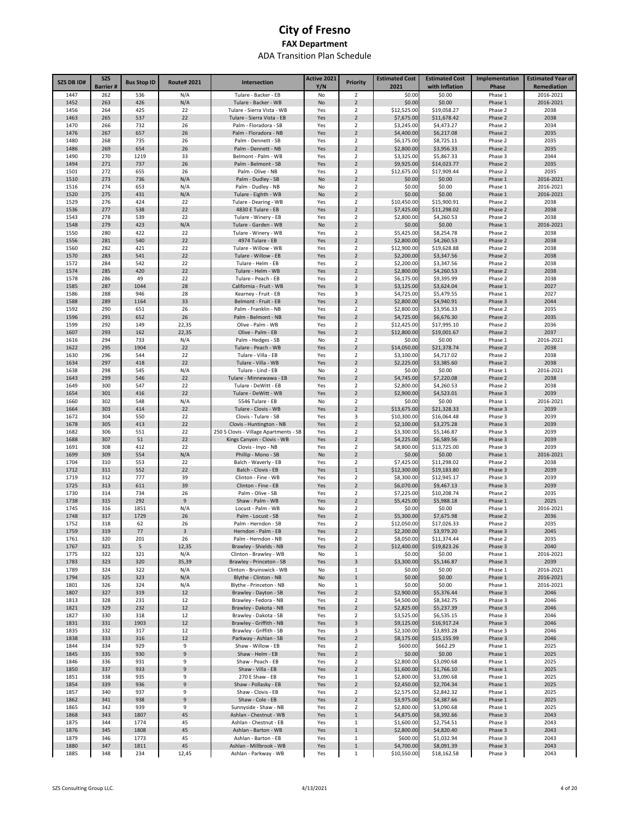| SZS DB ID#   | <b>SZS</b>      | <b>Bus Stop ID</b> | <b>Route#2021</b> | Intersection                                     | Active 2021 | <b>Priority</b>                           | <b>Estimated Cost</b>     | <b>Estimated Cost</b>      | Implementation     | <b>Estimated Year of</b> |
|--------------|-----------------|--------------------|-------------------|--------------------------------------------------|-------------|-------------------------------------------|---------------------------|----------------------------|--------------------|--------------------------|
| 1447         | <b>Barrier#</b> |                    |                   |                                                  | Y/N         |                                           | 2021                      | with Inflation             | Phase              | Remediation              |
| 1452         | 262<br>263      | 536<br>426         | N/A<br>N/A        | Tulare - Backer - EB<br>Tulare - Backer - WB     | No<br>No    | 2<br>$\overline{2}$                       | \$0.00<br>\$0.00          | \$0.00<br>\$0.00           | Phase 1<br>Phase 1 | 2016-2021<br>2016-2021   |
| 1456         | 264             | 425                | 22                | Tulare - Sierra Vista - WB                       | Yes         | $\overline{\mathbf{2}}$                   | \$12,525.00               | \$19,058.27                | Phase 2            | 2038                     |
| 1463         | 265             | 537                | 22                | Tulare - Sierra Vista - EB                       | Yes         | $\overline{2}$                            | \$7,675.00                | \$11,678.42                | Phase 2            | 2038                     |
| 1470         | 266             | 732                | 26                | Palm - Floradora - SB                            | Yes         | $\overline{\mathbf{2}}$                   | \$3,245.00                | \$4,473.27                 | Phase 2            | 2034                     |
| 1476         | 267             | 657                | 26                | Palm - Floradora - NB                            | Yes         | $\overline{2}$                            | \$4,400.00                | \$6,217.08                 | Phase 2            | 2035                     |
| 1480         | 268             | 735                | 26                | Palm - Dennett - SB                              | Yes         | $\overline{2}$                            | \$6,175.00                | \$8,725.11                 | Phase 2            | 2035                     |
| 1486<br>1490 | 269<br>270      | 654<br>1219        | 26<br>33          | Palm - Dennett - NB<br>Belmont - Palm - WB       | Yes<br>Yes  | $\overline{2}$<br>$\overline{\mathbf{2}}$ | \$2,800.00<br>\$3,325.00  | \$3,956.33<br>\$5,867.33   | Phase 2<br>Phase 3 | 2035<br>2044             |
| 1494         | 271             | 737                | 26                | Palm - Belmont - SB                              | Yes         | $\overline{2}$                            | \$9,925.00                | \$14,023.77                | Phase 2            | 2035                     |
| 1501         | 272             | 655                | 26                | Palm - Olive - NB                                | Yes         | $\overline{2}$                            | \$12,675.00               | \$17,909.44                | Phase 2            | 2035                     |
| 1510         | 273             | 736                | N/A               | Palm - Dudley - SB                               | No          | $\overline{2}$                            | \$0.00                    | \$0.00                     | Phase 1            | 2016-2021                |
| 1516         | 274             | 653                | N/A               | Palm - Dudley - NB                               | No          | $\overline{2}$                            | \$0.00                    | \$0.00                     | Phase 1            | 2016-2021                |
| 1520         | 275             | 431                | N/A               | Tulare - Eighth - WB                             | No          | $\overline{2}$                            | \$0.00                    | \$0.00                     | Phase 1            | 2016-2021                |
| 1529         | 276             | 424                | 22                | Tulare - Dearing - WB                            | Yes         | $\overline{2}$                            | \$10,450.00               | \$15,900.91                | Phase 2            | 2038                     |
| 1536<br>1543 | 277<br>278      | 538<br>539         | 22<br>22          | 4830 E Tulare - EB<br>Tulare - Winery - EB       | Yes<br>Yes  | $\overline{2}$<br>$\overline{2}$          | \$7,425.00<br>\$2,800.00  | \$11,298.02<br>\$4,260.53  | Phase 2<br>Phase 2 | 2038<br>2038             |
| 1548         | 279             | 423                | N/A               | Tulare - Garden - WB                             | No          | $\overline{2}$                            | \$0.00                    | \$0.00                     | Phase 1            | 2016-2021                |
| 1550         | 280             | 422                | 22                | Tulare - Winery - WB                             | Yes         | $\overline{2}$                            | \$5,425.00                | \$8,254.78                 | Phase 2            | 2038                     |
| 1556         | 281             | 540                | 22                | 4974 Tulare - EB                                 | Yes         | $\overline{2}$                            | \$2,800.00                | \$4,260.53                 | Phase 2            | 2038                     |
| 1560         | 282             | 421                | 22                | Tulare - Willow - WB                             | Yes         | 2                                         | \$12,900.00               | \$19,628.88                | Phase 2            | 2038                     |
| 1570         | 283             | 541                | 22                | Tulare - Willow - EB                             | Yes         | $\overline{2}$                            | \$2,200.00                | \$3,347.56                 | Phase 2            | 2038                     |
| 1572         | 284             | 542                | 22                | Tulare - Helm - EB                               | Yes         | $\overline{2}$                            | \$2,200.00                | \$3,347.56                 | Phase 2            | 2038                     |
| 1574<br>1578 | 285<br>286      | 420<br>49          | 22<br>22          | Tulare - Helm - WB<br>Tulare - Peach - EB        | Yes<br>Yes  | $\overline{2}$<br>2                       | \$2,800.00<br>\$6,175.00  | \$4,260.53<br>\$9,395.99   | Phase 2<br>Phase 2 | 2038<br>2038             |
| 1585         | 287             | 1044               | 28                | California - Fruit - WB                          | Yes         | 3                                         | \$3,125.00                | \$3,624.04                 | Phase 1            | 2027                     |
| 1586         | 288             | 946                | 28                | Kearney - Fruit - EB                             | Yes         | 3                                         | \$4,725.00                | \$5,479.55                 | Phase 1            | 2027                     |
| 1588         | 289             | 1164               | 33                | Belmont - Fruit - EB                             | Yes         | $\overline{2}$                            | \$2,800.00                | \$4,940.91                 | Phase 3            | 2044                     |
| 1592         | 290             | 651                | 26                | Palm - Franklin - NB                             | Yes         | 2                                         | \$2,800.00                | \$3,956.33                 | Phase 2            | 2035                     |
| 1596         | 291             | 652                | 26                | Palm - Belmont - NB                              | Yes         | $\overline{2}$                            | \$4,725.00                | \$6,676.30                 | Phase 2            | 2035                     |
| 1599         | 292             | 149                | 22,35             | Olive - Palm - WB                                | Yes         | $\overline{\mathbf{2}}$                   | \$12,425.00               | \$17,995.10<br>\$19,001.67 | Phase 2            | 2036                     |
| 1607<br>1616 | 293<br>294      | 162<br>733         | 22,35<br>N/A      | Olive - Palm - EB<br>Palm - Hedges - SB          | Yes<br>No   | $\overline{2}$<br>$\overline{\mathbf{2}}$ | \$12,800.00<br>\$0.00     | \$0.00                     | Phase 2<br>Phase 1 | 2037<br>2016-2021        |
| 1622         | 295             | 1904               | 22                | Tulare - Peach - WB                              | Yes         | $\overline{2}$                            | \$14,050.00               | \$21,378.74                | Phase 2            | 2038                     |
| 1630         | 296             | 544                | 22                | Tulare - Villa - EB                              | Yes         | $\overline{\mathbf{2}}$                   | \$3,100.00                | \$4,717.02                 | Phase 2            | 2038                     |
| 1634         | 297             | 418                | 22                | Tulare - Villa - WB                              | Yes         | $\overline{2}$                            | \$2,225.00                | \$3,385.60                 | Phase 2            | 2038                     |
| 1638         | 298             | 545                | N/A               | Tulare - Lind - EB                               | No          | $\overline{2}$                            | \$0.00                    | \$0.00                     | Phase 1            | 2016-2021                |
| 1643         | 299             | 546                | 22                | Tulare - Minnewawa - EB                          | Yes         | $\overline{2}$                            | \$4,745.00                | \$7,220.08                 | Phase 2            | 2038                     |
| 1649         | 300             | 547                | 22                | Tulare - DeWitt - EB                             | Yes         | $\overline{\mathbf{2}}$                   | \$2,800.00                | \$4,260.53                 | Phase 2            | 2038                     |
| 1654<br>1660 | 301<br>302      | 416<br>548         | 22<br>N/A         | Tulare - DeWitt - WB<br>5546 Tulare - EB         | Yes<br>No   | $\overline{2}$<br>$\overline{\mathbf{2}}$ | \$2,900.00<br>\$0.00      | \$4,523.01<br>\$0.00       | Phase 3<br>Phase 1 | 2039<br>2016-2021        |
| 1664         | 303             | 414                | 22                | Tulare - Clovis - WB                             | Yes         | $\overline{2}$                            | \$13,675.00               | \$21,328.33                | Phase 3            | 2039                     |
| 1672         | 304             | 550                | 22                | Clovis - Tulare - SB                             | Yes         | 3                                         | \$10,300.00               | \$16,064.48                | Phase 3            | 2039                     |
| 1678         | 305             | 413                | 22                | Clovis - Huntington - NB                         | Yes         | $\overline{2}$                            | \$2,100.00                | \$3,275.28                 | Phase 3            | 2039                     |
| 1682         | 306             | 551                | 22                | 250 S Clovis - Village Apartments - SB           | Yes         | $\overline{\mathbf{2}}$                   | \$3,300.00                | \$5,146.87                 | Phase 3            | 2039                     |
| 1688         | 307             | 51                 | 22                | Kings Canyon - Clovis - WB                       | Yes         | $\overline{2}$                            | \$4,225.00                | \$6,589.56                 | Phase 3            | 2039                     |
| 1691         | 308             | 412                | 22                | Clovis - Inyo - NB                               | Yes         | 2                                         | \$8,800.00                | \$13,725.00                | Phase 3            | 2039                     |
| 1699<br>1704 | 309<br>310      | 554<br>553         | N/A<br>22         | Phillip - Mono - SB<br>Balch - Waverly - EB      | No<br>Yes   | $\overline{2}$<br>2                       | \$0.00<br>\$7,425.00      | \$0.00<br>\$11,298.02      | Phase 1<br>Phase 2 | 2016-2021<br>2038        |
| 1712         | 311             | 552                | 22                | Balch - Clovis - EB                              | Yes         | $\mathbf{1}$                              | \$12,300.00               | \$19,183.80                | Phase 3            | 2039                     |
| 1719         | 312             | 777                | 39                | Clinton - Fine - WB                              | Yes         | $\overline{\mathbf{2}}$                   | \$8,300.00                | \$12,945.17                | Phase 3            | 2039                     |
| 1725         | 313             | 611                | 39                | Clinton - Fine - EB                              | Yes         | $\overline{2}$                            | \$6,070.00                | \$9,467.13                 | Phase 3            | 2039                     |
| 1730         | 314             | 734                | 26                | Palm - Olive - SB                                | Yes         | $\overline{\mathbf{2}}$                   | \$7,225.00                | \$10,208.74                | Phase 2            | 2035                     |
| 1738         | 315             | 292                | 9                 | Shaw - Palm - WB                                 | Yes         | $\overline{2}$                            | \$5,425.00                | \$5,988.18                 | Phase 1            | 2025                     |
| 1745<br>1748 | 316<br>317      | 1851               | N/A               | Locust - Palm - WB<br>Palm - Locust - SB         | No          | 2                                         | \$0.00                    | \$0.00                     | Phase 1            | 2016-2021                |
| 1752         | 318             | 1729<br>62         | 26<br>26          | Palm - Herndon - SB                              | Yes<br>Yes  | $\overline{2}$<br>$\overline{\mathbf{2}}$ | \$5,300.00<br>\$12,050.00 | \$7,675.98<br>\$17,026.33  | Phase 2<br>Phase 2 | 2036<br>2035             |
| 1759         | 319             | 77                 | 3                 | Herndon - Palm - EB                              | Yes         | $\overline{2}$                            | \$2,200.00                | \$3,979.20                 | Phase 3            | 2045                     |
| 1761         | 320             | 201                | 26                | Palm - Herndon - NB                              | Yes         | $\overline{2}$                            | \$8,050.00                | \$11,374.44                | Phase 2            | 2035                     |
| 1767         | 321             | 5                  | 12,35             | Brawley - Shields - NB                           | Yes         | $\overline{2}$                            | \$12,400.00               | \$19,823.26                | Phase 3            | 2040                     |
| 1775         | 322             | 321                | N/A               | Clinton - Brawley - WB                           | No          | $1\,$                                     | \$0.00                    | \$0.00                     | Phase 1            | 2016-2021                |
| 1783         | 323             | 320                | 35,39             | Brawley - Princeton - SB                         | Yes         | 3                                         | \$3,300.00                | \$5,146.87                 | Phase 3            | 2039                     |
| 1789         | 324             | 322                | N/A               | Clinton - Bruinswick - WB                        | No          | $1\,$                                     | \$0.00                    | \$0.00                     | Phase 1            | 2016-2021                |
| 1794<br>1801 | 325<br>326      | 323<br>324         | N/A<br>N/A        | Blythe - Clinton - NB<br>Blythe - Princeton - NB | No<br>No    | $\mathbf 1$<br>$1\,$                      | \$0.00<br>\$0.00          | \$0.00<br>\$0.00           | Phase 1<br>Phase 1 | 2016-2021<br>2016-2021   |
| 1807         | 327             | 319                | 12                | Brawley - Dayton - SB                            | Yes         | $\overline{2}$                            | \$2,900.00                | \$5,376.44                 | Phase 3            | 2046                     |
| 1813         | 328             | 231                | 12                | Brawley - Fedora - NB                            | Yes         | $\overline{2}$                            | \$4,500.00                | \$8,342.75                 | Phase 3            | 2046                     |
| 1821         | 329             | 232                | 12                | Brawley - Dakota - NB                            | Yes         | $\overline{2}$                            | \$2,825.00                | \$5,237.39                 | Phase 3            | 2046                     |
| 1827         | 330             | 318                | 12                | Brawley - Dakota - SB                            | Yes         | $\overline{2}$                            | \$3,525.00                | \$6,535.15                 | Phase 3            | 2046                     |
| 1831         | 331             | 1903               | 12                | Brawley - Griffith - NB                          | Yes         | 3                                         | \$9,125.00                | \$16,917.24                | Phase 3            | 2046                     |
| 1835         | 332             | 317                | 12                | Brawley - Griffith - SB                          | Yes         | 3                                         | \$2,100.00                | \$3,893.28                 | Phase 3            | 2046                     |
| 1838<br>1844 | 333<br>334      | 316<br>929         | 12<br>9           | Parkway - Ashlan - SB<br>Shaw - Willow - EB      | Yes<br>Yes  | $\overline{2}$<br>$\overline{2}$          | \$8,175.00<br>\$600.00    | \$15,155.99<br>\$662.29    | Phase 3<br>Phase 1 | 2046<br>2025             |
| 1845         | 335             | 930                | 9                 | Shaw - Helm - EB                                 | Yes         | $\overline{2}$                            | \$0.00                    | \$0.00                     | Phase 1            | 2025                     |
| 1846         | 336             | 931                | 9                 | Shaw - Peach - EB                                | Yes         | 2                                         | \$2,800.00                | \$3,090.68                 | Phase 1            | 2025                     |
| 1850         | 337             | 933                | 9                 | Shaw - Villa - EB                                | Yes         | $\overline{2}$                            | \$1,600.00                | \$1,766.10                 | Phase 1            | 2025                     |
| 1851         | 338             | 935                | 9                 | 270 E Shaw - EB                                  | Yes         | 1                                         | \$2,800.00                | \$3,090.68                 | Phase 1            | 2025                     |
| 1854         | 339             | 936                | 9                 | Shaw - Pollasky - EB                             | Yes         | $\overline{2}$                            | \$2,450.00                | \$2,704.34                 | Phase 1            | 2025                     |
| 1857         | 340             | 937                | 9                 | Shaw - Clovis - EB                               | Yes         | $\overline{2}$                            | \$2,575.00                | \$2,842.32                 | Phase 1            | 2025                     |
| 1862<br>1865 | 341<br>342      | 938<br>939         | 9<br>9            | Shaw - Cole - EB<br>Sunnyside - Shaw - NB        | Yes<br>Yes  | $\mathbf 2$<br>$\overline{2}$             | \$3,975.00<br>\$2,800.00  | \$4,387.66<br>\$3,090.68   | Phase 1<br>Phase 1 | 2025<br>2025             |
| 1868         | 343             | 1807               | 45                | Ashlan - Chestnut - WB                           | Yes         | $\mathbf 1$                               | \$4,875.00                | \$8,392.66                 | Phase 3            | 2043                     |
| 1875         | 344             | 1774               | 45                | Ashlan - Chestnut - EB                           | Yes         | $\mathbf 1$                               | \$1,600.00                | \$2,754.51                 | Phase 3            | 2043                     |
| 1876         | 345             | 1808               | 45                | Ashlan - Barton - WB                             | Yes         | $\mathbf 1$                               | \$2,800.00                | \$4,820.40                 | Phase 3            | 2043                     |
| 1879         | 346             | 1773               | 45                | Ashlan - Barton - EB                             | Yes         | $\,1\,$                                   | \$600.00                  | \$1,032.94                 | Phase 3            | 2043                     |
| 1880         | 347             | 1811               | 45                | Ashlan - Millbrook - WB                          | Yes         | $\mathbf 1$                               | \$4,700.00                | \$8,091.39                 | Phase 3            | 2043                     |
| 1885         | 348             | 234                | 12,45             | Ashlan - Parkway - WB                            | Yes         | $\mathbf 1$                               | \$10,550.00               | \$18,162.58                | Phase 3            | 2043                     |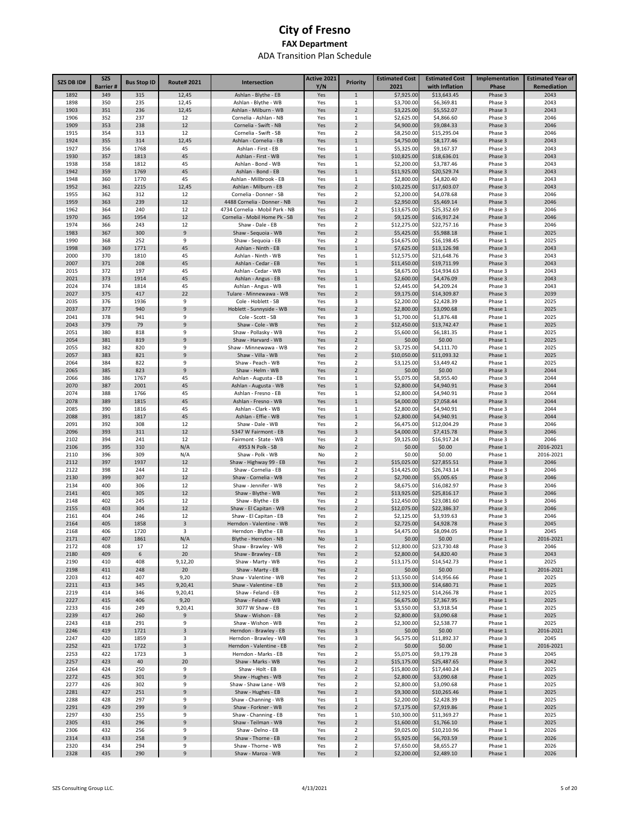|                   | <b>SZS</b>      |                    |                     |                                                 | Active 2021 |                                  | <b>Estimated Cost</b>     | <b>Estimated Cost</b>     | Implementation     | <b>Estimated Year of</b> |
|-------------------|-----------------|--------------------|---------------------|-------------------------------------------------|-------------|----------------------------------|---------------------------|---------------------------|--------------------|--------------------------|
| <b>SZS DB ID#</b> | <b>Barrier#</b> | <b>Bus Stop ID</b> | <b>Route#2021</b>   | Intersection                                    | Y/N         | <b>Priority</b>                  | 2021                      | with Inflation            | Phase              | Remediation              |
| 1892              | 349             | 315                | 12,45               | Ashlan - Blythe - EB                            | Yes         | $\mathbf{1}$                     | \$7,925.00                | \$13,643.45               | Phase 3            | 2043                     |
| 1898              | 350             | 235                | 12,45               | Ashlan - Blythe - WB                            | Yes         | 1                                | \$3,700.00                | \$6,369.81                | Phase 3            | 2043                     |
| 1903<br>1906      | 351<br>352      | 236<br>237         | 12,45<br>12         | Ashlan - Milburn - WB<br>Cornelia - Ashlan - NB | Yes<br>Yes  | $\overline{2}$<br>1              | \$3,225.00<br>\$2,625.00  | \$5,552.07<br>\$4,866.60  | Phase 3<br>Phase 3 | 2043<br>2046             |
| 1909              | 353             | 238                | 12                  | Cornelia - Swift - NB                           | Yes         | $\overline{2}$                   | \$4,900.00                | \$9,084.33                | Phase 3            | 2046                     |
| 1915              | 354             | 313                | 12                  | Cornelia - Swift - SB                           | Yes         | $\overline{2}$                   | \$8,250.00                | \$15,295.04               | Phase 3            | 2046                     |
| 1924              | 355             | 314                | 12,45               | Ashlan - Cornelia - EB                          | Yes         | $\mathbf{1}$                     | \$4,750.00                | \$8,177.46                | Phase 3            | 2043                     |
| 1927              | 356             | 1768               | 45                  | Ashlan - First - EB                             | Yes         | $\mathbf{1}$                     | \$5,325.00                | \$9,167.37                | Phase 3            | 2043                     |
| 1930              | 357             | 1813               | 45                  | Ashlan - First - WB                             | Yes         | $\,1\,$                          | \$10,825.00               | \$18,636.01               | Phase 3            | 2043                     |
| 1938              | 358             | 1812               | 45<br>45            | Ashlan - Bond - WB                              | Yes         | $\mathbf{1}$                     | \$2,200.00                | \$3,787.46                | Phase 3            | 2043                     |
| 1942<br>1948      | 359<br>360      | 1769<br>1770       | 45                  | Ashlan - Bond - EB<br>Ashlan - Millbrook - EB   | Yes<br>Yes  | $1\,$<br>1                       | \$11,925.00<br>\$2,800.00 | \$20,529.74<br>\$4,820.40 | Phase 3<br>Phase 3 | 2043<br>2043             |
| 1952              | 361             | 2215               | 12,45               | Ashlan - Milburn - EB                           | Yes         | $\overline{2}$                   | \$10,225.00               | \$17,603.07               | Phase 3            | 2043                     |
| 1955              | 362             | 312                | 12                  | Cornelia - Donner - SB                          | Yes         | 2                                | \$2,200.00                | \$4,078.68                | Phase 3            | 2046                     |
| 1959              | 363             | 239                | 12                  | 4488 Cornelia - Donner - NB                     | Yes         | $\overline{2}$                   | \$2,950.00                | \$5,469.14                | Phase 3            | 2046                     |
| 1962              | 364             | 240                | 12                  | 4734 Cornelia - Mobil Park - NB                 | Yes         | $\overline{2}$                   | \$13,675.00               | \$25,352.69               | Phase 3            | 2046                     |
| 1970              | 365             | 1954               | 12                  | Cornelia - Mobil Home Pk - SB                   | Yes         | $\overline{2}$                   | \$9,125.00                | \$16,917.24               | Phase 3            | 2046                     |
| 1974              | 366<br>367      | 243                | 12<br>9             | Shaw - Dale - EB                                | Yes         | $\overline{2}$<br>$\overline{2}$ | \$12,275.00               | \$22,757.16               | Phase 3            | 2046                     |
| 1983<br>1990      | 368             | 300<br>252         | 9                   | Shaw - Sequoia - WB<br>Shaw - Sequoia - EB      | Yes<br>Yes  | $\overline{2}$                   | \$5,425.00<br>\$14,675.00 | \$5,988.18<br>\$16,198.45 | Phase 1<br>Phase 1 | 2025<br>2025             |
| 1998              | 369             | 1771               | 45                  | Ashlan - Ninth - EB                             | Yes         | $\mathbf{1}$                     | \$7,625.00                | \$13,126.98               | Phase 3            | 2043                     |
| 2000              | 370             | 1810               | 45                  | Ashlan - Ninth - WB                             | Yes         | 1                                | \$12,575.00               | \$21,648.76               | Phase 3            | 2043                     |
| 2007              | 371             | 208                | 45                  | Ashlan - Cedar - EB                             | Yes         | $1\,$                            | \$11,450.00               | \$19,711.99               | Phase 3            | 2043                     |
| 2015              | 372             | 197                | 45                  | Ashlan - Cedar - WB                             | Yes         | 1                                | \$8,675.00                | \$14,934.63               | Phase 3            | 2043                     |
| 2021              | 373             | 1914               | 45                  | Ashlan - Angus - EB                             | Yes         | $\mathbf{1}$                     | \$2,600.00                | \$4,476.09                | Phase 3            | 2043                     |
| 2024              | 374             | 1814               | 45                  | Ashlan - Angus - WB                             | Yes         | 1                                | \$2,445.00                | \$4,209.24                | Phase 3            | 2043                     |
| 2027<br>2035      | 375<br>376      | 417<br>1936        | 22<br>9             | Tulare - Minnewawa - WB<br>Cole - Hoblett - SB  | Yes<br>Yes  | $\overline{2}$<br>3              | \$9,175.00<br>\$2,200.00  | \$14,309.87<br>\$2,428.39 | Phase 3<br>Phase 1 | 2039<br>2025             |
| 2037              | 377             | 940                | 9                   | Hoblett - Sunnyside - WB                        | Yes         | $\overline{2}$                   | \$2,800.00                | \$3,090.68                | Phase 1            | 2025                     |
| 2041              | 378             | 941                | 9                   | Cole - Scott - SB                               | Yes         | 3                                | \$1,700.00                | \$1,876.48                | Phase 1            | 2025                     |
| 2043              | 379             | 79                 | 9                   | Shaw - Cole - WB                                | Yes         | $\overline{2}$                   | \$12,450.00               | \$13,742.47               | Phase 1            | 2025                     |
| 2051              | 380             | 818                | 9                   | Shaw - Pollasky - WB                            | Yes         | $\overline{2}$                   | \$5,600.00                | \$6,181.35                | Phase 1            | 2025                     |
| 2054              | 381             | 819                | 9                   | Shaw - Harvard - WB                             | Yes         | $\overline{2}$                   | \$0.00                    | \$0.00                    | Phase 1            | 2025                     |
| 2055              | 382             | 820                | 9                   | Shaw - Minnewawa - WB                           | Yes         | $\overline{2}$                   | \$3,725.00                | \$4,111.70                | Phase 1            | 2025                     |
| 2057<br>2064      | 383<br>384      | 821<br>822         | $\overline{9}$<br>9 | Shaw - Villa - WB<br>Shaw - Peach - WB          | Yes         | $\overline{2}$<br>$\overline{2}$ | \$10,050.00<br>\$3,125.00 | \$11,093.32<br>\$3,449.42 | Phase 1            | 2025<br>2025             |
| 2065              | 385             | 823                | 9                   | Shaw - Helm - WB                                | Yes<br>Yes  | $\overline{2}$                   | \$0.00                    | \$0.00                    | Phase 1<br>Phase 3 | 2044                     |
| 2066              | 386             | 1767               | 45                  | Ashlan - Augusta - EB                           | Yes         | $\mathbf{1}$                     | \$5,075.00                | \$8,955.40                | Phase 3            | 2044                     |
| 2070              | 387             | 2001               | 45                  | Ashlan - Augusta - WB                           | Yes         | $\mathbf{1}$                     | \$2,800.00                | \$4,940.91                | Phase 3            | 2044                     |
| 2074              | 388             | 1766               | 45                  | Ashlan - Fresno - EB                            | Yes         | $\mathbf{1}$                     | \$2,800.00                | \$4,940.91                | Phase 3            | 2044                     |
| 2078              | 389             | 1815               | 45                  | Ashlan - Fresno - WB                            | Yes         | $\mathbf{1}$                     | \$4,000.00                | \$7,058.44                | Phase 3            | 2044                     |
| 2085              | 390             | 1816               | 45                  | Ashlan - Clark - WB                             | Yes         | $\mathbf{1}$                     | \$2,800.00                | \$4,940.91                | Phase 3            | 2044                     |
| 2088<br>2091      | 391<br>392      | 1817<br>308        | 45<br>12            | Ashlan - Effie - WB<br>Shaw - Dale - WB         | Yes<br>Yes  | $\mathbf{1}$<br>$\overline{2}$   | \$2,800.00<br>\$6,475.00  | \$4,940.91<br>\$12,004.29 | Phase 3<br>Phase 3 | 2044<br>2046             |
| 2096              | 393             | 311                | 12                  | 5347 W Fairmont - EB                            | Yes         | 3                                | \$4,000.00                | \$7,415.78                | Phase 3            | 2046                     |
| 2102              | 394             | 241                | 12                  | Fairmont - State - WB                           | Yes         | 2                                | \$9,125.00                | \$16,917.24               | Phase 3            | 2046                     |
| 2106              | 395             | 310                | N/A                 | 4953 N Polk - SB                                | No          | $\overline{2}$                   | \$0.00                    | \$0.00                    | Phase 1            | 2016-2021                |
| 2110              | 396             | 309                | N/A                 | Shaw - Polk - WB                                | No          | $\overline{2}$                   | \$0.00                    | \$0.00                    | Phase 1            | 2016-2021                |
| 2112              | 397             | 1937               | 12                  | Shaw - Highway 99 - EB                          | Yes         | $\overline{2}$                   | \$15,025.00               | \$27,855.51               | Phase 3            | 2046                     |
| 2122              | 398             | 244                | 12                  | Shaw - Cornelia - EB                            | Yes         | 2                                | \$14,425.00               | \$26,743.14               | Phase 3            | 2046                     |
| 2130              | 399             | 307                | 12                  | Shaw - Cornelia - WB                            | Yes         | $\overline{2}$<br>$\overline{2}$ | \$2,700.00                | \$5,005.65<br>\$16,082.97 | Phase 3            | 2046                     |
| 2134<br>2141      | 400<br>401      | 306<br>305         | 12<br>12            | Shaw - Jennifer - WB<br>Shaw - Blythe - WB      | Yes<br>Yes  | $\overline{2}$                   | \$8,675.00<br>\$13,925.00 | \$25,816.17               | Phase 3<br>Phase 3 | 2046<br>2046             |
| 2148              | 402             | 245                | 12                  | Shaw - Blythe - EB                              | Yes         | $\overline{2}$                   | \$12,450.00               | \$23,081.60               | Phase 3            | 2046                     |
| 2155              | 403             | 304                | 12                  | Shaw - El Capitan - WB                          | Yes         | $\overline{2}$                   | \$12,075.00               | \$22,386.37               | Phase 3            | 2046                     |
| 2161              | 404             | 246                | 12                  | Shaw - El Capitan - EB                          | Yes         | $\overline{2}$                   | \$2,125.00                | \$3,939.63                | Phase 3            | 2046                     |
| 2164              | 405             | 1858               | 3                   | Herndon - Valentine - WB                        | Yes         | $\overline{2}$                   | \$2,725.00                | \$4,928.78                | Phase 3            | 2045                     |
| 2168              | 406             | 1720               | 3                   | Herndon - Blythe - EB                           | Yes         | 3                                | \$4,475.00                | \$8,094.05                | Phase 3            | 2045                     |
| 2171              | 407             | 1861               | N/A                 | Blythe - Herndon - NB                           | No          | $\,1\,$                          | \$0.00                    | \$0.00                    | Phase 1            | 2016-2021                |
| 2172<br>2180      | 408<br>409      | 17<br>6            | 12<br>20            | Shaw - Brawley - WB<br>Shaw - Brawley - EB      | Yes         | $\overline{2}$<br>$\overline{2}$ | \$12,800.00<br>\$2,800.00 | \$23,730.48<br>\$4,820.40 | Phase 3<br>Phase 3 | 2046<br>2043             |
| 2190              | 410             | 408                | 9,12,20             | Shaw - Marty - WB                               | Yes<br>Yes  | $\overline{2}$                   | \$13,175.00               | \$14,542.73               | Phase 1            | 2025                     |
| 2198              | 411             | 248                | 20                  | Shaw - Marty - EB                               | Yes         | $\overline{2}$                   | \$0.00                    | \$0.00                    | Phase 1            | 2016-2021                |
| 2203              | 412             | 407                | 9,20                | Shaw - Valentine - WB                           | Yes         | $\overline{2}$                   | \$13,550.00               | \$14,956.66               | Phase 1            | 2025                     |
| 2211              | 413             | 345                | 9,20,41             | Shaw - Valentine - EB                           | Yes         | $\overline{2}$                   | \$13,300.00               | \$14,680.71               | Phase 1            | 2025                     |
| 2219              | 414             | 346                | 9,20,41             | Shaw - Feland - EB                              | Yes         | $\overline{2}$                   | \$12,925.00               | \$14,266.78               | Phase 1            | 2025                     |
| 2227              | 415             | 406                | 9,20                | Shaw - Feland - WB                              | Yes         | $\overline{2}$                   | \$6,675.00                | \$7,367.95                | Phase 1            | 2025                     |
| 2233<br>2239      | 416<br>417      | 249<br>260         | 9,20,41<br>9        | 3077 W Shaw - EB<br>Shaw - Wishon - EB          | Yes<br>Yes  | 1<br>$\overline{2}$              | \$3,550.00<br>\$2,800.00  | \$3,918.54<br>\$3,090.68  | Phase 1<br>Phase 1 | 2025<br>2025             |
| 2243              | 418             | 291                | 9                   | Shaw - Wishon - WB                              | Yes         | $\overline{2}$                   | \$2,300.00                | \$2,538.77                | Phase 1            | 2025                     |
| 2246              | 419             | 1721               | 3                   | Herndon - Brawley - EB                          | Yes         | 3                                | \$0.00                    | \$0.00                    | Phase 1            | 2016-2021                |
| 2247              | 420             | 1859               | 3                   | Herndon - Brawley - WB                          | Yes         | 3                                | \$6,575.00                | \$11,892.37               | Phase 3            | 2045                     |
| 2252              | 421             | 1722               | $\mathbf{3}$        | Herndon - Valentine - EB                        | Yes         | $\overline{2}$                   | \$0.00                    | \$0.00                    | Phase 1            | 2016-2021                |
| 2253              | 422             | 1723               | 3                   | Herndon - Marks - EB                            | Yes         | $\overline{2}$                   | \$5,075.00                | \$9,179.28                | Phase 3            | 2045                     |
| 2257              | 423             | 40                 | 20                  | Shaw - Marks - WB                               | Yes         | 2                                | \$15,175.00               | \$25,487.65               | Phase 3            | 2042                     |
| 2264              | 424             | 250                | 9<br>$\mathsf g$    | Shaw - Holt - EB                                | Yes         | $\overline{2}$<br>$\overline{2}$ | \$15,800.00               | \$17,440.24               | Phase 1            | 2025                     |
| 2272<br>2277      | 425<br>426      | 301<br>302         | 9                   | Shaw - Hughes - WB<br>Shaw - Shaw Lane - WB     | Yes<br>Yes  | $\mathbf 2$                      | \$2,800.00<br>\$2,800.00  | \$3,090.68<br>\$3,090.68  | Phase 1<br>Phase 1 | 2025<br>2025             |
| 2281              | 427             | 251                | 9                   | Shaw - Hughes - EB                              | Yes         | $\overline{2}$                   | \$9,300.00                | \$10,265.46               | Phase 1            | 2025                     |
| 2288              | 428             | 297                | 9                   | Shaw - Channing - WB                            | Yes         | 1                                | \$2,200.00                | \$2,428.39                | Phase 1            | 2025                     |
| 2291              | 429             | 299                | 9                   | Shaw - Forkner - WB                             | Yes         | $\overline{2}$                   | \$7,175.00                | \$7,919.86                | Phase 1            | 2025                     |
| 2297              | 430             | 255                | 9                   | Shaw - Channing - EB                            | Yes         | $\mathbf 1$                      | \$10,300.00               | \$11,369.27               | Phase 1            | 2025                     |
| 2305              | 431             | 296                | 9                   | Shaw - Teilman - WB                             | Yes         | $\overline{2}$                   | \$1,600.00                | \$1,766.10                | Phase 1            | 2025                     |
| 2306              | 432             | 256                | 9                   | Shaw - Delno - EB                               | Yes         | $\overline{2}$                   | \$9,025.00                | \$10,210.96               | Phase 1            | 2026                     |
| 2314              | 433             | 258                | $\mathsf 9$         | Shaw - Thorne - EB                              | Yes         | $\overline{2}$                   | \$5,925.00                | \$6,703.59                | Phase 1            | 2026                     |
| 2320<br>2328      | 434<br>435      | 294<br>290         | 9<br>9              | Shaw - Thorne - WB<br>Shaw - Maroa - WB         | Yes<br>Yes  | $\overline{2}$<br>$\overline{2}$ | \$7,650.00<br>\$2,200.00  | \$8,655.27<br>\$2,489.10  | Phase 1<br>Phase 1 | 2026<br>2026             |
|                   |                 |                    |                     |                                                 |             |                                  |                           |                           |                    |                          |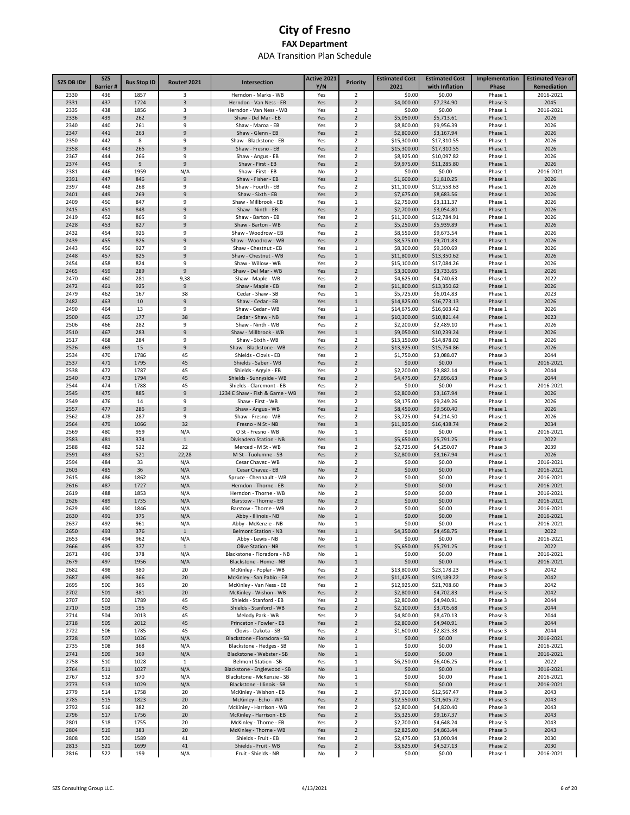| SZS DB ID#   | <b>SZS</b><br><b>Barrier#</b> | <b>Bus Stop ID</b> | <b>Route#2021</b>   | Intersection                                          | Active 2021<br>Y/N | <b>Priority</b>                           | <b>Estimated Cost</b><br>2021 | <b>Estimated Cost</b><br>with Inflation | Implementation<br><b>Phase</b> | <b>Estimated Year of</b><br>Remediation |
|--------------|-------------------------------|--------------------|---------------------|-------------------------------------------------------|--------------------|-------------------------------------------|-------------------------------|-----------------------------------------|--------------------------------|-----------------------------------------|
| 2330         | 436                           | 1857               | 3                   | Herndon - Marks - WB                                  | Yes                | $\overline{2}$                            | \$0.00                        | \$0.00                                  | Phase 1                        | 2016-2021                               |
| 2331         | 437                           | 1724               | 3                   | Herndon - Van Ness - EB                               | Yes                | $\overline{2}$                            | \$4,000.00                    | \$7,234.90                              | Phase 3                        | 2045                                    |
| 2335         | 438                           | 1856               | 3                   | Herndon - Van Ness - WB                               | Yes                | 2                                         | \$0.00                        | \$0.00                                  | Phase 1                        | 2016-2021                               |
| 2336         | 439                           | 262                | 9                   | Shaw - Del Mar - EB                                   | Yes                | $\overline{2}$                            | \$5,050.00                    | \$5,713.61                              | Phase 1                        | 2026                                    |
| 2340<br>2347 | 440<br>441                    | 261<br>263         | 9<br>9              | Shaw - Maroa - EB<br>Shaw - Glenn - EB                | Yes<br>Yes         | 2<br>$\overline{2}$                       | \$8,800.00<br>\$2,800.00      | \$9,956.39<br>\$3,167.94                | Phase 1<br>Phase 1             | 2026<br>2026                            |
| 2350         | 442                           | 8                  | 9                   | Shaw - Blackstone - EB                                | Yes                | $\overline{\mathbf{2}}$                   | \$15,300.00                   | \$17,310.55                             | Phase 1                        | 2026                                    |
| 2358         | 443                           | 265                | 9                   | Shaw - Fresno - EB                                    | Yes                | $\overline{2}$                            | \$15,300.00                   | \$17,310.55                             | Phase 1                        | 2026                                    |
| 2367         | 444                           | 266                | 9                   | Shaw - Angus - EB                                     | Yes                | $\overline{\mathbf{2}}$                   | \$8,925.00                    | \$10,097.82                             | Phase 1                        | 2026                                    |
| 2374         | 445                           | 9                  | 9                   | Shaw - First - EB                                     | Yes                | $\overline{2}$                            | \$9,975.00                    | \$11,285.80                             | Phase 1                        | 2026                                    |
| 2381         | 446                           | 1959               | N/A                 | Shaw - First - EB                                     | No                 | $\overline{\mathbf{2}}$                   | \$0.00                        | \$0.00                                  | Phase 1                        | 2016-2021                               |
| 2391<br>2397 | 447<br>448                    | 846<br>268         | 9<br>9              | Shaw - Fisher - EB<br>Shaw - Fourth - EB              | Yes<br>Yes         | $\overline{2}$<br>$\overline{\mathbf{2}}$ | \$1,600.00<br>\$11,100.00     | \$1,810.25<br>\$12,558.63               | Phase 1<br>Phase 1             | 2026<br>2026                            |
| 2401         | 449                           | 269                | 9                   | Shaw - Sixth - EB                                     | Yes                | $\overline{2}$                            | \$7,675.00                    | \$8,683.56                              | Phase 1                        | 2026                                    |
| 2409         | 450                           | 847                | 9                   | Shaw - Millbrook - EB                                 | Yes                | $\,1\,$                                   | \$2,750.00                    | \$3,111.37                              | Phase 1                        | 2026                                    |
| 2415         | 451                           | 848                | 9                   | Shaw - Ninth - EB                                     | Yes                | $\overline{2}$                            | \$2,700.00                    | \$3,054.80                              | Phase 1                        | 2026                                    |
| 2419         | 452                           | 865                | 9                   | Shaw - Barton - EB                                    | Yes                | $\overline{\mathbf{2}}$                   | \$11,300.00                   | \$12,784.91                             | Phase 1                        | 2026                                    |
| 2428         | 453                           | 827                | 9                   | Shaw - Barton - WB                                    | Yes                | $\overline{2}$                            | \$5,250.00                    | \$5,939.89                              | Phase 1                        | 2026                                    |
| 2432<br>2439 | 454<br>455                    | 926<br>826         | 9<br>9              | Shaw - Woodrow - EB<br>Shaw - Woodrow - WB            | Yes<br>Yes         | $\overline{2}$<br>$\overline{2}$          | \$8,550.00<br>\$8,575.00      | \$9,673.54<br>\$9,701.83                | Phase 1<br>Phase 1             | 2026<br>2026                            |
| 2443         | 456                           | 927                | 9                   | Shaw - Chestnut - EB                                  | Yes                | $\mathbf 1$                               | \$8,300.00                    | \$9,390.69                              | Phase 1                        | 2026                                    |
| 2448         | 457                           | 825                | 9                   | Shaw - Chestnut - WB                                  | Yes                | $\mathbf 1$                               | \$11,800.00                   | \$13,350.62                             | Phase 1                        | 2026                                    |
| 2454         | 458                           | 824                | 9                   | Shaw - Willow - WB                                    | Yes                | $\overline{2}$                            | \$15,100.00                   | \$17,084.26                             | Phase 1                        | 2026                                    |
| 2465         | 459                           | 289                | 9                   | Shaw - Del Mar - WB                                   | Yes                | $\overline{2}$                            | \$3,300.00                    | \$3,733.65                              | Phase 1                        | 2026                                    |
| 2470         | 460                           | 281                | 9,38                | Shaw - Maple - WB                                     | Yes                | 2                                         | \$4,625.00                    | \$4,740.63                              | Phase 1                        | 2022                                    |
| 2472         | 461                           | 925                | 9                   | Shaw - Maple - EB                                     | Yes                | $\overline{2}$                            | \$11,800.00                   | \$13,350.62                             | Phase 1                        | 2026                                    |
| 2479<br>2482 | 462<br>463                    | 167<br>10          | 38<br>9             | Cedar - Shaw - SB<br>Shaw - Cedar - EB                | Yes<br>Yes         | 1<br>$\mathbf{1}$                         | \$5,725.00<br>\$14,825.00     | \$6,014.83<br>\$16,773.13               | Phase 1<br>Phase 1             | 2023<br>2026                            |
| 2490         | 464                           | 13                 | 9                   | Shaw - Cedar - WB                                     | Yes                | 1                                         | \$14,675.00                   | \$16,603.42                             | Phase 1                        | 2026                                    |
| 2500         | 465                           | 177                | 38                  | Cedar - Shaw - NB                                     | Yes                | $\mathbf 1$                               | \$10,300.00                   | \$10,821.44                             | Phase 1                        | 2023                                    |
| 2506         | 466                           | 282                | 9                   | Shaw - Ninth - WB                                     | Yes                | $\overline{\mathbf{2}}$                   | \$2,200.00                    | \$2,489.10                              | Phase 1                        | 2026                                    |
| 2510         | 467                           | 283                | 9                   | Shaw - Millbrook - WB                                 | Yes                | $\mathbf{1}$                              | \$9,050.00                    | \$10,239.24                             | Phase 1                        | 2026                                    |
| 2517         | 468                           | 284                | 9                   | Shaw - Sixth - WB                                     | Yes                | 2                                         | \$13,150.00                   | \$14,878.02                             | Phase 1                        | 2026                                    |
| 2526         | 469                           | 15                 | 9<br>45             | Shaw - Blackstone - WB                                | Yes                | $\overline{2}$<br>$\overline{\mathbf{2}}$ | \$13,925.00                   | \$15,754.86                             | Phase 1                        | 2026<br>2044                            |
| 2534<br>2537 | 470<br>471                    | 1786<br>1795       | 45                  | Shields - Clovis - EB<br>Shields - Saber - WB         | Yes<br>Yes         | $\overline{2}$                            | \$1,750.00<br>\$0.00          | \$3,088.07<br>\$0.00                    | Phase 3<br>Phase 1             | 2016-2021                               |
| 2538         | 472                           | 1787               | 45                  | Shields - Argyle - EB                                 | Yes                | $\overline{\mathbf{2}}$                   | \$2,200.00                    | \$3,882.14                              | Phase 3                        | 2044                                    |
| 2540         | 473                           | 1794               | 45                  | Shields - Sunnyside - WB                              | Yes                | $\overline{2}$                            | \$4,475.00                    | \$7,896.63                              | Phase 3                        | 2044                                    |
| 2544         | 474                           | 1788               | 45                  | Shields - Claremont - EB                              | Yes                | $\overline{\mathbf{2}}$                   | \$0.00                        | \$0.00                                  | Phase 1                        | 2016-2021                               |
| 2545         | 475                           | 885                | 9                   | 1234 E Shaw - Fish & Game - WB                        | Yes                | $\overline{2}$                            | \$2,800.00                    | \$3,167.94                              | Phase 1                        | 2026                                    |
| 2549         | 476                           | 14                 | 9                   | Shaw - First - WB                                     | Yes                | $\overline{\mathbf{2}}$                   | \$8,175.00                    | \$9,249.26                              | Phase 1                        | 2026                                    |
| 2557<br>2562 | 477<br>478                    | 286<br>287         | 9<br>9              | Shaw - Angus - WB<br>Shaw - Fresno - WB               | Yes<br>Yes         | $\overline{2}$<br>$\overline{2}$          | \$8,450.00                    | \$9,560.40<br>\$4,214.50                | Phase 1<br>Phase 1             | 2026<br>2026                            |
| 2564         | 479                           | 1066               | 32                  | Fresno - N St - NB                                    | Yes                | 3                                         | \$3,725.00<br>\$11,925.00     | \$16,438.74                             | Phase 2                        | 2034                                    |
| 2569         | 480                           | 959                | N/A                 | O St - Fresno - WB                                    | No                 | $\mathbf 1$                               | \$0.00                        | \$0.00                                  | Phase 1                        | 2016-2021                               |
| 2583         | 481                           | 374                | $\mathbf{1}$        | Divisadero Station - NB                               | Yes                | $\mathbf 1$                               | \$5,650.00                    | \$5,791.25                              | Phase 1                        | 2022                                    |
| 2588         | 482                           | 522                | 22                  | Merced - M St - WB                                    | Yes                | $\overline{\mathbf{2}}$                   | \$2,725.00                    | \$4,250.07                              | Phase 3                        | 2039                                    |
| 2591         | 483                           | 521                | 22,28               | M St - Tuolumne - SB                                  | Yes                | $\overline{2}$                            | \$2,800.00                    | \$3,167.94                              | Phase 1                        | 2026                                    |
| 2594         | 484                           | 33                 | N/A                 | Cesar Chavez - WB                                     | No                 | $\overline{2}$                            | \$0.00                        | \$0.00                                  | Phase 1                        | 2016-2021                               |
| 2603<br>2615 | 485<br>486                    | 36<br>1862         | N/A<br>N/A          | Cesar Chavez - EB<br>Spruce - Chennault - WB          | No<br>No           | $\overline{2}$<br>2                       | \$0.00<br>\$0.00              | \$0.00<br>\$0.00                        | Phase 1<br>Phase 1             | 2016-2021<br>2016-2021                  |
| 2616         | 487                           | 1727               | N/A                 | Herndon - Thorne - EB                                 | No                 | $\overline{2}$                            | \$0.00                        | \$0.00                                  | Phase 1                        | 2016-2021                               |
| 2619         | 488                           | 1853               | N/A                 | Herndon - Thorne - WB                                 | No                 | 2                                         | \$0.00                        | \$0.00                                  | Phase 1                        | 2016-2021                               |
| 2626         | 489                           | 1735               | N/A                 | Barstow - Thorne - EB                                 | No                 | $\overline{2}$                            | \$0.00                        | \$0.00                                  | Phase 1                        | 2016-2021                               |
| 2629         | 490                           | 1846               | N/A                 | Barstow - Thorne - WB                                 | No                 | 2                                         | \$0.00                        | \$0.00                                  | Phase 1                        | 2016-2021                               |
| 2630         | 491                           | 375                | N/A                 | Abby - Illinois - NB                                  | No                 | $\mathbf{1}$                              | \$0.00                        | \$0.00                                  | Phase 1                        | 2016-2021                               |
| 2637         | 492                           | 961                | N/A                 | Abby - McKenzie - NB                                  | No                 | $\mathbf{1}$                              | \$0.00                        | \$0.00                                  | Phase 1                        | 2016-2021                               |
| 2650<br>2653 | 493<br>494                    | 376<br>962         | $\mathbf{1}$<br>N/A | <b>Belmont Station - NB</b><br>Abby - Lewis - NB      | Yes<br>No          | $\mathbf{1}$<br>$\mathbf{1}$              | \$4,350.00<br>\$0.00          | \$4,458.75<br>\$0.00                    | Phase 1<br>Phase 1             | 2022<br>2016-2021                       |
| 2666         | 495                           | 377                | $\mathbf{1}$        | Olive Station - NB                                    | Yes                | $\mathbf 1$                               | \$5,650.00                    | \$5,791.25                              | Phase 1                        | 2022                                    |
| 2671         | 496                           | 378                | N/A                 | Blackstone - Floradora - NB                           | No                 | $\mathbf 1$                               | \$0.00                        | \$0.00                                  | Phase 1                        | 2016-2021                               |
| 2679         | 497                           | 1956               | N/A                 | Blackstone - Home - NB                                | No                 | $\mathbf 1$                               | \$0.00                        | \$0.00                                  | Phase 1                        | 2016-2021                               |
| 2682         | 498                           | 380                | 20                  | McKinley - Poplar - WB                                | Yes                | $\overline{2}$                            | \$13,800.00                   | \$23,178.23                             | Phase 3                        | 2042                                    |
| 2687         | 499                           | 366                | 20                  | McKinley - San Pablo - EB                             | Yes                | $\overline{2}$                            | \$11,425.00                   | \$19,189.22                             | Phase 3                        | 2042                                    |
| 2695<br>2702 | 500<br>501                    | 365<br>381         | 20<br>20            | McKinley - Van Ness - EB<br>McKinley - Wishon - WB    | Yes<br>Yes         | $\overline{2}$<br>$\overline{2}$          | \$12,925.00<br>\$2,800.00     | \$21,708.60<br>\$4,702.83               | Phase 3<br>Phase 3             | 2042<br>2042                            |
| 2707         | 502                           | 1789               | 45                  | Shields - Stanford - EB                               | Yes                | $\overline{2}$                            | \$2,800.00                    | \$4,940.91                              | Phase 3                        | 2044                                    |
| 2710         | 503                           | 195                | 45                  | Shields - Stanford - WB                               | Yes                | $\overline{2}$                            | \$2,100.00                    | \$3,705.68                              | Phase 3                        | 2044                                    |
| 2714         | 504                           | 2013               | 45                  | Melody Park - WB                                      | Yes                | $\overline{2}$                            | \$4,800.00                    | \$8,470.13                              | Phase 3                        | 2044                                    |
| 2718         | 505                           | 2012               | 45                  | Princeton - Fowler - EB                               | Yes                | $\overline{2}$                            | \$2,800.00                    | \$4,940.91                              | Phase 3                        | 2044                                    |
| 2722         | 506                           | 1785               | 45                  | Clovis - Dakota - SB                                  | Yes                | $\overline{2}$                            | \$1,600.00                    | \$2,823.38                              | Phase 3                        | 2044                                    |
| 2728         | 507                           | 1026               | N/A                 | Blackstone - Floradora - SB                           | No                 | $\mathbf 1$                               | \$0.00                        | \$0.00                                  | Phase 1                        | 2016-2021                               |
| 2735<br>2741 | 508<br>509                    | 368<br>369         | N/A<br>N/A          | Blackstone - Hedges - SB<br>Blackstone - Webster - SB | No<br>No           | $\mathbf{1}$<br>$\mathbf 1$               | \$0.00<br>\$0.00              | \$0.00<br>\$0.00                        | Phase 1<br>Phase 1             | 2016-2021<br>2016-2021                  |
| 2758         | 510                           | 1028               | $\mathbf{1}$        | <b>Belmont Station - SB</b>                           | Yes                | 1                                         | \$6,250.00                    | \$6,406.25                              | Phase 1                        | 2022                                    |
| 2764         | 511                           | 1027               | N/A                 | Blackstone - Englewood - SB                           | No                 | $\mathbf 1$                               | \$0.00                        | \$0.00                                  | Phase 1                        | 2016-2021                               |
| 2767         | 512                           | 370                | N/A                 | Blackstone - McKenzie - SB                            | No                 | $\mathbf{1}$                              | \$0.00                        | \$0.00                                  | Phase 1                        | 2016-2021                               |
| 2773         | 513                           | 1029               | N/A                 | Blackstone - Illinois - SB                            | No                 | $\mathbf 1$                               | \$0.00                        | \$0.00                                  | Phase 1                        | 2016-2021                               |
| 2779         | 514                           | 1758               | 20                  | McKinley - Wishon - EB                                | Yes                | $\overline{2}$                            | \$7,300.00                    | \$12,567.47                             | Phase 3                        | 2043                                    |
| 2785         | 515                           | 1823               | 20                  | McKinley - Echo - WB                                  | Yes                | $\overline{2}$                            | \$12,550.00                   | \$21,605.72                             | Phase 3                        | 2043                                    |
| 2792<br>2796 | 516<br>517                    | 382<br>1756        | 20<br>20            | McKinley - Harrison - WB<br>McKinley - Harrison - EB  | Yes<br>Yes         | 2<br>$\overline{2}$                       | \$2,800.00<br>\$5,325.00      | \$4,820.40<br>\$9,167.37                | Phase 3<br>Phase 3             | 2043<br>2043                            |
| 2801         | 518                           | 1755               | 20                  | McKinley - Thorne - EB                                | Yes                | $\overline{2}$                            | \$2,700.00                    | \$4,648.24                              | Phase 3                        | 2043                                    |
| 2804         | 519                           | 383                | 20                  | McKinley - Thorne - WB                                | Yes                | $\overline{2}$                            | \$2,825.00                    | \$4,863.44                              | Phase 3                        | 2043                                    |
| 2808         | 520                           | 1589               | 41                  | Shields - Fruit - EB                                  | Yes                | $\overline{2}$                            | \$2,475.00                    | \$3,090.94                              | Phase 2                        | 2030                                    |
| 2813         | 521                           | 1699               | 41                  | Shields - Fruit - WB                                  | Yes                | $\overline{2}$                            | \$3,625.00                    | \$4,527.13                              | Phase 2                        | 2030                                    |
| 2816         | 522                           | 199                | N/A                 | Fruit - Shields - NB                                  | No                 | $\overline{2}$                            | \$0.00                        | \$0.00                                  | Phase 1                        | 2016-2021                               |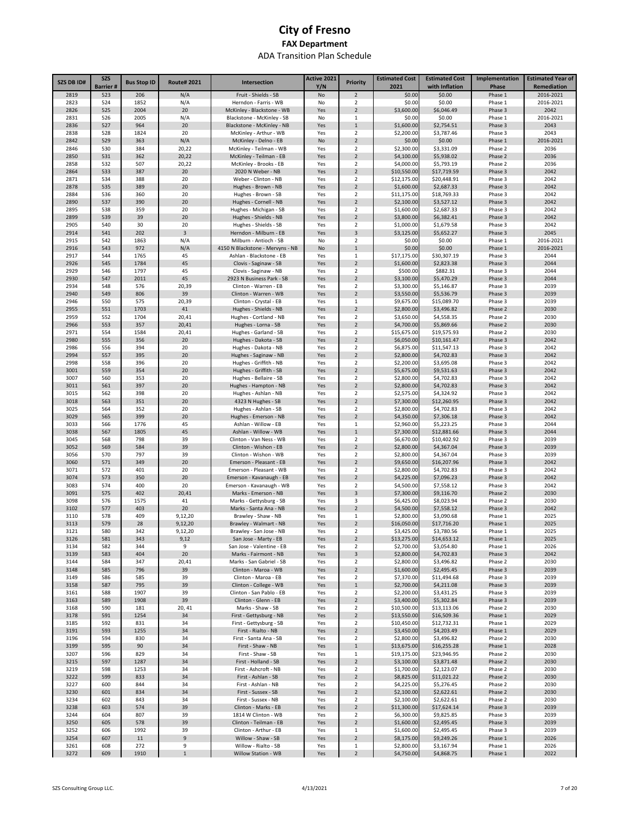| <b>SZS DB ID#</b> | <b>SZS</b>      | <b>Bus Stop ID</b> | <b>Route#2021</b> | Intersection                                       | Active 2021 | <b>Priority</b>                  | <b>Estimated Cost</b>     | <b>Estimated Cost</b>      | Implementation     | <b>Estimated Year of</b> |
|-------------------|-----------------|--------------------|-------------------|----------------------------------------------------|-------------|----------------------------------|---------------------------|----------------------------|--------------------|--------------------------|
|                   | <b>Barrier#</b> |                    |                   |                                                    | Y/N         |                                  | 2021                      | with Inflation             | Phase              | Remediation              |
| 2819<br>2823      | 523<br>524      | 206<br>1852        | N/A<br>N/A        | Fruit - Shields - SB<br>Herndon - Farris - WB      | No<br>No    | $\overline{2}$<br>$\overline{2}$ | \$0.00<br>\$0.00          | \$0.00<br>\$0.00           | Phase 1<br>Phase 1 | 2016-2021<br>2016-2021   |
| 2826              | 525             | 2004               | 20                | McKinley - Blackstone - WB                         | Yes         | $\overline{2}$                   | \$3,600.00                | \$6,046.49                 | Phase 3            | 2042                     |
| 2831              | 526             | 2005               | N/A               | Blackstone - McKinley - SB                         | No          | 1                                | \$0.00                    | \$0.00                     | Phase 1            | 2016-2021                |
| 2836              | 527             | 964                | 20                | Blackstone - McKinley - NB                         | Yes         | $\mathbf{1}$                     | \$1,600.00                | \$2,754.51                 | Phase 3            | 2043                     |
| 2838              | 528<br>529      | 1824               | 20<br>N/A         | McKinley - Arthur - WB                             | Yes         | $\overline{2}$<br>$\overline{2}$ | \$2,200.00                | \$3,787.46                 | Phase 3            | 2043<br>2016-2021        |
| 2842<br>2846      | 530             | 363<br>384         | 20,22             | McKinley - Delno - EB<br>McKinley - Teilman - WB   | No<br>Yes   | $\overline{2}$                   | \$0.00<br>\$2,300.00      | \$0.00<br>\$3,331.09       | Phase 1<br>Phase 2 | 2036                     |
| 2850              | 531             | 362                | 20,22             | McKinley - Teilman - EB                            | Yes         | $\overline{2}$                   | \$4,100.00                | \$5,938.02                 | Phase 2            | 2036                     |
| 2858              | 532             | 507                | 20,22             | McKinley - Brooks - EB                             | Yes         | $\overline{2}$                   | \$4,000.00                | \$5,793.19                 | Phase 2            | 2036                     |
| 2864              | 533             | 387                | 20                | 2020 N Weber - NB                                  | Yes         | $\overline{2}$                   | \$10,550.00               | \$17,719.59                | Phase 3            | 2042                     |
| 2871<br>2878      | 534<br>535      | 388<br>389         | 20<br>20          | Weber - Clinton - NB<br>Hughes - Brown - NB        | Yes<br>Yes  | $\overline{2}$<br>$\overline{2}$ | \$12,175.00<br>\$1,600.00 | \$20,448.91<br>\$2,687.33  | Phase 3<br>Phase 3 | 2042<br>2042             |
| 2884              | 536             | 360                | 20                | Hughes - Brown - SB                                | Yes         | $\overline{2}$                   | \$11,175.00               | \$18,769.33                | Phase 3            | 2042                     |
| 2890              | 537             | 390                | 20                | Hughes - Cornell - NB                              | Yes         | $\overline{2}$                   | \$2,100.00                | \$3,527.12                 | Phase 3            | 2042                     |
| 2895              | 538             | 359                | 20                | Hughes - Michigan - SB                             | Yes         | $\overline{2}$                   | \$1,600.00                | \$2,687.33                 | Phase 3            | 2042                     |
| 2899              | 539             | 39                 | 20                | Hughes - Shields - NB                              | Yes         | $\overline{2}$                   | \$3,800.00                | \$6,382.41                 | Phase 3            | 2042                     |
| 2905<br>2914      | 540<br>541      | 30<br>202          | 20<br>3           | Hughes - Shields - SB<br>Herndon - Milburn - EB    | Yes<br>Yes  | 2<br>3                           | \$1,000.00<br>\$3,125.00  | \$1,679.58<br>\$5,652.27   | Phase 3<br>Phase 3 | 2042<br>2045             |
| 2915              | 542             | 1863               | N/A               | Milburn - Antioch - SB                             | No          | $\overline{2}$                   | \$0.00                    | \$0.00                     | Phase 1            | 2016-2021                |
| 2916              | 543             | 972                | N/A               | 4150 N Blackstone - Mervyns - NB                   | No          | $\mathbf{1}$                     | \$0.00                    | \$0.00                     | Phase 1            | 2016-2021                |
| 2917              | 544             | 1765               | 45                | Ashlan - Blackstone - EB                           | Yes         | 1                                | \$17,175.00               | \$30,307.19                | Phase 3            | 2044                     |
| 2926              | 545             | 1784               | 45                | Clovis - Saginaw - SB                              | Yes         | $\overline{2}$                   | \$1,600.00                | \$2,823.38                 | Phase 3            | 2044                     |
| 2929<br>2930      | 546<br>547      | 1797<br>2011       | 45<br>45          | Clovis - Saginaw - NB<br>2923 N Business Park - SB | Yes<br>Yes  | 2<br>$\overline{2}$              | \$500.00<br>\$3,100.00    | \$882.31<br>\$5,470.29     | Phase 3<br>Phase 3 | 2044<br>2044             |
| 2934              | 548             | 576                | 20,39             | Clinton - Warren - EB                              | Yes         | $\overline{2}$                   | \$3,300.00                | \$5,146.87                 | Phase 3            | 2039                     |
| 2940              | 549             | 806                | 39                | Clinton - Warren - WB                              | Yes         | $\overline{2}$                   | \$3,550.00                | \$5,536.79                 | Phase 3            | 2039                     |
| 2946              | 550             | 575                | 20,39             | Clinton - Crystal - EB                             | Yes         | 1                                | \$9,675.00                | \$15,089.70                | Phase 3            | 2039                     |
| 2955              | 551             | 1703               | 41                | Hughes - Shields - NB                              | Yes         | $\overline{2}$                   | \$2,800.00                | \$3,496.82                 | Phase 2            | 2030                     |
| 2959              | 552<br>553      | 1704               | 20,41             | Hughes - Cortland - NB                             | Yes         | $\overline{2}$<br>$\overline{2}$ | \$3,650.00                | \$4,558.35                 | Phase 2            | 2030<br>2030             |
| 2966<br>2971      | 554             | 357<br>1584        | 20,41<br>20,41    | Hughes - Lorna - SB<br>Hughes - Garland - SB       | Yes<br>Yes  | $\overline{2}$                   | \$4,700.00<br>\$15,675.00 | \$5,869.66<br>\$19,575.93  | Phase 2<br>Phase 2 | 2030                     |
| 2980              | 555             | 356                | 20                | Hughes - Dakota - SB                               | Yes         | $\overline{2}$                   | \$6,050.00                | \$10,161.47                | Phase 3            | 2042                     |
| 2986              | 556             | 394                | 20                | Hughes - Dakota - NB                               | Yes         | $\overline{2}$                   | \$6,875.00                | \$11,547.13                | Phase 3            | 2042                     |
| 2994              | 557             | 395                | 20                | Hughes - Saginaw - NB                              | Yes         | $\overline{2}$                   | \$2,800.00                | \$4,702.83                 | Phase 3            | 2042                     |
| 2998              | 558             | 396                | 20                | Hughes - Griffith - NB                             | Yes         | $\overline{2}$<br>$\overline{2}$ | \$2,200.00                | \$3,695.08                 | Phase 3            | 2042                     |
| 3001<br>3007      | 559<br>560      | 354<br>353         | 20<br>20          | Hughes - Griffith - SB<br>Hughes - Bellaire - SB   | Yes<br>Yes  | $\overline{2}$                   | \$5,675.00<br>\$2,800.00  | \$9,531.63<br>\$4,702.83   | Phase 3<br>Phase 3 | 2042<br>2042             |
| 3011              | 561             | 397                | 20                | Hughes - Hampton - NB                              | Yes         | $\overline{2}$                   | \$2,800.00                | \$4,702.83                 | Phase 3            | 2042                     |
| 3015              | 562             | 398                | 20                | Hughes - Ashlan - NB                               | Yes         | $\overline{2}$                   | \$2,575.00                | \$4,324.92                 | Phase 3            | 2042                     |
| 3018              | 563             | 351                | 20                | 4323 N Hughes - SB                                 | Yes         | $\overline{2}$                   | \$7,300.00                | \$12,260.95                | Phase 3            | 2042                     |
| 3025              | 564             | 352                | 20                | Hughes - Ashlan - SB                               | Yes         | $\overline{2}$                   | \$2,800.00                | \$4,702.83                 | Phase 3            | 2042                     |
| 3029<br>3033      | 565<br>566      | 399<br>1776        | 20<br>45          | Hughes - Emerson - NB<br>Ashlan - Willow - EB      | Yes<br>Yes  | $\overline{2}$<br>1              | \$4,350.00<br>\$2,960.00  | \$7,306.18<br>\$5,223.25   | Phase 3<br>Phase 3 | 2042<br>2044             |
| 3038              | 567             | 1805               | 45                | Ashlan - Willow - WB                               | Yes         | $\mathbf{1}$                     | \$7,300.00                | \$12,881.66                | Phase 3            | 2044                     |
| 3045              | 568             | 798                | 39                | Clinton - Van Ness - WB                            | Yes         | $\overline{2}$                   | \$6,670.00                | \$10,402.92                | Phase 3            | 2039                     |
| 3052              | 569             | 584                | 39                | Clinton - Wishon - EB                              | Yes         | $\overline{2}$                   | \$2,800.00                | \$4,367.04                 | Phase 3            | 2039                     |
| 3056              | 570             | 797                | 39                | Clinton - Wishon - WB                              | Yes         | $\overline{2}$                   | \$2,800.00                | \$4,367.04                 | Phase 3            | 2039                     |
| 3060<br>3071      | 571<br>572      | 349<br>401         | 20<br>20          | Emerson - Pleasant - EB<br>Emerson - Pleasant - WB | Yes<br>Yes  | $\overline{2}$<br>2              | \$9,650.00<br>\$2,800.00  | \$16,207.96<br>\$4,702.83  | Phase 3<br>Phase 3 | 2042<br>2042             |
| 3074              | 573             | 350                | 20                | Emerson - Kavanaugh - EB                           | Yes         | $\overline{2}$                   | \$4,225.00                | \$7,096.23                 | Phase 3            | 2042                     |
| 3083              | 574             | 400                | 20                | Emerson - Kavanaugh - WB                           | Yes         | $\overline{2}$                   | \$4,500.00                | \$7,558.12                 | Phase 3            | 2042                     |
| 3091              | 575             | 402                | 20,41             | Marks - Emerson - NB                               | Yes         | 3                                | \$7,300.00                | \$9,116.70                 | Phase 2            | 2030                     |
| 3098              | 576             | 1575               | 41                | Marks - Gettysburg - SB                            | Yes         | 3<br>$\overline{2}$              | \$6,425.00                | \$8,023.94                 | Phase 2            | 2030                     |
| 3102<br>3110      | 577<br>578      | 403<br>409         | 20<br>9,12,20     | Marks - Santa Ana - NB<br>Brawley - Shaw - NB      | Yes<br>Yes  | 1                                | \$4,500.00<br>\$2,800.00  | \$7,558.12<br>\$3,090.68   | Phase 3<br>Phase 1 | 2042<br>2025             |
| 3113              | 579             | 28                 | 9,12,20           | Brawley - Walmart - NB                             | Yes         | $\overline{2}$                   | \$16,050.00               | \$17,716.20                | Phase 1            | 2025                     |
| 3121              | 580             | 342                | 9,12,20           | Brawley - San Jose - NB                            | Yes         | 2                                | \$3,425.00                | \$3,780.56                 | Phase 1            | 2025                     |
| 3126              | 581             | 343                | 9,12              | San Jose - Marty - EB                              | Yes         | $\overline{2}$                   | \$13,275.00               | \$14,653.12                | Phase 1            | 2025                     |
| 3134              | 582             | 344                | 9                 | San Jose - Valentine - EB                          | Yes         | $\overline{2}$                   | \$2,700.00                | \$3,054.80                 | Phase 1            | 2026                     |
| 3139<br>3144      | 583<br>584      | 404<br>347         | 20<br>20,41       | Marks - Fairmont - NB<br>Marks - San Gabriel - SB  | Yes<br>Yes  | $\mathsf 3$<br>$\overline{2}$    | \$2,800.00<br>\$2,800.00  | \$4,702.83<br>\$3,496.82   | Phase 3<br>Phase 2 | 2042<br>2030             |
| 3148              | 585             | 796                | 39                | Clinton - Maroa - WB                               | Yes         | $\overline{2}$                   | \$1,600.00                | \$2,495.45                 | Phase 3            | 2039                     |
| 3149              | 586             | 585                | 39                | Clinton - Maroa - EB                               | Yes         | $\overline{2}$                   | \$7,370.00                | \$11,494.68                | Phase 3            | 2039                     |
| 3158              | 587             | 795                | 39                | Clinton - College - WB                             | Yes         | $1\,$                            | \$2,700.00                | \$4,211.08                 | Phase 3            | 2039                     |
| 3161<br>3163      | 588<br>589      | 1907<br>1908       | 39<br>39          | Clinton - San Pablo - EB<br>Clinton - Glenn - EB   | Yes<br>Yes  | $\overline{2}$<br>$\overline{2}$ | \$2,200.00<br>\$3,400.00  | \$3,431.25<br>\$5,302.84   | Phase 3<br>Phase 3 | 2039<br>2039             |
| 3168              | 590             | 181                | 20, 41            | Marks - Shaw - SB                                  | Yes         | $\overline{2}$                   | \$10,500.00               | \$13,113.06                | Phase 2            | 2030                     |
| 3178              | 591             | 1254               | 34                | First - Gettysburg - NB                            | Yes         | $\overline{2}$                   | \$13,550.00               | \$16,509.36                | Phase 1            | 2029                     |
| 3185              | 592             | 831                | 34                | First - Gettysburg - SB                            | Yes         | $\overline{2}$                   | \$10,450.00               | \$12,732.31                | Phase 1            | 2029                     |
| 3191              | 593             | 1255               | 34                | First - Rialto - NB                                | Yes         | $\overline{2}$                   | \$3,450.00                | \$4,203.49                 | Phase 1            | 2029                     |
| 3196<br>3199      | 594<br>595      | 830                | 34<br>34          | First - Santa Ana - SB<br>First - Shaw - NB        | Yes<br>Yes  | 2<br>$\mathbf{1}$                | \$2,800.00<br>\$13,675.00 | \$3,496.82                 | Phase 2<br>Phase 1 | 2030<br>2028             |
| 3207              | 596             | 90<br>829          | 34                | First - Shaw - SB                                  | Yes         | 1                                | \$19,175.00               | \$16,255.28<br>\$23,946.95 | Phase 2            | 2030                     |
| 3215              | 597             | 1287               | 34                | First - Holland - SB                               | Yes         | 2                                | \$3,100.00                | \$3,871.48                 | Phase 2            | 2030                     |
| 3219              | 598             | 1253               | 34                | First - Ashcroft - NB                              | Yes         | $\overline{2}$                   | \$1,700.00                | \$2,123.07                 | Phase 2            | 2030                     |
| 3222              | 599             | 833                | 34                | First - Ashlan - SB                                | Yes         | $\overline{2}$                   | \$8,825.00                | \$11,021.22                | Phase 2            | 2030                     |
| 3227<br>3230      | 600<br>601      | 844<br>834         | 34<br>34          | First - Ashlan - NB<br>First - Sussex - SB         | Yes         | $\mathbf 2$<br>$\overline{2}$    | \$4,225.00<br>\$2,100.00  | \$5,276.45                 | Phase 2<br>Phase 2 | 2030<br>2030             |
| 3234              | 602             | 843                | 34                | First - Sussex - NB                                | Yes<br>Yes  | $\overline{2}$                   | \$2,100.00                | \$2,622.61<br>\$2,622.61   | Phase 2            | 2030                     |
| 3238              | 603             | 574                | 39                | Clinton - Marks - EB                               | Yes         | $\overline{2}$                   | \$11,300.00               | \$17,624.14                | Phase 3            | 2039                     |
| 3244              | 604             | 807                | 39                | 1814 W Clinton - WB                                | Yes         | $\overline{2}$                   | \$6,300.00                | \$9,825.85                 | Phase 3            | 2039                     |
| 3250              | 605             | 578                | 39                | Clinton - Teilman - EB                             | Yes         | $\overline{2}$                   | \$1,600.00                | \$2,495.45                 | Phase 3            | 2039                     |
| 3252<br>3254      | 606<br>607      | 1992<br>$11\,$     | 39<br>$\mathsf g$ | Clinton - Arthur - EB<br>Willow - Shaw - SB        | Yes<br>Yes  | $1\,$<br>$\overline{2}$          | \$1,600.00<br>\$8,175.00  | \$2,495.45<br>\$9,249.26   | Phase 3<br>Phase 1 | 2039<br>2026             |
| 3261              | 608             | 272                | 9                 | Willow - Rialto - SB                               | Yes         | $1\,$                            | \$2,800.00                | \$3,167.94                 | Phase 1            | 2026                     |
| 3272              | 609             | 1910               | $\,1\,$           | Willow Station - WB                                | Yes         | $\sqrt{2}$                       | \$4,750.00                | \$4,868.75                 | Phase 1            | 2022                     |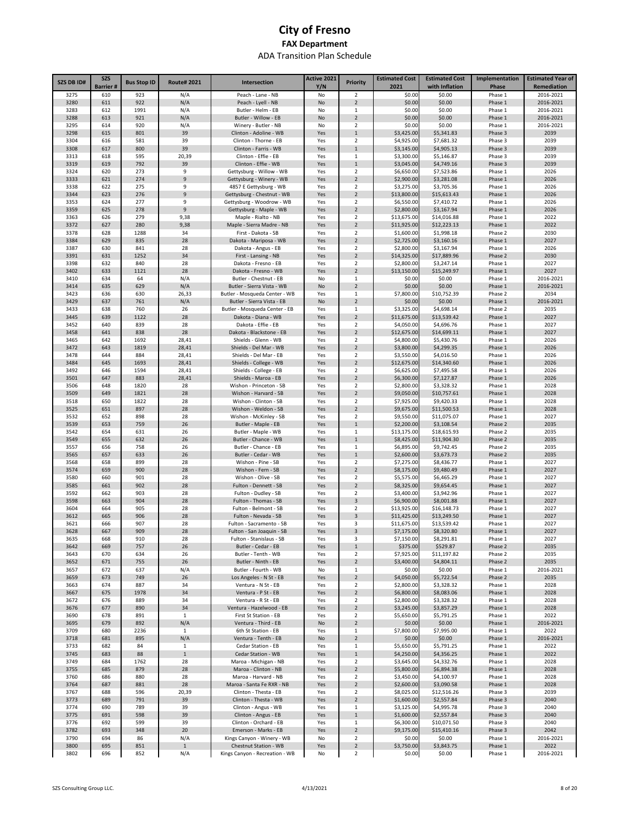| SZS DB ID#   | <b>SZS</b><br><b>Barrier#</b> | <b>Bus Stop ID</b> | <b>Route#2021</b> | Intersection                                            | Active 2021<br>Y/N | <b>Priority</b>                  | <b>Estimated Cost</b><br>2021 | <b>Estimated Cost</b><br>with Inflation | Implementation<br>Phase | <b>Estimated Year of</b><br>Remediation |
|--------------|-------------------------------|--------------------|-------------------|---------------------------------------------------------|--------------------|----------------------------------|-------------------------------|-----------------------------------------|-------------------------|-----------------------------------------|
| 3275         | 610                           | 923                | N/A               | Peach - Lane - NB                                       | No                 | $\overline{2}$                   | \$0.00                        | \$0.00                                  | Phase 1                 | 2016-2021                               |
| 3280         | 611                           | 922                | N/A               | Peach - Lyell - NB                                      | No                 | $\overline{2}$                   | \$0.00                        | \$0.00                                  | Phase 1                 | 2016-2021                               |
| 3283         | 612                           | 1991               | N/A               | Butler - Helm - EB                                      | No                 | 1                                | \$0.00                        | \$0.00                                  | Phase 1                 | 2016-2021                               |
| 3288         | 613                           | 921                | N/A               | Butler - Willow - EB                                    | No                 | $\overline{2}$                   | \$0.00                        | \$0.00                                  | Phase 1                 | 2016-2021                               |
| 3295<br>3298 | 614<br>615                    | 920<br>801         | N/A<br>39         | Winery - Butler - NB<br>Clinton - Adoline - WB          | No<br>Yes          | 2<br>$\mathbf{1}$                | \$0.00<br>\$3,425.00          | \$0.00<br>\$5,341.83                    | Phase 1<br>Phase 3      | 2016-2021<br>2039                       |
| 3304         | 616                           | 581                | 39                | Clinton - Thorne - EB                                   | Yes                | $\mathbf 2$                      | \$4,925.00                    | \$7,681.32                              | Phase 3                 | 2039                                    |
| 3308         | 617                           | 800                | 39                | Clinton - Farris - WB                                   | Yes                | $1\,$                            | \$3,145.00                    | \$4,905.13                              | Phase 3                 | 2039                                    |
| 3313         | 618                           | 595                | 20,39             | Clinton - Effie - EB                                    | Yes                | 1                                | \$3,300.00                    | \$5,146.87                              | Phase 3                 | 2039                                    |
| 3319         | 619                           | 792                | 39                | Clinton - Effie - WB                                    | Yes                | $1\,$                            | \$3,045.00                    | \$4,749.16                              | Phase 3                 | 2039                                    |
| 3324         | 620                           | 273                | 9                 | Gettysburg - Willow - WB                                | Yes                | $\overline{2}$                   | \$6,650.00                    | \$7,523.86                              | Phase 1                 | 2026                                    |
| 3333         | 621                           | 274                | 9                 | Gettysburg - Winery - WB                                | Yes                | $\overline{2}$                   | \$2,900.00                    | \$3,281.08                              | Phase 1                 | 2026                                    |
| 3338<br>3344 | 622                           | 275<br>276         | 9<br>9            | 4857 E Gettysburg - WB                                  | Yes                | $\overline{2}$<br>$\overline{2}$ | \$3,275.00<br>\$13,800.00     | \$3,705.36<br>\$15,613.43               | Phase 1<br>Phase 1      | 2026<br>2026                            |
| 3353         | 623<br>624                    | 277                | 9                 | Gettysburg - Chestnut - WB<br>Gettysburg - Woodrow - WB | Yes<br>Yes         | $\overline{2}$                   | \$6,550.00                    | \$7,410.72                              | Phase 1                 | 2026                                    |
| 3359         | 625                           | 278                | $\mathsf g$       | Gettysburg - Maple - WB                                 | Yes                | $\overline{2}$                   | \$2,800.00                    | \$3,167.94                              | Phase 1                 | 2026                                    |
| 3363         | 626                           | 279                | 9,38              | Maple - Rialto - NB                                     | Yes                | $\overline{2}$                   | \$13,675.00                   | \$14,016.88                             | Phase 1                 | 2022                                    |
| 3372         | 627                           | 280                | 9,38              | Maple - Sierra Madre - NB                               | Yes                | $\overline{2}$                   | \$11,925.00                   | \$12,223.13                             | Phase 1                 | 2022                                    |
| 3378         | 628                           | 1288               | 34                | First - Dakota - SB                                     | Yes                | $\overline{2}$                   | \$1,600.00                    | \$1,998.18                              | Phase 2                 | 2030                                    |
| 3384         | 629                           | 835                | 28                | Dakota - Mariposa - WB                                  | Yes                | $\overline{2}$                   | \$2,725.00                    | \$3,160.16                              | Phase 1                 | 2027                                    |
| 3387         | 630                           | 841                | 28                | Dakota - Angus - EB                                     | Yes                | $\overline{2}$                   | \$2,800.00                    | \$3,167.94                              | Phase 1                 | 2026                                    |
| 3391         | 631                           | 1252               | 34                | First - Lansing - NB                                    | Yes                | $\overline{2}$                   | \$14,325.00                   | \$17,889.96                             | Phase 2                 | 2030                                    |
| 3398<br>3402 | 632<br>633                    | 840<br>1121        | 28<br>28          | Dakota - Fresno - EB<br>Dakota - Fresno - WB            | Yes<br>Yes         | $\overline{2}$<br>$\overline{2}$ | \$2,800.00<br>\$13,150.00     | \$3,247.14<br>\$15,249.97               | Phase 1<br>Phase 1      | 2027<br>2027                            |
| 3410         | 634                           | 64                 | N/A               | Butler - Chestnut - EB                                  | No                 | 1                                | \$0.00                        | \$0.00                                  | Phase 1                 | 2016-2021                               |
| 3414         | 635                           | 629                | N/A               | Butler - Sierra Vista - WB                              | No                 | $\overline{2}$                   | \$0.00                        | \$0.00                                  | Phase 1                 | 2016-2021                               |
| 3423         | 636                           | 630                | 26,33             | Butler - Mosqueda Center - WB                           | Yes                | 1                                | \$7,800.00                    | \$10,752.39                             | Phase 2                 | 2034                                    |
| 3429         | 637                           | 761                | N/A               | Butler - Sierra Vista - EB                              | No                 | $\overline{2}$                   | \$0.00                        | \$0.00                                  | Phase 1                 | 2016-2021                               |
| 3433         | 638                           | 760                | 26                | Butler - Mosqueda Center - EB                           | Yes                | 1                                | \$3,325.00                    | \$4,698.14                              | Phase 2                 | 2035                                    |
| 3445         | 639                           | 1122               | 28                | Dakota - Diana - WB                                     | Yes                | $\overline{2}$                   | \$11,675.00                   | \$13,539.42                             | Phase 1                 | 2027                                    |
| 3452<br>3458 | 640<br>641                    | 839<br>838         | 28<br>28          | Dakota - Effie - EB<br>Dakota - Blackstone - EB         | Yes<br>Yes         | $\overline{2}$<br>$\overline{2}$ | \$4,050.00<br>\$12,675.00     | \$4,696.76<br>\$14,699.11               | Phase 1<br>Phase 1      | 2027<br>2027                            |
| 3465         | 642                           | 1692               | 28,41             | Shields - Glenn - WB                                    | Yes                | $\overline{2}$                   | \$4,800.00                    | \$5,430.76                              | Phase 1                 | 2026                                    |
| 3472         | 643                           | 1819               | 28,41             | Shields - Del Mar - WB                                  | Yes                | $\overline{2}$                   | \$3,800.00                    | \$4,299.35                              | Phase 1                 | 2026                                    |
| 3478         | 644                           | 884                | 28,41             | Shields - Del Mar - EB                                  | Yes                | $\overline{2}$                   | \$3,550.00                    | \$4,016.50                              | Phase 1                 | 2026                                    |
| 3484         | 645                           | 1693               | 28,41             | Shields - College - WB                                  | Yes                | $\overline{2}$                   | \$12,675.00                   | \$14,340.60                             | Phase 1                 | 2026                                    |
| 3492         | 646                           | 1594               | 28,41             | Shields - College - EB                                  | Yes                | $\overline{\mathbf{2}}$          | \$6,625.00                    | \$7,495.58                              | Phase 1                 | 2026                                    |
| 3501         | 647                           | 883                | 28,41             | Shields - Maroa - EB                                    | Yes                | $\sqrt{2}$                       | \$6,300.00                    | \$7,127.87                              | Phase 1                 | 2026                                    |
| 3506         | 648                           | 1820               | 28                | Wishon - Princeton - SB                                 | Yes                | $\overline{2}$                   | \$2,800.00                    | \$3,328.32                              | Phase 1                 | 2028                                    |
| 3509         | 649                           | 1821               | 28                | Wishon - Harvard - SB                                   | Yes                | $\overline{2}$<br>$\overline{2}$ | \$9,050.00                    | \$10,757.61                             | Phase 1                 | 2028                                    |
| 3518<br>3525 | 650<br>651                    | 1822<br>897        | 28<br>28          | Wishon - Clinton - SB<br>Wishon - Weldon - SB           | Yes<br>Yes         | $\sqrt{2}$                       | \$7,925.00<br>\$9,675.00      | \$9,420.33<br>\$11,500.53               | Phase 1<br>Phase 1      | 2028<br>2028                            |
| 3532         | 652                           | 898                | 28                | Wishon - McKinley - SB                                  | Yes                | $\overline{2}$                   | \$9,550.00                    | \$11,075.07                             | Phase 1                 | 2027                                    |
| 3539         | 653                           | 759                | 26                | Butler - Maple - EB                                     | Yes                | $\mathbf{1}$                     | \$2,200.00                    | \$3,108.54                              | Phase 2                 | 2035                                    |
| 3542         | 654                           | 631                | 26                | Butler - Maple - WB                                     | Yes                | 1                                | \$13,175.00                   | \$18,615.93                             | Phase 2                 | 2035                                    |
| 3549         | 655                           | 632                | 26                | Butler - Chance - WB                                    | Yes                | $\mathbf{1}$                     | \$8,425.00                    | \$11,904.30                             | Phase 2                 | 2035                                    |
| 3557         | 656                           | 758                | 26                | Butler - Chance - EB                                    | Yes                | 1                                | \$6,895.00                    | \$9,742.45                              | Phase 2                 | 2035                                    |
| 3565         | 657                           | 633                | 26                | Butler - Cedar - WB                                     | Yes                | $\mathbf{1}$                     | \$2,600.00                    | \$3,673.73                              | Phase 2                 | 2035                                    |
| 3568<br>3574 | 658<br>659                    | 899<br>900         | 28<br>28          | Wishon - Pine - SB<br>Wishon - Fern - SB                | Yes<br>Yes         | $\overline{2}$<br>$\overline{2}$ | \$7,275.00<br>\$8,175.00      | \$8,436.77<br>\$9,480.49                | Phase 1<br>Phase 1      | 2027<br>2027                            |
| 3580         | 660                           | 901                | 28                | Wishon - Olive - SB                                     | Yes                | $\overline{2}$                   | \$5,575.00                    | \$6,465.29                              | Phase 1                 | 2027                                    |
| 3585         | 661                           | 902                | 28                | Fulton - Dennett - SB                                   | Yes                | $\overline{2}$                   | \$8,325.00                    | \$9,654.45                              | Phase 1                 | 2027                                    |
| 3592         | 662                           | 903                | 28                | Fulton - Dudley - SB                                    | Yes                | 2                                | \$3,400.00                    | \$3,942.96                              | Phase 1                 | 2027                                    |
| 3598         | 663                           | 904                | 28                | Fulton - Thomas - SB                                    | Yes                | 3                                | \$6,900.00                    | \$8,001.88                              | Phase 1                 | 2027                                    |
| 3604         | 664                           | 905                | 28                | Fulton - Belmont - SB                                   | Yes                | 2                                | \$13,925.00                   | \$16,148.73                             | Phase 1                 | 2027                                    |
| 3612         | 665                           | 906                | 28                | Fulton - Nevada - SB                                    | Yes                | 3                                | \$11,425.00                   | \$13,249.50                             | Phase 1                 | 2027                                    |
| 3621<br>3628 | 666<br>667                    | 907<br>909         | 28<br>28          | Fulton - Sacramento - SB<br>Fulton - San Joaquin - SB   | Yes<br>Yes         | 3<br>3                           | \$11,675.00<br>\$7,175.00     | \$13,539.42<br>\$8,320.80               | Phase 1<br>Phase 1      | 2027<br>2027                            |
| 3635         | 668                           | 910                | 28                | Fulton - Stanislaus - SB                                | Yes                | 3                                | \$7,150.00                    | \$8,291.81                              | Phase 1                 | 2027                                    |
| 3642         | 669                           | 757                | 26                | Butler - Cedar - EB                                     | Yes                | $\mathbf{1}$                     | \$375.00                      | \$529.87                                | Phase 2                 | 2035                                    |
| 3643         | 670                           | 634                | 26                | Butler - Tenth - WB                                     | Yes                | $\mathbf 2$                      | \$7,925.00                    | \$11,197.82                             | Phase 2                 | 2035                                    |
| 3652         | 671                           | 755                | 26                | Butler - Ninth - EB                                     | Yes                | $\overline{2}$                   | \$3,400.00                    | \$4,804.11                              | Phase 2                 | 2035                                    |
| 3657         | 672                           | 637                | N/A               | Butler - Fourth - WB                                    | No                 | 1                                | \$0.00                        | \$0.00                                  | Phase 1                 | 2016-2021                               |
| 3659         | 673                           | 749                | 26                | Los Angeles - N St - EB                                 | Yes                | $\overline{2}$                   | \$4,050.00                    | \$5,722.54                              | Phase 2                 | 2035                                    |
| 3663<br>3667 | 674                           | 887<br>1978        | 34<br>34          | Ventura - N St - EB<br>Ventura - P St - EB              | Yes                | $\mathbf 2$<br>$\overline{2}$    | \$2,800.00<br>\$6,800.00      | \$3,328.32                              | Phase 1<br>Phase 1      | 2028<br>2028                            |
| 3672         | 675<br>676                    | 889                | 34                | Ventura - R St - EB                                     | Yes<br>Yes         | $\mathbf 2$                      | \$2,800.00                    | \$8,083.06<br>\$3,328.32                | Phase 1                 | 2028                                    |
| 3676         | 677                           | 890                | 34                | Ventura - Hazelwood - EB                                | Yes                | $\overline{2}$                   | \$3,245.00                    | \$3,857.29                              | Phase 1                 | 2028                                    |
| 3690         | 678                           | 891                | $\mathbf{1}$      | First St Station - EB                                   | Yes                | $\overline{2}$                   | \$5,650.00                    | \$5,791.25                              | Phase 1                 | 2022                                    |
| 3695         | 679                           | 892                | N/A               | Ventura - Third - EB                                    | No                 | $\overline{2}$                   | \$0.00                        | \$0.00                                  | Phase 1                 | 2016-2021                               |
| 3709         | 680                           | 2236               | $\mathbf{1}$      | 6th St Station - EB                                     | Yes                | $\mathbf{1}$                     | \$7,800.00                    | \$7,995.00                              | Phase 1                 | 2022                                    |
| 3718         | 681                           | 895                | N/A               | Ventura - Tenth - EB                                    | No                 | $\overline{2}$                   | \$0.00                        | \$0.00                                  | Phase 1                 | 2016-2021                               |
| 3733         | 682                           | 84                 | $\mathbf{1}$      | Cedar Station - EB                                      | Yes                | $\mathbf{1}$                     | \$5,650.00                    | \$5,791.25                              | Phase 1                 | 2022                                    |
| 3745<br>3749 | 683<br>684                    | 88<br>1762         | $\mathbf 1$<br>28 | Cedar Station - WB<br>Maroa - Michigan - NB             | Yes<br>Yes         | $\mathbf{1}$<br>$\overline{2}$   | \$4,250.00<br>\$3,645.00      | \$4,356.25<br>\$4,332.76                | Phase 1<br>Phase 1      | 2022<br>2028                            |
| 3755         | 685                           | 879                | 28                | Maroa - Clinton - NB                                    | Yes                | $\overline{2}$                   | \$5,800.00                    | \$6,894.38                              | Phase 1                 | 2028                                    |
| 3760         | 686                           | 880                | 28                | Maroa - Harvard - NB                                    | Yes                | $\overline{2}$                   | \$3,450.00                    | \$4,100.97                              | Phase 1                 | 2028                                    |
| 3764         | 687                           | 881                | 28                | Maroa - Santa Fe RXR - NB                               | Yes                | $\overline{2}$                   | \$2,600.00                    | \$3,090.58                              | Phase 1                 | 2028                                    |
| 3767         | 688                           | 596                | 20,39             | Clinton - Thesta - EB                                   | Yes                | $\overline{2}$                   | \$8,025.00                    | \$12,516.26                             | Phase 3                 | 2039                                    |
| 3773         | 689                           | 791                | 39                | Clinton - Thesta - WB                                   | Yes                | $\overline{2}$                   | \$1,600.00                    | \$2,557.84                              | Phase 3                 | 2040                                    |
| 3774         | 690                           | 789                | 39                | Clinton - Angus - WB                                    | Yes                | 1                                | \$3,125.00                    | \$4,995.78                              | Phase 3                 | 2040                                    |
| 3775         | 691                           | 598                | 39                | Clinton - Angus - EB                                    | Yes                | $\,1\,$                          | \$1,600.00                    | \$2,557.84                              | Phase 3                 | 2040                                    |
| 3776<br>3782 | 692<br>693                    | 599<br>348         | 39<br>20          | Clinton - Orchard - EB<br>Emerson - Marks - EB          | Yes<br>Yes         | 1<br>$\sqrt{2}$                  | \$6,300.00<br>\$9,175.00      | \$10,071.50<br>\$15,410.16              | Phase 3<br>Phase 3      | 2040<br>2042                            |
| 3790         | 694                           | 86                 | N/A               | Kings Canyon - Winery - WB                              | No                 | $\overline{2}$                   | \$0.00                        | \$0.00                                  | Phase 1                 | 2016-2021                               |
| 3800         | 695                           | 851                | $\mathbf{1}$      | Chestnut Station - WB                                   | Yes                | $\overline{2}$                   | \$3,750.00                    | \$3,843.75                              | Phase 1                 | 2022                                    |
| 3802         | 696                           | 852                | N/A               | Kings Canyon - Recreation - WB                          | No                 | $\overline{2}$                   | \$0.00                        | \$0.00                                  | Phase 1                 | 2016-2021                               |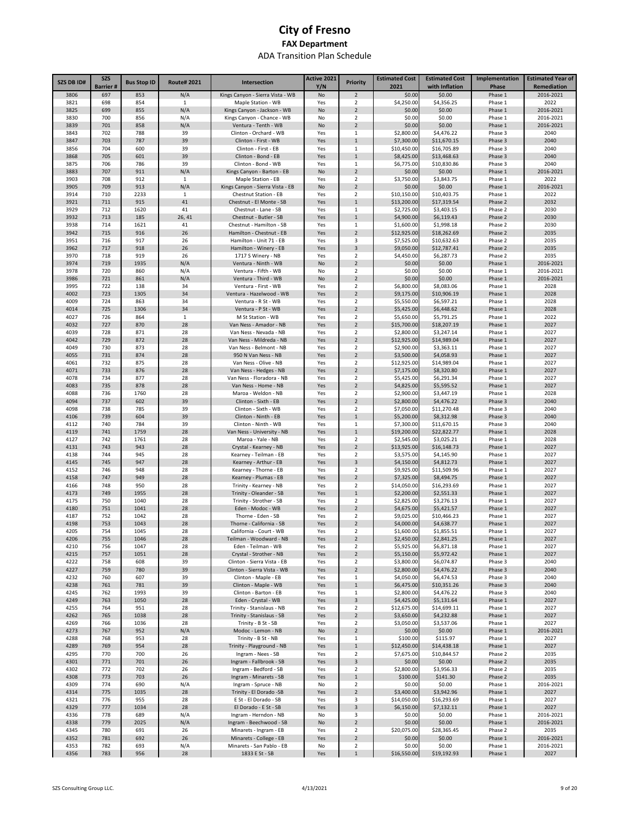| SZS DB ID#   | <b>SZS</b>       | <b>Bus Stop ID</b> | <b>Route#2021</b> | Intersection                                      | Active 2021 | <b>Priority</b>                           | <b>Estimated Cost</b><br>2021 | <b>Estimated Cost</b>     | Implementation     | <b>Estimated Year of</b> |
|--------------|------------------|--------------------|-------------------|---------------------------------------------------|-------------|-------------------------------------------|-------------------------------|---------------------------|--------------------|--------------------------|
| 3806         | Barrier #<br>697 | 853                | N/A               | Kings Canyon - Sierra Vista - WB                  | Y/N<br>No   | $\overline{2}$                            | \$0.00                        | with Inflation<br>\$0.00  | Phase<br>Phase 1   | Remediation<br>2016-2021 |
| 3821         | 698              | 854                | $\mathbf{1}$      | Maple Station - WB                                | Yes         | $\overline{\mathbf{2}}$                   | \$4,250.00                    | \$4,356.25                | Phase 1            | 2022                     |
| 3825         | 699              | 855                | N/A               | Kings Canyon - Jackson - WB                       | No          | $\overline{2}$                            | \$0.00                        | \$0.00                    | Phase 1            | 2016-2021                |
| 3830         | 700              | 856                | N/A               | Kings Canyon - Chance - WB                        | No          | $\overline{2}$                            | \$0.00                        | \$0.00                    | Phase 1            | 2016-2021                |
| 3839         | 701              | 858                | N/A               | Ventura - Tenth - WB                              | No          | $\overline{2}$                            | \$0.00                        | \$0.00                    | Phase 1            | 2016-2021                |
| 3843         | 702              | 788                | 39                | Clinton - Orchard - WB                            | Yes         | 1                                         | \$2,800.00                    | \$4,476.22                | Phase 3            | 2040                     |
| 3847         | 703              | 787                | 39                | Clinton - First - WB                              | Yes         | $\mathbf{1}$                              | \$7,300.00                    | \$11,670.15               | Phase 3            | 2040                     |
| 3856         | 704              | 600                | 39                | Clinton - First - EB                              | Yes         | 1                                         | \$10,450.00                   | \$16,705.89               | Phase 3            | 2040                     |
| 3868         | 705              | 601                | 39                | Clinton - Bond - EB                               | Yes         | $\mathbf{1}$                              | \$8,425.00                    | \$13,468.63               | Phase 3            | 2040                     |
| 3875         | 706              | 786                | 39                | Clinton - Bond - WB                               | Yes         | 1                                         | \$6,775.00                    | \$10,830.86               | Phase 3            | 2040                     |
| 3883<br>3903 | 707<br>708       | 911<br>912         | N/A<br>1          | Kings Canyon - Barton - EB<br>Maple Station - EB  | No<br>Yes   | $\overline{2}$<br>2                       | \$0.00<br>\$3,750.00          | \$0.00<br>\$3,843.75      | Phase 1<br>Phase 1 | 2016-2021<br>2022        |
| 3905         | 709              | 913                | N/A               | Kings Canyon - Sierra Vista - EB                  | No          | $\overline{2}$                            | \$0.00                        | \$0.00                    | Phase 1            | 2016-2021                |
| 3914         | 710              | 2233               | 1                 | Chestnut Station - EB                             | Yes         | 2                                         | \$10,150.00                   | \$10,403.75               | Phase 1            | 2022                     |
| 3921         | 711              | 915                | 41                | Chestnut - El Monte - SB                          | Yes         | $\mathbf{1}$                              | \$13,200.00                   | \$17,319.54               | Phase 2            | 2032                     |
| 3929         | 712              | 1620               | 41                | Chestnut - Lane - SB                              | Yes         | $\mathbf{1}$                              | \$2,725.00                    | \$3,403.15                | Phase 2            | 2030                     |
| 3932         | 713              | 185                | 26, 41            | Chestnut - Butler - SB                            | Yes         | $\mathbf{1}$                              | \$4,900.00                    | \$6,119.43                | Phase 2            | 2030                     |
| 3938         | 714              | 1621               | 41                | Chestnut - Hamilton - SB                          | Yes         | 1                                         | \$1,600.00                    | \$1,998.18                | Phase 2            | 2030                     |
| 3942         | 715              | 916                | 26                | Hamilton - Chestnut - EB                          | Yes         | $\overline{2}$                            | \$12,925.00                   | \$18,262.69               | Phase 2            | 2035                     |
| 3951         | 716              | 917                | 26                | Hamilton - Unit 71 - EB                           | Yes         | 3                                         | \$7,525.00                    | \$10,632.63               | Phase 2            | 2035                     |
| 3962         | 717              | 918                | 26                | Hamilton - Winery - EB                            | Yes         | 3                                         | \$9,050.00                    | \$12,787.41               | Phase 2            | 2035                     |
| 3970         | 718              | 919                | 26                | 1717 S Winery - NB                                | Yes         | $\overline{\mathbf{2}}$                   | \$4,450.00                    | \$6,287.73                | Phase 2            | 2035                     |
| 3974<br>3978 | 719<br>720       | 1935               | N/A               | Ventura - Ninth - WB                              | No          | $\overline{2}$                            | \$0.00                        | \$0.00                    | Phase 1            | 2016-2021<br>2016-2021   |
| 3986         | 721              | 860<br>861         | N/A<br>N/A        | Ventura - Fifth - WB<br>Ventura - Third - WB      | No<br>No    | $\overline{\mathbf{2}}$<br>$\overline{2}$ | \$0.00<br>\$0.00              | \$0.00<br>\$0.00          | Phase 1<br>Phase 1 | 2016-2021                |
| 3995         | 722              | 138                | 34                | Ventura - First - WB                              | Yes         | $\overline{\mathbf{2}}$                   | \$6,800.00                    | \$8,083.06                | Phase 1            | 2028                     |
| 4002         | 723              | 1305               | 34                | Ventura - Hazelwood - WB                          | Yes         | $\overline{2}$                            | \$9,175.00                    | \$10,906.19               | Phase 1            | 2028                     |
| 4009         | 724              | 863                | 34                | Ventura - R St - WB                               | Yes         | $\overline{\mathbf{2}}$                   | \$5,550.00                    | \$6,597.21                | Phase 1            | 2028                     |
| 4014         | 725              | 1306               | 34                | Ventura - P St - WB                               | Yes         | $\overline{2}$                            | \$5,425.00                    | \$6,448.62                | Phase 1            | 2028                     |
| 4027         | 726              | 864                | $\mathbf{1}$      | M St Station - WB                                 | Yes         | $\overline{\mathbf{2}}$                   | \$5,650.00                    | \$5,791.25                | Phase 1            | 2022                     |
| 4032         | 727              | 870                | 28                | Van Ness - Amador - NB                            | Yes         | $\overline{2}$                            | \$15,700.00                   | \$18,207.19               | Phase 1            | 2027                     |
| 4039         | 728              | 871                | 28                | Van Ness - Nevada - NB                            | Yes         | 2                                         | \$2,800.00                    | \$3,247.14                | Phase 1            | 2027                     |
| 4042         | 729              | 872                | 28                | Van Ness - Mildreda - NB                          | Yes         | $\overline{2}$                            | \$12,925.00                   | \$14,989.04               | Phase 1            | 2027                     |
| 4049         | 730              | 873                | 28                | Van Ness - Belmont - NB                           | Yes         | 2                                         | \$2,900.00                    | \$3,363.11                | Phase 1            | 2027                     |
| 4055         | 731              | 874                | 28                | 950 N Van Ness - NB                               | Yes         | $\overline{2}$                            | \$3,500.00<br>\$12,925.00     | \$4,058.93                | Phase 1            | 2027                     |
| 4061<br>4071 | 732<br>733       | 875<br>876         | 28<br>28          | Van Ness - Olive - NB<br>Van Ness - Hedges - NB   | Yes<br>Yes  | 2<br>$\overline{2}$                       | \$7,175.00                    | \$14,989.04<br>\$8,320.80 | Phase 1<br>Phase 1 | 2027<br>2027             |
| 4078         | 734              | 877                | 28                | Van Ness - Floradora - NB                         | Yes         | $\overline{\mathbf{2}}$                   | \$5,425.00                    | \$6,291.34                | Phase 1            | 2027                     |
| 4083         | 735              | 878                | 28                | Van Ness - Home - NB                              | Yes         | $\overline{2}$                            | \$4,825.00                    | \$5,595.52                | Phase 1            | 2027                     |
| 4088         | 736              | 1760               | 28                | Maroa - Weldon - NB                               | Yes         | $\overline{\mathbf{2}}$                   | \$2,900.00                    | \$3,447.19                | Phase 1            | 2028                     |
| 4094         | 737              | 602                | 39                | Clinton - Sixth - EB                              | Yes         | $\overline{2}$                            | \$2,800.00                    | \$4,476.22                | Phase 3            | 2040                     |
| 4098         | 738              | 785                | 39                | Clinton - Sixth - WB                              | Yes         | $\overline{\mathbf{2}}$                   | \$7,050.00                    | \$11,270.48               | Phase 3            | 2040                     |
| 4106         | 739              | 604                | 39                | Clinton - Ninth - EB                              | Yes         | $\mathbf{1}$                              | \$5,200.00                    | \$8,312.98                | Phase 3            | 2040                     |
| 4112         | 740              | 784                | 39                | Clinton - Ninth - WB                              | Yes         | $1\,$                                     | \$7,300.00                    | \$11,670.15               | Phase 3            | 2040                     |
| 4119         | 741              | 1759               | 28                | Van Ness - University - NB                        | Yes         | $\mathbf{1}$                              | \$19,200.00                   | \$22,822.77               | Phase 1            | 2028                     |
| 4127         | 742              | 1761               | 28                | Maroa - Yale - NB                                 | Yes         | $\overline{2}$                            | \$2,545.00                    | \$3,025.21                | Phase 1            | 2028                     |
| 4131         | 743              | 943                | 28                | Crystal - Kearney - NB                            | Yes         | $\overline{2}$<br>$\overline{2}$          | \$13,925.00                   | \$16,148.73               | Phase 1            | 2027                     |
| 4138<br>4145 | 744<br>745       | 945<br>947         | 28<br>28          | Kearney - Teilman - EB<br>Kearney - Arthur - EB   | Yes<br>Yes  | 3                                         | \$3,575.00<br>\$4,150.00      | \$4,145.90<br>\$4,812.73  | Phase 1<br>Phase 1 | 2027<br>2027             |
| 4152         | 746              | 948                | 28                | Kearney - Thorne - EB                             | Yes         | $\overline{\mathbf{2}}$                   | \$9,925.00                    | \$11,509.96               | Phase 1            | 2027                     |
| 4158         | 747              | 949                | 28                | Kearney - Plumas - EB                             | Yes         | $\overline{2}$                            | \$7,325.00                    | \$8,494.75                | Phase 1            | 2027                     |
| 4166         | 748              | 950                | 28                | Trinity - Kearney - NB                            | Yes         | $\overline{2}$                            | \$14,050.00                   | \$16,293.69               | Phase 1            | 2027                     |
| 4173         | 749              | 1955               | 28                | Trinity - Oleander - SB                           | Yes         | $\mathbf 1$                               | \$2,200.00                    | \$2,551.33                | Phase 1            | 2027                     |
| 4175         | 750              | 1040               | 28                | Trinity - Strother - SB                           | Yes         | $\overline{\mathbf{2}}$                   | \$2,825.00                    | \$3,276.13                | Phase 1            | 2027                     |
| 4180         | 751              | 1041               | 28                | Eden - Modoc - WB                                 | Yes         | $\overline{2}$                            | \$4,675.00                    | \$5,421.57                | Phase 1            | 2027                     |
| 4187         | 752              | 1042               | 28                | Thorne - Eden - SB                                | Yes         | 2                                         | \$9,025.00                    | \$10,466.23               | Phase 1            | 2027                     |
| 4198         | 753              | 1043               | 28                | Thorne - California - SB                          | Yes         | $\overline{2}$                            | \$4,000.00                    | \$4,638.77                | Phase 1            | 2027                     |
| 4205         | 754              | 1045               | 28                | California - Court - WB                           | Yes         | $\mathcal{P}$                             | \$1,600.00                    | \$1,855.51                | Phase 1            | 2027                     |
| 4206         | 755              | 1046               | 28                | Teilman - Woodward - NB                           | Yes         | $\overline{2}$                            | \$2,450.00                    | \$2,841.25                | Phase 1            | 2027                     |
| 4210<br>4215 | 756<br>757       | 1047<br>1051       | 28<br>28          | Eden - Teilman - WB<br>Crystal - Strother - NB    | Yes<br>Yes  | $\overline{2}$<br>$\overline{2}$          | \$5,925.00<br>\$5,150.00      | \$6,871.18<br>\$5,972.42  | Phase 1<br>Phase 1 | 2027<br>2027             |
| 4222         | 758              | 608                | 39                | Clinton - Sierra Vista - EB                       | Yes         | 2                                         | \$3,800.00                    | \$6,074.87                | Phase 3            | 2040                     |
| 4227         | 759              | 780                | 39                | Clinton - Sierra Vista - WB                       | Yes         | $\overline{2}$                            | \$2,800.00                    | \$4,476.22                | Phase 3            | 2040                     |
| 4232         | 760              | 607                | 39                | Clinton - Maple - EB                              | Yes         | 1                                         | \$4,050.00                    | \$6,474.53                | Phase 3            | 2040                     |
| 4238         | 761              | 781                | 39                | Clinton - Maple - WB                              | Yes         | $\mathbf 1$                               | \$6,475.00                    | \$10,351.26               | Phase 3            | 2040                     |
| 4245         | 762              | 1993               | 39                | Clinton - Barton - EB                             | Yes         | 1                                         | \$2,800.00                    | \$4,476.22                | Phase 3            | 2040                     |
| 4249         | 763              | 1050               | 28                | Eden - Crystal - WB                               | Yes         | 3                                         | \$4,425.00                    | \$5,131.64                | Phase 1            | 2027                     |
| 4255         | 764              | 951                | 28                | Trinity - Stanislaus - NB                         | Yes         | $\overline{\mathbf{2}}$                   | \$12,675.00                   | \$14,699.11               | Phase 1            | 2027                     |
| 4262         | 765              | 1038               | 28                | Trinity - Stanislaus - SB                         | Yes         | $\overline{2}$                            | \$3,650.00                    | \$4,232.88                | Phase 1            | 2027                     |
| 4269         | 766              | 1036               | 28                | Trinity - B St - SB                               | Yes         | $\overline{\mathbf{2}}$                   | \$3,050.00                    | \$3,537.06                | Phase 1            | 2027                     |
| 4273<br>4288 | 767<br>768       | 952<br>953         | N/A<br>28         | Modoc - Lemon - NB<br>Trinity - B St - NB         | No          | $\overline{2}$                            | \$0.00<br>\$100.00            | \$0.00<br>\$115.97        | Phase 1<br>Phase 1 | 2016-2021<br>2027        |
| 4289         | 769              | 954                | 28                | Trinity - Playground - NB                         | Yes<br>Yes  | $\mathbf{1}$<br>$\mathbf 1$               | \$12,450.00                   | \$14,438.18               | Phase 1            | 2027                     |
| 4295         | 770              | 700                | 26                | Ingram - Nees - SB                                | Yes         | $\overline{\mathbf{2}}$                   | \$7,675.00                    | \$10,844.57               | Phase 2            | 2035                     |
| 4301         | 771              | 701                | 26                | Ingram - Fallbrook - SB                           | Yes         | 3                                         | \$0.00                        | \$0.00                    | Phase 2            | 2035                     |
| 4302         | 772              | 702                | 26                | Ingram - Bedford - SB                             | Yes         | $\overline{\mathbf{2}}$                   | \$2,800.00                    | \$3,956.33                | Phase 2            | 2035                     |
| 4308         | 773              | 703                | 26                | Ingram - Minarets - SB                            | Yes         | $\mathbf 1$                               | \$100.00                      | \$141.30                  | Phase 2            | 2035                     |
| 4309         | 774              | 690                | N/A               | Ingram - Spruce - NB                              | No          | $\overline{2}$                            | \$0.00                        | \$0.00                    | Phase 1            | 2016-2021                |
| 4314         | 775              | 1035               | 28                | Trinity - El Dorado -SB                           | Yes         | $\overline{2}$                            | \$3,400.00                    | \$3,942.96                | Phase 1            | 2027                     |
| 4321         | 776              | 955                | 28                | E St - El Dorado - SB                             | Yes         | 3                                         | \$14,050.00                   | \$16,293.69               | Phase 1            | 2027                     |
| 4329         | 777              | 1034               | 28                | El Dorado - E St - SB                             | Yes         | 3                                         | \$6,150.00                    | \$7,132.11                | Phase 1            | 2027                     |
| 4336         | 778              | 689                | N/A               | Ingram - Herndon - NB                             | No          | 3                                         | \$0.00                        | \$0.00                    | Phase 1            | 2016-2021                |
| 4338<br>4345 | 779<br>780       | 2025<br>691        | N/A               | Ingram - Beechwood - SB<br>Minarets - Ingram - EB | No<br>Yes   | $\overline{2}$<br>2                       | \$0.00                        | \$0.00<br>\$28,365.45     | Phase 1<br>Phase 2 | 2016-2021<br>2035        |
| 4352         | 781              | 692                | 26<br>26          | Minarets - College - EB                           | Yes         | $\overline{2}$                            | \$20,075.00<br>\$0.00         | \$0.00                    | Phase 1            | 2016-2021                |
| 4353         | 782              | 693                | N/A               | Minarets - San Pablo - EB                         | No          | 2                                         | \$0.00                        | \$0.00                    | Phase 1            | 2016-2021                |
| 4356         | 783              | 956                | 28                | 1833 E St - SB                                    | Yes         | $\mathbf 1$                               | \$16,550.00                   | \$19,192.93               | Phase 1            | 2027                     |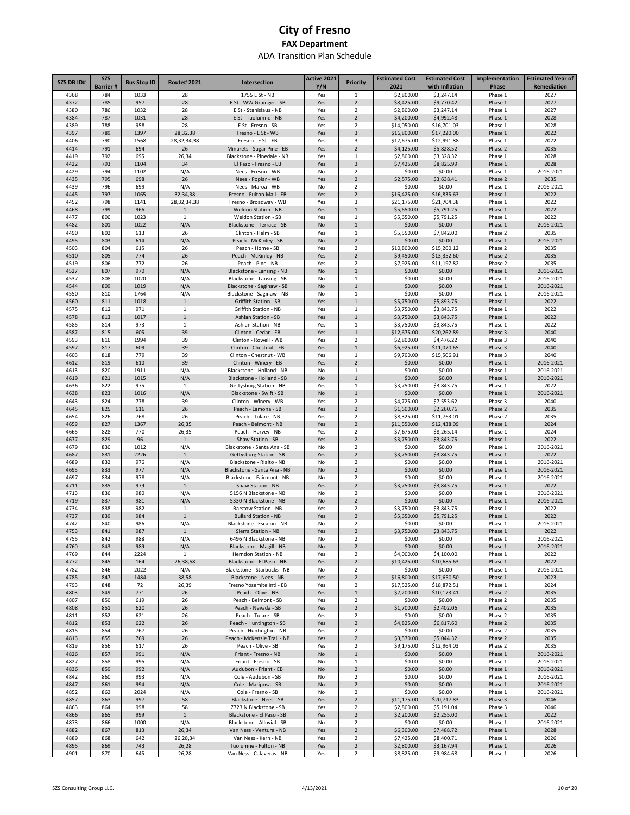| SZS DB ID#   | <b>SZS</b><br><b>Barrier#</b> | <b>Bus Stop ID</b> | <b>Route#2021</b>   | Intersection                                          | Active 2021<br>Y/N | <b>Priority</b>                  | <b>Estimated Cost</b><br>2021 | <b>Estimated Cost</b><br>with Inflation | Implementation<br>Phase | <b>Estimated Year of</b><br>Remediation |
|--------------|-------------------------------|--------------------|---------------------|-------------------------------------------------------|--------------------|----------------------------------|-------------------------------|-----------------------------------------|-------------------------|-----------------------------------------|
| 4368         | 784                           | 1033               | 28                  | 1755 E St - NB                                        | Yes                | 1                                | \$2,800.00                    | \$3,247.14                              | Phase 1                 | 2027                                    |
| 4372         | 785                           | 957                | 28                  | E St - WW Grainger - SB                               | Yes                | $\overline{2}$                   | \$8,425.00                    | \$9,770.42                              | Phase 1                 | 2027                                    |
| 4380         | 786                           | 1032               | 28                  | E St - Stanislaus - NB                                | Yes                | 2                                | \$2,800.00                    | \$3,247.14                              | Phase 1                 | 2027                                    |
| 4384<br>4389 | 787<br>788                    | 1031<br>958        | 28<br>28            | E St - Tuolumne - NB<br>E St - Fresno - SB            | Yes<br>Yes         | $\overline{2}$<br>2              | \$4,200.00<br>\$14,050.00     | \$4,992.48<br>\$16,701.03               | Phase 1<br>Phase 1      | 2028<br>2028                            |
| 4397         | 789                           | 1397               | 28,32,38            | Fresno - E St - WB                                    | Yes                | 3                                | \$16,800.00                   | \$17,220.00                             | Phase 1                 | 2022                                    |
| 4406         | 790                           | 1568               | 28,32,34,38         | Fresno - F St - EB                                    | Yes                | 3                                | \$12,675.00                   | \$12,991.88                             | Phase 1                 | 2022                                    |
| 4414         | 791                           | 694                | 26                  | Minarets - Sugar Pine - EB                            | Yes                | $\overline{2}$                   | \$4,125.00                    | \$5,828.52                              | Phase 2                 | 2035                                    |
| 4419<br>4422 | 792                           | 695                | 26,34<br>34         | Blackstone - Pinedale - NB<br>El Paso - Fresno - EB   | Yes                | 1                                | \$2,800.00                    | \$3,328.32                              | Phase 1                 | 2028<br>2028                            |
| 4429         | 793<br>794                    | 1104<br>1102       | N/A                 | Nees - Fresno - WB                                    | Yes<br>No          | 3<br>$\overline{2}$              | \$7,425.00<br>\$0.00          | \$8,825.99<br>\$0.00                    | Phase 1<br>Phase 1      | 2016-2021                               |
| 4435         | 795                           | 698                | 26                  | Nees - Poplar - WB                                    | Yes                | $\overline{2}$                   | \$2,575.00                    | \$3,638.41                              | Phase 2                 | 2035                                    |
| 4439         | 796                           | 699                | N/A                 | Nees - Maroa - WB                                     | No                 | $\overline{\mathbf{2}}$          | \$0.00                        | \$0.00                                  | Phase 1                 | 2016-2021                               |
| 4445         | 797                           | 1065               | 32,34,38            | Fresno - Fulton Mall - EB                             | Yes                | $\overline{2}$                   | \$16,425.00                   | \$16,835.63                             | Phase 1                 | 2022                                    |
| 4452<br>4468 | 798<br>799                    | 1141<br>966        | 28,32,34,38         | Fresno - Broadway - WB<br>Weldon Station - NB         | Yes                | 3<br>$\mathbf{1}$                | \$21,175.00<br>\$5,650.00     | \$21,704.38<br>\$5,791.25               | Phase 1<br>Phase 1      | 2022<br>2022                            |
| 4477         | 800                           | 1023               | $\mathbf{1}$<br>1   | Weldon Station - SB                                   | Yes<br>Yes         | 1                                | \$5,650.00                    | \$5,791.25                              | Phase 1                 | 2022                                    |
| 4482         | 801                           | 1022               | N/A                 | Blackstone - Terrace - SB                             | No                 | $\mathbf{1}$                     | \$0.00                        | \$0.00                                  | Phase 1                 | 2016-2021                               |
| 4490         | 802                           | 613                | 26                  | Clinton - Helm - SB                                   | Yes                | $\mathbf{1}$                     | \$5,550.00                    | \$7,842.00                              | Phase 2                 | 2035                                    |
| 4495         | 803                           | 614                | N/A                 | Peach - McKinley - SB                                 | No                 | $\overline{2}$                   | \$0.00                        | \$0.00                                  | Phase 1                 | 2016-2021                               |
| 4503<br>4510 | 804<br>805                    | 615<br>774         | 26<br>26            | Peach - Home - SB<br>Peach - McKinley - NB            | Yes                | $\overline{2}$<br>$\overline{2}$ | \$10,800.00<br>\$9,450.00     | \$15,260.12<br>\$13,352.60              | Phase 2<br>Phase 2      | 2035<br>2035                            |
| 4519         | 806                           | 772                | 26                  | Peach - Pine - NB                                     | Yes<br>Yes         | $\overline{2}$                   | \$7,925.00                    | \$11,197.82                             | Phase 2                 | 2035                                    |
| 4527         | 807                           | 970                | N/A                 | Blackstone - Lansing - NB                             | No                 | $\mathbf{1}$                     | \$0.00                        | \$0.00                                  | Phase 1                 | 2016-2021                               |
| 4537         | 808                           | 1020               | N/A                 | Blackstone - Lansing - SB                             | No                 | 1                                | \$0.00                        | \$0.00                                  | Phase 1                 | 2016-2021                               |
| 4544         | 809                           | 1019               | N/A                 | Blackstone - Saginaw - SB                             | No                 | $\mathbf{1}$                     | \$0.00                        | \$0.00                                  | Phase 1                 | 2016-2021                               |
| 4550         | 810                           | 1764               | N/A                 | Blackstone - Saginaw - NB                             | No                 | 1                                | \$0.00                        | \$0.00                                  | Phase 1                 | 2016-2021                               |
| 4560<br>4575 | 811<br>812                    | 1018<br>971        | $\mathbf{1}$<br>1   | Griffith Station - SB<br>Griffith Station - NB        | Yes<br>Yes         | $\mathbf{1}$<br>1                | \$5,750.00<br>\$3,750.00      | \$5,893.75<br>\$3,843.75                | Phase 1<br>Phase 1      | 2022<br>2022                            |
| 4578         | 813                           | 1017               | $1\,$               | Ashlan Station - SB                                   | Yes                | $\mathbf{1}$                     | \$3,750.00                    | \$3,843.75                              | Phase 1                 | 2022                                    |
| 4585         | 814                           | 973                | 1                   | Ashlan Station - NB                                   | Yes                | 1                                | \$3,750.00                    | \$3,843.75                              | Phase 1                 | 2022                                    |
| 4587         | 815                           | 605                | 39                  | Clinton - Cedar - EB                                  | Yes                | $\mathbf{1}$                     | \$12,675.00                   | \$20,262.89                             | Phase 3                 | 2040                                    |
| 4593         | 816                           | 1994               | 39                  | Clinton - Rowell - WB                                 | Yes                | 2                                | \$2,800.00                    | \$4,476.22                              | Phase 3                 | 2040                                    |
| 4597<br>4603 | 817<br>818                    | 609<br>779         | 39<br>39            | Clinton - Chestnut - EB<br>Clinton - Chestnut - WB    | Yes<br>Yes         | $\mathbf{1}$<br>1                | \$6,925.00<br>\$9,700.00      | \$11,070.65<br>\$15,506.91              | Phase 3<br>Phase 3      | 2040<br>2040                            |
| 4612         | 819                           | 610                | 39                  | Clinton - Winery - EB                                 | Yes                | $\overline{2}$                   | \$0.00                        | \$0.00                                  | Phase 1                 | 2016-2021                               |
| 4613         | 820                           | 1911               | N/A                 | Blackstone - Holland - NB                             | No                 | 1                                | \$0.00                        | \$0.00                                  | Phase 1                 | 2016-2021                               |
| 4619         | 821                           | 1015               | N/A                 | Blackstone - Holland - SB                             | No                 | $\mathbf 1$                      | \$0.00                        | \$0.00                                  | Phase 1                 | 2016-2021                               |
| 4636         | 822                           | 975                | 1                   | Gettysburg Station - NB                               | Yes                | 1                                | \$3,750.00                    | \$3,843.75                              | Phase 1                 | 2022                                    |
| 4638<br>4643 | 823<br>824                    | 1016<br>778        | N/A<br>39           | Blackstone - Swift - SB<br>Clinton - Winery - WB      | No<br>Yes          | $\mathbf{1}$<br>2                | \$0.00<br>\$4,725.00          | \$0.00<br>\$7,553.62                    | Phase 1<br>Phase 3      | 2016-2021<br>2040                       |
| 4645         | 825                           | 616                | 26                  | Peach - Lamona - SB                                   | Yes                | $\overline{2}$                   | \$1,600.00                    | \$2,260.76                              | Phase 2                 | 2035                                    |
| 4654         | 826                           | 768                | 26                  | Peach - Tulare - NB                                   | Yes                | 2                                | \$8,325.00                    | \$11,763.01                             | Phase 2                 | 2035                                    |
| 4659         | 827                           | 1367               | 26,35               | Peach - Belmont - NB                                  | Yes                | $\overline{2}$                   | \$11,550.00                   | \$12,438.09                             | Phase 1                 | 2024                                    |
| 4665         | 828                           | 770                | 26,35               | Peach - Harvey - NB                                   | Yes                | $\overline{\mathbf{2}}$          | \$7,675.00                    | \$8,265.14                              | Phase 1                 | 2024                                    |
| 4677<br>4679 | 829<br>830                    | 96<br>1012         | $1\,$<br>N/A        | Shaw Station - SB<br>Blackstone - Santa Ana - SB      | Yes<br>No          | $\overline{2}$<br>$\overline{2}$ | \$3,750.00<br>\$0.00          | \$3,843.75<br>\$0.00                    | Phase 1<br>Phase 1      | 2022<br>2016-2021                       |
| 4687         | 831                           | 2226               | $\mathbf{1}$        | Gettysburg Station - SB                               | Yes                | $\overline{2}$                   | \$3,750.00                    | \$3,843.75                              | Phase 1                 | 2022                                    |
| 4689         | 832                           | 976                | N/A                 | Blackstone - Rialto - NB                              | No                 | $\overline{\mathbf{2}}$          | \$0.00                        | \$0.00                                  | Phase 1                 | 2016-2021                               |
| 4695         | 833                           | 977                | N/A                 | Blackstone - Santa Ana - NB                           | No                 | $\overline{2}$                   | \$0.00                        | \$0.00                                  | Phase 1                 | 2016-2021                               |
| 4697<br>4711 | 834<br>835                    | 978                | N/A<br>$\mathbf{1}$ | Blackstone - Fairmont - NB<br>Shaw Station - NB       | No<br>Yes          | 2<br>$\overline{2}$              | \$0.00                        | \$0.00                                  | Phase 1                 | 2016-2021<br>2022                       |
| 4713         | 836                           | 979<br>980         | N/A                 | 5156 N Blackstone - NB                                | No                 | 2                                | \$3,750.00<br>\$0.00          | \$3,843.75<br>\$0.00                    | Phase 1<br>Phase 1      | 2016-2021                               |
| 4719         | 837                           | 981                | N/A                 | 5330 N Blackstone - NB                                | No                 | $\overline{2}$                   | \$0.00                        | \$0.00                                  | Phase 1                 | 2016-2021                               |
| 4734         | 838                           | 982                | 1                   | <b>Barstow Station - NB</b>                           | Yes                | 2                                | \$3,750.00                    | \$3,843.75                              | Phase 1                 | 2022                                    |
| 4737         | 839                           | 984                | $1\,$               | <b>Bullard Station - NB</b>                           | Yes                | $\overline{2}$                   | \$5,650.00                    | \$5,791.25                              | Phase 1                 | 2022                                    |
| 4742<br>4753 | 840<br>841                    | 986<br>987         | N/A<br>1            | Blackstone - Escalon - NB<br>Sierra Station - NB      | No<br>Yes          | $\overline{2}$<br>$\overline{2}$ | \$0.00<br>\$3,750.00          | \$0.00<br>\$3.843.75                    | Phase 1<br>Phase 1      | 2016-2021<br>2022                       |
| 4755         | 842                           | 988                | N/A                 | 6496 N Blackstone - NB                                | No                 | $\overline{2}$                   | \$0.00                        | \$0.00                                  | Phase 1                 | 2016-2021                               |
| 4760         | 843                           | 989                | N/A                 | Blackstone - Magill - NB                              | No                 | $\overline{2}$                   | \$0.00                        | \$0.00                                  | Phase 1                 | 2016-2021                               |
| 4769         | 844                           | 2224               | $\mathbf{1}$        | Herndon Station - NB                                  | Yes                | $\overline{\mathbf{2}}$          | \$4,000.00                    | \$4,100.00                              | Phase 1                 | 2022                                    |
| 4772         | 845                           | 164                | 26,38,58            | Blackstone - El Paso - NB                             | Yes                | $\overline{2}$                   | \$10,425.00                   | \$10,685.63                             | Phase 1                 | 2022                                    |
| 4782<br>4785 | 846<br>847                    | 2022<br>1484       | N/A<br>38,58        | Blackstone - Starbucks - NB<br>Blackstone - Nees - NB | No<br>Yes          | $\overline{2}$<br>$\overline{2}$ | \$0.00<br>\$16,800.00         | \$0.00<br>\$17,650.50                   | Phase 1<br>Phase 1      | 2016-2021<br>2023                       |
| 4793         | 848                           | 72                 | 26,39               | Fresno Yosemite Intl - EB                             | Yes                | $\overline{2}$                   | \$17,525.00                   | \$18,872.51                             | Phase 1                 | 2024                                    |
| 4803         | 849                           | 771                | 26                  | Peach - Olive - NB                                    | Yes                | $\mathbf 1$                      | \$7,200.00                    | \$10,173.41                             | Phase 2                 | 2035                                    |
| 4807         | 850                           | 619                | 26                  | Peach - Belmont - SB                                  | Yes                | $\overline{\mathbf{2}}$          | \$0.00                        | \$0.00                                  | Phase 2                 | 2035                                    |
| 4808<br>4811 | 851<br>852                    | 620<br>621         | 26<br>26            | Peach - Nevada - SB<br>Peach - Tulare - SB            | Yes                | $\overline{2}$<br>$\overline{2}$ | \$1,700.00<br>\$0.00          | \$2,402.06<br>\$0.00                    | Phase 2<br>Phase 2      | 2035<br>2035                            |
| 4812         | 853                           | 622                | 26                  | Peach - Huntington - SB                               | Yes<br>Yes         | $\overline{2}$                   | \$4,825.00                    | \$6,817.60                              | Phase 2                 | 2035                                    |
| 4815         | 854                           | 767                | 26                  | Peach - Huntington - NB                               | Yes                | $\overline{2}$                   | \$0.00                        | \$0.00                                  | Phase 2                 | 2035                                    |
| 4816         | 855                           | 769                | 26                  | Peach - McKenzie Trail - NB                           | Yes                | $\overline{2}$                   | \$3,570.00                    | \$5,044.32                              | Phase 2                 | 2035                                    |
| 4819         | 856                           | 617                | 26                  | Peach - Olive - SB                                    | Yes                | $\overline{2}$                   | \$9,175.00                    | \$12,964.03                             | Phase 2                 | 2035                                    |
| 4826<br>4827 | 857                           | 991<br>995         | N/A                 | Friant - Fresno - NB                                  | No                 | $\mathbf 1$                      | \$0.00                        | \$0.00                                  | Phase 1                 | 2016-2021                               |
| 4836         | 858<br>859                    | 992                | N/A<br>N/A          | Friant - Fresno - SB<br>Audubon - Friant - EB         | No<br>No           | 1<br>$\overline{2}$              | \$0.00<br>\$0.00              | \$0.00<br>\$0.00                        | Phase 1<br>Phase 1      | 2016-2021<br>2016-2021                  |
| 4842         | 860                           | 993                | N/A                 | Cole - Audubon - SB                                   | No                 | $\overline{2}$                   | \$0.00                        | \$0.00                                  | Phase 1                 | 2016-2021                               |
| 4847         | 861                           | 994                | N/A                 | Cole - Mariposa - SB                                  | No                 | $\overline{2}$                   | \$0.00                        | \$0.00                                  | Phase 1                 | 2016-2021                               |
| 4852         | 862                           | 2024               | N/A                 | Cole - Fresno - SB                                    | No                 | 2                                | \$0.00                        | \$0.00                                  | Phase 1                 | 2016-2021                               |
| 4857         | 863                           | 997                | 58                  | Blackstone - Nees - SB                                | Yes                | $\overline{2}$                   | \$11,175.00                   | \$20,717.83                             | Phase 3                 | 2046                                    |
| 4863<br>4866 | 864<br>865                    | 998<br>999         | 58<br>$1\,$         | 7723 N Blackstone - SB<br>Blackstone - El Paso - SB   | Yes<br>Yes         | 2<br>$\mathbf 2$                 | \$2,800.00<br>\$2,200.00      | \$5,191.04<br>\$2,255.00                | Phase 3<br>Phase 1      | 2046<br>2022                            |
| 4873         | 866                           | 1000               | N/A                 | Blackstone - Alluvial - SB                            | No                 | 2                                | \$0.00                        | \$0.00                                  | Phase 1                 | 2016-2021                               |
| 4882         | 867                           | 813                | 26,34               | Van Ness - Ventura - NB                               | Yes                | $\overline{2}$                   | \$6,300.00                    | \$7,488.72                              | Phase 1                 | 2028                                    |
| 4889         | 868                           | 642                | 26,28,34            | Van Ness - Kern - NB                                  | Yes                | 2                                | \$7,425.00                    | \$8,400.71                              | Phase 1                 | 2026                                    |
| 4895         | 869                           | 743                | 26,28               | Tuolumne - Fulton - NB                                | Yes                | $\overline{2}$                   | \$2,800.00                    | \$3,167.94                              | Phase 1                 | 2026                                    |
| 4901         | 870                           | 645                | 26,28               | Van Ness - Calaveras - NB                             | Yes                | $\mathbf 2$                      | \$8,825.00                    | \$9,984.68                              | Phase 1                 | 2026                                    |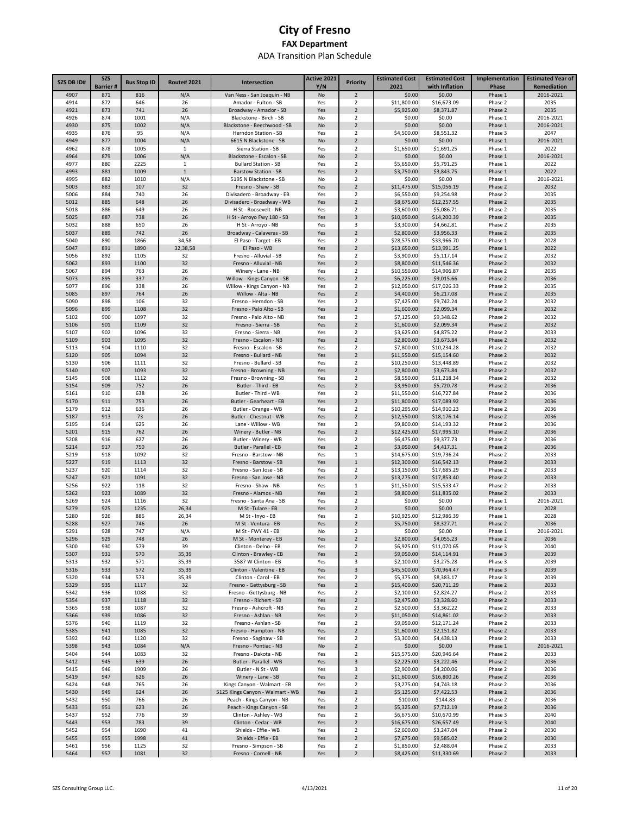| <b>SZS DB ID#</b> | <b>SZS</b>             | <b>Bus Stop ID</b> | <b>Route#2021</b>   | Intersection                                                    | Active 2021 | <b>Priority</b>                  | <b>Estimated Cost</b><br>2021 | <b>Estimated Cost</b>      | Implementation     | <b>Estimated Year of</b><br><b>Remediation</b> |
|-------------------|------------------------|--------------------|---------------------|-----------------------------------------------------------------|-------------|----------------------------------|-------------------------------|----------------------------|--------------------|------------------------------------------------|
| 4907              | <b>Barrier#</b><br>871 | 816                | N/A                 | Van Ness - San Joaquin - NB                                     | Y/N<br>No   | $\overline{2}$                   | \$0.00                        | with Inflation<br>\$0.00   | Phase<br>Phase 1   | 2016-2021                                      |
| 4914              | 872                    | 646                | 26                  | Amador - Fulton - SB                                            | Yes         | $\overline{2}$                   | \$11,800.00                   | \$16,673.09                | Phase 2            | 2035                                           |
| 4921              | 873                    | 741                | 26                  | Broadway - Amador - SB                                          | Yes         | $\overline{2}$                   | \$5,925.00                    | \$8,371.87                 | Phase 2            | 2035                                           |
| 4926              | 874                    | 1001               | N/A                 | Blackstone - Birch - SB                                         | No          | 2                                | \$0.00                        | \$0.00                     | Phase 1            | 2016-2021                                      |
| 4930              | 875                    | 1002               | N/A                 | Blackstone - Beechwood - SB                                     | No          | $\overline{2}$                   | \$0.00                        | \$0.00                     | Phase 1            | 2016-2021                                      |
| 4935              | 876                    | 95                 | N/A                 | Herndon Station - SB                                            | Yes         | 2                                | \$4,500.00                    | \$8,551.32                 | Phase 3            | 2047                                           |
| 4949              | 877                    | 1004               | N/A                 | 6615 N Blackstone - SB                                          | No          | $\overline{2}$                   | \$0.00                        | \$0.00                     | Phase 1            | 2016-2021                                      |
| 4962              | 878                    | 1005               | 1                   | Sierra Station - SB                                             | Yes         | $\overline{2}$                   | \$1,650.00                    | \$1,691.25                 | Phase 1            | 2022                                           |
| 4964              | 879                    | 1006               | N/A                 | Blackstone - Escalon - SB                                       | No          | $\overline{2}$                   | \$0.00                        | \$0.00                     | Phase 1            | 2016-2021                                      |
| 4977              | 880                    | 2225               | $\mathbf{1}$        | <b>Bullard Station - SB</b>                                     | Yes         | $\overline{2}$                   | \$5,650.00                    | \$5,791.25                 | Phase 1            | 2022                                           |
| 4993<br>4995      | 881<br>882             | 1009<br>1010       | $\mathbf{1}$<br>N/A | <b>Barstow Station - SB</b><br>5195 N Blackstone - SB           | Yes         | $\overline{2}$<br>$\overline{2}$ | \$3,750.00<br>\$0.00          | \$3,843.75<br>\$0.00       | Phase 1            | 2022<br>2016-2021                              |
| 5003              | 883                    | 107                | 32                  | Fresno - Shaw - SB                                              | No<br>Yes   | $\overline{2}$                   | \$11,475.00                   | \$15,056.19                | Phase 1<br>Phase 2 | 2032                                           |
| 5006              | 884                    | 740                | 26                  | Divisadero - Broadway - EB                                      | Yes         | 2                                | \$6,550.00                    | \$9,254.98                 | Phase 2            | 2035                                           |
| 5012              | 885                    | 648                | 26                  | Divisadero - Broadway - WB                                      | Yes         | $\overline{2}$                   | \$8,675.00                    | \$12,257.55                | Phase 2            | 2035                                           |
| 5018              | 886                    | 649                | 26                  | H St - Roosevelt - NB                                           | Yes         | $\overline{2}$                   | \$3,600.00                    | \$5,086.71                 | Phase 2            | 2035                                           |
| 5025              | 887                    | 738                | 26                  | H St - Arroyo Fwy 180 - SB                                      | Yes         | 3                                | \$10,050.00                   | \$14,200.39                | Phase 2            | 2035                                           |
| 5032              | 888                    | 650                | 26                  | H St - Arroyo - NB                                              | Yes         | 3                                | \$3,300.00                    | \$4,662.81                 | Phase 2            | 2035                                           |
| 5037              | 889                    | 742                | 26                  | Broadway - Calaveras - SB                                       | Yes         | $\overline{2}$                   | \$2,800.00                    | \$3,956.33                 | Phase 2            | 2035                                           |
| 5040              | 890                    | 1866               | 34,58               | El Paso - Target - EB                                           | Yes         | $\overline{2}$                   | \$28,575.00                   | \$33,966.70                | Phase 1            | 2028                                           |
| 5047              | 891                    | 1890               | 32,38,58            | El Paso - WB                                                    | Yes         | $\overline{2}$                   | \$13,650.00                   | \$13,991.25                | Phase 1            | 2022                                           |
| 5056              | 892                    | 1105               | 32                  | Fresno - Alluvial - SB                                          | Yes         | $\overline{2}$                   | \$3,900.00                    | \$5,117.14                 | Phase 2            | 2032                                           |
| 5062              | 893<br>894             | 1100<br>763        | 32<br>26            | Fresno - Alluvial - NB<br>Winery - Lane - NB                    | Yes         | $\overline{2}$<br>$\overline{2}$ | \$8,800.00                    | \$11,546.36                | Phase 2            | 2032<br>2035                                   |
| 5067<br>5073      | 895                    | 337                | 26                  | Willow - Kings Canyon - SB                                      | Yes<br>Yes  | $\overline{2}$                   | \$10,550.00<br>\$6,225.00     | \$14,906.87<br>\$9,015.66  | Phase 2<br>Phase 2 | 2036                                           |
| 5077              | 896                    | 338                | 26                  | Willow - Kings Canyon - NB                                      | Yes         | 2                                | \$12,050.00                   | \$17,026.33                | Phase 2            | 2035                                           |
| 5085              | 897                    | 764                | 26                  | Willow - Alta - NB                                              | Yes         | $\overline{2}$                   | \$4,400.00                    | \$6,217.08                 | Phase 2            | 2035                                           |
| 5090              | 898                    | 106                | 32                  | Fresno - Herndon - SB                                           | Yes         | 2                                | \$7,425.00                    | \$9,742.24                 | Phase 2            | 2032                                           |
| 5096              | 899                    | 1108               | 32                  | Fresno - Palo Alto - SB                                         | Yes         | $\overline{2}$                   | \$1,600.00                    | \$2,099.34                 | Phase 2            | 2032                                           |
| 5102              | 900                    | 1097               | 32                  | Fresno - Palo Alto - NB                                         | Yes         | 2                                | \$7,125.00                    | \$9,348.62                 | Phase 2            | 2032                                           |
| 5106              | 901                    | 1109               | 32                  | Fresno - Sierra - SB                                            | Yes         | $\overline{2}$                   | \$1,600.00                    | \$2,099.34                 | Phase 2            | 2032                                           |
| 5107              | 902                    | 1096               | 32                  | Fresno - Sierra - NB                                            | Yes         | $\overline{2}$                   | \$3,625.00                    | \$4,875.22                 | Phase 2            | 2033                                           |
| 5109              | 903                    | 1095               | 32                  | Fresno - Escalon - NB                                           | Yes         | $\overline{2}$                   | \$2,800.00                    | \$3,673.84                 | Phase 2            | 2032                                           |
| 5113              | 904                    | 1110               | 32                  | Fresno - Escalon - SB                                           | Yes         | $\overline{2}$                   | \$7,800.00                    | \$10,234.28                | Phase 2            | 2032                                           |
| 5120<br>5130      | 905<br>906             | 1094<br>1111       | 32<br>32            | Fresno - Bullard - NB<br>Fresno - Bullard - SB                  | Yes<br>Yes  | $\overline{2}$<br>$\overline{2}$ | \$11,550.00<br>\$10,250.00    | \$15,154.60<br>\$13,448.89 | Phase 2<br>Phase 2 | 2032<br>2032                                   |
| 5140              | 907                    | 1093               | 32                  | Fresno - Browning - NB                                          | Yes         | $\overline{2}$                   | \$2,800.00                    | \$3,673.84                 | Phase 2            | 2032                                           |
| 5145              | 908                    | 1112               | 32                  | Fresno - Browning - SB                                          | Yes         | $\overline{2}$                   | \$8,550.00                    | \$11,218.34                | Phase 2            | 2032                                           |
| 5154              | 909                    | 752                | 26                  | Butler - Third - EB                                             | Yes         | $\overline{2}$                   | \$3,950.00                    | \$5,720.78                 | Phase 2            | 2036                                           |
| 5161              | 910                    | 638                | 26                  | Butler - Third - WB                                             | Yes         | $\overline{2}$                   | \$11,550.00                   | \$16,727.84                | Phase 2            | 2036                                           |
| 5170              | 911                    | 753                | 26                  | Butler - Gearheart - EB                                         | Yes         | $\overline{2}$                   | \$11,800.00                   | \$17,089.92                | Phase 2            | 2036                                           |
| 5179              | 912                    | 636                | 26                  | Butler - Orange - WB                                            | Yes         | $\overline{2}$                   | \$10,295.00                   | \$14,910.23                | Phase 2            | 2036                                           |
| 5187              | 913                    | 73                 | 26                  | Butler - Chestnut - WB                                          | Yes         | $\overline{2}$                   | \$12,550.00                   | \$18,176.14                | Phase 2            | 2036                                           |
| 5195              | 914                    | 625                | 26                  | Lane - Willow - WB                                              | Yes         | $\overline{2}$                   | \$9,800.00                    | \$14,193.32                | Phase 2            | 2036                                           |
| 5201              | 915                    | 762                | 26                  | Winery - Butler - NB                                            | Yes         | $\overline{2}$                   | \$12,425.00                   | \$17,995.10                | Phase 2            | 2036                                           |
| 5208<br>5214      | 916<br>917             | 627<br>750         | 26<br>26            | Butler - Winery - WB<br>Butler - Parallel - EB                  | Yes<br>Yes  | $\overline{2}$<br>$\overline{2}$ | \$6,475.00<br>\$3,050.00      | \$9,377.73<br>\$4,417.31   | Phase 2<br>Phase 2 | 2036<br>2036                                   |
| 5219              | 918                    | 1092               | 32                  | Fresno - Barstow - NB                                           | Yes         | $\mathbf{1}$                     | \$14,675.00                   | \$19,736.24                | Phase 2            | 2033                                           |
| 5227              | 919                    | 1113               | 32                  | Fresno - Barstow - SB                                           | Yes         | $\mathbf{1}$                     | \$12,300.00                   | \$16,542.13                | Phase 2            | 2033                                           |
| 5237              | 920                    | 1114               | 32                  | Fresno - San Jose - SB                                          | Yes         | $\overline{2}$                   | \$13,150.00                   | \$17,685.29                | Phase 2            | 2033                                           |
| 5247              | 921                    | 1091               | 32                  | Fresno - San Jose - NB                                          | Yes         | $\overline{2}$                   | \$13,275.00                   | \$17,853.40                | Phase 2            | 2033                                           |
| 5256              | 922                    | 118                | 32                  | Fresno - Shaw - NB                                              | Yes         | 1                                | \$11,550.00                   | \$15,533.47                | Phase 2            | 2033                                           |
| 5262              | 923                    | 1089               | 32                  | Fresno - Alamos - NB                                            | Yes         | $\overline{2}$                   | \$8,800.00                    | \$11,835.02                | Phase 2            | 2033                                           |
| 5269              | 924                    | 1116               | 32                  | Fresno - Santa Ana - SB                                         | Yes         | 2                                | \$0.00                        | \$0.00                     | Phase 1            | 2016-2021                                      |
| 5279              | 925                    | 1235               | 26,34               | M St-Tulare - EB                                                | Yes         | $\overline{2}$                   | \$0.00                        | \$0.00                     | Phase 1            | 2028                                           |
| 5280              | 926<br>927             | 886                | 26,34               | M St - Inyo - EB                                                | Yes         | $\overline{2}$<br>$\overline{2}$ | \$10,925.00                   | \$12,986.39                | Phase 1            | 2028                                           |
| 5288<br>5291      | 928                    | 746<br>747         | 26<br>N/A           | M St - Ventura - EB<br>M St - FWY 41 - EB                       | Yes<br>No   | 2                                | \$5,750.00<br>\$0.00          | \$8,327.71<br>\$0.00       | Phase 2<br>Phase 1 | 2036<br>2016-2021                              |
| 5296              | 929                    | 748                | 26                  | M St - Monterey - EB                                            | Yes         | $\overline{2}$                   | \$2,800.00                    | \$4,055.23                 | Phase 2            | 2036                                           |
| 5300              | 930                    | 579                | 39                  | Clinton - Delno - EB                                            | Yes         | $\overline{2}$                   | \$6,925.00                    | \$11,070.65                | Phase 3            | 2040                                           |
| 5307              | 931                    | 570                | 35,39               | Clinton - Brawley - EB                                          | Yes         | $\overline{2}$                   | \$9,050.00                    | \$14,114.91                | Phase 3            | 2039                                           |
| 5313              | 932                    | 571                | 35,39               | 3587 W Clinton - EB                                             | Yes         | 3                                | \$2,100.00                    | \$3,275.28                 | Phase 3            | 2039                                           |
| 5316              | 933                    | 572                | 35,39               | Clinton - Valentine - EB                                        | Yes         | $\mathsf 3$                      | \$45,500.00                   | \$70,964.47                | Phase 3            | 2039                                           |
| 5320              | 934                    | 573                | 35,39               | Clinton - Carol - EB                                            | Yes         | $\overline{2}$                   | \$5,375.00                    | \$8,383.17                 | Phase 3            | 2039                                           |
| 5329              | 935                    | 1117               | 32                  | Fresno - Gettysburg - SB                                        | Yes         | $\overline{2}$                   | \$15,400.00                   | \$20,711.29                | Phase 2            | 2033                                           |
| 5342              | 936                    | 1088               | 32                  | Fresno - Gettysburg - NB                                        | Yes         | $\overline{2}$                   | \$2,100.00                    | \$2,824.27                 | Phase 2            | 2033                                           |
| 5354<br>5365      | 937<br>938             | 1118<br>1087       | 32<br>32            | Fresno - Richert - SB<br>Fresno - Ashcroft - NB                 | Yes<br>Yes  | $\sqrt{2}$<br>$\overline{2}$     | \$2,475.00<br>\$2,500.00      | \$3,328.60<br>\$3,362.22   | Phase 2<br>Phase 2 | 2033<br>2033                                   |
| 5366              | 939                    | 1086               | 32                  | Fresno - Ashlan - NB                                            | Yes         | $\overline{2}$                   | \$11,050.00                   | \$14,861.02                | Phase 2            | 2033                                           |
| 5376              | 940                    | 1119               | 32                  | Fresno - Ashlan - SB                                            | Yes         | $\overline{2}$                   | \$9,050.00                    | \$12,171.24                | Phase 2            | 2033                                           |
| 5385              | 941                    | 1085               | 32                  | Fresno - Hampton - NB                                           | Yes         | $\overline{2}$                   | \$1,600.00                    | \$2,151.82                 | Phase 2            | 2033                                           |
| 5392              | 942                    | 1120               | 32                  | Fresno - Saginaw - SB                                           | Yes         | $\overline{2}$                   | \$3,300.00                    | \$4,438.13                 | Phase 2            | 2033                                           |
| 5398              | 943                    | 1084               | N/A                 | Fresno - Pontiac - NB                                           | No          | $\overline{2}$                   | \$0.00                        | \$0.00                     | Phase 1            | 2016-2021                                      |
| 5404              | 944                    | 1083               | 32                  | Fresno - Dakota - NB                                            | Yes         | $\overline{2}$                   | \$15,575.00                   | \$20,946.64                | Phase 2            | 2033                                           |
| 5412              | 945                    | 639                | 26                  | Butler - Parallel - WB                                          | Yes         | 3                                | \$2,225.00                    | \$3,222.46                 | Phase 2            | 2036                                           |
| 5415              | 946                    | 1909               | 26                  | Butler - N St - WB                                              | Yes         | 3                                | \$2,900.00                    | \$4,200.06                 | Phase 2            | 2036                                           |
| 5419              | 947                    | 626                | 26                  | Winery - Lane - SB                                              | Yes         | $\overline{2}$                   | \$11,600.00                   | \$16,800.26                | Phase 2            | 2036                                           |
| 5424<br>5430      | 948<br>949             | 765<br>624         | 26<br>26            | Kings Canyon - Walmart - EB<br>5125 Kings Canyon - Walmart - WB | Yes<br>Yes  | $\overline{2}$<br>$\overline{2}$ | \$3,275.00<br>\$5,125.00      | \$4,743.18<br>\$7,422.53   | Phase 2<br>Phase 2 | 2036<br>2036                                   |
| 5432              | 950                    | 766                | 26                  | Peach - Kings Canyon - NB                                       | Yes         | $\overline{2}$                   | \$100.00                      | \$144.83                   | Phase 2            | 2036                                           |
| 5433              | 951                    | 623                | 26                  | Peach - Kings Canyon - SB                                       | Yes         | $\overline{2}$                   | \$5,325.00                    | \$7,712.19                 | Phase 2            | 2036                                           |
| 5437              | 952                    | 776                | 39                  | Clinton - Ashley - WB                                           | Yes         | $\mathbf 2$                      | \$6,675.00                    | \$10,670.99                | Phase 3            | 2040                                           |
| 5443              | 953                    | 783                | 39                  | Clinton - Cedar - WB                                            | Yes         | $\overline{2}$                   | \$16,675.00                   | \$26,657.49                | Phase 3            | 2040                                           |
| 5452              | 954                    | 1690               | 41                  | Shields - Effie - WB                                            | Yes         | $\overline{2}$                   | \$2,600.00                    | \$3,247.04                 | Phase 2            | 2030                                           |
| 5455              | 955                    | 1998               | 41                  | Shields - Effie - EB                                            | Yes         | $\overline{2}$                   | \$7,675.00                    | \$9,585.02                 | Phase 2            | 2030                                           |
| 5461              | 956                    | 1125               | 32                  | Fresno - Simpson - SB                                           | Yes         | $\mathbf 2$                      | \$1,850.00                    | \$2,488.04                 | Phase 2            | 2033                                           |
| 5464              | 957                    | 1081               | 32                  | Fresno - Cornell - NB                                           | Yes         | $\sqrt{2}$                       | \$8,425.00                    | \$11,330.69                | Phase 2            | 2033                                           |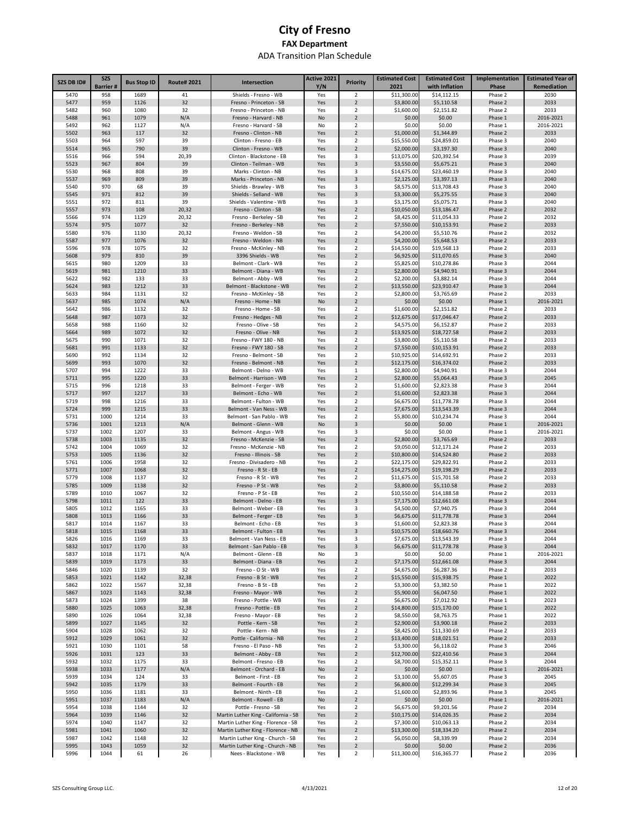| <b>SZS DB ID#</b> | <b>SZS</b>             | <b>Bus Stop ID</b> | <b>Route# 2021</b> | Intersection                                                             | Active 2021 | Priority                                  | <b>Estimated Cost</b>      | <b>Estimated Cost</b>         | Implementation     | <b>Estimated Year of</b> |
|-------------------|------------------------|--------------------|--------------------|--------------------------------------------------------------------------|-------------|-------------------------------------------|----------------------------|-------------------------------|--------------------|--------------------------|
| 5470              | <b>Barrier#</b><br>958 | 1689               | 41                 |                                                                          | Y/N<br>Yes  | 2                                         | 2021                       | with Inflation<br>\$14,112.15 | Phase              | Remediation<br>2030      |
| 5477              | 959                    | 1126               | 32                 | Shields - Fresno - WB<br>Fresno - Princeton - SB                         | Yes         | $\overline{2}$                            | \$11,300.00<br>\$3,800.00  | \$5,110.58                    | Phase 2<br>Phase 2 | 2033                     |
| 5482              | 960                    | 1080               | 32                 | Fresno - Princeton - NB                                                  | Yes         | $\overline{\mathbf{2}}$                   | \$1,600.00                 | \$2,151.82                    | Phase 2            | 2033                     |
| 5488              | 961                    | 1079               | N/A                | Fresno - Harvard - NB                                                    | No          | $\overline{2}$                            | \$0.00                     | \$0.00                        | Phase 1            | 2016-2021                |
| 5492              | 962                    | 1127               | N/A                | Fresno - Harvard - SB                                                    | No          | $\overline{\mathbf{2}}$                   | \$0.00                     | \$0.00                        | Phase 1            | 2016-2021                |
| 5502              | 963                    | 117                | 32                 | Fresno - Clinton - NB                                                    | Yes         | $\overline{2}$                            | \$1,000.00                 | \$1,344.89                    | Phase 2            | 2033                     |
| 5503<br>5514      | 964<br>965             | 597<br>790         | 39<br>39           | Clinton - Fresno - EB<br>Clinton - Fresno - WB                           | Yes<br>Yes  | $\overline{\mathbf{2}}$<br>$\overline{2}$ | \$15,550.00<br>\$2,000.00  | \$24,859.01<br>\$3,197.30     | Phase 3<br>Phase 3 | 2040<br>2040             |
| 5516              | 966                    | 594                | 20,39              | Clinton - Blackstone - EB                                                | Yes         | 3                                         | \$13,075.00                | \$20,392.54                   | Phase 3            | 2039                     |
| 5523              | 967                    | 804                | 39                 | Clinton - Teilman - WB                                                   | Yes         | 3                                         | \$3,550.00                 | \$5,675.21                    | Phase 3            | 2040                     |
| 5530              | 968                    | 808                | 39                 | Marks - Clinton - NB                                                     | Yes         | 3                                         | \$14,675.00                | \$23,460.19                   | Phase 3            | 2040                     |
| 5537              | 969                    | 809                | 39                 | Marks - Princeton - NB                                                   | Yes         | 3                                         | \$2,125.00                 | \$3,397.13                    | Phase 3            | 2040                     |
| 5540              | 970                    | 68                 | 39                 | Shields - Brawley - WB                                                   | Yes         | 3                                         | \$8,575.00                 | \$13,708.43                   | Phase 3            | 2040                     |
| 5545              | 971                    | 812                | 39                 | Shields - Selland - WB                                                   | Yes         | 3                                         | \$3,300.00                 | \$5,275.55                    | Phase 3            | 2040                     |
| 5551<br>5557      | 972<br>973             | 811<br>108         | 39<br>20,32        | Shields - Valentine - WB<br>Fresno - Clinton - SB                        | Yes<br>Yes  | 3<br>$\overline{2}$                       | \$3,175.00<br>\$10,050.00  | \$5,075.71<br>\$13,186.47     | Phase 3<br>Phase 2 | 2040<br>2032             |
| 5566              | 974                    | 1129               | 20,32              | Fresno - Berkeley - SB                                                   | Yes         | $\overline{2}$                            | \$8,425.00                 | \$11,054.33                   | Phase 2            | 2032                     |
| 5574              | 975                    | 1077               | 32                 | Fresno - Berkeley - NB                                                   | Yes         | $\overline{2}$                            | \$7,550.00                 | \$10,153.91                   | Phase 2            | 2033                     |
| 5580              | 976                    | 1130               | 20,32              | Fresno - Weldon - SB                                                     | Yes         | $\overline{\mathbf{2}}$                   | \$4,200.00                 | \$5,510.76                    | Phase 2            | 2032                     |
| 5587              | 977                    | 1076               | 32                 | Fresno - Weldon - NB                                                     | Yes         | $\overline{2}$                            | \$4,200.00                 | \$5,648.53                    | Phase 2            | 2033                     |
| 5596              | 978                    | 1075               | 32                 | Fresno - McKinley - NB                                                   | Yes         | 2                                         | \$14,550.00                | \$19,568.13                   | Phase 2            | 2033                     |
| 5608              | 979                    | 810                | 39                 | 3396 Shields - WB                                                        | Yes         | $\overline{2}$                            | \$6,925.00                 | \$11,070.65                   | Phase 3            | 2040                     |
| 5615              | 980                    | 1209               | 33                 | Belmont - Clark - WB                                                     | Yes         | $\overline{\mathbf{2}}$                   | \$5,825.00                 | \$10,278.86                   | Phase 3            | 2044                     |
| 5619<br>5622      | 981<br>982             | 1210<br>133        | 33<br>33           | Belmont - Diana - WB<br>Belmont - Abby - WB                              | Yes<br>Yes  | $\overline{2}$<br>2                       | \$2,800.00<br>\$2,200.00   | \$4,940.91<br>\$3,882.14      | Phase 3<br>Phase 3 | 2044<br>2044             |
| 5624              | 983                    | 1212               | 33                 | Belmont - Blackstone - WB                                                | Yes         | $\overline{2}$                            | \$13,550.00                | \$23,910.47                   | Phase 3            | 2044                     |
| 5633              | 984                    | 1131               | 32                 | Fresno - McKinley - SB                                                   | Yes         | 2                                         | \$2,800.00                 | \$3,765.69                    | Phase 2            | 2033                     |
| 5637              | 985                    | 1074               | N/A                | Fresno - Home - NB                                                       | No          | $\overline{2}$                            | \$0.00                     | \$0.00                        | Phase 1            | 2016-2021                |
| 5642              | 986                    | 1132               | 32                 | Fresno - Home - SB                                                       | Yes         | 2                                         | \$1,600.00                 | \$2,151.82                    | Phase 2            | 2033                     |
| 5648              | 987                    | 1073               | 32                 | Fresno - Hedges - NB                                                     | Yes         | $\overline{2}$                            | \$12,675.00                | \$17,046.47                   | Phase 2            | 2033                     |
| 5658              | 988                    | 1160               | 32                 | Fresno - Olive - SB                                                      | Yes         | 2                                         | \$4,575.00                 | \$6,152.87                    | Phase 2            | 2033                     |
| 5664<br>5675      | 989<br>990             | 1072<br>1071       | 32<br>32           | Fresno - Olive - NB<br>Fresno - FWY 180 - NB                             | Yes<br>Yes  | $\overline{2}$<br>$\overline{\mathbf{2}}$ | \$13,925.00<br>\$3,800.00  | \$18,727.58<br>\$5,110.58     | Phase 2<br>Phase 2 | 2033<br>2033             |
| 5681              | 991                    | 1133               | 32                 | Fresno - FWY 180 - SB                                                    | Yes         | $\overline{2}$                            | \$7,550.00                 | \$10,153.91                   | Phase 2            | 2033                     |
| 5690              | 992                    | 1134               | 32                 | Fresno - Belmont - SB                                                    | Yes         | 2                                         | \$10,925.00                | \$14,692.91                   | Phase 2            | 2033                     |
| 5699              | 993                    | 1070               | 32                 | Fresno - Belmont - NB                                                    | Yes         | $\overline{2}$                            | \$12,175.00                | \$16,374.02                   | Phase 2            | 2033                     |
| 5707              | 994                    | 1222               | 33                 | Belmont - Delno - WB                                                     | Yes         | 1                                         | \$2,800.00                 | \$4,940.91                    | Phase 3            | 2044                     |
| 5711              | 995                    | 1220               | 33                 | Belmont - Harrison - WB                                                  | Yes         | $\overline{2}$                            | \$2,800.00                 | \$5,064.43                    | Phase 3            | 2045                     |
| 5715              | 996                    | 1218               | 33                 | Belmont - Ferger - WB                                                    | Yes         | 2                                         | \$1,600.00                 | \$2,823.38                    | Phase 3            | 2044                     |
| 5717<br>5719      | 997<br>998             | 1217<br>1216       | 33<br>33           | Belmont - Echo - WB<br>Belmont - Fulton - WB                             | Yes         | $\overline{2}$<br>$\overline{\mathbf{2}}$ | \$1,600.00                 | \$2,823.38<br>\$11,778.78     | Phase 3<br>Phase 3 | 2044<br>2044             |
| 5724              | 999                    | 1215               | 33                 | Belmont - Van Ness - WB                                                  | Yes<br>Yes  | $\overline{2}$                            | \$6,675.00<br>\$7,675.00   | \$13,543.39                   | Phase 3            | 2044                     |
| 5731              | 1000                   | 1214               | 33                 | Belmont - San Pablo - WB                                                 | Yes         | 2                                         | \$5,800.00                 | \$10,234.74                   | Phase 3            | 2044                     |
| 5736              | 1001                   | 1213               | N/A                | Belmont - Glenn - WB                                                     | No          | 3                                         | \$0.00                     | \$0.00                        | Phase 1            | 2016-2021                |
| 5737              | 1002                   | 1207               | 33                 | Belmont - Angus - WB                                                     | Yes         | 3                                         | \$0.00                     | \$0.00                        | Phase 1            | 2016-2021                |
| 5738              | 1003                   | 1135               | 32                 | Fresno - McKenzie - SB                                                   | Yes         | $\overline{2}$                            | \$2,800.00                 | \$3,765.69                    | Phase 2            | 2033                     |
| 5742              | 1004                   | 1069               | 32                 | Fresno - McKenzie - NB                                                   | Yes         | 2                                         | \$9,050.00                 | \$12,171.24                   | Phase 2            | 2033                     |
| 5753              | 1005                   | 1136               | 32<br>32           | Fresno - Illinois - SB<br>Fresno - Divisadero - NB                       | Yes         | $\overline{2}$                            | \$10,800.00                | \$14,524.80                   | Phase 2<br>Phase 2 | 2033<br>2033             |
| 5761<br>5771      | 1006<br>1007           | 1958<br>1068       | 32                 | Fresno - R St - EB                                                       | Yes<br>Yes  | 2<br>$\overline{2}$                       | \$22,175.00<br>\$14,275.00 | \$29,822.91<br>\$19,198.29    | Phase 2            | 2033                     |
| 5779              | 1008                   | 1137               | 32                 | Fresno - R St - WB                                                       | Yes         | $\overline{\mathbf{2}}$                   | \$11,675.00                | \$15,701.58                   | Phase 2            | 2033                     |
| 5785              | 1009                   | 1138               | 32                 | Fresno - P St - WB                                                       | Yes         | $\overline{2}$                            | \$3,800.00                 | \$5,110.58                    | Phase 2            | 2033                     |
| 5789              | 1010                   | 1067               | 32                 | Fresno - P St - EB                                                       | Yes         | $\overline{\mathbf{2}}$                   | \$10,550.00                | \$14,188.58                   | Phase 2            | 2033                     |
| 5798              | 1011                   | 122                | 33                 | Belmont - Delno - EB                                                     | Yes         | 3                                         | \$7,175.00                 | \$12,661.08                   | Phase 3            | 2044                     |
| 5805              | 1012                   | 1165               | 33                 | Belmont - Weber - EB                                                     | Yes         | 3                                         | \$4,500.00                 | \$7,940.75                    | Phase 3            | 2044                     |
| 5808              | 1013                   | 1166               | 33                 | Belmont - Ferger - EB                                                    | Yes         | 3                                         | \$6,675.00                 | \$11,778.78                   | Phase 3            | 2044                     |
| 5817<br>5818      | 1014<br>1015           | 1167<br>1168       | 33<br>33           | Belmont - Echo - EB<br>Belmont - Fulton - EB                             | Yes         | 3<br>$\overline{3}$                       | \$1,600.00<br>\$10,575.00  | \$2,823.38<br>\$18,660.76     | Phase 3<br>Phase 3 | 2044<br>2044             |
| 5826              | 1016                   | 1169               | 33                 | Belmont - Van Ness - EB                                                  | Yes<br>Yes  | 3                                         | \$7,675.00                 | \$13,543.39                   | Phase 3            | 2044                     |
| 5832              | 1017                   | 1170               | 33                 | Belmont - San Pablo - EB                                                 | Yes         | 3                                         | \$6,675.00                 | \$11,778.78                   | Phase 3            | 2044                     |
| 5837              | 1018                   | 1171               | N/A                | Belmont - Glenn - EB                                                     | No          | 3                                         | \$0.00                     | \$0.00                        | Phase 1            | 2016-2021                |
| 5839              | 1019                   | 1173               | 33                 | Belmont - Diana - EB                                                     | Yes         | $\overline{2}$                            | \$7,175.00                 | \$12,661.08                   | Phase 3            | 2044                     |
| 5846              | 1020                   | 1139               | 32                 | Fresno - O St - WB                                                       | Yes         | $\overline{2}$                            | \$4,675.00                 | \$6,287.36                    | Phase 2            | 2033                     |
| 5853              | 1021                   | 1142               | 32,38              | Fresno - B St - WB                                                       | Yes         | $\overline{2}$                            | \$15,550.00                | \$15,938.75                   | Phase 1            | 2022                     |
| 5862              | 1022                   | 1567               | 32,38<br>32,38     | Fresno - B St - EB                                                       | Yes         | $\overline{2}$                            | \$3,300.00                 | \$3,382.50                    | Phase 1            | 2022                     |
| 5867<br>5873      | 1023<br>1024           | 1143<br>1399       | 38                 | Fresno - Mayor - WB<br>Fresno - Pottle - WB                              | Yes<br>Yes  | $\overline{2}$<br>$\overline{2}$          | \$5,900.00<br>\$6,675.00   | \$6,047.50<br>\$7,012.92      | Phase 1<br>Phase 1 | 2022<br>2023             |
| 5880              | 1025                   | 1063               | 32,38              | Fresno - Pottle - EB                                                     | Yes         | $\overline{2}$                            | \$14,800.00                | \$15,170.00                   | Phase 1            | 2022                     |
| 5890              | 1026                   | 1064               | 32,38              | Fresno - Mayor - EB                                                      | Yes         | $\overline{2}$                            | \$8,550.00                 | \$8,763.75                    | Phase 1            | 2022                     |
| 5899              | 1027                   | 1145               | 32                 | Pottle - Kern - SB                                                       | Yes         | $\overline{2}$                            | \$2,900.00                 | \$3,900.18                    | Phase 2            | 2033                     |
| 5904              | 1028                   | 1062               | 32                 | Pottle - Kern - NB                                                       | Yes         | $\overline{2}$                            | \$8,425.00                 | \$11,330.69                   | Phase 2            | 2033                     |
| 5912              | 1029                   | 1061               | 32                 | Pottle - California - NB                                                 | Yes         | $\overline{2}$                            | \$13,400.00                | \$18,021.51                   | Phase 2            | 2033                     |
| 5921              | 1030                   | 1101               | 58                 | Fresno - El Paso - NB                                                    | Yes         | $\overline{2}$                            | \$3,300.00                 | \$6,118.02                    | Phase 3            | 2046                     |
| 5926<br>5932      | 1031<br>1032           | 123<br>1175        | 33<br>33           | Belmont - Abby - EB<br>Belmont - Fresno - EB                             | Yes<br>Yes  | $\overline{2}$<br>2                       | \$12,700.00<br>\$8,700.00  | \$22,410.56<br>\$15,352.11    | Phase 3<br>Phase 3 | 2044<br>2044             |
| 5938              | 1033                   | 1177               | N/A                | Belmont - Orchard - EB                                                   | No          | $\overline{2}$                            | \$0.00                     | \$0.00                        | Phase 1            | 2016-2021                |
| 5939              | 1034                   | 124                | 33                 | Belmont - First - EB                                                     | Yes         | $\overline{2}$                            | \$3,100.00                 | \$5,607.05                    | Phase 3            | 2045                     |
| 5942              | 1035                   | 1179               | 33                 | Belmont - Fourth - EB                                                    | Yes         | $\overline{2}$                            | \$6,800.00                 | \$12,299.34                   | Phase 3            | 2045                     |
| 5950              | 1036                   | 1181               | 33                 | Belmont - Ninth - EB                                                     | Yes         | $\overline{2}$                            | \$1,600.00                 | \$2,893.96                    | Phase 3            | 2045                     |
| 5951              | 1037                   | 1183               | N/A                | Belmont - Rowell - EB                                                    | No          | $\overline{2}$                            | \$0.00                     | \$0.00                        | Phase 1            | 2016-2021                |
| 5954              | 1038                   | 1144               | 32                 | Pottle - Fresno - SB                                                     | Yes         | $\overline{\mathbf{2}}$                   | \$6,675.00                 | \$9,201.56                    | Phase 2            | 2034                     |
| 5964              | 1039                   | 1146               | 32                 | Martin Luther King - California - SB                                     | Yes         | $\mathbf 2$                               | \$10,175.00                | \$14,026.35                   | Phase 2            | 2034                     |
| 5974<br>5981      | 1040<br>1041           | 1147<br>1060       | 32<br>32           | Martin Luther King - Florence - SB<br>Martin Luther King - Florence - NB | Yes<br>Yes  | $\overline{\mathbf{2}}$<br>$\mathbf 2$    | \$7,300.00<br>\$13,300.00  | \$10,063.13<br>\$18,334.20    | Phase 2<br>Phase 2 | 2034<br>2034             |
| 5987              | 1042                   | 1148               | 32                 | Martin Luther King - Church - SB                                         | Yes         | $\overline{\mathbf{2}}$                   | \$6,050.00                 | \$8,339.99                    | Phase 2            | 2034                     |
| 5995              | 1043                   | 1059               | 32                 | Martin Luther King - Church - NB                                         | Yes         | $\mathbf 2$                               | \$0.00                     | \$0.00                        | Phase 2            | 2036                     |
| 5996              | 1044                   | 61                 | 26                 | Nees - Blackstone - WB                                                   | Yes         | $\overline{\mathbf{2}}$                   | \$11,300.00                | \$16,365.77                   | Phase 2            | 2036                     |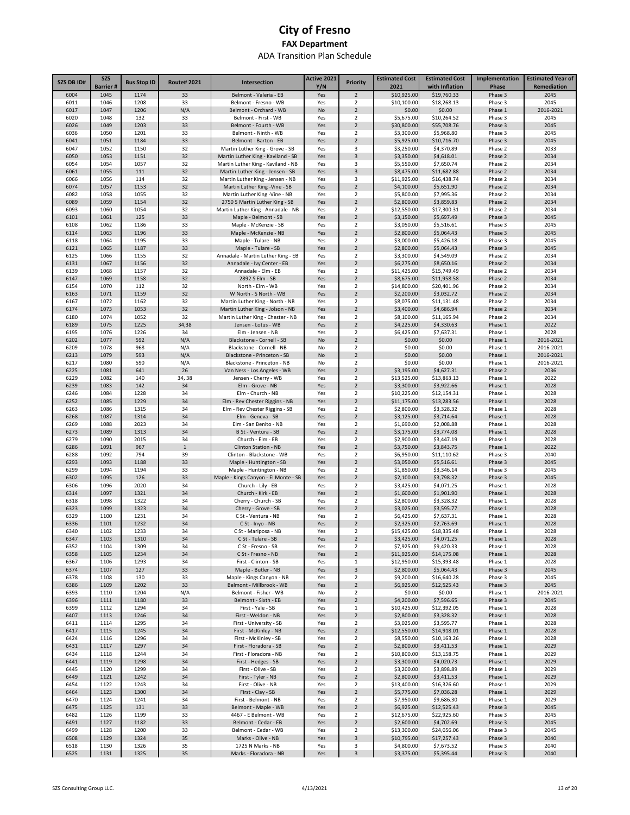| <b>SZS DB ID#</b> | <b>SZS</b><br><b>Barrier#</b> | <b>Bus Stop ID</b> | <b>Route#2021</b> | Intersection                                                         | Active 2021<br>Y/N | <b>Priority</b>                  | <b>Estimated Cost</b><br>2021 | <b>Estimated Cost</b><br>with Inflation | Implementation<br>Phase | <b>Estimated Year of</b><br>Remediation |
|-------------------|-------------------------------|--------------------|-------------------|----------------------------------------------------------------------|--------------------|----------------------------------|-------------------------------|-----------------------------------------|-------------------------|-----------------------------------------|
| 6004              | 1045                          | 1174               | 33                | Belmont - Valeria - EB                                               | Yes                | $\overline{2}$                   | \$10,925.00                   | \$19,760.33                             | Phase 3                 | 2045                                    |
| 6011              | 1046                          | 1208               | 33                | Belmont - Fresno - WB                                                | Yes                | $\overline{2}$                   | \$10,100.00                   | \$18,268.13                             | Phase 3                 | 2045                                    |
| 6017              | 1047                          | 1206               | N/A               | Belmont - Orchard - WB                                               | No                 | $\overline{2}$                   | \$0.00                        | \$0.00                                  | Phase 1                 | 2016-2021                               |
| 6020              | 1048                          | 132                | 33                | Belmont - First - WB                                                 | Yes                | 2                                | \$5,675.00                    | \$10,264.52                             | Phase 3                 | 2045                                    |
| 6026              | 1049                          | 1203               | 33                | Belmont - Fourth - WB                                                | Yes                | $\overline{2}$                   | \$30,800.00                   | \$55,708.76                             | Phase 3                 | 2045                                    |
| 6036              | 1050<br>1051                  | 1201<br>1184       | 33<br>33          | Belmont - Ninth - WB<br>Belmont - Barton - EB                        | Yes                | 2<br>$\overline{2}$              | \$3,300.00                    | \$5,968.80                              | Phase 3                 | 2045<br>2045                            |
| 6041<br>6047      | 1052                          | 1150               | 32                | Martin Luther King - Grove - SB                                      | Yes<br>Yes         | 3                                | \$5,925.00<br>\$3,250.00      | \$10,716.70<br>\$4,370.89               | Phase 3<br>Phase 2      | 2033                                    |
| 6050              | 1053                          | 1151               | 32                | Martin Luther King - Kaviland - SB                                   | Yes                | 3                                | \$3,350.00                    | \$4,618.01                              | Phase 2                 | 2034                                    |
| 6054              | 1054                          | 1057               | 32                | Martin Luther King - Kaviland - NB                                   | Yes                | 3                                | \$5,550.00                    | \$7,650.74                              | Phase 2                 | 2034                                    |
| 6061              | 1055                          | 111                | 32                | Martin Luther King - Jensen - SB                                     | Yes                | 3                                | \$8,475.00                    | \$11,682.88                             | Phase 2                 | 2034                                    |
| 6066              | 1056                          | 114                | 32                | Martin Luther King - Jensen - NB                                     | Yes                | 3                                | \$11,925.00                   | \$16,438.74                             | Phase 2                 | 2034                                    |
| 6074              | 1057                          | 1153               | 32                | Martin Luther King - Vine - SB                                       | Yes                | $\overline{2}$                   | \$4,100.00                    | \$5,651.90                              | Phase 2                 | 2034                                    |
| 6082              | 1058                          | 1055               | 32                | Martin Luther King -Vine - NB                                        | Yes                | $\overline{2}$                   | \$5,800.00                    | \$7,995.36                              | Phase 2                 | 2034                                    |
| 6089<br>6093      | 1059<br>1060                  | 1154<br>1054       | 32<br>32          | 2750 S Martin Luther King - SB<br>Martin Luther King - Annadale - NB | Yes<br>Yes         | $\overline{2}$<br>$\overline{2}$ | \$2,800.00<br>\$12,550.00     | \$3,859.83<br>\$17,300.31               | Phase 2<br>Phase 2      | 2034<br>2034                            |
| 6101              | 1061                          | 125                | 33                | Maple - Belmont - SB                                                 | Yes                | $\overline{2}$                   | \$3,150.00                    | \$5,697.49                              | Phase 3                 | 2045                                    |
| 6108              | 1062                          | 1186               | 33                | Maple - McKenzie - SB                                                | Yes                | $\overline{2}$                   | \$3,050.00                    | \$5,516.61                              | Phase 3                 | 2045                                    |
| 6114              | 1063                          | 1196               | 33                | Maple - McKenzie - NB                                                | Yes                | $\overline{2}$                   | \$2,800.00                    | \$5,064.43                              | Phase 3                 | 2045                                    |
| 6118              | 1064                          | 1195               | 33                | Maple - Tulare - NB                                                  | Yes                | $\overline{2}$                   | \$3,000.00                    | \$5,426.18                              | Phase 3                 | 2045                                    |
| 6121              | 1065                          | 1187               | 33                | Maple - Tulare - SB                                                  | Yes                | $\overline{2}$                   | \$2,800.00                    | \$5,064.43                              | Phase 3                 | 2045                                    |
| 6125              | 1066                          | 1155               | 32                | Annadale - Martin Luther King - EB                                   | Yes                | $\overline{2}$                   | \$3,300.00                    | \$4,549.09                              | Phase 2                 | 2034                                    |
| 6131<br>6139      | 1067<br>1068                  | 1156<br>1157       | 32<br>32          | Annadale - Ivy Center - EB<br>Annadale - Elm - EB                    | Yes<br>Yes         | $\overline{2}$<br>$\overline{2}$ | \$6,275.00                    | \$8,650.16<br>\$15,749.49               | Phase 2<br>Phase 2      | 2034<br>2034                            |
| 6147              | 1069                          | 1158               | 32                | 2892 S Elm - SB                                                      | Yes                | $\overline{2}$                   | \$11,425.00<br>\$8,675.00     | \$11,958.58                             | Phase 2                 | 2034                                    |
| 6154              | 1070                          | 112                | 32                | North - Elm - WB                                                     | Yes                | 2                                | \$14,800.00                   | \$20,401.96                             | Phase 2                 | 2034                                    |
| 6163              | 1071                          | 1159               | 32                | W North - S North - WB                                               | Yes                | $\overline{2}$                   | \$2,200.00                    | \$3,032.72                              | Phase 2                 | 2034                                    |
| 6167              | 1072                          | 1162               | 32                | Martin Luther King - North - NB                                      | Yes                | 2                                | \$8,075.00                    | \$11,131.48                             | Phase 2                 | 2034                                    |
| 6174              | 1073                          | 1053               | 32                | Martin Luther King - Jolson - NB                                     | Yes                | $\overline{2}$                   | \$3,400.00                    | \$4,686.94                              | Phase 2                 | 2034                                    |
| 6180              | 1074                          | 1052               | 32                | Martin Luther King - Chester - NB                                    | Yes                | 2                                | \$8,100.00                    | \$11,165.94                             | Phase 2                 | 2034                                    |
| 6189              | 1075                          | 1225               | 34,38             | Jensen - Lotus - WB                                                  | Yes                | $\overline{2}$                   | \$4,225.00                    | \$4,330.63                              | Phase 1                 | 2022                                    |
| 6195              | 1076                          | 1226               | 34                | Elm - Jensen - NB                                                    | Yes                | 2                                | \$6,425.00                    | \$7,637.31                              | Phase 1                 | 2028                                    |
| 6202<br>6209      | 1077<br>1078                  | 592<br>968         | N/A               | Blackstone - Cornell - SB                                            | No                 | $\overline{2}$<br>$\overline{2}$ | \$0.00<br>\$0.00              | \$0.00                                  | Phase 1                 | 2016-2021<br>2016-2021                  |
| 6213              | 1079                          | 593                | N/A<br>N/A        | Blackstone - Cornell - NB<br>Blackstone - Princeton - SB             | No<br>No           | $\overline{2}$                   | \$0.00                        | \$0.00<br>\$0.00                        | Phase 1<br>Phase 1      | 2016-2021                               |
| 6217              | 1080                          | 590                | N/A               | Blackstone - Princeton - NB                                          | No                 | 2                                | \$0.00                        | \$0.00                                  | Phase 1                 | 2016-2021                               |
| 6225              | 1081                          | 641                | 26                | Van Ness - Los Angeles - WB                                          | Yes                | $\overline{2}$                   | \$3,195.00                    | \$4,627.31                              | Phase 2                 | 2036                                    |
| 6229              | 1082                          | 140                | 34, 38            | Jensen - Cherry - WB                                                 | Yes                | $\overline{2}$                   | \$13,525.00                   | \$13,863.13                             | Phase 1                 | 2022                                    |
| 6239              | 1083                          | 142                | 34                | Elm - Grove - NB                                                     | Yes                | $\overline{2}$                   | \$3,300.00                    | \$3,922.66                              | Phase 1                 | 2028                                    |
| 6246              | 1084                          | 1228               | 34                | Elm - Church - NB                                                    | Yes                | $\overline{2}$                   | \$10,225.00                   | \$12,154.31                             | Phase 1                 | 2028                                    |
| 6252              | 1085                          | 1229               | 34                | Elm - Rev Chester Riggins - NB                                       | Yes                | $\overline{2}$                   | \$11,175.00                   | \$13,283.56                             | Phase 1                 | 2028                                    |
| 6263              | 1086                          | 1315               | 34                | Elm - Rev Chester Riggins - SB                                       | Yes                | $\overline{2}$                   | \$2,800.00                    | \$3,328.32                              | Phase 1                 | 2028                                    |
| 6268<br>6269      | 1087<br>1088                  | 1314<br>2023       | 34<br>34          | Elm - Geneva - SB<br>Elm - San Benito - NB                           | Yes<br>Yes         | $\overline{2}$<br>$\overline{2}$ | \$3,125.00<br>\$1,690.00      | \$3,714.64<br>\$2,008.88                | Phase 1<br>Phase 1      | 2028<br>2028                            |
| 6273              | 1089                          | 1313               | 34                | B St - Ventura - SB                                                  | Yes                | $\overline{2}$                   | \$3,175.00                    | \$3,774.08                              | Phase 1                 | 2028                                    |
| 6279              | 1090                          | 2015               | 34                | Church - Elm - EB                                                    | Yes                | $\overline{2}$                   | \$2,900.00                    | \$3,447.19                              | Phase 1                 | 2028                                    |
| 6286              | 1091                          | 967                | $\mathbf{1}$      | Clinton Station - NB                                                 | Yes                | $\overline{2}$                   | \$3,750.00                    | \$3,843.75                              | Phase 1                 | 2022                                    |
| 6288              | 1092                          | 794                | 39                | Clinton - Blackstone - WB                                            | Yes                | $\overline{2}$                   | \$6,950.00                    | \$11,110.62                             | Phase 3                 | 2040                                    |
| 6293              | 1093                          | 1188               | 33                | Maple - Huntington - SB                                              | Yes                | $\overline{2}$                   | \$3,050.00                    | \$5,516.61                              | Phase 3                 | 2045                                    |
| 6299              | 1094                          | 1194               | 33                | Maple - Huntington - NB                                              | Yes                | $\overline{2}$                   | \$1,850.00                    | \$3,346.14                              | Phase 3                 | 2045                                    |
| 6302<br>6306      | 1095<br>1096                  | 126<br>2020        | 33<br>34          | Maple - Kings Canyon - El Monte - SB<br>Church - Lily - EB           | Yes                | $\overline{2}$<br>$\overline{2}$ | \$2,100.00<br>\$3,425.00      | \$3,798.32<br>\$4,071.25                | Phase 3                 | 2045<br>2028                            |
| 6314              | 1097                          | 1321               | 34                | Church - Kirk - EB                                                   | Yes<br>Yes         | $\overline{2}$                   | \$1,600.00                    | \$1,901.90                              | Phase 1<br>Phase 1      | 2028                                    |
| 6318              | 1098                          | 1322               | 34                | Cherry - Church - SB                                                 | Yes                | 2                                | \$2,800.00                    | \$3,328.32                              | Phase 1                 | 2028                                    |
| 6323              | 1099                          | 1323               | 34                | Cherry - Grove - SB                                                  | Yes                | $\overline{2}$                   | \$3,025.00                    | \$3,595.77                              | Phase 1                 | 2028                                    |
| 6329              | 1100                          | 1231               | 34                | C St - Ventura - NB                                                  | Yes                | 2                                | \$6,425.00                    | \$7,637.31                              | Phase 1                 | 2028                                    |
| 6336              | 1101                          | 1232               | 34                | C St - Inyo - NB                                                     | Yes                | $\overline{2}$                   | \$2,325.00                    | \$2,763.69                              | Phase 1                 | 2028                                    |
| 6340              | 1102                          | 1233               | 34                | C St - Mariposa - NB                                                 | Yes                | 2                                | \$15,425.00                   | \$18,335.48                             | Phase 1                 | 2028                                    |
| 6347              | 1103                          | 1310               | 34                | C St - Tulare - SB                                                   | Yes                | $\overline{2}$                   | \$3,425.00                    | \$4,071.25                              | Phase 1                 | 2028                                    |
| 6352              | 1104                          | 1309<br>1234       | 34                | C St - Fresno - SB<br>C St - Fresno - NB                             | Yes                | $\overline{2}$<br>$\overline{2}$ | \$7,925.00<br>\$11,925.00     | \$9,420.33                              | Phase 1<br>Phase 1      | 2028<br>2028                            |
| 6358<br>6367      | 1105<br>1106                  | 1293               | 34<br>34          | First - Clinton - SB                                                 | Yes<br>Yes         | $\mathbf 1$                      | \$12,950.00                   | \$14,175.08<br>\$15,393.48              | Phase 1                 | 2028                                    |
| 6374              | 1107                          | 127                | 33                | Maple - Butler - NB                                                  | Yes                | 3                                | \$2,800.00                    | \$5,064.43                              | Phase 3                 | 2045                                    |
| 6378              | 1108                          | 130                | 33                | Maple - Kings Canyon - NB                                            | Yes                | $\overline{2}$                   | \$9,200.00                    | \$16,640.28                             | Phase 3                 | 2045                                    |
| 6386              | 1109                          | 1202               | 33                | Belmont - Millbrook - WB                                             | Yes                | $\overline{2}$                   | \$6,925.00                    | \$12,525.43                             | Phase 3                 | 2045                                    |
| 6393              | 1110                          | 1204               | N/A               | Belmont - Fisher - WB                                                | No                 | $\overline{2}$                   | \$0.00                        | \$0.00                                  | Phase 1                 | 2016-2021                               |
| 6396              | 1111                          | 1180               | 33                | Belmont - Sixth - EB                                                 | Yes                | $\sqrt{2}$                       | \$4,200.00                    | \$7,596.65                              | Phase 3                 | 2045                                    |
| 6399<br>6407      | 1112<br>1113                  | 1294<br>1246       | 34<br>34          | First - Yale - SB<br>First - Weldon - NB                             | Yes<br>Yes         | $\mathbf 1$<br>$\overline{2}$    | \$10,425.00<br>\$2,800.00     | \$12,392.05<br>\$3,328.32               | Phase 1<br>Phase 1      | 2028<br>2028                            |
| 6411              | 1114                          | 1295               | 34                | First - University - SB                                              | Yes                | $\overline{2}$                   | \$3,025.00                    | \$3,595.77                              | Phase 1                 | 2028                                    |
| 6417              | 1115                          | 1245               | 34                | First - McKinley - NB                                                | Yes                | $\overline{2}$                   | \$12,550.00                   | \$14,918.01                             | Phase 1                 | 2028                                    |
| 6424              | 1116                          | 1296               | 34                | First - McKinley - SB                                                | Yes                | $\overline{2}$                   | \$8,550.00                    | \$10,163.26                             | Phase 1                 | 2028                                    |
| 6431              | 1117                          | 1297               | 34                | First - Floradora - SB                                               | Yes                | $\overline{2}$                   | \$2,800.00                    | \$3,411.53                              | Phase 1                 | 2029                                    |
| 6434              | 1118                          | 1244               | 34                | First - Floradora - NB                                               | Yes                | $\overline{2}$                   | \$10,800.00                   | \$13,158.75                             | Phase 1                 | 2029                                    |
| 6441              | 1119                          | 1298               | 34                | First - Hedges - SB                                                  | Yes                | $\overline{2}$                   | \$3,300.00                    | \$4,020.73                              | Phase 1                 | 2029                                    |
| 6445              | 1120                          | 1299               | 34                | First - Olive - SB                                                   | Yes                | $\overline{2}$                   | \$3,200.00                    | \$3,898.89                              | Phase 1                 | 2029                                    |
| 6449              | 1121                          | 1242               | 34                | First - Tyler - NB                                                   | Yes                | $\overline{2}$                   | \$2,800.00                    | \$3,411.53                              | Phase 1                 | 2029                                    |
| 6454<br>6464      | 1122<br>1123                  | 1243<br>1300       | 34<br>34          | First - Olive - NB<br>First - Clay - SB                              | Yes                | $\overline{2}$<br>$\overline{2}$ | \$13,400.00                   | \$16,326.60                             | Phase 1<br>Phase 1      | 2029<br>2029                            |
| 6470              | 1124                          | 1241               | 34                | First - Belmont - NB                                                 | Yes<br>Yes         | $\overline{2}$                   | \$5,775.00<br>\$7,950.00      | \$7,036.28<br>\$9,686.30                | Phase 1                 | 2029                                    |
| 6475              | 1125                          | 131                | 33                | Belmont - Maple - WB                                                 | Yes                | $\overline{2}$                   | \$6,925.00                    | \$12,525.43                             | Phase 3                 | 2045                                    |
| 6482              | 1126                          | 1199               | 33                | 4467 - E Belmont - WB                                                | Yes                | $\mathbf 2$                      | \$12,675.00                   | \$22,925.60                             | Phase 3                 | 2045                                    |
| 6491              | 1127                          | 1182               | 33                | Belmont - Cedar - EB                                                 | Yes                | $\overline{2}$                   | \$2,600.00                    | \$4,702.69                              | Phase 3                 | 2045                                    |
| 6499              | 1128                          | 1200               | 33                | Belmont - Cedar - WB                                                 | Yes                | $\overline{2}$                   | \$13,300.00                   | \$24,056.06                             | Phase 3                 | 2045                                    |
| 6508              | 1129                          | 1324               | 35                | Marks - Olive - NB                                                   | Yes                | 3                                | \$10,795.00                   | \$17,257.43                             | Phase 3                 | 2040                                    |
| 6518              | 1130                          | 1326               | 35                | 1725 N Marks - NB                                                    | Yes                | 3                                | \$4,800.00                    | \$7,673.52                              | Phase 3                 | 2040                                    |
| 6525              | 1131                          | 1325               | 35                | Marks - Floradora - NB                                               | Yes                | 3                                | \$3,375.00                    | \$5,395.44                              | Phase 3                 | 2040                                    |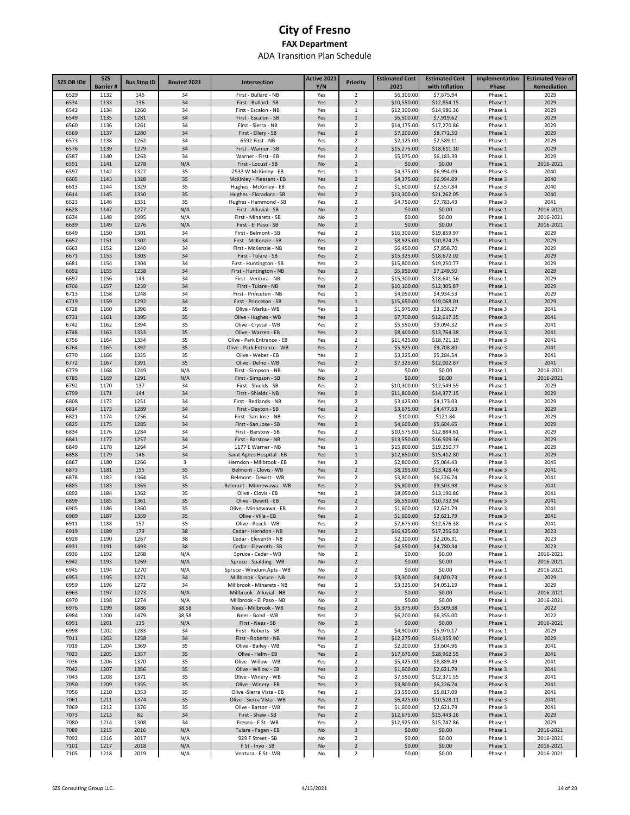| \$7,675.94<br>2029<br>6529<br>1132<br>145<br>34<br>First - Bullard - NB<br>Yes<br>2<br>\$6,300.00<br>Phase 1<br>6534<br>136<br>34<br>First - Bullard - SB<br>$\overline{2}$<br>\$10,550.00<br>\$12,854.15<br>Phase 1<br>2029<br>1133<br>Yes<br>6542<br>1260<br>\$14,986.36<br>2029<br>1134<br>34<br>First - Escalon - NB<br>Yes<br>1<br>\$12,300.00<br>Phase 1<br>6549<br>1281<br>34<br>\$6,500.00<br>\$7,919.62<br>Phase 1<br>2029<br>1135<br>First - Escalon - SB<br>Yes<br>$\mathbf{1}$<br>1261<br>$\overline{\mathbf{2}}$<br>\$14,175.00<br>\$17,270.86<br>2029<br>6560<br>1136<br>34<br>First - Sierra - NB<br>Yes<br>Phase 1<br>6569<br>1137<br>1280<br>34<br>First - Ellery - SB<br>$\overline{2}$<br>\$7,200.00<br>\$8,772.50<br>Phase 1<br>2029<br>Yes<br>$\mathbf 2$<br>6573<br>1262<br>34<br>2029<br>1138<br>6592 First - NB<br>Yes<br>\$2,125.00<br>\$2,589.11<br>Phase 1<br>1279<br>2029<br>6576<br>1139<br>34<br>First - Warner - SB<br>$\overline{2}$<br>\$15,275.00<br>\$18,611.10<br>Yes<br>Phase 1<br>2029<br>6587<br>1263<br>34<br>Warner - First - EB<br>$\overline{\mathbf{2}}$<br>\$5,075.00<br>\$6,183.39<br>1140<br>Yes<br>Phase 1<br>1278<br>2016-2021<br>6591<br>1141<br>N/A<br>First - Locust - SB<br>$\overline{2}$<br>\$0.00<br>\$0.00<br>Phase 1<br>No<br>6597<br>1327<br>35<br>2533 W McKinley - EB<br>$1\,$<br>\$6,994.09<br>2040<br>1142<br>Yes<br>\$4,375.00<br>Phase 3<br>6605<br>1143<br>1328<br>35<br>McKinley - Pleasant - EB<br>$\overline{2}$<br>\$4,375.00<br>\$6,994.09<br>Phase 3<br>2040<br>Yes<br>6613<br>1329<br>35<br>Hughes - McKinley - EB<br>Yes<br>$\overline{\mathbf{2}}$<br>\$1,600.00<br>\$2,557.84<br>Phase 3<br>2040<br>1144<br>35<br>6614<br>1145<br>1330<br>Hughes - Floradora - SB<br>$\overline{2}$<br>\$13,300.00<br>\$21,262.05<br>Phase 3<br>2040<br>Yes<br>6623<br>1331<br>35<br>Hughes - Hammond - SB<br>$\overline{\mathbf{2}}$<br>\$4,750.00<br>\$7,783.43<br>Phase 3<br>2041<br>1146<br>Yes<br>6628<br>1147<br>1277<br>N/A<br>First - Alluvial - SB<br>$\overline{2}$<br>\$0.00<br>\$0.00<br>Phase 1<br>2016-2021<br>No<br>6634<br>1995<br>N/A<br>First - Minarets - SB<br>$\mathsf{No}$<br>$\overline{2}$<br>\$0.00<br>\$0.00<br>Phase 1<br>2016-2021<br>1148<br>6639<br>1276<br>N/A<br>First - El Paso - SB<br>$\overline{2}$<br>\$0.00<br>\$0.00<br>Phase 1<br>2016-2021<br>1149<br>No<br>6649<br>1301<br>34<br>First - Belmont - SB<br>$\overline{\mathbf{2}}$<br>\$16,300.00<br>\$19,859.97<br>Phase 1<br>2029<br>1150<br>Yes<br>6657<br>1302<br>34<br>First - McKenzie - SB<br>$\overline{2}$<br>\$8,925.00<br>\$10,874.25<br>Phase 1<br>2029<br>1151<br>Yes<br>6663<br>1240<br>34<br>First - McKenzie - NB<br>\$6,450.00<br>\$7,858.70<br>Phase 1<br>2029<br>1152<br>Yes<br>2<br>6671<br>1303<br>34<br>First - Tulare - SB<br>$\overline{2}$<br>\$15,325.00<br>\$18,672.02<br>Phase 1<br>2029<br>1153<br>Yes<br>6681<br>1304<br>34<br>First - Huntington - SB<br>$\overline{\mathbf{2}}$<br>\$15,800.00<br>\$19,250.77<br>Phase 1<br>2029<br>1154<br>Yes<br>6692<br>1238<br>34<br>First - Huntington - NB<br>$\overline{2}$<br>\$5,950.00<br>\$7,249.50<br>Phase 1<br>2029<br>1155<br>Yes<br>34<br>2029<br>6697<br>1156<br>143<br>First - Ventura - NB<br>Yes<br>2<br>\$15,300.00<br>\$18,641.56<br>Phase 1<br>6706<br>1239<br>34<br>First - Tulare - NB<br>$\overline{2}$<br>\$10,100.00<br>\$12,305.87<br>2029<br>1157<br>Yes<br>Phase 1<br>34<br>\$4,050.00<br>2029<br>6713<br>1158<br>1248<br>First - Princeton - NB<br>Yes<br>1<br>\$4,934.53<br>Phase 1<br>6719<br>1292<br>34<br>First - Princeton - SB<br>$\mathbf{1}$<br>\$19,068.01<br>Phase 1<br>2029<br>1159<br>Yes<br>\$15,650.00<br>1396<br>35<br>\$1,975.00<br>\$3,236.27<br>2041<br>6728<br>1160<br>Olive - Marks - WB<br>Yes<br>3<br>Phase 3<br>$\overline{2}$<br>6731<br>1395<br>35<br>Olive - Hughes - WB<br>\$7,700.00<br>\$12,617.35<br>Phase 3<br>2041<br>1161<br>Yes<br>6742<br>1394<br>35<br>Olive - Crystal - WB<br>$\overline{2}$<br>\$9,094.32<br>2041<br>1162<br>Yes<br>\$5,550.00<br>Phase 3<br>6748<br>1163<br>1333<br>35<br>Olive - Warren - EB<br>$\overline{2}$<br>\$13,764.38<br>Phase 3<br>2041<br>Yes<br>\$8,400.00<br>6756<br>1334<br>35<br>$\overline{\mathbf{2}}$<br>\$11,425.00<br>\$18,721.19<br>2041<br>1164<br>Olive - Park Entrance - EB<br>Yes<br>Phase 3<br>$\overline{2}$<br>6764<br>1165<br>1392<br>35<br>Olive - Park Entrance - WB<br>\$5,925.00<br>\$9,708.80<br>Phase 3<br>2041<br>Yes<br>6770<br>1335<br>35<br>Olive - Weber - EB<br>$\overline{2}$<br>Phase 3<br>2041<br>1166<br>Yes<br>\$3,225.00<br>\$5,284.54<br>6772<br>$\overline{2}$<br>2041<br>1167<br>1391<br>35<br>Olive - Delno - WB<br>\$7,325.00<br>\$12,002.87<br>Phase 3<br>Yes<br>6779<br>1249<br>N/A<br>First - Simpson - NB<br>$\overline{\mathbf{2}}$<br>\$0.00<br>\$0.00<br>Phase 1<br>2016-2021<br>1168<br>No<br>6785<br>1169<br>1291<br>N/A<br>First - Simpson - SB<br>No<br>$\overline{2}$<br>\$0.00<br>\$0.00<br>Phase 1<br>2016-2021<br>6792<br>1170<br>137<br>34<br>First - Shields - SB<br>\$10,300.00<br>\$12,549.55<br>Phase 1<br>2029<br>Yes<br>2<br>6799<br>1171<br>144<br>34<br>First - Shields - NB<br>Yes<br>$\overline{2}$<br>\$11,800.00<br>\$14,377.15<br>Phase 1<br>2029<br>6808<br>1172<br>1251<br>34<br>First - Redlands - NB<br>Yes<br>$\overline{\mathbf{2}}$<br>\$3,425.00<br>\$4,173.03<br>Phase 1<br>2029<br>6814<br>1173<br>1289<br>34<br>First - Dayton - SB<br>Yes<br>$\overline{2}$<br>\$3,675.00<br>\$4,477.63<br>Phase 1<br>2029<br>6821<br>1256<br>34<br>First - San Jose - NB<br>\$100.00<br>\$121.84<br>Phase 1<br>2029<br>1174<br>Yes<br>2<br>6825<br>1175<br>1285<br>34<br>First - San Jose - SB<br>Yes<br>$\overline{2}$<br>\$4,600.00<br>\$5,604.65<br>Phase 1<br>2029<br>6834<br>1284<br>34<br>First - Barstow - SB<br>\$10,575.00<br>\$12,884.61<br>Phase 1<br>2029<br>1176<br>Yes<br>2<br>6841<br>1177<br>1257<br>34<br>First - Barstow - NB<br>$\overline{2}$<br>\$13,550.00<br>\$16,509.36<br>Phase 1<br>2029<br>Yes<br>6849<br>1264<br>34<br>1177 E Warner - NB<br>\$15,800.00<br>\$19,250.77<br>Phase 1<br>2029<br>1178<br>Yes<br>1<br>6858<br>1179<br>146<br>34<br>Saint Agnes Hospital - EB<br>\$12,650.00<br>\$15,412.80<br>Phase 1<br>2029<br>Yes<br>$\mathbf{1}$<br>6867<br>1266<br>3<br>Herndon - Millbrook - EB<br>\$2,800.00<br>\$5,064.43<br>Phase 3<br>2045<br>1180<br>Yes<br>2<br>35<br>\$8,195.00<br>2041<br>6873<br>1181<br>155<br>Belmont - Clovis - WB<br>Yes<br>$\overline{2}$<br>\$13,428.46<br>Phase 3<br>$\overline{\mathbf{2}}$<br>\$3,800.00<br>2041<br>6878<br>1182<br>1364<br>35<br>Belmont - Dewitt - WB<br>Yes<br>\$6,226.74<br>Phase 3<br>6885<br>1365<br>35<br>$\overline{2}$<br>\$5,800.00<br>\$9,503.98<br>Phase 3<br>2041<br>1183<br>Belmont - Minnewawa - WB<br>Yes<br>6892<br>35<br>$\overline{\mathbf{2}}$<br>2041<br>1184<br>1362<br>Olive - Clovis - EB<br>Yes<br>\$8,050.00<br>\$13,190.86<br>Phase 3<br>1361<br>35<br>$\overline{2}$<br>\$10,732.94<br>2041<br>6899<br>1185<br>Olive - Dewitt - EB<br>Yes<br>\$6,550.00<br>Phase 3<br>6905<br>$\overline{\mathbf{2}}$<br>\$1,600.00<br>1186<br>1360<br>35<br>Olive - Minnewawa - EB<br>Yes<br>\$2,621.79<br>Phase 3<br>2041<br>6909<br>1187<br>1359<br>35<br>Olive - Villa - EB<br>\$1,600.00<br>2041<br>Yes<br>$\overline{2}$<br>\$2,621.79<br>Phase 3<br>6911<br>157<br>35<br>Olive - Peach - WB<br>$\overline{\mathbf{2}}$<br>\$7,675.00<br>\$12,576.38<br>2041<br>1188<br>Yes<br>Phase 3<br>6919<br>1189<br>179<br>38<br>Cedar - Herndon - NB<br>\$16,425.00<br>\$17,256.52<br>2023<br>Yes<br>$\overline{\phantom{a}}$<br>Phase 1<br>\$2,100.00<br>2023<br>6928<br>1190<br>1267<br>38<br>Cedar - Eleventh - NB<br>$\overline{2}$<br>\$2,206.31<br>Phase 1<br>Yes<br>6931<br>1191<br>1493<br>Cedar - Eleventh - SB<br>\$4,550.00<br>\$4,780.34<br>2023<br>38<br>Yes<br>$\overline{2}$<br>Phase 1<br>$\overline{2}$<br>6936<br>1268<br>N/A<br>Spruce - Cedar - WB<br>\$0.00<br>\$0.00<br>Phase 1<br>2016-2021<br>1192<br>No<br>6942<br>1193<br>1269<br>N/A<br>Spruce - Spalding - WB<br>$\overline{2}$<br>\$0.00<br>\$0.00<br>Phase 1<br>2016-2021<br>No<br>\$0.00<br>6945<br>1194<br>1270<br>N/A<br>Spruce - Windum Apts - WB<br>No<br>$\overline{2}$<br>\$0.00<br>Phase 1<br>2016-2021<br>6953<br>1195<br>1271<br>34<br>Millbrook - Spruce - NB<br>Yes<br>$\overline{2}$<br>\$3,300.00<br>\$4,020.73<br>Phase 1<br>2029<br>6959<br>1272<br>34<br>Millbrook - Minarets - NB<br>Yes<br>$\overline{2}$<br>\$3,325.00<br>\$4,051.19<br>Phase 1<br>2029<br>1196<br>N/A<br>Millbrook - Alluvial - NB<br>6963<br>1197<br>1273<br>No<br>$\overline{2}$<br>\$0.00<br>\$0.00<br>Phase 1<br>2016-2021<br>\$0.00<br>6970<br>1198<br>1274<br>N/A<br>Millbrook - El Paso - NB<br>No<br>$\overline{2}$<br>\$0.00<br>Phase 1<br>2016-2021<br>6976<br>1199<br>1886<br>38,58<br>Nees - Millbrook - WB<br>$\overline{2}$<br>\$5,375.00<br>\$5,509.38<br>Phase 1<br>2022<br>Yes<br>6984<br>1200<br>1479<br>38,58<br>Nees - Bond - WB<br>$\overline{2}$<br>\$6,200.00<br>\$6,355.00<br>Phase 1<br>2022<br>Yes<br>6991<br>1201<br>135<br>N/A<br>First - Nees - SB<br>No<br>$\overline{2}$<br>\$0.00<br>\$0.00<br>Phase 1<br>2016-2021<br>6998<br>1202<br>1283<br>34<br>First - Roberts - SB<br>Yes<br>$\overline{2}$<br>\$4,900.00<br>\$5,970.17<br>Phase 1<br>2029<br>7011<br>1203<br>1258<br>34<br>First - Roberts - NB<br>Yes<br>$\overline{2}$<br>\$12,275.00<br>\$14,955.90<br>Phase 1<br>2029<br>7019<br>1204<br>1369<br>35<br>Olive - Bailey - WB<br>$\overline{2}$<br>\$2,200.00<br>\$3,604.96<br>Phase 3<br>2041<br>Yes<br>7023<br>1205<br>1357<br>35<br>Olive - Helm - EB<br>$\overline{2}$<br>\$17,675.00<br>\$28,962.55<br>Phase 3<br>2041<br>Yes<br>7036<br>1370<br>35<br>Olive - Willow - WB<br>\$5,425.00<br>\$8,889.49<br>2041<br>1206<br>Yes<br>2<br>Phase 3<br>7042<br>$\overline{2}$<br>1207<br>1356<br>35<br>Olive - Willow - EB<br>Yes<br>\$1,600.00<br>\$2,621.79<br>Phase 3<br>2041<br>7043<br>35<br>Olive - Winery - WB<br>$\overline{\mathbf{2}}$<br>\$7,550.00<br>2041<br>1208<br>1371<br>Yes<br>\$12,371.55<br>Phase 3<br>7050<br>$\sqrt{2}$<br>1209<br>1355<br>35<br>Olive - Winery - EB<br>Yes<br>\$3,800.00<br>\$6,226.74<br>Phase 3<br>2041<br>7056<br>1210<br>1353<br>35<br>Olive -Sierra Vista - EB<br>$\overline{\mathbf{2}}$<br>\$3,550.00<br>\$5,817.09<br>2041<br>Yes<br>Phase 3<br>$\overline{2}$<br>\$6,425.00<br>7061<br>1211<br>1374<br>35<br>Olive - Sierra Vista - WB<br>Yes<br>\$10,528.11<br>Phase 3<br>2041<br>7069<br>1376<br>35<br>Olive - Barton - WB<br>$\overline{\mathbf{2}}$<br>\$1,600.00<br>\$2,621.79<br>Phase 3<br>2041<br>1212<br>Yes<br>7073<br>82<br>$\mathbf 2$<br>2029<br>1213<br>34<br>First - Shaw - SB<br>Yes<br>\$12,675.00<br>\$15,443.26<br>Phase 1<br>1308<br>2029<br>7080<br>1214<br>34<br>Fresno - F St - WB<br>$\overline{\mathbf{2}}$<br>\$12,925.00<br>\$15,747.86<br>Phase 1<br>Yes<br>7089<br>2016<br>N/A<br>3<br>1215<br>Tulare - Fagan - EB<br>No<br>\$0.00<br>\$0.00<br>Phase 1<br>2016-2021<br>\$0.00<br>7092<br>1216<br>2017<br>N/A<br>929 F Street - SB<br>$\overline{\mathbf{2}}$<br>\$0.00<br>Phase 1<br>2016-2021<br>No<br>7101<br>N/A<br>\$0.00<br>1217<br>2018<br>F St - Inyo - SB<br>$\overline{2}$<br>\$0.00<br>Phase 1<br>2016-2021<br>No<br>\$0.00<br>7105<br>1218<br>2019<br>N/A<br>Ventura - F St - WB<br>2<br>\$0.00<br>Phase 1<br>2016-2021<br>No | <b>SZS DB ID#</b> | <b>SZS</b><br><b>Barrier#</b> | <b>Bus Stop ID</b> | <b>Route# 2021</b> | Intersection | Active 2021<br>Y/N | <b>Priority</b> | <b>Estimated Cost</b><br>2021 | <b>Estimated Cost</b><br>with Inflation | Implementation<br>Phase | <b>Estimated Year of</b><br>Remediation |
|---------------------------------------------------------------------------------------------------------------------------------------------------------------------------------------------------------------------------------------------------------------------------------------------------------------------------------------------------------------------------------------------------------------------------------------------------------------------------------------------------------------------------------------------------------------------------------------------------------------------------------------------------------------------------------------------------------------------------------------------------------------------------------------------------------------------------------------------------------------------------------------------------------------------------------------------------------------------------------------------------------------------------------------------------------------------------------------------------------------------------------------------------------------------------------------------------------------------------------------------------------------------------------------------------------------------------------------------------------------------------------------------------------------------------------------------------------------------------------------------------------------------------------------------------------------------------------------------------------------------------------------------------------------------------------------------------------------------------------------------------------------------------------------------------------------------------------------------------------------------------------------------------------------------------------------------------------------------------------------------------------------------------------------------------------------------------------------------------------------------------------------------------------------------------------------------------------------------------------------------------------------------------------------------------------------------------------------------------------------------------------------------------------------------------------------------------------------------------------------------------------------------------------------------------------------------------------------------------------------------------------------------------------------------------------------------------------------------------------------------------------------------------------------------------------------------------------------------------------------------------------------------------------------------------------------------------------------------------------------------------------------------------------------------------------------------------------------------------------------------------------------------------------------------------------------------------------------------------------------------------------------------------------------------------------------------------------------------------------------------------------------------------------------------------------------------------------------------------------------------------------------------------------------------------------------------------------------------------------------------------------------------------------------------------------------------------------------------------------------------------------------------------------------------------------------------------------------------------------------------------------------------------------------------------------------------------------------------------------------------------------------------------------------------------------------------------------------------------------------------------------------------------------------------------------------------------------------------------------------------------------------------------------------------------------------------------------------------------------------------------------------------------------------------------------------------------------------------------------------------------------------------------------------------------------------------------------------------------------------------------------------------------------------------------------------------------------------------------------------------------------------------------------------------------------------------------------------------------------------------------------------------------------------------------------------------------------------------------------------------------------------------------------------------------------------------------------------------------------------------------------------------------------------------------------------------------------------------------------------------------------------------------------------------------------------------------------------------------------------------------------------------------------------------------------------------------------------------------------------------------------------------------------------------------------------------------------------------------------------------------------------------------------------------------------------------------------------------------------------------------------------------------------------------------------------------------------------------------------------------------------------------------------------------------------------------------------------------------------------------------------------------------------------------------------------------------------------------------------------------------------------------------------------------------------------------------------------------------------------------------------------------------------------------------------------------------------------------------------------------------------------------------------------------------------------------------------------------------------------------------------------------------------------------------------------------------------------------------------------------------------------------------------------------------------------------------------------------------------------------------------------------------------------------------------------------------------------------------------------------------------------------------------------------------------------------------------------------------------------------------------------------------------------------------------------------------------------------------------------------------------------------------------------------------------------------------------------------------------------------------------------------------------------------------------------------------------------------------------------------------------------------------------------------------------------------------------------------------------------------------------------------------------------------------------------------------------------------------------------------------------------------------------------------------------------------------------------------------------------------------------------------------------------------------------------------------------------------------------------------------------------------------------------------------------------------------------------------------------------------------------------------------------------------------------------------------------------------------------------------------------------------------------------------------------------------------------------------------------------------------------------------------------------------------------------------------------------------------------------------------------------------------------------------------------------------------------------------------------------------------------------------------------------------------------------------------------------------------------------------------------------------------------------------------------------------------------------------------------------------------------------------------------------------------------------------------------------------------------------------------------------------------------------------------------------------------------------------------------------------------------------------------------------------------------------------------------------------------------------------------------------------------------------------------------------------------------------------------------------------------------------------------------------------------------------------------------------------------------------------------------------------------------------------------------------------------------------------------------------------------------------------------------------------------------------------------------------------------------------------------------------------------------------------------------------------------------------------------------------------------------------------------------------------------------------------------------------------------------------------------------------------------------------------------------------------------------------------------------------------------------------------------------------------------------------------------------------------------------------------------------------------------------------------------------------------------------------------------------------------------------------------------------------------------------------------------------------------------------------------------------------------------------------------------------------------------------------------------------------------------------------------------------------------------------------------------------------------------------------------------------------------------------------------------------------------------------------------------------------------------------------------------------------------------------------------------------------------------------------------------------------------------------------------------------------------------------------------------------------------------------------------------------------------------------------------------------------------------------------------------------------------------------------------------------------------------------------------------------------------------------------------------------------------------------------------------------------------------------------------------------------------------------------------|-------------------|-------------------------------|--------------------|--------------------|--------------|--------------------|-----------------|-------------------------------|-----------------------------------------|-------------------------|-----------------------------------------|
|                                                                                                                                                                                                                                                                                                                                                                                                                                                                                                                                                                                                                                                                                                                                                                                                                                                                                                                                                                                                                                                                                                                                                                                                                                                                                                                                                                                                                                                                                                                                                                                                                                                                                                                                                                                                                                                                                                                                                                                                                                                                                                                                                                                                                                                                                                                                                                                                                                                                                                                                                                                                                                                                                                                                                                                                                                                                                                                                                                                                                                                                                                                                                                                                                                                                                                                                                                                                                                                                                                                                                                                                                                                                                                                                                                                                                                                                                                                                                                                                                                                                                                                                                                                                                                                                                                                                                                                                                                                                                                                                                                                                                                                                                                                                                                                                                                                                                                                                                                                                                                                                                                                                                                                                                                                                                                                                                                                                                                                                                                                                                                                                                                                                                                                                                                                                                                                                                                                                                                                                                                                                                                                                                                                                                                                                                                                                                                                                                                                                                                                                                                                                                                                                                                                                                                                                                                                                                                                                                                                                                                                                                                                                                                                                                                                                                                                                                                                                                                                                                                                                                                                                                                                                                                                                                                                                                                                                                                                                                                                                                                                                                                                                                                                                                                                                                                                                                                                                                                                                                                                                                                                                                                                                                                                                                                                                                                                                                                                                                                                                                                                                                                                                                                                                                                                                                                                                                                                                                                                                                                                                                                                                                                                                                                                                                                                                                                                                                                                                                                                                                                                                                                                                                                                                                                                                                                                                                                                                                                                                                                                                                                                                                                                                                                                                                                                                                                                                                                                                                                                                                                                                                                                                                                                                                                                                                                                                                                                                                     |                   |                               |                    |                    |              |                    |                 |                               |                                         |                         |                                         |
|                                                                                                                                                                                                                                                                                                                                                                                                                                                                                                                                                                                                                                                                                                                                                                                                                                                                                                                                                                                                                                                                                                                                                                                                                                                                                                                                                                                                                                                                                                                                                                                                                                                                                                                                                                                                                                                                                                                                                                                                                                                                                                                                                                                                                                                                                                                                                                                                                                                                                                                                                                                                                                                                                                                                                                                                                                                                                                                                                                                                                                                                                                                                                                                                                                                                                                                                                                                                                                                                                                                                                                                                                                                                                                                                                                                                                                                                                                                                                                                                                                                                                                                                                                                                                                                                                                                                                                                                                                                                                                                                                                                                                                                                                                                                                                                                                                                                                                                                                                                                                                                                                                                                                                                                                                                                                                                                                                                                                                                                                                                                                                                                                                                                                                                                                                                                                                                                                                                                                                                                                                                                                                                                                                                                                                                                                                                                                                                                                                                                                                                                                                                                                                                                                                                                                                                                                                                                                                                                                                                                                                                                                                                                                                                                                                                                                                                                                                                                                                                                                                                                                                                                                                                                                                                                                                                                                                                                                                                                                                                                                                                                                                                                                                                                                                                                                                                                                                                                                                                                                                                                                                                                                                                                                                                                                                                                                                                                                                                                                                                                                                                                                                                                                                                                                                                                                                                                                                                                                                                                                                                                                                                                                                                                                                                                                                                                                                                                                                                                                                                                                                                                                                                                                                                                                                                                                                                                                                                                                                                                                                                                                                                                                                                                                                                                                                                                                                                                                                                                                                                                                                                                                                                                                                                                                                                                                                                                                                                                                     |                   |                               |                    |                    |              |                    |                 |                               |                                         |                         |                                         |
|                                                                                                                                                                                                                                                                                                                                                                                                                                                                                                                                                                                                                                                                                                                                                                                                                                                                                                                                                                                                                                                                                                                                                                                                                                                                                                                                                                                                                                                                                                                                                                                                                                                                                                                                                                                                                                                                                                                                                                                                                                                                                                                                                                                                                                                                                                                                                                                                                                                                                                                                                                                                                                                                                                                                                                                                                                                                                                                                                                                                                                                                                                                                                                                                                                                                                                                                                                                                                                                                                                                                                                                                                                                                                                                                                                                                                                                                                                                                                                                                                                                                                                                                                                                                                                                                                                                                                                                                                                                                                                                                                                                                                                                                                                                                                                                                                                                                                                                                                                                                                                                                                                                                                                                                                                                                                                                                                                                                                                                                                                                                                                                                                                                                                                                                                                                                                                                                                                                                                                                                                                                                                                                                                                                                                                                                                                                                                                                                                                                                                                                                                                                                                                                                                                                                                                                                                                                                                                                                                                                                                                                                                                                                                                                                                                                                                                                                                                                                                                                                                                                                                                                                                                                                                                                                                                                                                                                                                                                                                                                                                                                                                                                                                                                                                                                                                                                                                                                                                                                                                                                                                                                                                                                                                                                                                                                                                                                                                                                                                                                                                                                                                                                                                                                                                                                                                                                                                                                                                                                                                                                                                                                                                                                                                                                                                                                                                                                                                                                                                                                                                                                                                                                                                                                                                                                                                                                                                                                                                                                                                                                                                                                                                                                                                                                                                                                                                                                                                                                                                                                                                                                                                                                                                                                                                                                                                                                                                                                                                     |                   |                               |                    |                    |              |                    |                 |                               |                                         |                         |                                         |
|                                                                                                                                                                                                                                                                                                                                                                                                                                                                                                                                                                                                                                                                                                                                                                                                                                                                                                                                                                                                                                                                                                                                                                                                                                                                                                                                                                                                                                                                                                                                                                                                                                                                                                                                                                                                                                                                                                                                                                                                                                                                                                                                                                                                                                                                                                                                                                                                                                                                                                                                                                                                                                                                                                                                                                                                                                                                                                                                                                                                                                                                                                                                                                                                                                                                                                                                                                                                                                                                                                                                                                                                                                                                                                                                                                                                                                                                                                                                                                                                                                                                                                                                                                                                                                                                                                                                                                                                                                                                                                                                                                                                                                                                                                                                                                                                                                                                                                                                                                                                                                                                                                                                                                                                                                                                                                                                                                                                                                                                                                                                                                                                                                                                                                                                                                                                                                                                                                                                                                                                                                                                                                                                                                                                                                                                                                                                                                                                                                                                                                                                                                                                                                                                                                                                                                                                                                                                                                                                                                                                                                                                                                                                                                                                                                                                                                                                                                                                                                                                                                                                                                                                                                                                                                                                                                                                                                                                                                                                                                                                                                                                                                                                                                                                                                                                                                                                                                                                                                                                                                                                                                                                                                                                                                                                                                                                                                                                                                                                                                                                                                                                                                                                                                                                                                                                                                                                                                                                                                                                                                                                                                                                                                                                                                                                                                                                                                                                                                                                                                                                                                                                                                                                                                                                                                                                                                                                                                                                                                                                                                                                                                                                                                                                                                                                                                                                                                                                                                                                                                                                                                                                                                                                                                                                                                                                                                                                                                                                                     |                   |                               |                    |                    |              |                    |                 |                               |                                         |                         |                                         |
|                                                                                                                                                                                                                                                                                                                                                                                                                                                                                                                                                                                                                                                                                                                                                                                                                                                                                                                                                                                                                                                                                                                                                                                                                                                                                                                                                                                                                                                                                                                                                                                                                                                                                                                                                                                                                                                                                                                                                                                                                                                                                                                                                                                                                                                                                                                                                                                                                                                                                                                                                                                                                                                                                                                                                                                                                                                                                                                                                                                                                                                                                                                                                                                                                                                                                                                                                                                                                                                                                                                                                                                                                                                                                                                                                                                                                                                                                                                                                                                                                                                                                                                                                                                                                                                                                                                                                                                                                                                                                                                                                                                                                                                                                                                                                                                                                                                                                                                                                                                                                                                                                                                                                                                                                                                                                                                                                                                                                                                                                                                                                                                                                                                                                                                                                                                                                                                                                                                                                                                                                                                                                                                                                                                                                                                                                                                                                                                                                                                                                                                                                                                                                                                                                                                                                                                                                                                                                                                                                                                                                                                                                                                                                                                                                                                                                                                                                                                                                                                                                                                                                                                                                                                                                                                                                                                                                                                                                                                                                                                                                                                                                                                                                                                                                                                                                                                                                                                                                                                                                                                                                                                                                                                                                                                                                                                                                                                                                                                                                                                                                                                                                                                                                                                                                                                                                                                                                                                                                                                                                                                                                                                                                                                                                                                                                                                                                                                                                                                                                                                                                                                                                                                                                                                                                                                                                                                                                                                                                                                                                                                                                                                                                                                                                                                                                                                                                                                                                                                                                                                                                                                                                                                                                                                                                                                                                                                                                                                                                     |                   |                               |                    |                    |              |                    |                 |                               |                                         |                         |                                         |
|                                                                                                                                                                                                                                                                                                                                                                                                                                                                                                                                                                                                                                                                                                                                                                                                                                                                                                                                                                                                                                                                                                                                                                                                                                                                                                                                                                                                                                                                                                                                                                                                                                                                                                                                                                                                                                                                                                                                                                                                                                                                                                                                                                                                                                                                                                                                                                                                                                                                                                                                                                                                                                                                                                                                                                                                                                                                                                                                                                                                                                                                                                                                                                                                                                                                                                                                                                                                                                                                                                                                                                                                                                                                                                                                                                                                                                                                                                                                                                                                                                                                                                                                                                                                                                                                                                                                                                                                                                                                                                                                                                                                                                                                                                                                                                                                                                                                                                                                                                                                                                                                                                                                                                                                                                                                                                                                                                                                                                                                                                                                                                                                                                                                                                                                                                                                                                                                                                                                                                                                                                                                                                                                                                                                                                                                                                                                                                                                                                                                                                                                                                                                                                                                                                                                                                                                                                                                                                                                                                                                                                                                                                                                                                                                                                                                                                                                                                                                                                                                                                                                                                                                                                                                                                                                                                                                                                                                                                                                                                                                                                                                                                                                                                                                                                                                                                                                                                                                                                                                                                                                                                                                                                                                                                                                                                                                                                                                                                                                                                                                                                                                                                                                                                                                                                                                                                                                                                                                                                                                                                                                                                                                                                                                                                                                                                                                                                                                                                                                                                                                                                                                                                                                                                                                                                                                                                                                                                                                                                                                                                                                                                                                                                                                                                                                                                                                                                                                                                                                                                                                                                                                                                                                                                                                                                                                                                                                                                                                                     |                   |                               |                    |                    |              |                    |                 |                               |                                         |                         |                                         |
|                                                                                                                                                                                                                                                                                                                                                                                                                                                                                                                                                                                                                                                                                                                                                                                                                                                                                                                                                                                                                                                                                                                                                                                                                                                                                                                                                                                                                                                                                                                                                                                                                                                                                                                                                                                                                                                                                                                                                                                                                                                                                                                                                                                                                                                                                                                                                                                                                                                                                                                                                                                                                                                                                                                                                                                                                                                                                                                                                                                                                                                                                                                                                                                                                                                                                                                                                                                                                                                                                                                                                                                                                                                                                                                                                                                                                                                                                                                                                                                                                                                                                                                                                                                                                                                                                                                                                                                                                                                                                                                                                                                                                                                                                                                                                                                                                                                                                                                                                                                                                                                                                                                                                                                                                                                                                                                                                                                                                                                                                                                                                                                                                                                                                                                                                                                                                                                                                                                                                                                                                                                                                                                                                                                                                                                                                                                                                                                                                                                                                                                                                                                                                                                                                                                                                                                                                                                                                                                                                                                                                                                                                                                                                                                                                                                                                                                                                                                                                                                                                                                                                                                                                                                                                                                                                                                                                                                                                                                                                                                                                                                                                                                                                                                                                                                                                                                                                                                                                                                                                                                                                                                                                                                                                                                                                                                                                                                                                                                                                                                                                                                                                                                                                                                                                                                                                                                                                                                                                                                                                                                                                                                                                                                                                                                                                                                                                                                                                                                                                                                                                                                                                                                                                                                                                                                                                                                                                                                                                                                                                                                                                                                                                                                                                                                                                                                                                                                                                                                                                                                                                                                                                                                                                                                                                                                                                                                                                                                                                     |                   |                               |                    |                    |              |                    |                 |                               |                                         |                         |                                         |
|                                                                                                                                                                                                                                                                                                                                                                                                                                                                                                                                                                                                                                                                                                                                                                                                                                                                                                                                                                                                                                                                                                                                                                                                                                                                                                                                                                                                                                                                                                                                                                                                                                                                                                                                                                                                                                                                                                                                                                                                                                                                                                                                                                                                                                                                                                                                                                                                                                                                                                                                                                                                                                                                                                                                                                                                                                                                                                                                                                                                                                                                                                                                                                                                                                                                                                                                                                                                                                                                                                                                                                                                                                                                                                                                                                                                                                                                                                                                                                                                                                                                                                                                                                                                                                                                                                                                                                                                                                                                                                                                                                                                                                                                                                                                                                                                                                                                                                                                                                                                                                                                                                                                                                                                                                                                                                                                                                                                                                                                                                                                                                                                                                                                                                                                                                                                                                                                                                                                                                                                                                                                                                                                                                                                                                                                                                                                                                                                                                                                                                                                                                                                                                                                                                                                                                                                                                                                                                                                                                                                                                                                                                                                                                                                                                                                                                                                                                                                                                                                                                                                                                                                                                                                                                                                                                                                                                                                                                                                                                                                                                                                                                                                                                                                                                                                                                                                                                                                                                                                                                                                                                                                                                                                                                                                                                                                                                                                                                                                                                                                                                                                                                                                                                                                                                                                                                                                                                                                                                                                                                                                                                                                                                                                                                                                                                                                                                                                                                                                                                                                                                                                                                                                                                                                                                                                                                                                                                                                                                                                                                                                                                                                                                                                                                                                                                                                                                                                                                                                                                                                                                                                                                                                                                                                                                                                                                                                                                                                                     |                   |                               |                    |                    |              |                    |                 |                               |                                         |                         |                                         |
|                                                                                                                                                                                                                                                                                                                                                                                                                                                                                                                                                                                                                                                                                                                                                                                                                                                                                                                                                                                                                                                                                                                                                                                                                                                                                                                                                                                                                                                                                                                                                                                                                                                                                                                                                                                                                                                                                                                                                                                                                                                                                                                                                                                                                                                                                                                                                                                                                                                                                                                                                                                                                                                                                                                                                                                                                                                                                                                                                                                                                                                                                                                                                                                                                                                                                                                                                                                                                                                                                                                                                                                                                                                                                                                                                                                                                                                                                                                                                                                                                                                                                                                                                                                                                                                                                                                                                                                                                                                                                                                                                                                                                                                                                                                                                                                                                                                                                                                                                                                                                                                                                                                                                                                                                                                                                                                                                                                                                                                                                                                                                                                                                                                                                                                                                                                                                                                                                                                                                                                                                                                                                                                                                                                                                                                                                                                                                                                                                                                                                                                                                                                                                                                                                                                                                                                                                                                                                                                                                                                                                                                                                                                                                                                                                                                                                                                                                                                                                                                                                                                                                                                                                                                                                                                                                                                                                                                                                                                                                                                                                                                                                                                                                                                                                                                                                                                                                                                                                                                                                                                                                                                                                                                                                                                                                                                                                                                                                                                                                                                                                                                                                                                                                                                                                                                                                                                                                                                                                                                                                                                                                                                                                                                                                                                                                                                                                                                                                                                                                                                                                                                                                                                                                                                                                                                                                                                                                                                                                                                                                                                                                                                                                                                                                                                                                                                                                                                                                                                                                                                                                                                                                                                                                                                                                                                                                                                                                                                                                     |                   |                               |                    |                    |              |                    |                 |                               |                                         |                         |                                         |
|                                                                                                                                                                                                                                                                                                                                                                                                                                                                                                                                                                                                                                                                                                                                                                                                                                                                                                                                                                                                                                                                                                                                                                                                                                                                                                                                                                                                                                                                                                                                                                                                                                                                                                                                                                                                                                                                                                                                                                                                                                                                                                                                                                                                                                                                                                                                                                                                                                                                                                                                                                                                                                                                                                                                                                                                                                                                                                                                                                                                                                                                                                                                                                                                                                                                                                                                                                                                                                                                                                                                                                                                                                                                                                                                                                                                                                                                                                                                                                                                                                                                                                                                                                                                                                                                                                                                                                                                                                                                                                                                                                                                                                                                                                                                                                                                                                                                                                                                                                                                                                                                                                                                                                                                                                                                                                                                                                                                                                                                                                                                                                                                                                                                                                                                                                                                                                                                                                                                                                                                                                                                                                                                                                                                                                                                                                                                                                                                                                                                                                                                                                                                                                                                                                                                                                                                                                                                                                                                                                                                                                                                                                                                                                                                                                                                                                                                                                                                                                                                                                                                                                                                                                                                                                                                                                                                                                                                                                                                                                                                                                                                                                                                                                                                                                                                                                                                                                                                                                                                                                                                                                                                                                                                                                                                                                                                                                                                                                                                                                                                                                                                                                                                                                                                                                                                                                                                                                                                                                                                                                                                                                                                                                                                                                                                                                                                                                                                                                                                                                                                                                                                                                                                                                                                                                                                                                                                                                                                                                                                                                                                                                                                                                                                                                                                                                                                                                                                                                                                                                                                                                                                                                                                                                                                                                                                                                                                                                                                                     |                   |                               |                    |                    |              |                    |                 |                               |                                         |                         |                                         |
|                                                                                                                                                                                                                                                                                                                                                                                                                                                                                                                                                                                                                                                                                                                                                                                                                                                                                                                                                                                                                                                                                                                                                                                                                                                                                                                                                                                                                                                                                                                                                                                                                                                                                                                                                                                                                                                                                                                                                                                                                                                                                                                                                                                                                                                                                                                                                                                                                                                                                                                                                                                                                                                                                                                                                                                                                                                                                                                                                                                                                                                                                                                                                                                                                                                                                                                                                                                                                                                                                                                                                                                                                                                                                                                                                                                                                                                                                                                                                                                                                                                                                                                                                                                                                                                                                                                                                                                                                                                                                                                                                                                                                                                                                                                                                                                                                                                                                                                                                                                                                                                                                                                                                                                                                                                                                                                                                                                                                                                                                                                                                                                                                                                                                                                                                                                                                                                                                                                                                                                                                                                                                                                                                                                                                                                                                                                                                                                                                                                                                                                                                                                                                                                                                                                                                                                                                                                                                                                                                                                                                                                                                                                                                                                                                                                                                                                                                                                                                                                                                                                                                                                                                                                                                                                                                                                                                                                                                                                                                                                                                                                                                                                                                                                                                                                                                                                                                                                                                                                                                                                                                                                                                                                                                                                                                                                                                                                                                                                                                                                                                                                                                                                                                                                                                                                                                                                                                                                                                                                                                                                                                                                                                                                                                                                                                                                                                                                                                                                                                                                                                                                                                                                                                                                                                                                                                                                                                                                                                                                                                                                                                                                                                                                                                                                                                                                                                                                                                                                                                                                                                                                                                                                                                                                                                                                                                                                                                                                                                     |                   |                               |                    |                    |              |                    |                 |                               |                                         |                         |                                         |
|                                                                                                                                                                                                                                                                                                                                                                                                                                                                                                                                                                                                                                                                                                                                                                                                                                                                                                                                                                                                                                                                                                                                                                                                                                                                                                                                                                                                                                                                                                                                                                                                                                                                                                                                                                                                                                                                                                                                                                                                                                                                                                                                                                                                                                                                                                                                                                                                                                                                                                                                                                                                                                                                                                                                                                                                                                                                                                                                                                                                                                                                                                                                                                                                                                                                                                                                                                                                                                                                                                                                                                                                                                                                                                                                                                                                                                                                                                                                                                                                                                                                                                                                                                                                                                                                                                                                                                                                                                                                                                                                                                                                                                                                                                                                                                                                                                                                                                                                                                                                                                                                                                                                                                                                                                                                                                                                                                                                                                                                                                                                                                                                                                                                                                                                                                                                                                                                                                                                                                                                                                                                                                                                                                                                                                                                                                                                                                                                                                                                                                                                                                                                                                                                                                                                                                                                                                                                                                                                                                                                                                                                                                                                                                                                                                                                                                                                                                                                                                                                                                                                                                                                                                                                                                                                                                                                                                                                                                                                                                                                                                                                                                                                                                                                                                                                                                                                                                                                                                                                                                                                                                                                                                                                                                                                                                                                                                                                                                                                                                                                                                                                                                                                                                                                                                                                                                                                                                                                                                                                                                                                                                                                                                                                                                                                                                                                                                                                                                                                                                                                                                                                                                                                                                                                                                                                                                                                                                                                                                                                                                                                                                                                                                                                                                                                                                                                                                                                                                                                                                                                                                                                                                                                                                                                                                                                                                                                                                                                                     |                   |                               |                    |                    |              |                    |                 |                               |                                         |                         |                                         |
|                                                                                                                                                                                                                                                                                                                                                                                                                                                                                                                                                                                                                                                                                                                                                                                                                                                                                                                                                                                                                                                                                                                                                                                                                                                                                                                                                                                                                                                                                                                                                                                                                                                                                                                                                                                                                                                                                                                                                                                                                                                                                                                                                                                                                                                                                                                                                                                                                                                                                                                                                                                                                                                                                                                                                                                                                                                                                                                                                                                                                                                                                                                                                                                                                                                                                                                                                                                                                                                                                                                                                                                                                                                                                                                                                                                                                                                                                                                                                                                                                                                                                                                                                                                                                                                                                                                                                                                                                                                                                                                                                                                                                                                                                                                                                                                                                                                                                                                                                                                                                                                                                                                                                                                                                                                                                                                                                                                                                                                                                                                                                                                                                                                                                                                                                                                                                                                                                                                                                                                                                                                                                                                                                                                                                                                                                                                                                                                                                                                                                                                                                                                                                                                                                                                                                                                                                                                                                                                                                                                                                                                                                                                                                                                                                                                                                                                                                                                                                                                                                                                                                                                                                                                                                                                                                                                                                                                                                                                                                                                                                                                                                                                                                                                                                                                                                                                                                                                                                                                                                                                                                                                                                                                                                                                                                                                                                                                                                                                                                                                                                                                                                                                                                                                                                                                                                                                                                                                                                                                                                                                                                                                                                                                                                                                                                                                                                                                                                                                                                                                                                                                                                                                                                                                                                                                                                                                                                                                                                                                                                                                                                                                                                                                                                                                                                                                                                                                                                                                                                                                                                                                                                                                                                                                                                                                                                                                                                                                                                     |                   |                               |                    |                    |              |                    |                 |                               |                                         |                         |                                         |
|                                                                                                                                                                                                                                                                                                                                                                                                                                                                                                                                                                                                                                                                                                                                                                                                                                                                                                                                                                                                                                                                                                                                                                                                                                                                                                                                                                                                                                                                                                                                                                                                                                                                                                                                                                                                                                                                                                                                                                                                                                                                                                                                                                                                                                                                                                                                                                                                                                                                                                                                                                                                                                                                                                                                                                                                                                                                                                                                                                                                                                                                                                                                                                                                                                                                                                                                                                                                                                                                                                                                                                                                                                                                                                                                                                                                                                                                                                                                                                                                                                                                                                                                                                                                                                                                                                                                                                                                                                                                                                                                                                                                                                                                                                                                                                                                                                                                                                                                                                                                                                                                                                                                                                                                                                                                                                                                                                                                                                                                                                                                                                                                                                                                                                                                                                                                                                                                                                                                                                                                                                                                                                                                                                                                                                                                                                                                                                                                                                                                                                                                                                                                                                                                                                                                                                                                                                                                                                                                                                                                                                                                                                                                                                                                                                                                                                                                                                                                                                                                                                                                                                                                                                                                                                                                                                                                                                                                                                                                                                                                                                                                                                                                                                                                                                                                                                                                                                                                                                                                                                                                                                                                                                                                                                                                                                                                                                                                                                                                                                                                                                                                                                                                                                                                                                                                                                                                                                                                                                                                                                                                                                                                                                                                                                                                                                                                                                                                                                                                                                                                                                                                                                                                                                                                                                                                                                                                                                                                                                                                                                                                                                                                                                                                                                                                                                                                                                                                                                                                                                                                                                                                                                                                                                                                                                                                                                                                                                                                                     |                   |                               |                    |                    |              |                    |                 |                               |                                         |                         |                                         |
|                                                                                                                                                                                                                                                                                                                                                                                                                                                                                                                                                                                                                                                                                                                                                                                                                                                                                                                                                                                                                                                                                                                                                                                                                                                                                                                                                                                                                                                                                                                                                                                                                                                                                                                                                                                                                                                                                                                                                                                                                                                                                                                                                                                                                                                                                                                                                                                                                                                                                                                                                                                                                                                                                                                                                                                                                                                                                                                                                                                                                                                                                                                                                                                                                                                                                                                                                                                                                                                                                                                                                                                                                                                                                                                                                                                                                                                                                                                                                                                                                                                                                                                                                                                                                                                                                                                                                                                                                                                                                                                                                                                                                                                                                                                                                                                                                                                                                                                                                                                                                                                                                                                                                                                                                                                                                                                                                                                                                                                                                                                                                                                                                                                                                                                                                                                                                                                                                                                                                                                                                                                                                                                                                                                                                                                                                                                                                                                                                                                                                                                                                                                                                                                                                                                                                                                                                                                                                                                                                                                                                                                                                                                                                                                                                                                                                                                                                                                                                                                                                                                                                                                                                                                                                                                                                                                                                                                                                                                                                                                                                                                                                                                                                                                                                                                                                                                                                                                                                                                                                                                                                                                                                                                                                                                                                                                                                                                                                                                                                                                                                                                                                                                                                                                                                                                                                                                                                                                                                                                                                                                                                                                                                                                                                                                                                                                                                                                                                                                                                                                                                                                                                                                                                                                                                                                                                                                                                                                                                                                                                                                                                                                                                                                                                                                                                                                                                                                                                                                                                                                                                                                                                                                                                                                                                                                                                                                                                                                                                     |                   |                               |                    |                    |              |                    |                 |                               |                                         |                         |                                         |
|                                                                                                                                                                                                                                                                                                                                                                                                                                                                                                                                                                                                                                                                                                                                                                                                                                                                                                                                                                                                                                                                                                                                                                                                                                                                                                                                                                                                                                                                                                                                                                                                                                                                                                                                                                                                                                                                                                                                                                                                                                                                                                                                                                                                                                                                                                                                                                                                                                                                                                                                                                                                                                                                                                                                                                                                                                                                                                                                                                                                                                                                                                                                                                                                                                                                                                                                                                                                                                                                                                                                                                                                                                                                                                                                                                                                                                                                                                                                                                                                                                                                                                                                                                                                                                                                                                                                                                                                                                                                                                                                                                                                                                                                                                                                                                                                                                                                                                                                                                                                                                                                                                                                                                                                                                                                                                                                                                                                                                                                                                                                                                                                                                                                                                                                                                                                                                                                                                                                                                                                                                                                                                                                                                                                                                                                                                                                                                                                                                                                                                                                                                                                                                                                                                                                                                                                                                                                                                                                                                                                                                                                                                                                                                                                                                                                                                                                                                                                                                                                                                                                                                                                                                                                                                                                                                                                                                                                                                                                                                                                                                                                                                                                                                                                                                                                                                                                                                                                                                                                                                                                                                                                                                                                                                                                                                                                                                                                                                                                                                                                                                                                                                                                                                                                                                                                                                                                                                                                                                                                                                                                                                                                                                                                                                                                                                                                                                                                                                                                                                                                                                                                                                                                                                                                                                                                                                                                                                                                                                                                                                                                                                                                                                                                                                                                                                                                                                                                                                                                                                                                                                                                                                                                                                                                                                                                                                                                                                                                                     |                   |                               |                    |                    |              |                    |                 |                               |                                         |                         |                                         |
|                                                                                                                                                                                                                                                                                                                                                                                                                                                                                                                                                                                                                                                                                                                                                                                                                                                                                                                                                                                                                                                                                                                                                                                                                                                                                                                                                                                                                                                                                                                                                                                                                                                                                                                                                                                                                                                                                                                                                                                                                                                                                                                                                                                                                                                                                                                                                                                                                                                                                                                                                                                                                                                                                                                                                                                                                                                                                                                                                                                                                                                                                                                                                                                                                                                                                                                                                                                                                                                                                                                                                                                                                                                                                                                                                                                                                                                                                                                                                                                                                                                                                                                                                                                                                                                                                                                                                                                                                                                                                                                                                                                                                                                                                                                                                                                                                                                                                                                                                                                                                                                                                                                                                                                                                                                                                                                                                                                                                                                                                                                                                                                                                                                                                                                                                                                                                                                                                                                                                                                                                                                                                                                                                                                                                                                                                                                                                                                                                                                                                                                                                                                                                                                                                                                                                                                                                                                                                                                                                                                                                                                                                                                                                                                                                                                                                                                                                                                                                                                                                                                                                                                                                                                                                                                                                                                                                                                                                                                                                                                                                                                                                                                                                                                                                                                                                                                                                                                                                                                                                                                                                                                                                                                                                                                                                                                                                                                                                                                                                                                                                                                                                                                                                                                                                                                                                                                                                                                                                                                                                                                                                                                                                                                                                                                                                                                                                                                                                                                                                                                                                                                                                                                                                                                                                                                                                                                                                                                                                                                                                                                                                                                                                                                                                                                                                                                                                                                                                                                                                                                                                                                                                                                                                                                                                                                                                                                                                                                                                     |                   |                               |                    |                    |              |                    |                 |                               |                                         |                         |                                         |
|                                                                                                                                                                                                                                                                                                                                                                                                                                                                                                                                                                                                                                                                                                                                                                                                                                                                                                                                                                                                                                                                                                                                                                                                                                                                                                                                                                                                                                                                                                                                                                                                                                                                                                                                                                                                                                                                                                                                                                                                                                                                                                                                                                                                                                                                                                                                                                                                                                                                                                                                                                                                                                                                                                                                                                                                                                                                                                                                                                                                                                                                                                                                                                                                                                                                                                                                                                                                                                                                                                                                                                                                                                                                                                                                                                                                                                                                                                                                                                                                                                                                                                                                                                                                                                                                                                                                                                                                                                                                                                                                                                                                                                                                                                                                                                                                                                                                                                                                                                                                                                                                                                                                                                                                                                                                                                                                                                                                                                                                                                                                                                                                                                                                                                                                                                                                                                                                                                                                                                                                                                                                                                                                                                                                                                                                                                                                                                                                                                                                                                                                                                                                                                                                                                                                                                                                                                                                                                                                                                                                                                                                                                                                                                                                                                                                                                                                                                                                                                                                                                                                                                                                                                                                                                                                                                                                                                                                                                                                                                                                                                                                                                                                                                                                                                                                                                                                                                                                                                                                                                                                                                                                                                                                                                                                                                                                                                                                                                                                                                                                                                                                                                                                                                                                                                                                                                                                                                                                                                                                                                                                                                                                                                                                                                                                                                                                                                                                                                                                                                                                                                                                                                                                                                                                                                                                                                                                                                                                                                                                                                                                                                                                                                                                                                                                                                                                                                                                                                                                                                                                                                                                                                                                                                                                                                                                                                                                                                                                                     |                   |                               |                    |                    |              |                    |                 |                               |                                         |                         |                                         |
|                                                                                                                                                                                                                                                                                                                                                                                                                                                                                                                                                                                                                                                                                                                                                                                                                                                                                                                                                                                                                                                                                                                                                                                                                                                                                                                                                                                                                                                                                                                                                                                                                                                                                                                                                                                                                                                                                                                                                                                                                                                                                                                                                                                                                                                                                                                                                                                                                                                                                                                                                                                                                                                                                                                                                                                                                                                                                                                                                                                                                                                                                                                                                                                                                                                                                                                                                                                                                                                                                                                                                                                                                                                                                                                                                                                                                                                                                                                                                                                                                                                                                                                                                                                                                                                                                                                                                                                                                                                                                                                                                                                                                                                                                                                                                                                                                                                                                                                                                                                                                                                                                                                                                                                                                                                                                                                                                                                                                                                                                                                                                                                                                                                                                                                                                                                                                                                                                                                                                                                                                                                                                                                                                                                                                                                                                                                                                                                                                                                                                                                                                                                                                                                                                                                                                                                                                                                                                                                                                                                                                                                                                                                                                                                                                                                                                                                                                                                                                                                                                                                                                                                                                                                                                                                                                                                                                                                                                                                                                                                                                                                                                                                                                                                                                                                                                                                                                                                                                                                                                                                                                                                                                                                                                                                                                                                                                                                                                                                                                                                                                                                                                                                                                                                                                                                                                                                                                                                                                                                                                                                                                                                                                                                                                                                                                                                                                                                                                                                                                                                                                                                                                                                                                                                                                                                                                                                                                                                                                                                                                                                                                                                                                                                                                                                                                                                                                                                                                                                                                                                                                                                                                                                                                                                                                                                                                                                                                                                                                     |                   |                               |                    |                    |              |                    |                 |                               |                                         |                         |                                         |
|                                                                                                                                                                                                                                                                                                                                                                                                                                                                                                                                                                                                                                                                                                                                                                                                                                                                                                                                                                                                                                                                                                                                                                                                                                                                                                                                                                                                                                                                                                                                                                                                                                                                                                                                                                                                                                                                                                                                                                                                                                                                                                                                                                                                                                                                                                                                                                                                                                                                                                                                                                                                                                                                                                                                                                                                                                                                                                                                                                                                                                                                                                                                                                                                                                                                                                                                                                                                                                                                                                                                                                                                                                                                                                                                                                                                                                                                                                                                                                                                                                                                                                                                                                                                                                                                                                                                                                                                                                                                                                                                                                                                                                                                                                                                                                                                                                                                                                                                                                                                                                                                                                                                                                                                                                                                                                                                                                                                                                                                                                                                                                                                                                                                                                                                                                                                                                                                                                                                                                                                                                                                                                                                                                                                                                                                                                                                                                                                                                                                                                                                                                                                                                                                                                                                                                                                                                                                                                                                                                                                                                                                                                                                                                                                                                                                                                                                                                                                                                                                                                                                                                                                                                                                                                                                                                                                                                                                                                                                                                                                                                                                                                                                                                                                                                                                                                                                                                                                                                                                                                                                                                                                                                                                                                                                                                                                                                                                                                                                                                                                                                                                                                                                                                                                                                                                                                                                                                                                                                                                                                                                                                                                                                                                                                                                                                                                                                                                                                                                                                                                                                                                                                                                                                                                                                                                                                                                                                                                                                                                                                                                                                                                                                                                                                                                                                                                                                                                                                                                                                                                                                                                                                                                                                                                                                                                                                                                                                                                                     |                   |                               |                    |                    |              |                    |                 |                               |                                         |                         |                                         |
|                                                                                                                                                                                                                                                                                                                                                                                                                                                                                                                                                                                                                                                                                                                                                                                                                                                                                                                                                                                                                                                                                                                                                                                                                                                                                                                                                                                                                                                                                                                                                                                                                                                                                                                                                                                                                                                                                                                                                                                                                                                                                                                                                                                                                                                                                                                                                                                                                                                                                                                                                                                                                                                                                                                                                                                                                                                                                                                                                                                                                                                                                                                                                                                                                                                                                                                                                                                                                                                                                                                                                                                                                                                                                                                                                                                                                                                                                                                                                                                                                                                                                                                                                                                                                                                                                                                                                                                                                                                                                                                                                                                                                                                                                                                                                                                                                                                                                                                                                                                                                                                                                                                                                                                                                                                                                                                                                                                                                                                                                                                                                                                                                                                                                                                                                                                                                                                                                                                                                                                                                                                                                                                                                                                                                                                                                                                                                                                                                                                                                                                                                                                                                                                                                                                                                                                                                                                                                                                                                                                                                                                                                                                                                                                                                                                                                                                                                                                                                                                                                                                                                                                                                                                                                                                                                                                                                                                                                                                                                                                                                                                                                                                                                                                                                                                                                                                                                                                                                                                                                                                                                                                                                                                                                                                                                                                                                                                                                                                                                                                                                                                                                                                                                                                                                                                                                                                                                                                                                                                                                                                                                                                                                                                                                                                                                                                                                                                                                                                                                                                                                                                                                                                                                                                                                                                                                                                                                                                                                                                                                                                                                                                                                                                                                                                                                                                                                                                                                                                                                                                                                                                                                                                                                                                                                                                                                                                                                                                                                     |                   |                               |                    |                    |              |                    |                 |                               |                                         |                         |                                         |
|                                                                                                                                                                                                                                                                                                                                                                                                                                                                                                                                                                                                                                                                                                                                                                                                                                                                                                                                                                                                                                                                                                                                                                                                                                                                                                                                                                                                                                                                                                                                                                                                                                                                                                                                                                                                                                                                                                                                                                                                                                                                                                                                                                                                                                                                                                                                                                                                                                                                                                                                                                                                                                                                                                                                                                                                                                                                                                                                                                                                                                                                                                                                                                                                                                                                                                                                                                                                                                                                                                                                                                                                                                                                                                                                                                                                                                                                                                                                                                                                                                                                                                                                                                                                                                                                                                                                                                                                                                                                                                                                                                                                                                                                                                                                                                                                                                                                                                                                                                                                                                                                                                                                                                                                                                                                                                                                                                                                                                                                                                                                                                                                                                                                                                                                                                                                                                                                                                                                                                                                                                                                                                                                                                                                                                                                                                                                                                                                                                                                                                                                                                                                                                                                                                                                                                                                                                                                                                                                                                                                                                                                                                                                                                                                                                                                                                                                                                                                                                                                                                                                                                                                                                                                                                                                                                                                                                                                                                                                                                                                                                                                                                                                                                                                                                                                                                                                                                                                                                                                                                                                                                                                                                                                                                                                                                                                                                                                                                                                                                                                                                                                                                                                                                                                                                                                                                                                                                                                                                                                                                                                                                                                                                                                                                                                                                                                                                                                                                                                                                                                                                                                                                                                                                                                                                                                                                                                                                                                                                                                                                                                                                                                                                                                                                                                                                                                                                                                                                                                                                                                                                                                                                                                                                                                                                                                                                                                                                                                                     |                   |                               |                    |                    |              |                    |                 |                               |                                         |                         |                                         |
|                                                                                                                                                                                                                                                                                                                                                                                                                                                                                                                                                                                                                                                                                                                                                                                                                                                                                                                                                                                                                                                                                                                                                                                                                                                                                                                                                                                                                                                                                                                                                                                                                                                                                                                                                                                                                                                                                                                                                                                                                                                                                                                                                                                                                                                                                                                                                                                                                                                                                                                                                                                                                                                                                                                                                                                                                                                                                                                                                                                                                                                                                                                                                                                                                                                                                                                                                                                                                                                                                                                                                                                                                                                                                                                                                                                                                                                                                                                                                                                                                                                                                                                                                                                                                                                                                                                                                                                                                                                                                                                                                                                                                                                                                                                                                                                                                                                                                                                                                                                                                                                                                                                                                                                                                                                                                                                                                                                                                                                                                                                                                                                                                                                                                                                                                                                                                                                                                                                                                                                                                                                                                                                                                                                                                                                                                                                                                                                                                                                                                                                                                                                                                                                                                                                                                                                                                                                                                                                                                                                                                                                                                                                                                                                                                                                                                                                                                                                                                                                                                                                                                                                                                                                                                                                                                                                                                                                                                                                                                                                                                                                                                                                                                                                                                                                                                                                                                                                                                                                                                                                                                                                                                                                                                                                                                                                                                                                                                                                                                                                                                                                                                                                                                                                                                                                                                                                                                                                                                                                                                                                                                                                                                                                                                                                                                                                                                                                                                                                                                                                                                                                                                                                                                                                                                                                                                                                                                                                                                                                                                                                                                                                                                                                                                                                                                                                                                                                                                                                                                                                                                                                                                                                                                                                                                                                                                                                                                                                                                     |                   |                               |                    |                    |              |                    |                 |                               |                                         |                         |                                         |
|                                                                                                                                                                                                                                                                                                                                                                                                                                                                                                                                                                                                                                                                                                                                                                                                                                                                                                                                                                                                                                                                                                                                                                                                                                                                                                                                                                                                                                                                                                                                                                                                                                                                                                                                                                                                                                                                                                                                                                                                                                                                                                                                                                                                                                                                                                                                                                                                                                                                                                                                                                                                                                                                                                                                                                                                                                                                                                                                                                                                                                                                                                                                                                                                                                                                                                                                                                                                                                                                                                                                                                                                                                                                                                                                                                                                                                                                                                                                                                                                                                                                                                                                                                                                                                                                                                                                                                                                                                                                                                                                                                                                                                                                                                                                                                                                                                                                                                                                                                                                                                                                                                                                                                                                                                                                                                                                                                                                                                                                                                                                                                                                                                                                                                                                                                                                                                                                                                                                                                                                                                                                                                                                                                                                                                                                                                                                                                                                                                                                                                                                                                                                                                                                                                                                                                                                                                                                                                                                                                                                                                                                                                                                                                                                                                                                                                                                                                                                                                                                                                                                                                                                                                                                                                                                                                                                                                                                                                                                                                                                                                                                                                                                                                                                                                                                                                                                                                                                                                                                                                                                                                                                                                                                                                                                                                                                                                                                                                                                                                                                                                                                                                                                                                                                                                                                                                                                                                                                                                                                                                                                                                                                                                                                                                                                                                                                                                                                                                                                                                                                                                                                                                                                                                                                                                                                                                                                                                                                                                                                                                                                                                                                                                                                                                                                                                                                                                                                                                                                                                                                                                                                                                                                                                                                                                                                                                                                                                                                                     |                   |                               |                    |                    |              |                    |                 |                               |                                         |                         |                                         |
|                                                                                                                                                                                                                                                                                                                                                                                                                                                                                                                                                                                                                                                                                                                                                                                                                                                                                                                                                                                                                                                                                                                                                                                                                                                                                                                                                                                                                                                                                                                                                                                                                                                                                                                                                                                                                                                                                                                                                                                                                                                                                                                                                                                                                                                                                                                                                                                                                                                                                                                                                                                                                                                                                                                                                                                                                                                                                                                                                                                                                                                                                                                                                                                                                                                                                                                                                                                                                                                                                                                                                                                                                                                                                                                                                                                                                                                                                                                                                                                                                                                                                                                                                                                                                                                                                                                                                                                                                                                                                                                                                                                                                                                                                                                                                                                                                                                                                                                                                                                                                                                                                                                                                                                                                                                                                                                                                                                                                                                                                                                                                                                                                                                                                                                                                                                                                                                                                                                                                                                                                                                                                                                                                                                                                                                                                                                                                                                                                                                                                                                                                                                                                                                                                                                                                                                                                                                                                                                                                                                                                                                                                                                                                                                                                                                                                                                                                                                                                                                                                                                                                                                                                                                                                                                                                                                                                                                                                                                                                                                                                                                                                                                                                                                                                                                                                                                                                                                                                                                                                                                                                                                                                                                                                                                                                                                                                                                                                                                                                                                                                                                                                                                                                                                                                                                                                                                                                                                                                                                                                                                                                                                                                                                                                                                                                                                                                                                                                                                                                                                                                                                                                                                                                                                                                                                                                                                                                                                                                                                                                                                                                                                                                                                                                                                                                                                                                                                                                                                                                                                                                                                                                                                                                                                                                                                                                                                                                                                                                     |                   |                               |                    |                    |              |                    |                 |                               |                                         |                         |                                         |
|                                                                                                                                                                                                                                                                                                                                                                                                                                                                                                                                                                                                                                                                                                                                                                                                                                                                                                                                                                                                                                                                                                                                                                                                                                                                                                                                                                                                                                                                                                                                                                                                                                                                                                                                                                                                                                                                                                                                                                                                                                                                                                                                                                                                                                                                                                                                                                                                                                                                                                                                                                                                                                                                                                                                                                                                                                                                                                                                                                                                                                                                                                                                                                                                                                                                                                                                                                                                                                                                                                                                                                                                                                                                                                                                                                                                                                                                                                                                                                                                                                                                                                                                                                                                                                                                                                                                                                                                                                                                                                                                                                                                                                                                                                                                                                                                                                                                                                                                                                                                                                                                                                                                                                                                                                                                                                                                                                                                                                                                                                                                                                                                                                                                                                                                                                                                                                                                                                                                                                                                                                                                                                                                                                                                                                                                                                                                                                                                                                                                                                                                                                                                                                                                                                                                                                                                                                                                                                                                                                                                                                                                                                                                                                                                                                                                                                                                                                                                                                                                                                                                                                                                                                                                                                                                                                                                                                                                                                                                                                                                                                                                                                                                                                                                                                                                                                                                                                                                                                                                                                                                                                                                                                                                                                                                                                                                                                                                                                                                                                                                                                                                                                                                                                                                                                                                                                                                                                                                                                                                                                                                                                                                                                                                                                                                                                                                                                                                                                                                                                                                                                                                                                                                                                                                                                                                                                                                                                                                                                                                                                                                                                                                                                                                                                                                                                                                                                                                                                                                                                                                                                                                                                                                                                                                                                                                                                                                                                                                                     |                   |                               |                    |                    |              |                    |                 |                               |                                         |                         |                                         |
|                                                                                                                                                                                                                                                                                                                                                                                                                                                                                                                                                                                                                                                                                                                                                                                                                                                                                                                                                                                                                                                                                                                                                                                                                                                                                                                                                                                                                                                                                                                                                                                                                                                                                                                                                                                                                                                                                                                                                                                                                                                                                                                                                                                                                                                                                                                                                                                                                                                                                                                                                                                                                                                                                                                                                                                                                                                                                                                                                                                                                                                                                                                                                                                                                                                                                                                                                                                                                                                                                                                                                                                                                                                                                                                                                                                                                                                                                                                                                                                                                                                                                                                                                                                                                                                                                                                                                                                                                                                                                                                                                                                                                                                                                                                                                                                                                                                                                                                                                                                                                                                                                                                                                                                                                                                                                                                                                                                                                                                                                                                                                                                                                                                                                                                                                                                                                                                                                                                                                                                                                                                                                                                                                                                                                                                                                                                                                                                                                                                                                                                                                                                                                                                                                                                                                                                                                                                                                                                                                                                                                                                                                                                                                                                                                                                                                                                                                                                                                                                                                                                                                                                                                                                                                                                                                                                                                                                                                                                                                                                                                                                                                                                                                                                                                                                                                                                                                                                                                                                                                                                                                                                                                                                                                                                                                                                                                                                                                                                                                                                                                                                                                                                                                                                                                                                                                                                                                                                                                                                                                                                                                                                                                                                                                                                                                                                                                                                                                                                                                                                                                                                                                                                                                                                                                                                                                                                                                                                                                                                                                                                                                                                                                                                                                                                                                                                                                                                                                                                                                                                                                                                                                                                                                                                                                                                                                                                                                                                                                     |                   |                               |                    |                    |              |                    |                 |                               |                                         |                         |                                         |
|                                                                                                                                                                                                                                                                                                                                                                                                                                                                                                                                                                                                                                                                                                                                                                                                                                                                                                                                                                                                                                                                                                                                                                                                                                                                                                                                                                                                                                                                                                                                                                                                                                                                                                                                                                                                                                                                                                                                                                                                                                                                                                                                                                                                                                                                                                                                                                                                                                                                                                                                                                                                                                                                                                                                                                                                                                                                                                                                                                                                                                                                                                                                                                                                                                                                                                                                                                                                                                                                                                                                                                                                                                                                                                                                                                                                                                                                                                                                                                                                                                                                                                                                                                                                                                                                                                                                                                                                                                                                                                                                                                                                                                                                                                                                                                                                                                                                                                                                                                                                                                                                                                                                                                                                                                                                                                                                                                                                                                                                                                                                                                                                                                                                                                                                                                                                                                                                                                                                                                                                                                                                                                                                                                                                                                                                                                                                                                                                                                                                                                                                                                                                                                                                                                                                                                                                                                                                                                                                                                                                                                                                                                                                                                                                                                                                                                                                                                                                                                                                                                                                                                                                                                                                                                                                                                                                                                                                                                                                                                                                                                                                                                                                                                                                                                                                                                                                                                                                                                                                                                                                                                                                                                                                                                                                                                                                                                                                                                                                                                                                                                                                                                                                                                                                                                                                                                                                                                                                                                                                                                                                                                                                                                                                                                                                                                                                                                                                                                                                                                                                                                                                                                                                                                                                                                                                                                                                                                                                                                                                                                                                                                                                                                                                                                                                                                                                                                                                                                                                                                                                                                                                                                                                                                                                                                                                                                                                                                                                                     |                   |                               |                    |                    |              |                    |                 |                               |                                         |                         |                                         |
|                                                                                                                                                                                                                                                                                                                                                                                                                                                                                                                                                                                                                                                                                                                                                                                                                                                                                                                                                                                                                                                                                                                                                                                                                                                                                                                                                                                                                                                                                                                                                                                                                                                                                                                                                                                                                                                                                                                                                                                                                                                                                                                                                                                                                                                                                                                                                                                                                                                                                                                                                                                                                                                                                                                                                                                                                                                                                                                                                                                                                                                                                                                                                                                                                                                                                                                                                                                                                                                                                                                                                                                                                                                                                                                                                                                                                                                                                                                                                                                                                                                                                                                                                                                                                                                                                                                                                                                                                                                                                                                                                                                                                                                                                                                                                                                                                                                                                                                                                                                                                                                                                                                                                                                                                                                                                                                                                                                                                                                                                                                                                                                                                                                                                                                                                                                                                                                                                                                                                                                                                                                                                                                                                                                                                                                                                                                                                                                                                                                                                                                                                                                                                                                                                                                                                                                                                                                                                                                                                                                                                                                                                                                                                                                                                                                                                                                                                                                                                                                                                                                                                                                                                                                                                                                                                                                                                                                                                                                                                                                                                                                                                                                                                                                                                                                                                                                                                                                                                                                                                                                                                                                                                                                                                                                                                                                                                                                                                                                                                                                                                                                                                                                                                                                                                                                                                                                                                                                                                                                                                                                                                                                                                                                                                                                                                                                                                                                                                                                                                                                                                                                                                                                                                                                                                                                                                                                                                                                                                                                                                                                                                                                                                                                                                                                                                                                                                                                                                                                                                                                                                                                                                                                                                                                                                                                                                                                                                                                                                     |                   |                               |                    |                    |              |                    |                 |                               |                                         |                         |                                         |
|                                                                                                                                                                                                                                                                                                                                                                                                                                                                                                                                                                                                                                                                                                                                                                                                                                                                                                                                                                                                                                                                                                                                                                                                                                                                                                                                                                                                                                                                                                                                                                                                                                                                                                                                                                                                                                                                                                                                                                                                                                                                                                                                                                                                                                                                                                                                                                                                                                                                                                                                                                                                                                                                                                                                                                                                                                                                                                                                                                                                                                                                                                                                                                                                                                                                                                                                                                                                                                                                                                                                                                                                                                                                                                                                                                                                                                                                                                                                                                                                                                                                                                                                                                                                                                                                                                                                                                                                                                                                                                                                                                                                                                                                                                                                                                                                                                                                                                                                                                                                                                                                                                                                                                                                                                                                                                                                                                                                                                                                                                                                                                                                                                                                                                                                                                                                                                                                                                                                                                                                                                                                                                                                                                                                                                                                                                                                                                                                                                                                                                                                                                                                                                                                                                                                                                                                                                                                                                                                                                                                                                                                                                                                                                                                                                                                                                                                                                                                                                                                                                                                                                                                                                                                                                                                                                                                                                                                                                                                                                                                                                                                                                                                                                                                                                                                                                                                                                                                                                                                                                                                                                                                                                                                                                                                                                                                                                                                                                                                                                                                                                                                                                                                                                                                                                                                                                                                                                                                                                                                                                                                                                                                                                                                                                                                                                                                                                                                                                                                                                                                                                                                                                                                                                                                                                                                                                                                                                                                                                                                                                                                                                                                                                                                                                                                                                                                                                                                                                                                                                                                                                                                                                                                                                                                                                                                                                                                                                                                                     |                   |                               |                    |                    |              |                    |                 |                               |                                         |                         |                                         |
|                                                                                                                                                                                                                                                                                                                                                                                                                                                                                                                                                                                                                                                                                                                                                                                                                                                                                                                                                                                                                                                                                                                                                                                                                                                                                                                                                                                                                                                                                                                                                                                                                                                                                                                                                                                                                                                                                                                                                                                                                                                                                                                                                                                                                                                                                                                                                                                                                                                                                                                                                                                                                                                                                                                                                                                                                                                                                                                                                                                                                                                                                                                                                                                                                                                                                                                                                                                                                                                                                                                                                                                                                                                                                                                                                                                                                                                                                                                                                                                                                                                                                                                                                                                                                                                                                                                                                                                                                                                                                                                                                                                                                                                                                                                                                                                                                                                                                                                                                                                                                                                                                                                                                                                                                                                                                                                                                                                                                                                                                                                                                                                                                                                                                                                                                                                                                                                                                                                                                                                                                                                                                                                                                                                                                                                                                                                                                                                                                                                                                                                                                                                                                                                                                                                                                                                                                                                                                                                                                                                                                                                                                                                                                                                                                                                                                                                                                                                                                                                                                                                                                                                                                                                                                                                                                                                                                                                                                                                                                                                                                                                                                                                                                                                                                                                                                                                                                                                                                                                                                                                                                                                                                                                                                                                                                                                                                                                                                                                                                                                                                                                                                                                                                                                                                                                                                                                                                                                                                                                                                                                                                                                                                                                                                                                                                                                                                                                                                                                                                                                                                                                                                                                                                                                                                                                                                                                                                                                                                                                                                                                                                                                                                                                                                                                                                                                                                                                                                                                                                                                                                                                                                                                                                                                                                                                                                                                                                                                                                     |                   |                               |                    |                    |              |                    |                 |                               |                                         |                         |                                         |
|                                                                                                                                                                                                                                                                                                                                                                                                                                                                                                                                                                                                                                                                                                                                                                                                                                                                                                                                                                                                                                                                                                                                                                                                                                                                                                                                                                                                                                                                                                                                                                                                                                                                                                                                                                                                                                                                                                                                                                                                                                                                                                                                                                                                                                                                                                                                                                                                                                                                                                                                                                                                                                                                                                                                                                                                                                                                                                                                                                                                                                                                                                                                                                                                                                                                                                                                                                                                                                                                                                                                                                                                                                                                                                                                                                                                                                                                                                                                                                                                                                                                                                                                                                                                                                                                                                                                                                                                                                                                                                                                                                                                                                                                                                                                                                                                                                                                                                                                                                                                                                                                                                                                                                                                                                                                                                                                                                                                                                                                                                                                                                                                                                                                                                                                                                                                                                                                                                                                                                                                                                                                                                                                                                                                                                                                                                                                                                                                                                                                                                                                                                                                                                                                                                                                                                                                                                                                                                                                                                                                                                                                                                                                                                                                                                                                                                                                                                                                                                                                                                                                                                                                                                                                                                                                                                                                                                                                                                                                                                                                                                                                                                                                                                                                                                                                                                                                                                                                                                                                                                                                                                                                                                                                                                                                                                                                                                                                                                                                                                                                                                                                                                                                                                                                                                                                                                                                                                                                                                                                                                                                                                                                                                                                                                                                                                                                                                                                                                                                                                                                                                                                                                                                                                                                                                                                                                                                                                                                                                                                                                                                                                                                                                                                                                                                                                                                                                                                                                                                                                                                                                                                                                                                                                                                                                                                                                                                                                                                                     |                   |                               |                    |                    |              |                    |                 |                               |                                         |                         |                                         |
|                                                                                                                                                                                                                                                                                                                                                                                                                                                                                                                                                                                                                                                                                                                                                                                                                                                                                                                                                                                                                                                                                                                                                                                                                                                                                                                                                                                                                                                                                                                                                                                                                                                                                                                                                                                                                                                                                                                                                                                                                                                                                                                                                                                                                                                                                                                                                                                                                                                                                                                                                                                                                                                                                                                                                                                                                                                                                                                                                                                                                                                                                                                                                                                                                                                                                                                                                                                                                                                                                                                                                                                                                                                                                                                                                                                                                                                                                                                                                                                                                                                                                                                                                                                                                                                                                                                                                                                                                                                                                                                                                                                                                                                                                                                                                                                                                                                                                                                                                                                                                                                                                                                                                                                                                                                                                                                                                                                                                                                                                                                                                                                                                                                                                                                                                                                                                                                                                                                                                                                                                                                                                                                                                                                                                                                                                                                                                                                                                                                                                                                                                                                                                                                                                                                                                                                                                                                                                                                                                                                                                                                                                                                                                                                                                                                                                                                                                                                                                                                                                                                                                                                                                                                                                                                                                                                                                                                                                                                                                                                                                                                                                                                                                                                                                                                                                                                                                                                                                                                                                                                                                                                                                                                                                                                                                                                                                                                                                                                                                                                                                                                                                                                                                                                                                                                                                                                                                                                                                                                                                                                                                                                                                                                                                                                                                                                                                                                                                                                                                                                                                                                                                                                                                                                                                                                                                                                                                                                                                                                                                                                                                                                                                                                                                                                                                                                                                                                                                                                                                                                                                                                                                                                                                                                                                                                                                                                                                                                                                     |                   |                               |                    |                    |              |                    |                 |                               |                                         |                         |                                         |
|                                                                                                                                                                                                                                                                                                                                                                                                                                                                                                                                                                                                                                                                                                                                                                                                                                                                                                                                                                                                                                                                                                                                                                                                                                                                                                                                                                                                                                                                                                                                                                                                                                                                                                                                                                                                                                                                                                                                                                                                                                                                                                                                                                                                                                                                                                                                                                                                                                                                                                                                                                                                                                                                                                                                                                                                                                                                                                                                                                                                                                                                                                                                                                                                                                                                                                                                                                                                                                                                                                                                                                                                                                                                                                                                                                                                                                                                                                                                                                                                                                                                                                                                                                                                                                                                                                                                                                                                                                                                                                                                                                                                                                                                                                                                                                                                                                                                                                                                                                                                                                                                                                                                                                                                                                                                                                                                                                                                                                                                                                                                                                                                                                                                                                                                                                                                                                                                                                                                                                                                                                                                                                                                                                                                                                                                                                                                                                                                                                                                                                                                                                                                                                                                                                                                                                                                                                                                                                                                                                                                                                                                                                                                                                                                                                                                                                                                                                                                                                                                                                                                                                                                                                                                                                                                                                                                                                                                                                                                                                                                                                                                                                                                                                                                                                                                                                                                                                                                                                                                                                                                                                                                                                                                                                                                                                                                                                                                                                                                                                                                                                                                                                                                                                                                                                                                                                                                                                                                                                                                                                                                                                                                                                                                                                                                                                                                                                                                                                                                                                                                                                                                                                                                                                                                                                                                                                                                                                                                                                                                                                                                                                                                                                                                                                                                                                                                                                                                                                                                                                                                                                                                                                                                                                                                                                                                                                                                                                                                                     |                   |                               |                    |                    |              |                    |                 |                               |                                         |                         |                                         |
|                                                                                                                                                                                                                                                                                                                                                                                                                                                                                                                                                                                                                                                                                                                                                                                                                                                                                                                                                                                                                                                                                                                                                                                                                                                                                                                                                                                                                                                                                                                                                                                                                                                                                                                                                                                                                                                                                                                                                                                                                                                                                                                                                                                                                                                                                                                                                                                                                                                                                                                                                                                                                                                                                                                                                                                                                                                                                                                                                                                                                                                                                                                                                                                                                                                                                                                                                                                                                                                                                                                                                                                                                                                                                                                                                                                                                                                                                                                                                                                                                                                                                                                                                                                                                                                                                                                                                                                                                                                                                                                                                                                                                                                                                                                                                                                                                                                                                                                                                                                                                                                                                                                                                                                                                                                                                                                                                                                                                                                                                                                                                                                                                                                                                                                                                                                                                                                                                                                                                                                                                                                                                                                                                                                                                                                                                                                                                                                                                                                                                                                                                                                                                                                                                                                                                                                                                                                                                                                                                                                                                                                                                                                                                                                                                                                                                                                                                                                                                                                                                                                                                                                                                                                                                                                                                                                                                                                                                                                                                                                                                                                                                                                                                                                                                                                                                                                                                                                                                                                                                                                                                                                                                                                                                                                                                                                                                                                                                                                                                                                                                                                                                                                                                                                                                                                                                                                                                                                                                                                                                                                                                                                                                                                                                                                                                                                                                                                                                                                                                                                                                                                                                                                                                                                                                                                                                                                                                                                                                                                                                                                                                                                                                                                                                                                                                                                                                                                                                                                                                                                                                                                                                                                                                                                                                                                                                                                                                                                                                     |                   |                               |                    |                    |              |                    |                 |                               |                                         |                         |                                         |
|                                                                                                                                                                                                                                                                                                                                                                                                                                                                                                                                                                                                                                                                                                                                                                                                                                                                                                                                                                                                                                                                                                                                                                                                                                                                                                                                                                                                                                                                                                                                                                                                                                                                                                                                                                                                                                                                                                                                                                                                                                                                                                                                                                                                                                                                                                                                                                                                                                                                                                                                                                                                                                                                                                                                                                                                                                                                                                                                                                                                                                                                                                                                                                                                                                                                                                                                                                                                                                                                                                                                                                                                                                                                                                                                                                                                                                                                                                                                                                                                                                                                                                                                                                                                                                                                                                                                                                                                                                                                                                                                                                                                                                                                                                                                                                                                                                                                                                                                                                                                                                                                                                                                                                                                                                                                                                                                                                                                                                                                                                                                                                                                                                                                                                                                                                                                                                                                                                                                                                                                                                                                                                                                                                                                                                                                                                                                                                                                                                                                                                                                                                                                                                                                                                                                                                                                                                                                                                                                                                                                                                                                                                                                                                                                                                                                                                                                                                                                                                                                                                                                                                                                                                                                                                                                                                                                                                                                                                                                                                                                                                                                                                                                                                                                                                                                                                                                                                                                                                                                                                                                                                                                                                                                                                                                                                                                                                                                                                                                                                                                                                                                                                                                                                                                                                                                                                                                                                                                                                                                                                                                                                                                                                                                                                                                                                                                                                                                                                                                                                                                                                                                                                                                                                                                                                                                                                                                                                                                                                                                                                                                                                                                                                                                                                                                                                                                                                                                                                                                                                                                                                                                                                                                                                                                                                                                                                                                                                                                                     |                   |                               |                    |                    |              |                    |                 |                               |                                         |                         |                                         |
|                                                                                                                                                                                                                                                                                                                                                                                                                                                                                                                                                                                                                                                                                                                                                                                                                                                                                                                                                                                                                                                                                                                                                                                                                                                                                                                                                                                                                                                                                                                                                                                                                                                                                                                                                                                                                                                                                                                                                                                                                                                                                                                                                                                                                                                                                                                                                                                                                                                                                                                                                                                                                                                                                                                                                                                                                                                                                                                                                                                                                                                                                                                                                                                                                                                                                                                                                                                                                                                                                                                                                                                                                                                                                                                                                                                                                                                                                                                                                                                                                                                                                                                                                                                                                                                                                                                                                                                                                                                                                                                                                                                                                                                                                                                                                                                                                                                                                                                                                                                                                                                                                                                                                                                                                                                                                                                                                                                                                                                                                                                                                                                                                                                                                                                                                                                                                                                                                                                                                                                                                                                                                                                                                                                                                                                                                                                                                                                                                                                                                                                                                                                                                                                                                                                                                                                                                                                                                                                                                                                                                                                                                                                                                                                                                                                                                                                                                                                                                                                                                                                                                                                                                                                                                                                                                                                                                                                                                                                                                                                                                                                                                                                                                                                                                                                                                                                                                                                                                                                                                                                                                                                                                                                                                                                                                                                                                                                                                                                                                                                                                                                                                                                                                                                                                                                                                                                                                                                                                                                                                                                                                                                                                                                                                                                                                                                                                                                                                                                                                                                                                                                                                                                                                                                                                                                                                                                                                                                                                                                                                                                                                                                                                                                                                                                                                                                                                                                                                                                                                                                                                                                                                                                                                                                                                                                                                                                                                                                                                     |                   |                               |                    |                    |              |                    |                 |                               |                                         |                         |                                         |
|                                                                                                                                                                                                                                                                                                                                                                                                                                                                                                                                                                                                                                                                                                                                                                                                                                                                                                                                                                                                                                                                                                                                                                                                                                                                                                                                                                                                                                                                                                                                                                                                                                                                                                                                                                                                                                                                                                                                                                                                                                                                                                                                                                                                                                                                                                                                                                                                                                                                                                                                                                                                                                                                                                                                                                                                                                                                                                                                                                                                                                                                                                                                                                                                                                                                                                                                                                                                                                                                                                                                                                                                                                                                                                                                                                                                                                                                                                                                                                                                                                                                                                                                                                                                                                                                                                                                                                                                                                                                                                                                                                                                                                                                                                                                                                                                                                                                                                                                                                                                                                                                                                                                                                                                                                                                                                                                                                                                                                                                                                                                                                                                                                                                                                                                                                                                                                                                                                                                                                                                                                                                                                                                                                                                                                                                                                                                                                                                                                                                                                                                                                                                                                                                                                                                                                                                                                                                                                                                                                                                                                                                                                                                                                                                                                                                                                                                                                                                                                                                                                                                                                                                                                                                                                                                                                                                                                                                                                                                                                                                                                                                                                                                                                                                                                                                                                                                                                                                                                                                                                                                                                                                                                                                                                                                                                                                                                                                                                                                                                                                                                                                                                                                                                                                                                                                                                                                                                                                                                                                                                                                                                                                                                                                                                                                                                                                                                                                                                                                                                                                                                                                                                                                                                                                                                                                                                                                                                                                                                                                                                                                                                                                                                                                                                                                                                                                                                                                                                                                                                                                                                                                                                                                                                                                                                                                                                                                                                                                                     |                   |                               |                    |                    |              |                    |                 |                               |                                         |                         |                                         |
|                                                                                                                                                                                                                                                                                                                                                                                                                                                                                                                                                                                                                                                                                                                                                                                                                                                                                                                                                                                                                                                                                                                                                                                                                                                                                                                                                                                                                                                                                                                                                                                                                                                                                                                                                                                                                                                                                                                                                                                                                                                                                                                                                                                                                                                                                                                                                                                                                                                                                                                                                                                                                                                                                                                                                                                                                                                                                                                                                                                                                                                                                                                                                                                                                                                                                                                                                                                                                                                                                                                                                                                                                                                                                                                                                                                                                                                                                                                                                                                                                                                                                                                                                                                                                                                                                                                                                                                                                                                                                                                                                                                                                                                                                                                                                                                                                                                                                                                                                                                                                                                                                                                                                                                                                                                                                                                                                                                                                                                                                                                                                                                                                                                                                                                                                                                                                                                                                                                                                                                                                                                                                                                                                                                                                                                                                                                                                                                                                                                                                                                                                                                                                                                                                                                                                                                                                                                                                                                                                                                                                                                                                                                                                                                                                                                                                                                                                                                                                                                                                                                                                                                                                                                                                                                                                                                                                                                                                                                                                                                                                                                                                                                                                                                                                                                                                                                                                                                                                                                                                                                                                                                                                                                                                                                                                                                                                                                                                                                                                                                                                                                                                                                                                                                                                                                                                                                                                                                                                                                                                                                                                                                                                                                                                                                                                                                                                                                                                                                                                                                                                                                                                                                                                                                                                                                                                                                                                                                                                                                                                                                                                                                                                                                                                                                                                                                                                                                                                                                                                                                                                                                                                                                                                                                                                                                                                                                                                                                                                     |                   |                               |                    |                    |              |                    |                 |                               |                                         |                         |                                         |
|                                                                                                                                                                                                                                                                                                                                                                                                                                                                                                                                                                                                                                                                                                                                                                                                                                                                                                                                                                                                                                                                                                                                                                                                                                                                                                                                                                                                                                                                                                                                                                                                                                                                                                                                                                                                                                                                                                                                                                                                                                                                                                                                                                                                                                                                                                                                                                                                                                                                                                                                                                                                                                                                                                                                                                                                                                                                                                                                                                                                                                                                                                                                                                                                                                                                                                                                                                                                                                                                                                                                                                                                                                                                                                                                                                                                                                                                                                                                                                                                                                                                                                                                                                                                                                                                                                                                                                                                                                                                                                                                                                                                                                                                                                                                                                                                                                                                                                                                                                                                                                                                                                                                                                                                                                                                                                                                                                                                                                                                                                                                                                                                                                                                                                                                                                                                                                                                                                                                                                                                                                                                                                                                                                                                                                                                                                                                                                                                                                                                                                                                                                                                                                                                                                                                                                                                                                                                                                                                                                                                                                                                                                                                                                                                                                                                                                                                                                                                                                                                                                                                                                                                                                                                                                                                                                                                                                                                                                                                                                                                                                                                                                                                                                                                                                                                                                                                                                                                                                                                                                                                                                                                                                                                                                                                                                                                                                                                                                                                                                                                                                                                                                                                                                                                                                                                                                                                                                                                                                                                                                                                                                                                                                                                                                                                                                                                                                                                                                                                                                                                                                                                                                                                                                                                                                                                                                                                                                                                                                                                                                                                                                                                                                                                                                                                                                                                                                                                                                                                                                                                                                                                                                                                                                                                                                                                                                                                                                                                                     |                   |                               |                    |                    |              |                    |                 |                               |                                         |                         |                                         |
|                                                                                                                                                                                                                                                                                                                                                                                                                                                                                                                                                                                                                                                                                                                                                                                                                                                                                                                                                                                                                                                                                                                                                                                                                                                                                                                                                                                                                                                                                                                                                                                                                                                                                                                                                                                                                                                                                                                                                                                                                                                                                                                                                                                                                                                                                                                                                                                                                                                                                                                                                                                                                                                                                                                                                                                                                                                                                                                                                                                                                                                                                                                                                                                                                                                                                                                                                                                                                                                                                                                                                                                                                                                                                                                                                                                                                                                                                                                                                                                                                                                                                                                                                                                                                                                                                                                                                                                                                                                                                                                                                                                                                                                                                                                                                                                                                                                                                                                                                                                                                                                                                                                                                                                                                                                                                                                                                                                                                                                                                                                                                                                                                                                                                                                                                                                                                                                                                                                                                                                                                                                                                                                                                                                                                                                                                                                                                                                                                                                                                                                                                                                                                                                                                                                                                                                                                                                                                                                                                                                                                                                                                                                                                                                                                                                                                                                                                                                                                                                                                                                                                                                                                                                                                                                                                                                                                                                                                                                                                                                                                                                                                                                                                                                                                                                                                                                                                                                                                                                                                                                                                                                                                                                                                                                                                                                                                                                                                                                                                                                                                                                                                                                                                                                                                                                                                                                                                                                                                                                                                                                                                                                                                                                                                                                                                                                                                                                                                                                                                                                                                                                                                                                                                                                                                                                                                                                                                                                                                                                                                                                                                                                                                                                                                                                                                                                                                                                                                                                                                                                                                                                                                                                                                                                                                                                                                                                                                                                                                     |                   |                               |                    |                    |              |                    |                 |                               |                                         |                         |                                         |
|                                                                                                                                                                                                                                                                                                                                                                                                                                                                                                                                                                                                                                                                                                                                                                                                                                                                                                                                                                                                                                                                                                                                                                                                                                                                                                                                                                                                                                                                                                                                                                                                                                                                                                                                                                                                                                                                                                                                                                                                                                                                                                                                                                                                                                                                                                                                                                                                                                                                                                                                                                                                                                                                                                                                                                                                                                                                                                                                                                                                                                                                                                                                                                                                                                                                                                                                                                                                                                                                                                                                                                                                                                                                                                                                                                                                                                                                                                                                                                                                                                                                                                                                                                                                                                                                                                                                                                                                                                                                                                                                                                                                                                                                                                                                                                                                                                                                                                                                                                                                                                                                                                                                                                                                                                                                                                                                                                                                                                                                                                                                                                                                                                                                                                                                                                                                                                                                                                                                                                                                                                                                                                                                                                                                                                                                                                                                                                                                                                                                                                                                                                                                                                                                                                                                                                                                                                                                                                                                                                                                                                                                                                                                                                                                                                                                                                                                                                                                                                                                                                                                                                                                                                                                                                                                                                                                                                                                                                                                                                                                                                                                                                                                                                                                                                                                                                                                                                                                                                                                                                                                                                                                                                                                                                                                                                                                                                                                                                                                                                                                                                                                                                                                                                                                                                                                                                                                                                                                                                                                                                                                                                                                                                                                                                                                                                                                                                                                                                                                                                                                                                                                                                                                                                                                                                                                                                                                                                                                                                                                                                                                                                                                                                                                                                                                                                                                                                                                                                                                                                                                                                                                                                                                                                                                                                                                                                                                                                                                                     |                   |                               |                    |                    |              |                    |                 |                               |                                         |                         |                                         |
|                                                                                                                                                                                                                                                                                                                                                                                                                                                                                                                                                                                                                                                                                                                                                                                                                                                                                                                                                                                                                                                                                                                                                                                                                                                                                                                                                                                                                                                                                                                                                                                                                                                                                                                                                                                                                                                                                                                                                                                                                                                                                                                                                                                                                                                                                                                                                                                                                                                                                                                                                                                                                                                                                                                                                                                                                                                                                                                                                                                                                                                                                                                                                                                                                                                                                                                                                                                                                                                                                                                                                                                                                                                                                                                                                                                                                                                                                                                                                                                                                                                                                                                                                                                                                                                                                                                                                                                                                                                                                                                                                                                                                                                                                                                                                                                                                                                                                                                                                                                                                                                                                                                                                                                                                                                                                                                                                                                                                                                                                                                                                                                                                                                                                                                                                                                                                                                                                                                                                                                                                                                                                                                                                                                                                                                                                                                                                                                                                                                                                                                                                                                                                                                                                                                                                                                                                                                                                                                                                                                                                                                                                                                                                                                                                                                                                                                                                                                                                                                                                                                                                                                                                                                                                                                                                                                                                                                                                                                                                                                                                                                                                                                                                                                                                                                                                                                                                                                                                                                                                                                                                                                                                                                                                                                                                                                                                                                                                                                                                                                                                                                                                                                                                                                                                                                                                                                                                                                                                                                                                                                                                                                                                                                                                                                                                                                                                                                                                                                                                                                                                                                                                                                                                                                                                                                                                                                                                                                                                                                                                                                                                                                                                                                                                                                                                                                                                                                                                                                                                                                                                                                                                                                                                                                                                                                                                                                                                                                                                     |                   |                               |                    |                    |              |                    |                 |                               |                                         |                         |                                         |
|                                                                                                                                                                                                                                                                                                                                                                                                                                                                                                                                                                                                                                                                                                                                                                                                                                                                                                                                                                                                                                                                                                                                                                                                                                                                                                                                                                                                                                                                                                                                                                                                                                                                                                                                                                                                                                                                                                                                                                                                                                                                                                                                                                                                                                                                                                                                                                                                                                                                                                                                                                                                                                                                                                                                                                                                                                                                                                                                                                                                                                                                                                                                                                                                                                                                                                                                                                                                                                                                                                                                                                                                                                                                                                                                                                                                                                                                                                                                                                                                                                                                                                                                                                                                                                                                                                                                                                                                                                                                                                                                                                                                                                                                                                                                                                                                                                                                                                                                                                                                                                                                                                                                                                                                                                                                                                                                                                                                                                                                                                                                                                                                                                                                                                                                                                                                                                                                                                                                                                                                                                                                                                                                                                                                                                                                                                                                                                                                                                                                                                                                                                                                                                                                                                                                                                                                                                                                                                                                                                                                                                                                                                                                                                                                                                                                                                                                                                                                                                                                                                                                                                                                                                                                                                                                                                                                                                                                                                                                                                                                                                                                                                                                                                                                                                                                                                                                                                                                                                                                                                                                                                                                                                                                                                                                                                                                                                                                                                                                                                                                                                                                                                                                                                                                                                                                                                                                                                                                                                                                                                                                                                                                                                                                                                                                                                                                                                                                                                                                                                                                                                                                                                                                                                                                                                                                                                                                                                                                                                                                                                                                                                                                                                                                                                                                                                                                                                                                                                                                                                                                                                                                                                                                                                                                                                                                                                                                                                                                                     |                   |                               |                    |                    |              |                    |                 |                               |                                         |                         |                                         |
|                                                                                                                                                                                                                                                                                                                                                                                                                                                                                                                                                                                                                                                                                                                                                                                                                                                                                                                                                                                                                                                                                                                                                                                                                                                                                                                                                                                                                                                                                                                                                                                                                                                                                                                                                                                                                                                                                                                                                                                                                                                                                                                                                                                                                                                                                                                                                                                                                                                                                                                                                                                                                                                                                                                                                                                                                                                                                                                                                                                                                                                                                                                                                                                                                                                                                                                                                                                                                                                                                                                                                                                                                                                                                                                                                                                                                                                                                                                                                                                                                                                                                                                                                                                                                                                                                                                                                                                                                                                                                                                                                                                                                                                                                                                                                                                                                                                                                                                                                                                                                                                                                                                                                                                                                                                                                                                                                                                                                                                                                                                                                                                                                                                                                                                                                                                                                                                                                                                                                                                                                                                                                                                                                                                                                                                                                                                                                                                                                                                                                                                                                                                                                                                                                                                                                                                                                                                                                                                                                                                                                                                                                                                                                                                                                                                                                                                                                                                                                                                                                                                                                                                                                                                                                                                                                                                                                                                                                                                                                                                                                                                                                                                                                                                                                                                                                                                                                                                                                                                                                                                                                                                                                                                                                                                                                                                                                                                                                                                                                                                                                                                                                                                                                                                                                                                                                                                                                                                                                                                                                                                                                                                                                                                                                                                                                                                                                                                                                                                                                                                                                                                                                                                                                                                                                                                                                                                                                                                                                                                                                                                                                                                                                                                                                                                                                                                                                                                                                                                                                                                                                                                                                                                                                                                                                                                                                                                                                                                                                     |                   |                               |                    |                    |              |                    |                 |                               |                                         |                         |                                         |
|                                                                                                                                                                                                                                                                                                                                                                                                                                                                                                                                                                                                                                                                                                                                                                                                                                                                                                                                                                                                                                                                                                                                                                                                                                                                                                                                                                                                                                                                                                                                                                                                                                                                                                                                                                                                                                                                                                                                                                                                                                                                                                                                                                                                                                                                                                                                                                                                                                                                                                                                                                                                                                                                                                                                                                                                                                                                                                                                                                                                                                                                                                                                                                                                                                                                                                                                                                                                                                                                                                                                                                                                                                                                                                                                                                                                                                                                                                                                                                                                                                                                                                                                                                                                                                                                                                                                                                                                                                                                                                                                                                                                                                                                                                                                                                                                                                                                                                                                                                                                                                                                                                                                                                                                                                                                                                                                                                                                                                                                                                                                                                                                                                                                                                                                                                                                                                                                                                                                                                                                                                                                                                                                                                                                                                                                                                                                                                                                                                                                                                                                                                                                                                                                                                                                                                                                                                                                                                                                                                                                                                                                                                                                                                                                                                                                                                                                                                                                                                                                                                                                                                                                                                                                                                                                                                                                                                                                                                                                                                                                                                                                                                                                                                                                                                                                                                                                                                                                                                                                                                                                                                                                                                                                                                                                                                                                                                                                                                                                                                                                                                                                                                                                                                                                                                                                                                                                                                                                                                                                                                                                                                                                                                                                                                                                                                                                                                                                                                                                                                                                                                                                                                                                                                                                                                                                                                                                                                                                                                                                                                                                                                                                                                                                                                                                                                                                                                                                                                                                                                                                                                                                                                                                                                                                                                                                                                                                                                                                                     |                   |                               |                    |                    |              |                    |                 |                               |                                         |                         |                                         |
|                                                                                                                                                                                                                                                                                                                                                                                                                                                                                                                                                                                                                                                                                                                                                                                                                                                                                                                                                                                                                                                                                                                                                                                                                                                                                                                                                                                                                                                                                                                                                                                                                                                                                                                                                                                                                                                                                                                                                                                                                                                                                                                                                                                                                                                                                                                                                                                                                                                                                                                                                                                                                                                                                                                                                                                                                                                                                                                                                                                                                                                                                                                                                                                                                                                                                                                                                                                                                                                                                                                                                                                                                                                                                                                                                                                                                                                                                                                                                                                                                                                                                                                                                                                                                                                                                                                                                                                                                                                                                                                                                                                                                                                                                                                                                                                                                                                                                                                                                                                                                                                                                                                                                                                                                                                                                                                                                                                                                                                                                                                                                                                                                                                                                                                                                                                                                                                                                                                                                                                                                                                                                                                                                                                                                                                                                                                                                                                                                                                                                                                                                                                                                                                                                                                                                                                                                                                                                                                                                                                                                                                                                                                                                                                                                                                                                                                                                                                                                                                                                                                                                                                                                                                                                                                                                                                                                                                                                                                                                                                                                                                                                                                                                                                                                                                                                                                                                                                                                                                                                                                                                                                                                                                                                                                                                                                                                                                                                                                                                                                                                                                                                                                                                                                                                                                                                                                                                                                                                                                                                                                                                                                                                                                                                                                                                                                                                                                                                                                                                                                                                                                                                                                                                                                                                                                                                                                                                                                                                                                                                                                                                                                                                                                                                                                                                                                                                                                                                                                                                                                                                                                                                                                                                                                                                                                                                                                                                                                                                     |                   |                               |                    |                    |              |                    |                 |                               |                                         |                         |                                         |
|                                                                                                                                                                                                                                                                                                                                                                                                                                                                                                                                                                                                                                                                                                                                                                                                                                                                                                                                                                                                                                                                                                                                                                                                                                                                                                                                                                                                                                                                                                                                                                                                                                                                                                                                                                                                                                                                                                                                                                                                                                                                                                                                                                                                                                                                                                                                                                                                                                                                                                                                                                                                                                                                                                                                                                                                                                                                                                                                                                                                                                                                                                                                                                                                                                                                                                                                                                                                                                                                                                                                                                                                                                                                                                                                                                                                                                                                                                                                                                                                                                                                                                                                                                                                                                                                                                                                                                                                                                                                                                                                                                                                                                                                                                                                                                                                                                                                                                                                                                                                                                                                                                                                                                                                                                                                                                                                                                                                                                                                                                                                                                                                                                                                                                                                                                                                                                                                                                                                                                                                                                                                                                                                                                                                                                                                                                                                                                                                                                                                                                                                                                                                                                                                                                                                                                                                                                                                                                                                                                                                                                                                                                                                                                                                                                                                                                                                                                                                                                                                                                                                                                                                                                                                                                                                                                                                                                                                                                                                                                                                                                                                                                                                                                                                                                                                                                                                                                                                                                                                                                                                                                                                                                                                                                                                                                                                                                                                                                                                                                                                                                                                                                                                                                                                                                                                                                                                                                                                                                                                                                                                                                                                                                                                                                                                                                                                                                                                                                                                                                                                                                                                                                                                                                                                                                                                                                                                                                                                                                                                                                                                                                                                                                                                                                                                                                                                                                                                                                                                                                                                                                                                                                                                                                                                                                                                                                                                                                                                                     |                   |                               |                    |                    |              |                    |                 |                               |                                         |                         |                                         |
|                                                                                                                                                                                                                                                                                                                                                                                                                                                                                                                                                                                                                                                                                                                                                                                                                                                                                                                                                                                                                                                                                                                                                                                                                                                                                                                                                                                                                                                                                                                                                                                                                                                                                                                                                                                                                                                                                                                                                                                                                                                                                                                                                                                                                                                                                                                                                                                                                                                                                                                                                                                                                                                                                                                                                                                                                                                                                                                                                                                                                                                                                                                                                                                                                                                                                                                                                                                                                                                                                                                                                                                                                                                                                                                                                                                                                                                                                                                                                                                                                                                                                                                                                                                                                                                                                                                                                                                                                                                                                                                                                                                                                                                                                                                                                                                                                                                                                                                                                                                                                                                                                                                                                                                                                                                                                                                                                                                                                                                                                                                                                                                                                                                                                                                                                                                                                                                                                                                                                                                                                                                                                                                                                                                                                                                                                                                                                                                                                                                                                                                                                                                                                                                                                                                                                                                                                                                                                                                                                                                                                                                                                                                                                                                                                                                                                                                                                                                                                                                                                                                                                                                                                                                                                                                                                                                                                                                                                                                                                                                                                                                                                                                                                                                                                                                                                                                                                                                                                                                                                                                                                                                                                                                                                                                                                                                                                                                                                                                                                                                                                                                                                                                                                                                                                                                                                                                                                                                                                                                                                                                                                                                                                                                                                                                                                                                                                                                                                                                                                                                                                                                                                                                                                                                                                                                                                                                                                                                                                                                                                                                                                                                                                                                                                                                                                                                                                                                                                                                                                                                                                                                                                                                                                                                                                                                                                                                                                                                                                     |                   |                               |                    |                    |              |                    |                 |                               |                                         |                         |                                         |
|                                                                                                                                                                                                                                                                                                                                                                                                                                                                                                                                                                                                                                                                                                                                                                                                                                                                                                                                                                                                                                                                                                                                                                                                                                                                                                                                                                                                                                                                                                                                                                                                                                                                                                                                                                                                                                                                                                                                                                                                                                                                                                                                                                                                                                                                                                                                                                                                                                                                                                                                                                                                                                                                                                                                                                                                                                                                                                                                                                                                                                                                                                                                                                                                                                                                                                                                                                                                                                                                                                                                                                                                                                                                                                                                                                                                                                                                                                                                                                                                                                                                                                                                                                                                                                                                                                                                                                                                                                                                                                                                                                                                                                                                                                                                                                                                                                                                                                                                                                                                                                                                                                                                                                                                                                                                                                                                                                                                                                                                                                                                                                                                                                                                                                                                                                                                                                                                                                                                                                                                                                                                                                                                                                                                                                                                                                                                                                                                                                                                                                                                                                                                                                                                                                                                                                                                                                                                                                                                                                                                                                                                                                                                                                                                                                                                                                                                                                                                                                                                                                                                                                                                                                                                                                                                                                                                                                                                                                                                                                                                                                                                                                                                                                                                                                                                                                                                                                                                                                                                                                                                                                                                                                                                                                                                                                                                                                                                                                                                                                                                                                                                                                                                                                                                                                                                                                                                                                                                                                                                                                                                                                                                                                                                                                                                                                                                                                                                                                                                                                                                                                                                                                                                                                                                                                                                                                                                                                                                                                                                                                                                                                                                                                                                                                                                                                                                                                                                                                                                                                                                                                                                                                                                                                                                                                                                                                                                                                                                                     |                   |                               |                    |                    |              |                    |                 |                               |                                         |                         |                                         |
|                                                                                                                                                                                                                                                                                                                                                                                                                                                                                                                                                                                                                                                                                                                                                                                                                                                                                                                                                                                                                                                                                                                                                                                                                                                                                                                                                                                                                                                                                                                                                                                                                                                                                                                                                                                                                                                                                                                                                                                                                                                                                                                                                                                                                                                                                                                                                                                                                                                                                                                                                                                                                                                                                                                                                                                                                                                                                                                                                                                                                                                                                                                                                                                                                                                                                                                                                                                                                                                                                                                                                                                                                                                                                                                                                                                                                                                                                                                                                                                                                                                                                                                                                                                                                                                                                                                                                                                                                                                                                                                                                                                                                                                                                                                                                                                                                                                                                                                                                                                                                                                                                                                                                                                                                                                                                                                                                                                                                                                                                                                                                                                                                                                                                                                                                                                                                                                                                                                                                                                                                                                                                                                                                                                                                                                                                                                                                                                                                                                                                                                                                                                                                                                                                                                                                                                                                                                                                                                                                                                                                                                                                                                                                                                                                                                                                                                                                                                                                                                                                                                                                                                                                                                                                                                                                                                                                                                                                                                                                                                                                                                                                                                                                                                                                                                                                                                                                                                                                                                                                                                                                                                                                                                                                                                                                                                                                                                                                                                                                                                                                                                                                                                                                                                                                                                                                                                                                                                                                                                                                                                                                                                                                                                                                                                                                                                                                                                                                                                                                                                                                                                                                                                                                                                                                                                                                                                                                                                                                                                                                                                                                                                                                                                                                                                                                                                                                                                                                                                                                                                                                                                                                                                                                                                                                                                                                                                                                                                                                     |                   |                               |                    |                    |              |                    |                 |                               |                                         |                         |                                         |
|                                                                                                                                                                                                                                                                                                                                                                                                                                                                                                                                                                                                                                                                                                                                                                                                                                                                                                                                                                                                                                                                                                                                                                                                                                                                                                                                                                                                                                                                                                                                                                                                                                                                                                                                                                                                                                                                                                                                                                                                                                                                                                                                                                                                                                                                                                                                                                                                                                                                                                                                                                                                                                                                                                                                                                                                                                                                                                                                                                                                                                                                                                                                                                                                                                                                                                                                                                                                                                                                                                                                                                                                                                                                                                                                                                                                                                                                                                                                                                                                                                                                                                                                                                                                                                                                                                                                                                                                                                                                                                                                                                                                                                                                                                                                                                                                                                                                                                                                                                                                                                                                                                                                                                                                                                                                                                                                                                                                                                                                                                                                                                                                                                                                                                                                                                                                                                                                                                                                                                                                                                                                                                                                                                                                                                                                                                                                                                                                                                                                                                                                                                                                                                                                                                                                                                                                                                                                                                                                                                                                                                                                                                                                                                                                                                                                                                                                                                                                                                                                                                                                                                                                                                                                                                                                                                                                                                                                                                                                                                                                                                                                                                                                                                                                                                                                                                                                                                                                                                                                                                                                                                                                                                                                                                                                                                                                                                                                                                                                                                                                                                                                                                                                                                                                                                                                                                                                                                                                                                                                                                                                                                                                                                                                                                                                                                                                                                                                                                                                                                                                                                                                                                                                                                                                                                                                                                                                                                                                                                                                                                                                                                                                                                                                                                                                                                                                                                                                                                                                                                                                                                                                                                                                                                                                                                                                                                                                                                                                                     |                   |                               |                    |                    |              |                    |                 |                               |                                         |                         |                                         |
|                                                                                                                                                                                                                                                                                                                                                                                                                                                                                                                                                                                                                                                                                                                                                                                                                                                                                                                                                                                                                                                                                                                                                                                                                                                                                                                                                                                                                                                                                                                                                                                                                                                                                                                                                                                                                                                                                                                                                                                                                                                                                                                                                                                                                                                                                                                                                                                                                                                                                                                                                                                                                                                                                                                                                                                                                                                                                                                                                                                                                                                                                                                                                                                                                                                                                                                                                                                                                                                                                                                                                                                                                                                                                                                                                                                                                                                                                                                                                                                                                                                                                                                                                                                                                                                                                                                                                                                                                                                                                                                                                                                                                                                                                                                                                                                                                                                                                                                                                                                                                                                                                                                                                                                                                                                                                                                                                                                                                                                                                                                                                                                                                                                                                                                                                                                                                                                                                                                                                                                                                                                                                                                                                                                                                                                                                                                                                                                                                                                                                                                                                                                                                                                                                                                                                                                                                                                                                                                                                                                                                                                                                                                                                                                                                                                                                                                                                                                                                                                                                                                                                                                                                                                                                                                                                                                                                                                                                                                                                                                                                                                                                                                                                                                                                                                                                                                                                                                                                                                                                                                                                                                                                                                                                                                                                                                                                                                                                                                                                                                                                                                                                                                                                                                                                                                                                                                                                                                                                                                                                                                                                                                                                                                                                                                                                                                                                                                                                                                                                                                                                                                                                                                                                                                                                                                                                                                                                                                                                                                                                                                                                                                                                                                                                                                                                                                                                                                                                                                                                                                                                                                                                                                                                                                                                                                                                                                                                                                                                     |                   |                               |                    |                    |              |                    |                 |                               |                                         |                         |                                         |
|                                                                                                                                                                                                                                                                                                                                                                                                                                                                                                                                                                                                                                                                                                                                                                                                                                                                                                                                                                                                                                                                                                                                                                                                                                                                                                                                                                                                                                                                                                                                                                                                                                                                                                                                                                                                                                                                                                                                                                                                                                                                                                                                                                                                                                                                                                                                                                                                                                                                                                                                                                                                                                                                                                                                                                                                                                                                                                                                                                                                                                                                                                                                                                                                                                                                                                                                                                                                                                                                                                                                                                                                                                                                                                                                                                                                                                                                                                                                                                                                                                                                                                                                                                                                                                                                                                                                                                                                                                                                                                                                                                                                                                                                                                                                                                                                                                                                                                                                                                                                                                                                                                                                                                                                                                                                                                                                                                                                                                                                                                                                                                                                                                                                                                                                                                                                                                                                                                                                                                                                                                                                                                                                                                                                                                                                                                                                                                                                                                                                                                                                                                                                                                                                                                                                                                                                                                                                                                                                                                                                                                                                                                                                                                                                                                                                                                                                                                                                                                                                                                                                                                                                                                                                                                                                                                                                                                                                                                                                                                                                                                                                                                                                                                                                                                                                                                                                                                                                                                                                                                                                                                                                                                                                                                                                                                                                                                                                                                                                                                                                                                                                                                                                                                                                                                                                                                                                                                                                                                                                                                                                                                                                                                                                                                                                                                                                                                                                                                                                                                                                                                                                                                                                                                                                                                                                                                                                                                                                                                                                                                                                                                                                                                                                                                                                                                                                                                                                                                                                                                                                                                                                                                                                                                                                                                                                                                                                                                                                                     |                   |                               |                    |                    |              |                    |                 |                               |                                         |                         |                                         |
|                                                                                                                                                                                                                                                                                                                                                                                                                                                                                                                                                                                                                                                                                                                                                                                                                                                                                                                                                                                                                                                                                                                                                                                                                                                                                                                                                                                                                                                                                                                                                                                                                                                                                                                                                                                                                                                                                                                                                                                                                                                                                                                                                                                                                                                                                                                                                                                                                                                                                                                                                                                                                                                                                                                                                                                                                                                                                                                                                                                                                                                                                                                                                                                                                                                                                                                                                                                                                                                                                                                                                                                                                                                                                                                                                                                                                                                                                                                                                                                                                                                                                                                                                                                                                                                                                                                                                                                                                                                                                                                                                                                                                                                                                                                                                                                                                                                                                                                                                                                                                                                                                                                                                                                                                                                                                                                                                                                                                                                                                                                                                                                                                                                                                                                                                                                                                                                                                                                                                                                                                                                                                                                                                                                                                                                                                                                                                                                                                                                                                                                                                                                                                                                                                                                                                                                                                                                                                                                                                                                                                                                                                                                                                                                                                                                                                                                                                                                                                                                                                                                                                                                                                                                                                                                                                                                                                                                                                                                                                                                                                                                                                                                                                                                                                                                                                                                                                                                                                                                                                                                                                                                                                                                                                                                                                                                                                                                                                                                                                                                                                                                                                                                                                                                                                                                                                                                                                                                                                                                                                                                                                                                                                                                                                                                                                                                                                                                                                                                                                                                                                                                                                                                                                                                                                                                                                                                                                                                                                                                                                                                                                                                                                                                                                                                                                                                                                                                                                                                                                                                                                                                                                                                                                                                                                                                                                                                                                                                                                     |                   |                               |                    |                    |              |                    |                 |                               |                                         |                         |                                         |
|                                                                                                                                                                                                                                                                                                                                                                                                                                                                                                                                                                                                                                                                                                                                                                                                                                                                                                                                                                                                                                                                                                                                                                                                                                                                                                                                                                                                                                                                                                                                                                                                                                                                                                                                                                                                                                                                                                                                                                                                                                                                                                                                                                                                                                                                                                                                                                                                                                                                                                                                                                                                                                                                                                                                                                                                                                                                                                                                                                                                                                                                                                                                                                                                                                                                                                                                                                                                                                                                                                                                                                                                                                                                                                                                                                                                                                                                                                                                                                                                                                                                                                                                                                                                                                                                                                                                                                                                                                                                                                                                                                                                                                                                                                                                                                                                                                                                                                                                                                                                                                                                                                                                                                                                                                                                                                                                                                                                                                                                                                                                                                                                                                                                                                                                                                                                                                                                                                                                                                                                                                                                                                                                                                                                                                                                                                                                                                                                                                                                                                                                                                                                                                                                                                                                                                                                                                                                                                                                                                                                                                                                                                                                                                                                                                                                                                                                                                                                                                                                                                                                                                                                                                                                                                                                                                                                                                                                                                                                                                                                                                                                                                                                                                                                                                                                                                                                                                                                                                                                                                                                                                                                                                                                                                                                                                                                                                                                                                                                                                                                                                                                                                                                                                                                                                                                                                                                                                                                                                                                                                                                                                                                                                                                                                                                                                                                                                                                                                                                                                                                                                                                                                                                                                                                                                                                                                                                                                                                                                                                                                                                                                                                                                                                                                                                                                                                                                                                                                                                                                                                                                                                                                                                                                                                                                                                                                                                                                                                                     |                   |                               |                    |                    |              |                    |                 |                               |                                         |                         |                                         |
|                                                                                                                                                                                                                                                                                                                                                                                                                                                                                                                                                                                                                                                                                                                                                                                                                                                                                                                                                                                                                                                                                                                                                                                                                                                                                                                                                                                                                                                                                                                                                                                                                                                                                                                                                                                                                                                                                                                                                                                                                                                                                                                                                                                                                                                                                                                                                                                                                                                                                                                                                                                                                                                                                                                                                                                                                                                                                                                                                                                                                                                                                                                                                                                                                                                                                                                                                                                                                                                                                                                                                                                                                                                                                                                                                                                                                                                                                                                                                                                                                                                                                                                                                                                                                                                                                                                                                                                                                                                                                                                                                                                                                                                                                                                                                                                                                                                                                                                                                                                                                                                                                                                                                                                                                                                                                                                                                                                                                                                                                                                                                                                                                                                                                                                                                                                                                                                                                                                                                                                                                                                                                                                                                                                                                                                                                                                                                                                                                                                                                                                                                                                                                                                                                                                                                                                                                                                                                                                                                                                                                                                                                                                                                                                                                                                                                                                                                                                                                                                                                                                                                                                                                                                                                                                                                                                                                                                                                                                                                                                                                                                                                                                                                                                                                                                                                                                                                                                                                                                                                                                                                                                                                                                                                                                                                                                                                                                                                                                                                                                                                                                                                                                                                                                                                                                                                                                                                                                                                                                                                                                                                                                                                                                                                                                                                                                                                                                                                                                                                                                                                                                                                                                                                                                                                                                                                                                                                                                                                                                                                                                                                                                                                                                                                                                                                                                                                                                                                                                                                                                                                                                                                                                                                                                                                                                                                                                                                                                                                     |                   |                               |                    |                    |              |                    |                 |                               |                                         |                         |                                         |
|                                                                                                                                                                                                                                                                                                                                                                                                                                                                                                                                                                                                                                                                                                                                                                                                                                                                                                                                                                                                                                                                                                                                                                                                                                                                                                                                                                                                                                                                                                                                                                                                                                                                                                                                                                                                                                                                                                                                                                                                                                                                                                                                                                                                                                                                                                                                                                                                                                                                                                                                                                                                                                                                                                                                                                                                                                                                                                                                                                                                                                                                                                                                                                                                                                                                                                                                                                                                                                                                                                                                                                                                                                                                                                                                                                                                                                                                                                                                                                                                                                                                                                                                                                                                                                                                                                                                                                                                                                                                                                                                                                                                                                                                                                                                                                                                                                                                                                                                                                                                                                                                                                                                                                                                                                                                                                                                                                                                                                                                                                                                                                                                                                                                                                                                                                                                                                                                                                                                                                                                                                                                                                                                                                                                                                                                                                                                                                                                                                                                                                                                                                                                                                                                                                                                                                                                                                                                                                                                                                                                                                                                                                                                                                                                                                                                                                                                                                                                                                                                                                                                                                                                                                                                                                                                                                                                                                                                                                                                                                                                                                                                                                                                                                                                                                                                                                                                                                                                                                                                                                                                                                                                                                                                                                                                                                                                                                                                                                                                                                                                                                                                                                                                                                                                                                                                                                                                                                                                                                                                                                                                                                                                                                                                                                                                                                                                                                                                                                                                                                                                                                                                                                                                                                                                                                                                                                                                                                                                                                                                                                                                                                                                                                                                                                                                                                                                                                                                                                                                                                                                                                                                                                                                                                                                                                                                                                                                                                                                                     |                   |                               |                    |                    |              |                    |                 |                               |                                         |                         |                                         |
|                                                                                                                                                                                                                                                                                                                                                                                                                                                                                                                                                                                                                                                                                                                                                                                                                                                                                                                                                                                                                                                                                                                                                                                                                                                                                                                                                                                                                                                                                                                                                                                                                                                                                                                                                                                                                                                                                                                                                                                                                                                                                                                                                                                                                                                                                                                                                                                                                                                                                                                                                                                                                                                                                                                                                                                                                                                                                                                                                                                                                                                                                                                                                                                                                                                                                                                                                                                                                                                                                                                                                                                                                                                                                                                                                                                                                                                                                                                                                                                                                                                                                                                                                                                                                                                                                                                                                                                                                                                                                                                                                                                                                                                                                                                                                                                                                                                                                                                                                                                                                                                                                                                                                                                                                                                                                                                                                                                                                                                                                                                                                                                                                                                                                                                                                                                                                                                                                                                                                                                                                                                                                                                                                                                                                                                                                                                                                                                                                                                                                                                                                                                                                                                                                                                                                                                                                                                                                                                                                                                                                                                                                                                                                                                                                                                                                                                                                                                                                                                                                                                                                                                                                                                                                                                                                                                                                                                                                                                                                                                                                                                                                                                                                                                                                                                                                                                                                                                                                                                                                                                                                                                                                                                                                                                                                                                                                                                                                                                                                                                                                                                                                                                                                                                                                                                                                                                                                                                                                                                                                                                                                                                                                                                                                                                                                                                                                                                                                                                                                                                                                                                                                                                                                                                                                                                                                                                                                                                                                                                                                                                                                                                                                                                                                                                                                                                                                                                                                                                                                                                                                                                                                                                                                                                                                                                                                                                                                                                                                     |                   |                               |                    |                    |              |                    |                 |                               |                                         |                         |                                         |
|                                                                                                                                                                                                                                                                                                                                                                                                                                                                                                                                                                                                                                                                                                                                                                                                                                                                                                                                                                                                                                                                                                                                                                                                                                                                                                                                                                                                                                                                                                                                                                                                                                                                                                                                                                                                                                                                                                                                                                                                                                                                                                                                                                                                                                                                                                                                                                                                                                                                                                                                                                                                                                                                                                                                                                                                                                                                                                                                                                                                                                                                                                                                                                                                                                                                                                                                                                                                                                                                                                                                                                                                                                                                                                                                                                                                                                                                                                                                                                                                                                                                                                                                                                                                                                                                                                                                                                                                                                                                                                                                                                                                                                                                                                                                                                                                                                                                                                                                                                                                                                                                                                                                                                                                                                                                                                                                                                                                                                                                                                                                                                                                                                                                                                                                                                                                                                                                                                                                                                                                                                                                                                                                                                                                                                                                                                                                                                                                                                                                                                                                                                                                                                                                                                                                                                                                                                                                                                                                                                                                                                                                                                                                                                                                                                                                                                                                                                                                                                                                                                                                                                                                                                                                                                                                                                                                                                                                                                                                                                                                                                                                                                                                                                                                                                                                                                                                                                                                                                                                                                                                                                                                                                                                                                                                                                                                                                                                                                                                                                                                                                                                                                                                                                                                                                                                                                                                                                                                                                                                                                                                                                                                                                                                                                                                                                                                                                                                                                                                                                                                                                                                                                                                                                                                                                                                                                                                                                                                                                                                                                                                                                                                                                                                                                                                                                                                                                                                                                                                                                                                                                                                                                                                                                                                                                                                                                                                                                                                                     |                   |                               |                    |                    |              |                    |                 |                               |                                         |                         |                                         |
|                                                                                                                                                                                                                                                                                                                                                                                                                                                                                                                                                                                                                                                                                                                                                                                                                                                                                                                                                                                                                                                                                                                                                                                                                                                                                                                                                                                                                                                                                                                                                                                                                                                                                                                                                                                                                                                                                                                                                                                                                                                                                                                                                                                                                                                                                                                                                                                                                                                                                                                                                                                                                                                                                                                                                                                                                                                                                                                                                                                                                                                                                                                                                                                                                                                                                                                                                                                                                                                                                                                                                                                                                                                                                                                                                                                                                                                                                                                                                                                                                                                                                                                                                                                                                                                                                                                                                                                                                                                                                                                                                                                                                                                                                                                                                                                                                                                                                                                                                                                                                                                                                                                                                                                                                                                                                                                                                                                                                                                                                                                                                                                                                                                                                                                                                                                                                                                                                                                                                                                                                                                                                                                                                                                                                                                                                                                                                                                                                                                                                                                                                                                                                                                                                                                                                                                                                                                                                                                                                                                                                                                                                                                                                                                                                                                                                                                                                                                                                                                                                                                                                                                                                                                                                                                                                                                                                                                                                                                                                                                                                                                                                                                                                                                                                                                                                                                                                                                                                                                                                                                                                                                                                                                                                                                                                                                                                                                                                                                                                                                                                                                                                                                                                                                                                                                                                                                                                                                                                                                                                                                                                                                                                                                                                                                                                                                                                                                                                                                                                                                                                                                                                                                                                                                                                                                                                                                                                                                                                                                                                                                                                                                                                                                                                                                                                                                                                                                                                                                                                                                                                                                                                                                                                                                                                                                                                                                                                                                                                     |                   |                               |                    |                    |              |                    |                 |                               |                                         |                         |                                         |
|                                                                                                                                                                                                                                                                                                                                                                                                                                                                                                                                                                                                                                                                                                                                                                                                                                                                                                                                                                                                                                                                                                                                                                                                                                                                                                                                                                                                                                                                                                                                                                                                                                                                                                                                                                                                                                                                                                                                                                                                                                                                                                                                                                                                                                                                                                                                                                                                                                                                                                                                                                                                                                                                                                                                                                                                                                                                                                                                                                                                                                                                                                                                                                                                                                                                                                                                                                                                                                                                                                                                                                                                                                                                                                                                                                                                                                                                                                                                                                                                                                                                                                                                                                                                                                                                                                                                                                                                                                                                                                                                                                                                                                                                                                                                                                                                                                                                                                                                                                                                                                                                                                                                                                                                                                                                                                                                                                                                                                                                                                                                                                                                                                                                                                                                                                                                                                                                                                                                                                                                                                                                                                                                                                                                                                                                                                                                                                                                                                                                                                                                                                                                                                                                                                                                                                                                                                                                                                                                                                                                                                                                                                                                                                                                                                                                                                                                                                                                                                                                                                                                                                                                                                                                                                                                                                                                                                                                                                                                                                                                                                                                                                                                                                                                                                                                                                                                                                                                                                                                                                                                                                                                                                                                                                                                                                                                                                                                                                                                                                                                                                                                                                                                                                                                                                                                                                                                                                                                                                                                                                                                                                                                                                                                                                                                                                                                                                                                                                                                                                                                                                                                                                                                                                                                                                                                                                                                                                                                                                                                                                                                                                                                                                                                                                                                                                                                                                                                                                                                                                                                                                                                                                                                                                                                                                                                                                                                                                                                                     |                   |                               |                    |                    |              |                    |                 |                               |                                         |                         |                                         |
|                                                                                                                                                                                                                                                                                                                                                                                                                                                                                                                                                                                                                                                                                                                                                                                                                                                                                                                                                                                                                                                                                                                                                                                                                                                                                                                                                                                                                                                                                                                                                                                                                                                                                                                                                                                                                                                                                                                                                                                                                                                                                                                                                                                                                                                                                                                                                                                                                                                                                                                                                                                                                                                                                                                                                                                                                                                                                                                                                                                                                                                                                                                                                                                                                                                                                                                                                                                                                                                                                                                                                                                                                                                                                                                                                                                                                                                                                                                                                                                                                                                                                                                                                                                                                                                                                                                                                                                                                                                                                                                                                                                                                                                                                                                                                                                                                                                                                                                                                                                                                                                                                                                                                                                                                                                                                                                                                                                                                                                                                                                                                                                                                                                                                                                                                                                                                                                                                                                                                                                                                                                                                                                                                                                                                                                                                                                                                                                                                                                                                                                                                                                                                                                                                                                                                                                                                                                                                                                                                                                                                                                                                                                                                                                                                                                                                                                                                                                                                                                                                                                                                                                                                                                                                                                                                                                                                                                                                                                                                                                                                                                                                                                                                                                                                                                                                                                                                                                                                                                                                                                                                                                                                                                                                                                                                                                                                                                                                                                                                                                                                                                                                                                                                                                                                                                                                                                                                                                                                                                                                                                                                                                                                                                                                                                                                                                                                                                                                                                                                                                                                                                                                                                                                                                                                                                                                                                                                                                                                                                                                                                                                                                                                                                                                                                                                                                                                                                                                                                                                                                                                                                                                                                                                                                                                                                                                                                                                                                                                     |                   |                               |                    |                    |              |                    |                 |                               |                                         |                         |                                         |
|                                                                                                                                                                                                                                                                                                                                                                                                                                                                                                                                                                                                                                                                                                                                                                                                                                                                                                                                                                                                                                                                                                                                                                                                                                                                                                                                                                                                                                                                                                                                                                                                                                                                                                                                                                                                                                                                                                                                                                                                                                                                                                                                                                                                                                                                                                                                                                                                                                                                                                                                                                                                                                                                                                                                                                                                                                                                                                                                                                                                                                                                                                                                                                                                                                                                                                                                                                                                                                                                                                                                                                                                                                                                                                                                                                                                                                                                                                                                                                                                                                                                                                                                                                                                                                                                                                                                                                                                                                                                                                                                                                                                                                                                                                                                                                                                                                                                                                                                                                                                                                                                                                                                                                                                                                                                                                                                                                                                                                                                                                                                                                                                                                                                                                                                                                                                                                                                                                                                                                                                                                                                                                                                                                                                                                                                                                                                                                                                                                                                                                                                                                                                                                                                                                                                                                                                                                                                                                                                                                                                                                                                                                                                                                                                                                                                                                                                                                                                                                                                                                                                                                                                                                                                                                                                                                                                                                                                                                                                                                                                                                                                                                                                                                                                                                                                                                                                                                                                                                                                                                                                                                                                                                                                                                                                                                                                                                                                                                                                                                                                                                                                                                                                                                                                                                                                                                                                                                                                                                                                                                                                                                                                                                                                                                                                                                                                                                                                                                                                                                                                                                                                                                                                                                                                                                                                                                                                                                                                                                                                                                                                                                                                                                                                                                                                                                                                                                                                                                                                                                                                                                                                                                                                                                                                                                                                                                                                                                                                                     |                   |                               |                    |                    |              |                    |                 |                               |                                         |                         |                                         |
|                                                                                                                                                                                                                                                                                                                                                                                                                                                                                                                                                                                                                                                                                                                                                                                                                                                                                                                                                                                                                                                                                                                                                                                                                                                                                                                                                                                                                                                                                                                                                                                                                                                                                                                                                                                                                                                                                                                                                                                                                                                                                                                                                                                                                                                                                                                                                                                                                                                                                                                                                                                                                                                                                                                                                                                                                                                                                                                                                                                                                                                                                                                                                                                                                                                                                                                                                                                                                                                                                                                                                                                                                                                                                                                                                                                                                                                                                                                                                                                                                                                                                                                                                                                                                                                                                                                                                                                                                                                                                                                                                                                                                                                                                                                                                                                                                                                                                                                                                                                                                                                                                                                                                                                                                                                                                                                                                                                                                                                                                                                                                                                                                                                                                                                                                                                                                                                                                                                                                                                                                                                                                                                                                                                                                                                                                                                                                                                                                                                                                                                                                                                                                                                                                                                                                                                                                                                                                                                                                                                                                                                                                                                                                                                                                                                                                                                                                                                                                                                                                                                                                                                                                                                                                                                                                                                                                                                                                                                                                                                                                                                                                                                                                                                                                                                                                                                                                                                                                                                                                                                                                                                                                                                                                                                                                                                                                                                                                                                                                                                                                                                                                                                                                                                                                                                                                                                                                                                                                                                                                                                                                                                                                                                                                                                                                                                                                                                                                                                                                                                                                                                                                                                                                                                                                                                                                                                                                                                                                                                                                                                                                                                                                                                                                                                                                                                                                                                                                                                                                                                                                                                                                                                                                                                                                                                                                                                                                                                                                     |                   |                               |                    |                    |              |                    |                 |                               |                                         |                         |                                         |
|                                                                                                                                                                                                                                                                                                                                                                                                                                                                                                                                                                                                                                                                                                                                                                                                                                                                                                                                                                                                                                                                                                                                                                                                                                                                                                                                                                                                                                                                                                                                                                                                                                                                                                                                                                                                                                                                                                                                                                                                                                                                                                                                                                                                                                                                                                                                                                                                                                                                                                                                                                                                                                                                                                                                                                                                                                                                                                                                                                                                                                                                                                                                                                                                                                                                                                                                                                                                                                                                                                                                                                                                                                                                                                                                                                                                                                                                                                                                                                                                                                                                                                                                                                                                                                                                                                                                                                                                                                                                                                                                                                                                                                                                                                                                                                                                                                                                                                                                                                                                                                                                                                                                                                                                                                                                                                                                                                                                                                                                                                                                                                                                                                                                                                                                                                                                                                                                                                                                                                                                                                                                                                                                                                                                                                                                                                                                                                                                                                                                                                                                                                                                                                                                                                                                                                                                                                                                                                                                                                                                                                                                                                                                                                                                                                                                                                                                                                                                                                                                                                                                                                                                                                                                                                                                                                                                                                                                                                                                                                                                                                                                                                                                                                                                                                                                                                                                                                                                                                                                                                                                                                                                                                                                                                                                                                                                                                                                                                                                                                                                                                                                                                                                                                                                                                                                                                                                                                                                                                                                                                                                                                                                                                                                                                                                                                                                                                                                                                                                                                                                                                                                                                                                                                                                                                                                                                                                                                                                                                                                                                                                                                                                                                                                                                                                                                                                                                                                                                                                                                                                                                                                                                                                                                                                                                                                                                                                                                                                                     |                   |                               |                    |                    |              |                    |                 |                               |                                         |                         |                                         |
|                                                                                                                                                                                                                                                                                                                                                                                                                                                                                                                                                                                                                                                                                                                                                                                                                                                                                                                                                                                                                                                                                                                                                                                                                                                                                                                                                                                                                                                                                                                                                                                                                                                                                                                                                                                                                                                                                                                                                                                                                                                                                                                                                                                                                                                                                                                                                                                                                                                                                                                                                                                                                                                                                                                                                                                                                                                                                                                                                                                                                                                                                                                                                                                                                                                                                                                                                                                                                                                                                                                                                                                                                                                                                                                                                                                                                                                                                                                                                                                                                                                                                                                                                                                                                                                                                                                                                                                                                                                                                                                                                                                                                                                                                                                                                                                                                                                                                                                                                                                                                                                                                                                                                                                                                                                                                                                                                                                                                                                                                                                                                                                                                                                                                                                                                                                                                                                                                                                                                                                                                                                                                                                                                                                                                                                                                                                                                                                                                                                                                                                                                                                                                                                                                                                                                                                                                                                                                                                                                                                                                                                                                                                                                                                                                                                                                                                                                                                                                                                                                                                                                                                                                                                                                                                                                                                                                                                                                                                                                                                                                                                                                                                                                                                                                                                                                                                                                                                                                                                                                                                                                                                                                                                                                                                                                                                                                                                                                                                                                                                                                                                                                                                                                                                                                                                                                                                                                                                                                                                                                                                                                                                                                                                                                                                                                                                                                                                                                                                                                                                                                                                                                                                                                                                                                                                                                                                                                                                                                                                                                                                                                                                                                                                                                                                                                                                                                                                                                                                                                                                                                                                                                                                                                                                                                                                                                                                                                                                                                     |                   |                               |                    |                    |              |                    |                 |                               |                                         |                         |                                         |
|                                                                                                                                                                                                                                                                                                                                                                                                                                                                                                                                                                                                                                                                                                                                                                                                                                                                                                                                                                                                                                                                                                                                                                                                                                                                                                                                                                                                                                                                                                                                                                                                                                                                                                                                                                                                                                                                                                                                                                                                                                                                                                                                                                                                                                                                                                                                                                                                                                                                                                                                                                                                                                                                                                                                                                                                                                                                                                                                                                                                                                                                                                                                                                                                                                                                                                                                                                                                                                                                                                                                                                                                                                                                                                                                                                                                                                                                                                                                                                                                                                                                                                                                                                                                                                                                                                                                                                                                                                                                                                                                                                                                                                                                                                                                                                                                                                                                                                                                                                                                                                                                                                                                                                                                                                                                                                                                                                                                                                                                                                                                                                                                                                                                                                                                                                                                                                                                                                                                                                                                                                                                                                                                                                                                                                                                                                                                                                                                                                                                                                                                                                                                                                                                                                                                                                                                                                                                                                                                                                                                                                                                                                                                                                                                                                                                                                                                                                                                                                                                                                                                                                                                                                                                                                                                                                                                                                                                                                                                                                                                                                                                                                                                                                                                                                                                                                                                                                                                                                                                                                                                                                                                                                                                                                                                                                                                                                                                                                                                                                                                                                                                                                                                                                                                                                                                                                                                                                                                                                                                                                                                                                                                                                                                                                                                                                                                                                                                                                                                                                                                                                                                                                                                                                                                                                                                                                                                                                                                                                                                                                                                                                                                                                                                                                                                                                                                                                                                                                                                                                                                                                                                                                                                                                                                                                                                                                                                                                                                                     |                   |                               |                    |                    |              |                    |                 |                               |                                         |                         |                                         |
|                                                                                                                                                                                                                                                                                                                                                                                                                                                                                                                                                                                                                                                                                                                                                                                                                                                                                                                                                                                                                                                                                                                                                                                                                                                                                                                                                                                                                                                                                                                                                                                                                                                                                                                                                                                                                                                                                                                                                                                                                                                                                                                                                                                                                                                                                                                                                                                                                                                                                                                                                                                                                                                                                                                                                                                                                                                                                                                                                                                                                                                                                                                                                                                                                                                                                                                                                                                                                                                                                                                                                                                                                                                                                                                                                                                                                                                                                                                                                                                                                                                                                                                                                                                                                                                                                                                                                                                                                                                                                                                                                                                                                                                                                                                                                                                                                                                                                                                                                                                                                                                                                                                                                                                                                                                                                                                                                                                                                                                                                                                                                                                                                                                                                                                                                                                                                                                                                                                                                                                                                                                                                                                                                                                                                                                                                                                                                                                                                                                                                                                                                                                                                                                                                                                                                                                                                                                                                                                                                                                                                                                                                                                                                                                                                                                                                                                                                                                                                                                                                                                                                                                                                                                                                                                                                                                                                                                                                                                                                                                                                                                                                                                                                                                                                                                                                                                                                                                                                                                                                                                                                                                                                                                                                                                                                                                                                                                                                                                                                                                                                                                                                                                                                                                                                                                                                                                                                                                                                                                                                                                                                                                                                                                                                                                                                                                                                                                                                                                                                                                                                                                                                                                                                                                                                                                                                                                                                                                                                                                                                                                                                                                                                                                                                                                                                                                                                                                                                                                                                                                                                                                                                                                                                                                                                                                                                                                                                                                                                     |                   |                               |                    |                    |              |                    |                 |                               |                                         |                         |                                         |
|                                                                                                                                                                                                                                                                                                                                                                                                                                                                                                                                                                                                                                                                                                                                                                                                                                                                                                                                                                                                                                                                                                                                                                                                                                                                                                                                                                                                                                                                                                                                                                                                                                                                                                                                                                                                                                                                                                                                                                                                                                                                                                                                                                                                                                                                                                                                                                                                                                                                                                                                                                                                                                                                                                                                                                                                                                                                                                                                                                                                                                                                                                                                                                                                                                                                                                                                                                                                                                                                                                                                                                                                                                                                                                                                                                                                                                                                                                                                                                                                                                                                                                                                                                                                                                                                                                                                                                                                                                                                                                                                                                                                                                                                                                                                                                                                                                                                                                                                                                                                                                                                                                                                                                                                                                                                                                                                                                                                                                                                                                                                                                                                                                                                                                                                                                                                                                                                                                                                                                                                                                                                                                                                                                                                                                                                                                                                                                                                                                                                                                                                                                                                                                                                                                                                                                                                                                                                                                                                                                                                                                                                                                                                                                                                                                                                                                                                                                                                                                                                                                                                                                                                                                                                                                                                                                                                                                                                                                                                                                                                                                                                                                                                                                                                                                                                                                                                                                                                                                                                                                                                                                                                                                                                                                                                                                                                                                                                                                                                                                                                                                                                                                                                                                                                                                                                                                                                                                                                                                                                                                                                                                                                                                                                                                                                                                                                                                                                                                                                                                                                                                                                                                                                                                                                                                                                                                                                                                                                                                                                                                                                                                                                                                                                                                                                                                                                                                                                                                                                                                                                                                                                                                                                                                                                                                                                                                                                                                                                                     |                   |                               |                    |                    |              |                    |                 |                               |                                         |                         |                                         |
|                                                                                                                                                                                                                                                                                                                                                                                                                                                                                                                                                                                                                                                                                                                                                                                                                                                                                                                                                                                                                                                                                                                                                                                                                                                                                                                                                                                                                                                                                                                                                                                                                                                                                                                                                                                                                                                                                                                                                                                                                                                                                                                                                                                                                                                                                                                                                                                                                                                                                                                                                                                                                                                                                                                                                                                                                                                                                                                                                                                                                                                                                                                                                                                                                                                                                                                                                                                                                                                                                                                                                                                                                                                                                                                                                                                                                                                                                                                                                                                                                                                                                                                                                                                                                                                                                                                                                                                                                                                                                                                                                                                                                                                                                                                                                                                                                                                                                                                                                                                                                                                                                                                                                                                                                                                                                                                                                                                                                                                                                                                                                                                                                                                                                                                                                                                                                                                                                                                                                                                                                                                                                                                                                                                                                                                                                                                                                                                                                                                                                                                                                                                                                                                                                                                                                                                                                                                                                                                                                                                                                                                                                                                                                                                                                                                                                                                                                                                                                                                                                                                                                                                                                                                                                                                                                                                                                                                                                                                                                                                                                                                                                                                                                                                                                                                                                                                                                                                                                                                                                                                                                                                                                                                                                                                                                                                                                                                                                                                                                                                                                                                                                                                                                                                                                                                                                                                                                                                                                                                                                                                                                                                                                                                                                                                                                                                                                                                                                                                                                                                                                                                                                                                                                                                                                                                                                                                                                                                                                                                                                                                                                                                                                                                                                                                                                                                                                                                                                                                                                                                                                                                                                                                                                                                                                                                                                                                                                                                                                     |                   |                               |                    |                    |              |                    |                 |                               |                                         |                         |                                         |
|                                                                                                                                                                                                                                                                                                                                                                                                                                                                                                                                                                                                                                                                                                                                                                                                                                                                                                                                                                                                                                                                                                                                                                                                                                                                                                                                                                                                                                                                                                                                                                                                                                                                                                                                                                                                                                                                                                                                                                                                                                                                                                                                                                                                                                                                                                                                                                                                                                                                                                                                                                                                                                                                                                                                                                                                                                                                                                                                                                                                                                                                                                                                                                                                                                                                                                                                                                                                                                                                                                                                                                                                                                                                                                                                                                                                                                                                                                                                                                                                                                                                                                                                                                                                                                                                                                                                                                                                                                                                                                                                                                                                                                                                                                                                                                                                                                                                                                                                                                                                                                                                                                                                                                                                                                                                                                                                                                                                                                                                                                                                                                                                                                                                                                                                                                                                                                                                                                                                                                                                                                                                                                                                                                                                                                                                                                                                                                                                                                                                                                                                                                                                                                                                                                                                                                                                                                                                                                                                                                                                                                                                                                                                                                                                                                                                                                                                                                                                                                                                                                                                                                                                                                                                                                                                                                                                                                                                                                                                                                                                                                                                                                                                                                                                                                                                                                                                                                                                                                                                                                                                                                                                                                                                                                                                                                                                                                                                                                                                                                                                                                                                                                                                                                                                                                                                                                                                                                                                                                                                                                                                                                                                                                                                                                                                                                                                                                                                                                                                                                                                                                                                                                                                                                                                                                                                                                                                                                                                                                                                                                                                                                                                                                                                                                                                                                                                                                                                                                                                                                                                                                                                                                                                                                                                                                                                                                                                                                                                                     |                   |                               |                    |                    |              |                    |                 |                               |                                         |                         |                                         |
|                                                                                                                                                                                                                                                                                                                                                                                                                                                                                                                                                                                                                                                                                                                                                                                                                                                                                                                                                                                                                                                                                                                                                                                                                                                                                                                                                                                                                                                                                                                                                                                                                                                                                                                                                                                                                                                                                                                                                                                                                                                                                                                                                                                                                                                                                                                                                                                                                                                                                                                                                                                                                                                                                                                                                                                                                                                                                                                                                                                                                                                                                                                                                                                                                                                                                                                                                                                                                                                                                                                                                                                                                                                                                                                                                                                                                                                                                                                                                                                                                                                                                                                                                                                                                                                                                                                                                                                                                                                                                                                                                                                                                                                                                                                                                                                                                                                                                                                                                                                                                                                                                                                                                                                                                                                                                                                                                                                                                                                                                                                                                                                                                                                                                                                                                                                                                                                                                                                                                                                                                                                                                                                                                                                                                                                                                                                                                                                                                                                                                                                                                                                                                                                                                                                                                                                                                                                                                                                                                                                                                                                                                                                                                                                                                                                                                                                                                                                                                                                                                                                                                                                                                                                                                                                                                                                                                                                                                                                                                                                                                                                                                                                                                                                                                                                                                                                                                                                                                                                                                                                                                                                                                                                                                                                                                                                                                                                                                                                                                                                                                                                                                                                                                                                                                                                                                                                                                                                                                                                                                                                                                                                                                                                                                                                                                                                                                                                                                                                                                                                                                                                                                                                                                                                                                                                                                                                                                                                                                                                                                                                                                                                                                                                                                                                                                                                                                                                                                                                                                                                                                                                                                                                                                                                                                                                                                                                                                                                                                     |                   |                               |                    |                    |              |                    |                 |                               |                                         |                         |                                         |
|                                                                                                                                                                                                                                                                                                                                                                                                                                                                                                                                                                                                                                                                                                                                                                                                                                                                                                                                                                                                                                                                                                                                                                                                                                                                                                                                                                                                                                                                                                                                                                                                                                                                                                                                                                                                                                                                                                                                                                                                                                                                                                                                                                                                                                                                                                                                                                                                                                                                                                                                                                                                                                                                                                                                                                                                                                                                                                                                                                                                                                                                                                                                                                                                                                                                                                                                                                                                                                                                                                                                                                                                                                                                                                                                                                                                                                                                                                                                                                                                                                                                                                                                                                                                                                                                                                                                                                                                                                                                                                                                                                                                                                                                                                                                                                                                                                                                                                                                                                                                                                                                                                                                                                                                                                                                                                                                                                                                                                                                                                                                                                                                                                                                                                                                                                                                                                                                                                                                                                                                                                                                                                                                                                                                                                                                                                                                                                                                                                                                                                                                                                                                                                                                                                                                                                                                                                                                                                                                                                                                                                                                                                                                                                                                                                                                                                                                                                                                                                                                                                                                                                                                                                                                                                                                                                                                                                                                                                                                                                                                                                                                                                                                                                                                                                                                                                                                                                                                                                                                                                                                                                                                                                                                                                                                                                                                                                                                                                                                                                                                                                                                                                                                                                                                                                                                                                                                                                                                                                                                                                                                                                                                                                                                                                                                                                                                                                                                                                                                                                                                                                                                                                                                                                                                                                                                                                                                                                                                                                                                                                                                                                                                                                                                                                                                                                                                                                                                                                                                                                                                                                                                                                                                                                                                                                                                                                                                                                                                                     |                   |                               |                    |                    |              |                    |                 |                               |                                         |                         |                                         |
|                                                                                                                                                                                                                                                                                                                                                                                                                                                                                                                                                                                                                                                                                                                                                                                                                                                                                                                                                                                                                                                                                                                                                                                                                                                                                                                                                                                                                                                                                                                                                                                                                                                                                                                                                                                                                                                                                                                                                                                                                                                                                                                                                                                                                                                                                                                                                                                                                                                                                                                                                                                                                                                                                                                                                                                                                                                                                                                                                                                                                                                                                                                                                                                                                                                                                                                                                                                                                                                                                                                                                                                                                                                                                                                                                                                                                                                                                                                                                                                                                                                                                                                                                                                                                                                                                                                                                                                                                                                                                                                                                                                                                                                                                                                                                                                                                                                                                                                                                                                                                                                                                                                                                                                                                                                                                                                                                                                                                                                                                                                                                                                                                                                                                                                                                                                                                                                                                                                                                                                                                                                                                                                                                                                                                                                                                                                                                                                                                                                                                                                                                                                                                                                                                                                                                                                                                                                                                                                                                                                                                                                                                                                                                                                                                                                                                                                                                                                                                                                                                                                                                                                                                                                                                                                                                                                                                                                                                                                                                                                                                                                                                                                                                                                                                                                                                                                                                                                                                                                                                                                                                                                                                                                                                                                                                                                                                                                                                                                                                                                                                                                                                                                                                                                                                                                                                                                                                                                                                                                                                                                                                                                                                                                                                                                                                                                                                                                                                                                                                                                                                                                                                                                                                                                                                                                                                                                                                                                                                                                                                                                                                                                                                                                                                                                                                                                                                                                                                                                                                                                                                                                                                                                                                                                                                                                                                                                                                                                                                     |                   |                               |                    |                    |              |                    |                 |                               |                                         |                         |                                         |
|                                                                                                                                                                                                                                                                                                                                                                                                                                                                                                                                                                                                                                                                                                                                                                                                                                                                                                                                                                                                                                                                                                                                                                                                                                                                                                                                                                                                                                                                                                                                                                                                                                                                                                                                                                                                                                                                                                                                                                                                                                                                                                                                                                                                                                                                                                                                                                                                                                                                                                                                                                                                                                                                                                                                                                                                                                                                                                                                                                                                                                                                                                                                                                                                                                                                                                                                                                                                                                                                                                                                                                                                                                                                                                                                                                                                                                                                                                                                                                                                                                                                                                                                                                                                                                                                                                                                                                                                                                                                                                                                                                                                                                                                                                                                                                                                                                                                                                                                                                                                                                                                                                                                                                                                                                                                                                                                                                                                                                                                                                                                                                                                                                                                                                                                                                                                                                                                                                                                                                                                                                                                                                                                                                                                                                                                                                                                                                                                                                                                                                                                                                                                                                                                                                                                                                                                                                                                                                                                                                                                                                                                                                                                                                                                                                                                                                                                                                                                                                                                                                                                                                                                                                                                                                                                                                                                                                                                                                                                                                                                                                                                                                                                                                                                                                                                                                                                                                                                                                                                                                                                                                                                                                                                                                                                                                                                                                                                                                                                                                                                                                                                                                                                                                                                                                                                                                                                                                                                                                                                                                                                                                                                                                                                                                                                                                                                                                                                                                                                                                                                                                                                                                                                                                                                                                                                                                                                                                                                                                                                                                                                                                                                                                                                                                                                                                                                                                                                                                                                                                                                                                                                                                                                                                                                                                                                                                                                                                                                                     |                   |                               |                    |                    |              |                    |                 |                               |                                         |                         |                                         |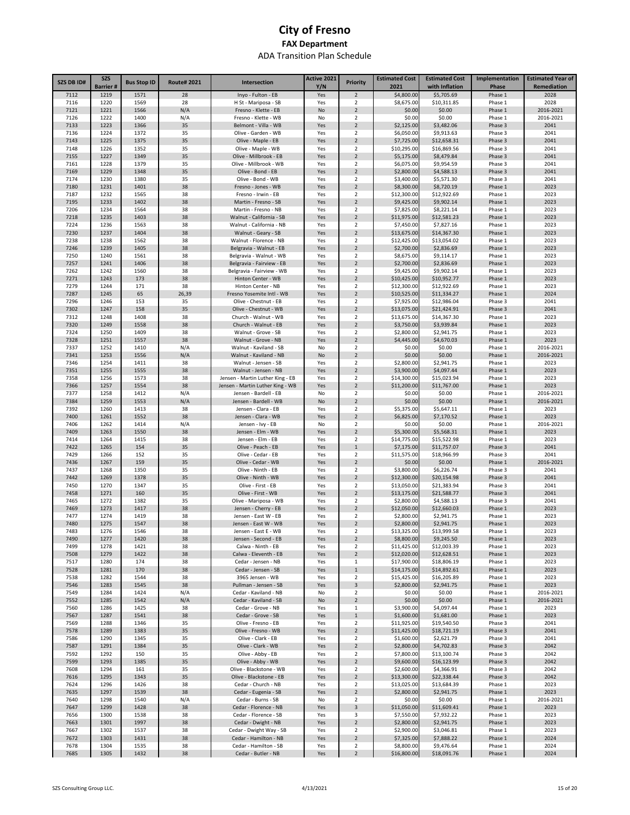| SZS DB ID#   | <b>SZS</b><br><b>Barrier#</b> | <b>Bus Stop ID</b> | <b>Route#2021</b> | Intersection                                     | Active 2021<br>Y/N | <b>Priority</b>                  | <b>Estimated Cost</b><br>2021 | <b>Estimated Cost</b><br>with Inflation | Implementation<br>Phase | <b>Estimated Year of</b><br>Remediation |
|--------------|-------------------------------|--------------------|-------------------|--------------------------------------------------|--------------------|----------------------------------|-------------------------------|-----------------------------------------|-------------------------|-----------------------------------------|
| 7112         | 1219                          | 1571               | 28                | Inyo - Fulton - EB                               | Yes                | $\overline{2}$                   | \$4,800.00                    | \$5,705.69                              | Phase 1                 | 2028                                    |
| 7116         | 1220                          | 1569               | 28                | H St - Mariposa - SB                             | Yes                | 2                                | \$8,675.00                    | \$10,311.85                             | Phase 1                 | 2028                                    |
| 7121         | 1221                          | 1566               | N/A               | Fresno - Klette - EB                             | No                 | $\overline{2}$                   | \$0.00                        | \$0.00                                  | Phase 1                 | 2016-2021                               |
| 7126         | 1222                          | 1400               | N/A               | Fresno - Klette - WB                             | No                 | 2                                | \$0.00                        | \$0.00                                  | Phase 1                 | 2016-2021                               |
| 7133         | 1223                          | 1366               | 35                | Belmont - Villa - WB                             | Yes                | $\overline{2}$                   | \$2,125.00                    | \$3,482.06                              | Phase 3                 | 2041                                    |
| 7136<br>7143 | 1224<br>1225                  | 1372<br>1375       | 35<br>35          | Olive - Garden - WB<br>Olive - Maple - EB        | Yes                | 2<br>$\overline{2}$              | \$6,050.00<br>\$7,725.00      | \$9,913.63                              | Phase 3<br>Phase 3      | 2041<br>2041                            |
| 7148         | 1226                          | 1352               | 35                | Olive - Maple - WB                               | Yes<br>Yes         | 2                                | \$10,295.00                   | \$12,658.31<br>\$16,869.56              | Phase 3                 | 2041                                    |
| 7155         | 1227                          | 1349               | 35                | Olive - Millbrook - EB                           | Yes                | $\overline{2}$                   | \$5,175.00                    | \$8,479.84                              | Phase 3                 | 2041                                    |
| 7161         | 1228                          | 1379               | 35                | Olive - Millbrook - WB                           | Yes                | 2                                | \$6,075.00                    | \$9,954.59                              | Phase 3                 | 2041                                    |
| 7169         | 1229                          | 1348               | 35                | Olive - Bond - EB                                | Yes                | $\overline{2}$                   | \$2,800.00                    | \$4,588.13                              | Phase 3                 | 2041                                    |
| 7174         | 1230                          | 1380               | 35                | Olive - Bond - WB                                | Yes                | 2                                | \$3,400.00                    | \$5,571.30                              | Phase 3                 | 2041                                    |
| 7180         | 1231                          | 1401               | 38                | Fresno - Jones - WB                              | Yes                | $\overline{2}$                   | \$8,300.00                    | \$8,720.19                              | Phase 1                 | 2023                                    |
| 7187         | 1232                          | 1565               | 38                | Fresno - Irwin - EB                              | Yes                | 2                                | \$12,300.00                   | \$12,922.69                             | Phase 1                 | 2023                                    |
| 7195<br>7206 | 1233<br>1234                  | 1402<br>1564       | 38                | Martin - Fresno - SB                             | Yes                | $\overline{2}$                   | \$9,425.00<br>\$7,825.00      | \$9,902.14<br>\$8,221.14                | Phase 1                 | 2023<br>2023                            |
| 7218         | 1235                          | 1403               | 38<br>38          | Martin - Fresno - NB<br>Walnut - California - SB | Yes<br>Yes         | 2<br>$\overline{2}$              | \$11,975.00                   | \$12,581.23                             | Phase 1<br>Phase 1      | 2023                                    |
| 7224         | 1236                          | 1563               | 38                | Walnut - California - NB                         | Yes                | 2                                | \$7,450.00                    | \$7,827.16                              | Phase 1                 | 2023                                    |
| 7230         | 1237                          | 1404               | 38                | Walnut - Geary - SB                              | Yes                | $\overline{2}$                   | \$13,675.00                   | \$14,367.30                             | Phase 1                 | 2023                                    |
| 7238         | 1238                          | 1562               | 38                | Walnut - Florence - NB                           | Yes                | 2                                | \$12,425.00                   | \$13,054.02                             | Phase 1                 | 2023                                    |
| 7246         | 1239                          | 1405               | 38                | Belgravia - Walnut - EB                          | Yes                | $\overline{2}$                   | \$2,700.00                    | \$2,836.69                              | Phase 1                 | 2023                                    |
| 7250         | 1240                          | 1561               | 38                | Belgravia - Walnut - WB                          | Yes                | $\overline{2}$                   | \$8,675.00                    | \$9,114.17                              | Phase 1                 | 2023                                    |
| 7257         | 1241                          | 1406               | 38                | Belgravia - Fairview - EB                        | Yes                | $\overline{2}$                   | \$2,700.00                    | \$2,836.69                              | Phase 1                 | 2023                                    |
| 7262         | 1242                          | 1560               | 38                | Belgravia - Fairview - WB                        | Yes                | $\overline{2}$                   | \$9,425.00                    | \$9,902.14                              | Phase 1                 | 2023                                    |
| 7271<br>7279 | 1243<br>1244                  | 173<br>171         | 38<br>38          | Hinton Center - WB<br>Hinton Center - NB         | Yes<br>Yes         | $\overline{2}$<br>2              | \$10,425.00<br>\$12,300.00    | \$10,952.77<br>\$12,922.69              | Phase 1<br>Phase 1      | 2023<br>2023                            |
| 7287         | 1245                          | 65                 | 26,39             | Fresno Yosemite Intl - WB                        | Yes                | $\overline{2}$                   | \$10,525.00                   | \$11,334.27                             | Phase 1                 | 2024                                    |
| 7296         | 1246                          | 153                | 35                | Olive - Chestnut - EB                            | Yes                | 2                                | \$7,925.00                    | \$12,986.04                             | Phase 3                 | 2041                                    |
| 7302         | 1247                          | 158                | 35                | Olive - Chestnut - WB                            | Yes                | $\overline{2}$                   | \$13,075.00                   | \$21,424.91                             | Phase 3                 | 2041                                    |
| 7312         | 1248                          | 1408               | 38                | Church - Walnut - WB                             | Yes                | 2                                | \$13,675.00                   | \$14,367.30                             | Phase 1                 | 2023                                    |
| 7320         | 1249                          | 1558               | 38                | Church - Walnut - EB                             | Yes                | $\overline{2}$                   | \$3,750.00                    | \$3,939.84                              | Phase 1                 | 2023                                    |
| 7324         | 1250                          | 1409               | 38                | Walnut - Grove - SB                              | Yes                | $\overline{2}$                   | \$2,800.00                    | \$2,941.75                              | Phase 1                 | 2023                                    |
| 7328         | 1251                          | 1557               | 38                | Walnut - Grove - NB                              | Yes                | $\overline{2}$                   | \$4,445.00                    | \$4,670.03                              | Phase 1                 | 2023                                    |
| 7337         | 1252                          | 1410               | N/A               | Walnut - Kaviland - SB                           | No                 | $\overline{2}$                   | \$0.00                        | \$0.00                                  | Phase 1                 | 2016-2021                               |
| 7341         | 1253                          | 1556               | N/A               | Walnut - Kaviland - NB                           | No                 | $\overline{2}$                   | \$0.00                        | \$0.00                                  | Phase 1                 | 2016-2021                               |
| 7346<br>7351 | 1254<br>1255                  | 1411<br>1555       | 38<br>38          | Walnut - Jensen - SB<br>Walnut - Jensen - NB     | Yes<br>Yes         | $\overline{2}$<br>$\overline{2}$ | \$2,800.00<br>\$3,900.00      | \$2,941.75<br>\$4,097.44                | Phase 1<br>Phase 1      | 2023<br>2023                            |
| 7358         | 1256                          | 1573               | 38                | Jensen - Martin Luther King - EB                 | Yes                | $\overline{2}$                   | \$14,300.00                   | \$15,023.94                             | Phase 1                 | 2023                                    |
| 7366         | 1257                          | 1554               | 38                | Jensen - Martin Luther King - WB                 | Yes                | $\overline{2}$                   | \$11,200.00                   | \$11,767.00                             | Phase 1                 | 2023                                    |
| 7377         | 1258                          | 1412               | N/A               | Jensen - Bardell - EB                            | No                 | $\overline{2}$                   | \$0.00                        | \$0.00                                  | Phase 1                 | 2016-2021                               |
| 7384         | 1259                          | 1553               | N/A               | Jensen - Bardell - WB                            | No                 | $\overline{2}$                   | \$0.00                        | \$0.00                                  | Phase 1                 | 2016-2021                               |
| 7392         | 1260                          | 1413               | 38                | Jensen - Clara - EB                              | Yes                | $\overline{2}$                   | \$5,375.00                    | \$5,647.11                              | Phase 1                 | 2023                                    |
| 7400         | 1261                          | 1552               | 38                | Jensen - Clara - WB                              | Yes                | $\overline{2}$                   | \$6,825.00                    | \$7,170.52                              | Phase 1                 | 2023                                    |
| 7406         | 1262                          | 1414               | N/A               | Jensen - Ivy - EB                                | No                 | $\overline{2}$                   | \$0.00                        | \$0.00                                  | Phase 1                 | 2016-2021                               |
| 7409<br>7414 | 1263<br>1264                  | 1550<br>1415       | 38<br>38          | Jensen - Elm - WB<br>Jensen - Elm - EB           | Yes<br>Yes         | $\overline{2}$<br>$\overline{2}$ | \$5,300.00                    | \$5,568.31                              | Phase 1                 | 2023<br>2023                            |
| 7422         | 1265                          | 154                | 35                | Olive - Peach - EB                               | Yes                | $\mathbf{1}$                     | \$14,775.00<br>\$7,175.00     | \$15,522.98<br>\$11,757.07              | Phase 1<br>Phase 3      | 2041                                    |
| 7429         | 1266                          | 152                | 35                | Olive - Cedar - EB                               | Yes                | $\overline{2}$                   | \$11,575.00                   | \$18,966.99                             | Phase 3                 | 2041                                    |
| 7436         | 1267                          | 159                | 35                | Olive - Cedar - WB                               | Yes                | $\overline{2}$                   | \$0.00                        | \$0.00                                  | Phase 1                 | 2016-2021                               |
| 7437         | 1268                          | 1350               | 35                | Olive - Ninth - EB                               | Yes                | 2                                | \$3,800.00                    | \$6,226.74                              | Phase 3                 | 2041                                    |
| 7442         | 1269                          | 1378               | 35                | Olive - Ninth - WB                               | Yes                | $\overline{2}$                   | \$12,300.00                   | \$20,154.98                             | Phase 3                 | 2041                                    |
| 7450         | 1270                          | 1347               | 35                | Olive - First - EB                               | Yes                | 2                                | \$13,050.00                   | \$21,383.94                             | Phase 3                 | 2041                                    |
| 7458         | 1271                          | 160                | 35                | Olive - First - WB                               | Yes                | $\overline{2}$                   | \$13,175.00                   | \$21,588.77                             | Phase 3                 | 2041                                    |
| 7465<br>7469 | 1272<br>1273                  | 1382<br>1417       | 35<br>38          | Olive - Mariposa - WB<br>Jensen - Cherry - EB    | Yes<br>Yes         | 2<br>$\overline{2}$              | \$2,800.00<br>\$12,050.00     | \$4,588.13<br>\$12,660.03               | Phase 3<br>Phase 1      | 2041<br>2023                            |
| 7477         | 1274                          | 1419               | 38                | Jensen - East W - EB                             | Yes                | 2                                | \$2,800.00                    | \$2,941.75                              | Phase 1                 | 2023                                    |
| 7480         | 1275                          | 1547               | 38                | Jensen - East W - WB                             | Yes                | $\overline{2}$                   | \$2,800.00                    | \$2,941.75                              | Phase 1                 | 2023                                    |
| 7483         | 1276                          | 1546               | 38                | Jensen - East E - WB                             | Yes                | $\overline{2}$                   | \$13,325.00                   | \$13.999.58                             | Phase 1                 | 2023                                    |
| 7490         | 1277                          | 1420               | 38                | Jensen - Second - EB                             | Yes                | $\overline{2}$                   | \$8,800.00                    | \$9,245.50                              | Phase 1                 | 2023                                    |
| 7499         | 1278                          | 1421               | 38                | Calwa - Ninth - EB                               | Yes                | $\overline{2}$                   | \$11,425.00                   | \$12,003.39                             | Phase 1                 | 2023                                    |
| 7508         | 1279                          | 1422               | 38                | Calwa - Eleventh - EB                            | Yes                | $\overline{2}$                   | \$12,020.00                   | \$12,628.51                             | Phase 1                 | 2023                                    |
| 7517         | 1280                          | 174                | 38                | Cedar - Jensen - NB                              | Yes                | $\mathbf{1}$                     | \$17,900.00                   | \$18,806.19                             | Phase 1                 | 2023                                    |
| 7528<br>7538 | 1281<br>1282                  | 170<br>1544        | 38<br>38          | Cedar - Jensen - SB<br>3965 Jensen - WB          | Yes<br>Yes         | $\mathbf 1$<br>$\overline{2}$    | \$14,175.00<br>\$15,425.00    | \$14,892.61<br>\$16,205.89              | Phase 1<br>Phase 1      | 2023<br>2023                            |
| 7546         | 1283                          | 1545               | 38                | Pullman - Jensen - SB                            | Yes                | 3                                | \$2,800.00                    | \$2,941.75                              | Phase 1                 | 2023                                    |
| 7549         | 1284                          | 1424               | N/A               | Cedar - Kaviland - NB                            | No                 | $\overline{2}$                   | \$0.00                        | \$0.00                                  | Phase 1                 | 2016-2021                               |
| 7552         | 1285                          | 1542               | N/A               | Cedar - Kaviland - SB                            | No                 | $\mathbf 2$                      | \$0.00                        | \$0.00                                  | Phase 1                 | 2016-2021                               |
| 7560         | 1286                          | 1425               | 38                | Cedar - Grove - NB                               | Yes                | 1                                | \$3,900.00                    | \$4,097.44                              | Phase 1                 | 2023                                    |
| 7567         | 1287                          | 1541               | 38                | Cedar - Grove - SB                               | Yes                | $\,1\,$                          | \$1,600.00                    | \$1,681.00                              | Phase 1                 | 2023                                    |
| 7569         | 1288                          | 1346               | 35                | Olive - Fresno - EB                              | Yes                | $\overline{2}$                   | \$11,925.00                   | \$19,540.50                             | Phase 3                 | 2041                                    |
| 7578         | 1289                          | 1383               | 35                | Olive - Fresno - WB                              | Yes                | $\overline{2}$                   | \$11,425.00                   | \$18,721.19                             | Phase 3                 | 2041                                    |
| 7586         | 1290                          | 1345               | 35                | Olive - Clark - EB<br>Olive - Clark - WB         | Yes                | $\overline{\mathbf{2}}$          | \$1,600.00                    | \$2,621.79                              | Phase 3                 | 2041                                    |
| 7587<br>7592 | 1291<br>1292                  | 1384<br>150        | 35<br>35          | Olive - Abby - EB                                | Yes<br>Yes         | $\overline{2}$<br>$\overline{2}$ | \$2,800.00<br>\$7,800.00      | \$4,702.83<br>\$13,100.74               | Phase 3<br>Phase 3      | 2042<br>2042                            |
| 7599         | 1293                          | 1385               | 35                | Olive - Abby - WB                                | Yes                | $\overline{2}$                   | \$9,600.00                    | \$16,123.99                             | Phase 3                 | 2042                                    |
| 7608         | 1294                          | 161                | 35                | Olive - Blackstone - WB                          | Yes                | 2                                | \$2,600.00                    | \$4,366.91                              | Phase 3                 | 2042                                    |
| 7616         | 1295                          | 1343               | 35                | Olive - Blackstone - EB                          | Yes                | $\overline{2}$                   | \$13,300.00                   | \$22,338.44                             | Phase 3                 | 2042                                    |
| 7624         | 1296                          | 1426               | 38                | Cedar - Church - NB                              | Yes                | 2                                | \$13,025.00                   | \$13,684.39                             | Phase 1                 | 2023                                    |
| 7635         | 1297                          | 1539               | 38                | Cedar - Eugenia - SB                             | Yes                | $\overline{2}$                   | \$2,800.00                    | \$2,941.75                              | Phase 1                 | 2023                                    |
| 7640         | 1298                          | 1540               | N/A               | Cedar - Burns - SB                               | No                 | 2                                | \$0.00                        | \$0.00                                  | Phase 1                 | 2016-2021                               |
| 7647         | 1299                          | 1428               | 38                | Cedar - Florence - NB                            | Yes                | 3                                | \$11,050.00                   | \$11,609.41                             | Phase 1                 | 2023                                    |
| 7656         | 1300                          | 1538               | 38                | Cedar - Florence - SB                            | Yes                | 3                                | \$7,550.00                    | \$7,932.22                              | Phase 1                 | 2023                                    |
| 7663<br>7667 | 1301<br>1302                  | 1997<br>1537       | 38<br>38          | Cedar - Dwight - NB<br>Cedar - Dwight Way - SB   | Yes<br>Yes         | $\overline{2}$<br>$\overline{2}$ | \$2,800.00<br>\$2,900.00      | \$2,941.75<br>\$3,046.81                | Phase 1<br>Phase 1      | 2023<br>2023                            |
| 7672         | 1303                          | 1431               | 38                | Cedar - Hamilton - NB                            | Yes                | $\overline{2}$                   | \$7,325.00                    | \$7,888.22                              | Phase 1                 | 2024                                    |
| 7678         | 1304                          | 1535               | 38                | Cedar - Hamilton - SB                            | Yes                | $\overline{2}$                   | \$8,800.00                    | \$9,476.64                              | Phase 1                 | 2024                                    |
| 7685         | 1305                          | 1432               | 38                | Cedar - Butler - NB                              | Yes                | $\mathbf 2$                      | \$16,800.00                   | \$18,091.76                             | Phase 1                 | 2024                                    |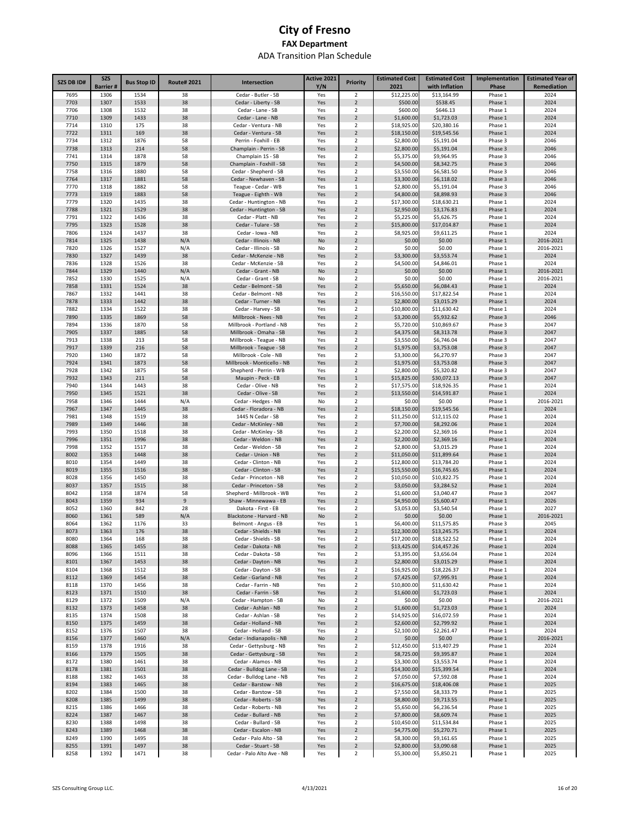| <b>SZS DB ID#</b> | <b>SZS</b><br><b>Barrier#</b> | <b>Bus Stop ID</b> | <b>Route# 2021</b> | Intersection                                           | Active 2021<br>Y/N | <b>Priority</b>                           | <b>Estimated Cost</b><br>2021 | <b>Estimated Cost</b><br>with Inflation | Implementation<br>Phase | <b>Estimated Year of</b><br>Remediation |
|-------------------|-------------------------------|--------------------|--------------------|--------------------------------------------------------|--------------------|-------------------------------------------|-------------------------------|-----------------------------------------|-------------------------|-----------------------------------------|
| 7695              | 1306                          | 1534               | 38                 | Cedar - Butler - SB                                    | Yes                | 2                                         | \$12,225.00                   | \$13,164.99                             | Phase 1                 | 2024                                    |
| 7703              | 1307                          | 1533               | 38                 | Cedar - Liberty - SB                                   | Yes                | $\overline{2}$                            | \$500.00                      | \$538.45                                | Phase 1                 | 2024                                    |
| 7706              | 1308                          | 1532               | 38                 | Cedar - Lane - SB                                      | Yes                | $\overline{\mathbf{2}}$                   | \$600.00                      | \$646.13                                | Phase 1                 | 2024                                    |
| 7710              | 1309                          | 1433               | 38                 | Cedar - Lane - NB                                      | Yes                | $\overline{2}$                            | \$1,600.00                    | \$1,723.03                              | Phase 1                 | 2024                                    |
| 7714              | 1310                          | 175                | 38                 | Cedar - Ventura - NB                                   | Yes                | $\overline{\mathbf{2}}$                   | \$18,925.00                   | \$20,380.16                             | Phase 1                 | 2024                                    |
| 7722<br>7734      | 1311<br>1312                  | 169<br>1876        | 38<br>58           | Cedar - Ventura - SB<br>Perrin - Foxhill - EB          | Yes<br>Yes         | $\overline{2}$<br>$\mathbf 2$             | \$18,150.00<br>\$2,800.00     | \$19,545.56<br>\$5,191.04               | Phase 1<br>Phase 3      | 2024<br>2046                            |
| 7738              | 1313                          | 214                | 58                 | Champlain - Perrin - SB                                | Yes                | $\overline{2}$                            | \$2,800.00                    | \$5,191.04                              | Phase 3                 | 2046                                    |
| 7741              | 1314                          | 1878               | 58                 | Champlain 1S - SB                                      | Yes                | $\overline{\mathbf{2}}$                   | \$5,375.00                    | \$9,964.95                              | Phase 3                 | 2046                                    |
| 7750              | 1315                          | 1879               | 58                 | Champlain - Foxhill - SB                               | Yes                | $\overline{2}$                            | \$4,500.00                    | \$8,342.75                              | Phase 3                 | 2046                                    |
| 7758              | 1316                          | 1880               | 58                 | Cedar - Shepherd - SB                                  | Yes                | $\mathbf 2$                               | \$3,550.00                    | \$6,581.50                              | Phase 3                 | 2046                                    |
| 7764              | 1317                          | 1881               | 58                 | Cedar - Newhaven - SB                                  | Yes                | $\overline{2}$                            | \$3,300.00                    | \$6,118.02                              | Phase 3                 | 2046                                    |
| 7770<br>7773      | 1318<br>1319                  | 1882<br>1883       | 58<br>58           | Teague - Cedar - WB<br>Teague - Eighth - WB            | Yes<br>Yes         | $\mathbf{1}$<br>$\overline{2}$            | \$2,800.00<br>\$4,800.00      | \$5,191.04<br>\$8,898.93                | Phase 3<br>Phase 3      | 2046<br>2046                            |
| 7779              | 1320                          | 1435               | 38                 | Cedar - Huntington - NB                                | Yes                | $\overline{\mathbf{2}}$                   | \$17,300.00                   | \$18,630.21                             | Phase 1                 | 2024                                    |
| 7788              | 1321                          | 1529               | 38                 | Cedar - Huntington - SB                                | Yes                | $\overline{2}$                            | \$2,950.00                    | \$3,176.83                              | Phase 1                 | 2024                                    |
| 7791              | 1322                          | 1436               | 38                 | Cedar - Platt - NB                                     | Yes                | $\overline{2}$                            | \$5,225.00                    | \$5,626.75                              | Phase 1                 | 2024                                    |
| 7795              | 1323                          | 1528               | 38                 | Cedar - Tulare - SB                                    | Yes                | $\overline{2}$                            | \$15,800.00                   | \$17,014.87                             | Phase 1                 | 2024                                    |
| 7806              | 1324                          | 1437               | 38                 | Cedar - Iowa - NB                                      | Yes                | $\overline{\mathbf{2}}$                   | \$8,925.00                    | \$9,611.25                              | Phase 1                 | 2024                                    |
| 7814              | 1325                          | 1438               | N/A                | Cedar - Illinois - NB                                  | No                 | $\overline{2}$                            | \$0.00                        | \$0.00                                  | Phase 1                 | 2016-2021                               |
| 7820<br>7830      | 1326<br>1327                  | 1527<br>1439       | N/A<br>38          | Cedar - Illinois - SB<br>Cedar - McKenzie - NB         | No<br>Yes          | $\overline{\mathbf{2}}$<br>$\overline{2}$ | \$0.00<br>\$3,300.00          | \$0.00<br>\$3,553.74                    | Phase 1<br>Phase 1      | 2016-2021<br>2024                       |
| 7836              | 1328                          | 1526               | 38                 | Cedar - McKenzie - SB                                  | Yes                | $\overline{\mathbf{2}}$                   | \$4,500.00                    | \$4,846.01                              | Phase 1                 | 2024                                    |
| 7844              | 1329                          | 1440               | N/A                | Cedar - Grant - NB                                     | No                 | $\overline{2}$                            | \$0.00                        | \$0.00                                  | Phase 1                 | 2016-2021                               |
| 7852              | 1330                          | 1525               | N/A                | Cedar - Grant - SB                                     | No                 | 2                                         | \$0.00                        | \$0.00                                  | Phase 1                 | 2016-2021                               |
| 7858              | 1331                          | 1524               | 38                 | Cedar - Belmont - SB                                   | Yes                | $\overline{2}$                            | \$5,650.00                    | \$6,084.43                              | Phase 1                 | 2024                                    |
| 7867              | 1332                          | 1441               | 38                 | Cedar - Belmont - NB                                   | Yes                | 2                                         | \$16,550.00                   | \$17,822.54                             | Phase 1                 | 2024                                    |
| 7878              | 1333                          | 1442               | 38                 | Cedar - Turner - NB                                    | Yes                | $\overline{2}$                            | \$2,800.00                    | \$3,015.29                              | Phase 1                 | 2024                                    |
| 7882<br>7890      | 1334<br>1335                  | 1522<br>1869       | 38<br>58           | Cedar - Harvey - SB<br>Millbrook - Nees - NB           | Yes<br>Yes         | 2<br>$\overline{2}$                       | \$10,800.00<br>\$3,200.00     | \$11,630.42<br>\$5,932.62               | Phase 1<br>Phase 3      | 2024<br>2046                            |
| 7894              | 1336                          | 1870               | 58                 | Millbrook - Portland - NB                              | Yes                | $\overline{\mathbf{2}}$                   | \$5,720.00                    | \$10,869.67                             | Phase 3                 | 2047                                    |
| 7905              | 1337                          | 1885               | 58                 | Millbrook - Omaha - SB                                 | Yes                | $\overline{2}$                            | \$4,375.00                    | \$8,313.78                              | Phase 3                 | 2047                                    |
| 7913              | 1338                          | 213                | 58                 | Millbrook - Teague - NB                                | Yes                | $\overline{\mathbf{2}}$                   | \$3,550.00                    | \$6,746.04                              | Phase 3                 | 2047                                    |
| 7917              | 1339                          | 216                | 58                 | Millbrook - Teague - SB                                | Yes                | $\overline{2}$                            | \$1,975.00                    | \$3,753.08                              | Phase 3                 | 2047                                    |
| 7920              | 1340                          | 1872               | 58                 | Millbrook - Cole - NB                                  | Yes                | 2                                         | \$3,300.00                    | \$6,270.97                              | Phase 3                 | 2047                                    |
| 7924              | 1341<br>1342                  | 1873<br>1875       | 58<br>58           | Millbrook - Monticello - NB                            | Yes                | $\overline{2}$<br>$\overline{\mathbf{2}}$ | \$1,975.00                    | \$3,753.08                              | Phase 3                 | 2047                                    |
| 7928<br>7932      | 1343                          | 211                | 58                 | Shepherd - Perrin - WB<br>Maupin - Peck - EB           | Yes<br>Yes         | $\mathbf 1$                               | \$2,800.00<br>\$15,825.00     | \$5,320.82<br>\$30,072.13               | Phase 3<br>Phase 3      | 2047<br>2047                            |
| 7940              | 1344                          | 1443               | 38                 | Cedar - Olive - NB                                     | Yes                | $\overline{2}$                            | \$17,575.00                   | \$18,926.35                             | Phase 1                 | 2024                                    |
| 7950              | 1345                          | 1521               | 38                 | Cedar - Olive - SB                                     | Yes                | $\overline{2}$                            | \$13,550.00                   | \$14,591.87                             | Phase 1                 | 2024                                    |
| 7958              | 1346                          | 1444               | N/A                | Cedar - Hedges - NB                                    | No                 | $\overline{\mathbf{2}}$                   | \$0.00                        | \$0.00                                  | Phase 1                 | 2016-2021                               |
| 7967              | 1347                          | 1445               | 38                 | Cedar - Floradora - NB                                 | Yes                | $\overline{2}$                            | \$18,150.00                   | \$19,545.56                             | Phase 1                 | 2024                                    |
| 7981              | 1348                          | 1519               | 38                 | 1445 N Cedar - SB                                      | Yes                | 2                                         | \$11,250.00                   | \$12,115.02                             | Phase 1                 | 2024                                    |
| 7989<br>7993      | 1349<br>1350                  | 1446<br>1518       | 38<br>38           | Cedar - McKinley - NB<br>Cedar - McKinley - SB         | Yes<br>Yes         | $\overline{2}$<br>2                       | \$7,700.00<br>\$2,200.00      | \$8,292.06<br>\$2,369.16                | Phase 1<br>Phase 1      | 2024<br>2024                            |
| 7996              | 1351                          | 1996               | 38                 | Cedar - Weldon - NB                                    | Yes                | $\overline{2}$                            | \$2,200.00                    | \$2,369.16                              | Phase 1                 | 2024                                    |
| 7998              | 1352                          | 1517               | 38                 | Cedar - Weldon - SB                                    | Yes                | 2                                         | \$2,800.00                    | \$3,015.29                              | Phase 1                 | 2024                                    |
| 8002              | 1353                          | 1448               | 38                 | Cedar - Union - NB                                     | Yes                | $\overline{2}$                            | \$11,050.00                   | \$11,899.64                             | Phase 1                 | 2024                                    |
| 8010              | 1354                          | 1449               | 38                 | Cedar - Clinton - NB                                   | Yes                | 2                                         | \$12,800.00                   | \$13,784.20                             | Phase 1                 | 2024                                    |
| 8019              | 1355                          | 1516               | 38                 | Cedar - Clinton - SB                                   | Yes                | $\overline{2}$                            | \$15,550.00                   | \$16,745.65                             | Phase 1                 | 2024                                    |
| 8028              | 1356                          | 1450               | 38                 | Cedar - Princeton - NB                                 | Yes                | $\overline{\mathbf{2}}$                   | \$10,050.00                   | \$10,822.75                             | Phase 1                 | 2024                                    |
| 8037<br>8042      | 1357<br>1358                  | 1515<br>1874       | 38<br>58           | Cedar - Princeton - SB<br>Shepherd - Millbrook - WB    | Yes<br>Yes         | $\overline{2}$<br>$\overline{\mathbf{2}}$ | \$3,050.00<br>\$1,600.00      | \$3,284.52<br>\$3,040.47                | Phase 1<br>Phase 3      | 2024<br>2047                            |
| 8043              | 1359                          | 934                | 9                  | Shaw - Minnewawa - EB                                  | Yes                | $\overline{2}$                            | \$4,950.00                    | \$5,600.47                              | Phase 1                 | 2026                                    |
| 8052              | 1360                          | 842                | 28                 | Dakota - First - EB                                    | Yes                | $\overline{\mathbf{2}}$                   | \$3,053.00                    | \$3,540.54                              | Phase 1                 | 2027                                    |
| 8060              | 1361                          | 589                | N/A                | Blackstone - Harvard - NB                              | No                 | $\overline{2}$                            | \$0.00                        | \$0.00                                  | Phase 1                 | 2016-2021                               |
| 8064              | 1362                          | 1176               | 33                 | Belmont - Angus - EB                                   | Yes                | $\mathbf{1}$                              | \$6,400.00                    | \$11,575.85                             | Phase 3                 | 2045                                    |
| 8073              | 1363                          | 176                | 38                 | Cedar - Shields - NB                                   | Yes                | $\overline{\phantom{a}}$                  | \$12,300.00                   | \$13,245.75                             | Phase 1                 | 2024                                    |
| 8080              | 1364                          | 168                | 38                 | Cedar - Shields - SB                                   | Yes                | $\overline{2}$                            | \$17,200.00                   | \$18,522.52                             | Phase 1                 | 2024                                    |
| 8088<br>8096      | 1365<br>1366                  | 1455<br>1511       | 38<br>38           | Cedar - Dakota - NB<br>Cedar - Dakota - SB             | Yes<br>Yes         | $\overline{2}$<br>$\overline{2}$          | \$13,425.00<br>\$3,395.00     | \$14,457.26<br>\$3,656.04               | Phase 1<br>Phase 1      | 2024<br>2024                            |
| 8101              | 1367                          | 1453               | 38                 | Cedar - Dayton - NB                                    | Yes                | $\overline{2}$                            | \$2,800.00                    | \$3,015.29                              | Phase 1                 | 2024                                    |
| 8104              | 1368                          | 1512               | 38                 | Cedar - Dayton - SB                                    | Yes                | $\overline{2}$                            | \$16,925.00                   | \$18,226.37                             | Phase 1                 | 2024                                    |
| 8112              | 1369                          | 1454               | 38                 | Cedar - Garland - NB                                   | Yes                | $\overline{2}$                            | \$7,425.00                    | \$7,995.91                              | Phase 1                 | 2024                                    |
| 8118              | 1370                          | 1456               | 38                 | Cedar - Farrin - NB                                    | Yes                | $\overline{2}$                            | \$10,800.00                   | \$11,630.42                             | Phase 1                 | 2024                                    |
| 8123              | 1371                          | 1510               | 38                 | Cedar - Farrin - SB                                    | Yes                | $\overline{2}$                            | \$1,600.00                    | \$1,723.03                              | Phase 1                 | 2024                                    |
| 8129              | 1372                          | 1509               | N/A                | Cedar - Hampton - SB                                   | No                 | $\overline{2}$                            | \$0.00                        | \$0.00                                  | Phase 1                 | 2016-2021                               |
| 8132<br>8135      | 1373<br>1374                  | 1458<br>1508       | 38<br>38           | Cedar - Ashlan - NB<br>Cedar - Ashlan - SB             | Yes<br>Yes         | $\overline{2}$<br>2                       | \$1,600.00<br>\$14,925.00     | \$1,723.03<br>\$16,072.59               | Phase 1<br>Phase 1      | 2024<br>2024                            |
| 8150              | 1375                          | 1459               | 38                 | Cedar - Holland - NB                                   | Yes                | $\overline{2}$                            | \$2,600.00                    | \$2,799.92                              | Phase 1                 | 2024                                    |
| 8152              | 1376                          | 1507               | 38                 | Cedar - Holland - SB                                   | Yes                | 2                                         | \$2,100.00                    | \$2,261.47                              | Phase 1                 | 2024                                    |
| 8156              | 1377                          | 1460               | N/A                | Cedar - Indianapolis - NB                              | No                 | $\overline{2}$                            | \$0.00                        | \$0.00                                  | Phase 1                 | 2016-2021                               |
| 8159              | 1378                          | 1916               | 38                 | Cedar - Gettysburg - NB                                | Yes                | $\overline{2}$                            | \$12,450.00                   | \$13,407.29                             | Phase 1                 | 2024                                    |
| 8166              | 1379                          | 1505               | 38                 | Cedar - Gettysburg - SB                                | Yes                | $\overline{2}$                            | \$8,725.00                    | \$9,395.87                              | Phase 1                 | 2024                                    |
| 8172              | 1380                          | 1461               | 38                 | Cedar - Alamos - NB                                    | Yes                | 2                                         | \$3,300.00                    | \$3,553.74                              | Phase 1                 | 2024                                    |
| 8178<br>8188      | 1381<br>1382                  | 1501<br>1463       | 38<br>38           | Cedar - Bulldog Lane - SB<br>Cedar - Bulldog Lane - NB | Yes<br>Yes         | $\mathbf 2$<br>2                          | \$14,300.00<br>\$7,050.00     | \$15,399.54<br>\$7,592.08               | Phase 1<br>Phase 1      | 2024<br>2024                            |
| 8194              | 1383                          | 1465               | 38                 | Cedar - Barstow - NB                                   | Yes                | $\mathbf 2$                               | \$16,675.00                   | \$18,406.08                             | Phase 1                 | 2025                                    |
| 8202              | 1384                          | 1500               | 38                 | Cedar - Barstow - SB                                   | Yes                | 2                                         | \$7,550.00                    | \$8,333.79                              | Phase 1                 | 2025                                    |
| 8208              | 1385                          | 1499               | 38                 | Cedar - Roberts - SB                                   | Yes                | $\mathbf 2$                               | \$8,800.00                    | \$9,713.55                              | Phase 1                 | 2025                                    |
| 8215              | 1386                          | 1466               | 38                 | Cedar - Roberts - NB                                   | Yes                | 2                                         | \$5,650.00                    | \$6,236.54                              | Phase 1                 | 2025                                    |
| 8224              | 1387                          | 1467               | 38                 | Cedar - Bullard - NB                                   | Yes                | $\overline{2}$                            | \$7,800.00                    | \$8,609.74                              | Phase 1                 | 2025                                    |
| 8230              | 1388                          | 1498               | 38                 | Cedar - Bullard - SB                                   | Yes                | $\overline{\mathbf{2}}$                   | \$10,450.00                   | \$11,534.84                             | Phase 1                 | 2025                                    |
| 8243<br>8249      | 1389<br>1390                  | 1468<br>1495       | 38<br>38           | Cedar - Escalon - NB<br>Cedar - Palo Alto - SB         | Yes<br>Yes         | $\mathbf 2$<br>2                          | \$4,775.00<br>\$8,300.00      | \$5,270.71<br>\$9,161.65                | Phase 1<br>Phase 1      | 2025<br>2025                            |
| 8255              | 1391                          | 1497               | 38                 | Cedar - Stuart - SB                                    | Yes                | $\overline{2}$                            | \$2,800.00                    | \$3,090.68                              | Phase 1                 | 2025                                    |
| 8258              | 1392                          | 1471               | 38                 | Cedar - Palo Alto Ave - NB                             | Yes                | 2                                         | \$5,300.00                    | \$5,850.21                              | Phase 1                 | 2025                                    |
|                   |                               |                    |                    |                                                        |                    |                                           |                               |                                         |                         |                                         |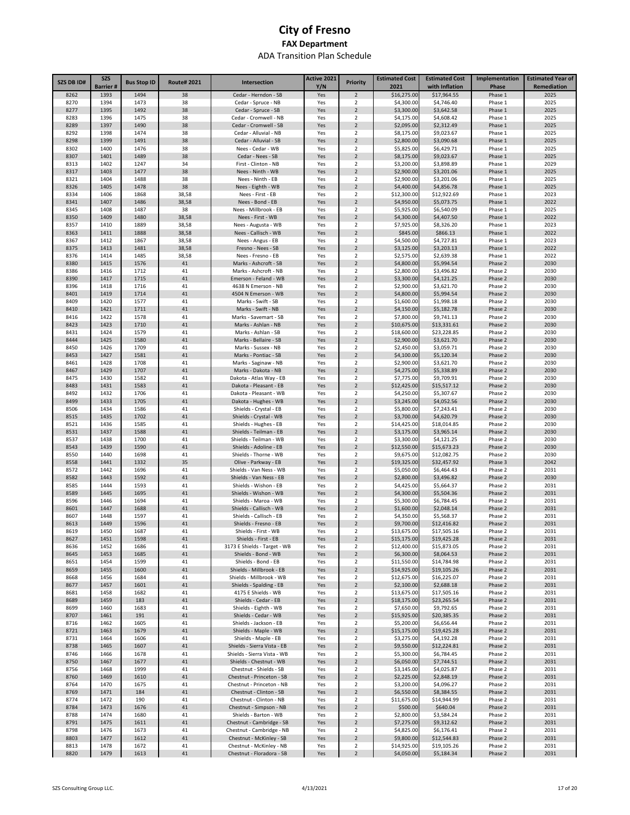| SZS DB ID#   | <b>SZS</b>      | <b>Bus Stop ID</b> | <b>Route#2021</b> | Intersection                                        | Active 2021 | <b>Priority</b>                           | <b>Estimated Cost</b>     | <b>Estimated Cost</b>     | Implementation     | <b>Estimated Year of</b> |
|--------------|-----------------|--------------------|-------------------|-----------------------------------------------------|-------------|-------------------------------------------|---------------------------|---------------------------|--------------------|--------------------------|
|              | <b>Barrier#</b> |                    |                   |                                                     | Y/N         |                                           | 2021                      | with Inflation            | Phase              | Remediation              |
| 8262         | 1393            | 1494               | 38                | Cedar - Herndon - SB                                | Yes         | $\overline{2}$                            | \$16,275.00               | \$17,964.55               | Phase 1            | 2025                     |
| 8270         | 1394            | 1473               | 38                | Cedar - Spruce - NB                                 | Yes         | $\overline{2}$                            | \$4,300.00                | \$4,746.40                | Phase 1            | 2025                     |
| 8277         | 1395            | 1492               | 38                | Cedar - Spruce - SB                                 | Yes         | $\overline{2}$<br>$\overline{2}$          | \$3,300.00                | \$3,642.58                | Phase 1            | 2025                     |
| 8283<br>8289 | 1396<br>1397    | 1475<br>1490       | 38<br>38          | Cedar - Cromwell - NB<br>Cedar - Cromwell - SB      | Yes<br>Yes  | $\overline{2}$                            | \$4,175.00<br>\$2,095.00  | \$4,608.42<br>\$2,312.49  | Phase 1<br>Phase 1 | 2025<br>2025             |
| 8292         | 1398            | 1474               | 38                | Cedar - Alluvial - NB                               | Yes         | $\overline{2}$                            | \$8,175.00                | \$9,023.67                | Phase 1            | 2025                     |
| 8298         | 1399            | 1491               | 38                | Cedar - Alluvial - SB                               | Yes         | $\overline{2}$                            | \$2,800.00                | \$3,090.68                | Phase 1            | 2025                     |
| 8302         | 1400            | 1476               | 38                | Nees - Cedar - WB                                   | Yes         | 2                                         | \$5,825.00                | \$6,429.71                | Phase 1            | 2025                     |
| 8307         | 1401            | 1489               | 38                | Cedar - Nees - SB                                   | Yes         | $\overline{2}$                            | \$8,175.00                | \$9,023.67                | Phase 1            | 2025                     |
| 8313         | 1402            | 1247               | 34                | First - Clinton - NB                                | Yes         | $\overline{2}$                            | \$3,200.00                | \$3,898.89                | Phase 1            | 2029                     |
| 8317         | 1403            | 1477               | 38                | Nees - Ninth - WB                                   | Yes         | $\overline{2}$                            | \$2,900.00                | \$3,201.06                | Phase 1            | 2025                     |
| 8321         | 1404            | 1488               | 38                | Nees - Ninth - EB                                   | Yes         | 2                                         | \$2,900.00                | \$3,201.06                | Phase 1            | 2025                     |
| 8326         | 1405            | 1478               | 38                | Nees - Eighth - WB                                  | Yes         | $\overline{2}$                            | \$4,400.00                | \$4,856.78                | Phase 1            | 2025                     |
| 8334         | 1406            | 1868               | 38,58             | Nees - First - EB                                   | Yes         | $\overline{\mathbf{2}}$                   | \$12,300.00               | \$12,922.69               | Phase 1            | 2023                     |
| 8341         | 1407            | 1486               | 38,58             | Nees - Bond - EB                                    | Yes         | $\overline{2}$                            | \$4,950.00                | \$5,073.75                | Phase 1            | 2022                     |
| 8345         | 1408            | 1487               | 38                | Nees - Millbrook - EB                               | Yes         | 2                                         | \$5,925.00                | \$6,540.09                | Phase 1            | 2025                     |
| 8350         | 1409            | 1480               | 38,58             | Nees - First - WB                                   | Yes         | $\overline{2}$                            | \$4,300.00                | \$4,407.50                | Phase 1            | 2022                     |
| 8357         | 1410            | 1889               | 38,58             | Nees - Augusta - WB                                 | Yes         | $\overline{\mathbf{2}}$                   | \$7,925.00                | \$8,326.20                | Phase 1            | 2023                     |
| 8363<br>8367 | 1411<br>1412    | 1888<br>1867       | 38,58<br>38,58    | Nees - Callisch - WB                                | Yes         | $\overline{2}$<br>$\overline{\mathbf{2}}$ | \$845.00<br>\$4,500.00    | \$866.13<br>\$4,727.81    | Phase 1<br>Phase 1 | 2022<br>2023             |
| 8375         | 1413            | 1481               | 38,58             | Nees - Angus - EB<br>Fresno - Nees - SB             | Yes<br>Yes  | $\overline{2}$                            | \$3,125.00                | \$3,203.13                | Phase 1            | 2022                     |
| 8376         | 1414            | 1485               | 38,58             | Nees - Fresno - EB                                  | Yes         | $\overline{\mathbf{2}}$                   | \$2,575.00                | \$2,639.38                | Phase 1            | 2022                     |
| 8380         | 1415            | 1576               | 41                | Marks - Ashcroft - SB                               | Yes         | $\overline{2}$                            | \$4,800.00                | \$5,994.54                | Phase 2            | 2030                     |
| 8386         | 1416            | 1712               | 41                | Marks - Ashcroft - NB                               | Yes         | 2                                         | \$2,800.00                | \$3,496.82                | Phase 2            | 2030                     |
| 8390         | 1417            | 1715               | 41                | Emerson - Feland - WB                               | Yes         | $\overline{2}$                            | \$3,300.00                | \$4,121.25                | Phase 2            | 2030                     |
| 8396         | 1418            | 1716               | 41                | 4638 N Emerson - NB                                 | Yes         | $\overline{2}$                            | \$2,900.00                | \$3,621.70                | Phase 2            | 2030                     |
| 8401         | 1419            | 1714               | 41                | 4504 N Emerson - WB                                 | Yes         | $\overline{2}$                            | \$4,800.00                | \$5,994.54                | Phase 2            | 2030                     |
| 8409         | 1420            | 1577               | 41                | Marks - Swift - SB                                  | Yes         | $\overline{\mathbf{2}}$                   | \$1,600.00                | \$1,998.18                | Phase 2            | 2030                     |
| 8410         | 1421            | 1711               | 41                | Marks - Swift - NB                                  | Yes         | $\overline{2}$                            | \$4,150.00                | \$5,182.78                | Phase 2            | 2030                     |
| 8416         | 1422            | 1578               | 41                | Marks - Savemart - SB                               | Yes         | $\overline{\mathbf{2}}$                   | \$7,800.00                | \$9,741.13                | Phase 2            | 2030                     |
| 8423         | 1423            | 1710               | 41                | Marks - Ashlan - NB                                 | Yes         | $\overline{2}$                            | \$10,675.00               | \$13,331.61               | Phase 2            | 2030                     |
| 8431         | 1424            | 1579               | 41                | Marks - Ashlan - SB                                 | Yes         | 2                                         | \$18,600.00               | \$23,228.85               | Phase 2            | 2030                     |
| 8444         | 1425            | 1580               | 41                | Marks - Bellaire - SB                               | Yes         | $\overline{2}$                            | \$2,900.00                | \$3,621.70                | Phase 2            | 2030                     |
| 8450         | 1426            | 1709               | 41                | Marks - Sussex - NB                                 | Yes         | 2                                         | \$2,450.00                | \$3,059.71                | Phase 2            | 2030                     |
| 8453         | 1427            | 1581               | 41                | Marks - Pontiac - SB                                | Yes         | $\overline{2}$                            | \$4,100.00                | \$5,120.34                | Phase 2            | 2030                     |
| 8461         | 1428            | 1708               | 41                | Marks - Saginaw - NB                                | Yes         | $\overline{\mathbf{2}}$                   | \$2,900.00                | \$3,621.70                | Phase 2            | 2030                     |
| 8467<br>8475 | 1429            | 1707               | 41                | Marks - Dakota - NB                                 | Yes         | $\overline{2}$<br>$\overline{\mathbf{2}}$ | \$4,275.00                | \$5,338.89                | Phase 2            | 2030                     |
| 8483         | 1430<br>1431    | 1582<br>1583       | 41<br>41          | Dakota - Atlas Way - EB<br>Dakota - Pleasant - EB   | Yes<br>Yes  | $\overline{2}$                            | \$7,775.00<br>\$12,425.00 | \$9,709.91<br>\$15,517.12 | Phase 2<br>Phase 2 | 2030<br>2030             |
| 8492         | 1432            | 1706               | 41                | Dakota - Pleasant - WB                              | Yes         | $\overline{\mathbf{2}}$                   | \$4,250.00                | \$5,307.67                | Phase 2            | 2030                     |
| 8499         | 1433            | 1705               | 41                | Dakota - Hughes - WB                                | Yes         | $\overline{2}$                            | \$3,245.00                | \$4,052.56                | Phase 2            | 2030                     |
| 8506         | 1434            | 1586               | 41                | Shields - Crystal - EB                              | Yes         | $\overline{\mathbf{2}}$                   | \$5,800.00                | \$7,243.41                | Phase 2            | 2030                     |
| 8515         | 1435            | 1702               | 41                | Shields - Crystal - WB                              | Yes         | $\overline{2}$                            | \$3,700.00                | \$4,620.79                | Phase 2            | 2030                     |
| 8521         | 1436            | 1585               | 41                | Shields - Hughes - EB                               | Yes         | $\overline{\mathbf{2}}$                   | \$14,425.00               | \$18,014.85               | Phase 2            | 2030                     |
| 8531         | 1437            | 1588               | 41                | Shields - Teilman - EB                              | Yes         | $\overline{2}$                            | \$3,175.00                | \$3,965.14                | Phase 2            | 2030                     |
| 8537         | 1438            | 1700               | 41                | Shields - Teilman - WB                              | Yes         | $\overline{\mathbf{2}}$                   | \$3,300.00                | \$4,121.25                | Phase 2            | 2030                     |
| 8543         | 1439            | 1590               | 41                | Shields - Adoline - EB                              | Yes         | $\overline{2}$                            | \$12,550.00               | \$15,673.23               | Phase 2            | 2030                     |
| 8550         | 1440            | 1698               | 41                | Shields - Thorne - WB                               | Yes         | $\overline{2}$                            | \$9,675.00                | \$12,082.75               | Phase 2            | 2030                     |
| 8558         | 1441            | 1332               | 35                | Olive - Parkway - EB                                | Yes         | $\mathbf 2$                               | \$19,325.00               | \$32,457.92               | Phase 3            | 2042                     |
| 8572         | 1442            | 1696               | 41                | Shields - Van Ness - WB                             | Yes         | $\overline{2}$                            | \$5,050.00                | \$6,464.43                | Phase 2            | 2031                     |
| 8582         | 1443            | 1592               | 41                | Shields - Van Ness - EB                             | Yes         | $\overline{2}$                            | \$2,800.00                | \$3,496.82                | Phase 2            | 2030                     |
| 8585         | 1444            | 1593               | 41                | Shields - Wishon - EB                               | Yes         | $\overline{2}$                            | \$4,425.00                | \$5,664.37                | Phase 2            | 2031                     |
| 8589         | 1445            | 1695               | 41                | Shields - Wishon - WB                               | Yes         | $\overline{2}$                            | \$4,300.00                | \$5,504.36                | Phase 2            | 2031                     |
| 8596         | 1446            | 1694               | 41                | Shields - Maroa - WB                                | Yes         | $\overline{\mathbf{2}}$                   | \$5,300.00                | \$6,784.45                | Phase 2            | 2031                     |
| 8601<br>8607 | 1447<br>1448    | 1688<br>1597       | 41<br>41          | Shields - Callisch - WB                             | Yes<br>Yes  | $\overline{2}$<br>$\overline{\mathbf{2}}$ | \$1,600.00                | \$2,048.14<br>\$5,568.37  | Phase 2            | 2031<br>2031             |
| 8613         | 1449            | 1596               | 41                | Shields - Callisch - EB<br>Shields - Fresno - EB    | Yes         | $\overline{2}$                            | \$4,350.00<br>\$9,700.00  | \$12,416.82               | Phase 2<br>Phase 2 | 2031                     |
| 8619         | 1450            | 1687               | 41                | Shields - First - WB                                | Yes         | $\mathfrak z$                             | \$13.675.00               | \$17.505.16               | Phase 2            | 2031                     |
| 8627         | 1451            | 1598               | 41                | Shields - First - EB                                | Yes         | $\overline{2}$                            | \$15,175.00               | \$19,425.28               | Phase 2            | 2031                     |
| 8636         | 1452            | 1686               | 41                | 3173 E Shields - Target - WB                        | Yes         | $\overline{2}$                            | \$12,400.00               | \$15,873.05               | Phase 2            | 2031                     |
| 8645         | 1453            | 1685               | 41                | Shields - Bond - WB                                 | Yes         | $\overline{2}$                            | \$6,300.00                | \$8,064.53                | Phase 2            | 2031                     |
| 8651         | 1454            | 1599               | 41                | Shields - Bond - EB                                 | Yes         | 2                                         | \$11,550.00               | \$14,784.98               | Phase 2            | 2031                     |
| 8659         | 1455            | 1600               | 41                | Shields - Millbrook - EB                            | Yes         | $\overline{2}$                            | \$14,925.00               | \$19,105.26               | Phase 2            | 2031                     |
| 8668         | 1456            | 1684               | 41                | Shields - Millbrook - WB                            | Yes         | $\overline{2}$                            | \$12,675.00               | \$16,225.07               | Phase 2            | 2031                     |
| 8677         | 1457            | 1601               | 41                | Shields - Spalding - EB                             | Yes         | $\overline{2}$                            | \$2,100.00                | \$2,688.18                | Phase 2            | 2031                     |
| 8681         | 1458            | 1682               | 41                | 4175 E Shields - WB                                 | Yes         | 2                                         | \$13,675.00               | \$17,505.16               | Phase 2            | 2031                     |
| 8689         | 1459            | 183                | 41                | Shields - Cedar - EB                                | Yes         | $\overline{2}$                            | \$18,175.00               | \$23,265.54               | Phase 2            | 2031                     |
| 8699         | 1460            | 1683               | 41                | Shields - Eighth - WB                               | Yes         | $\overline{2}$                            | \$7,650.00                | \$9,792.65                | Phase 2            | 2031                     |
| 8707         | 1461            | 191                | 41                | Shields - Cedar - WB                                | Yes         | $\overline{2}$                            | \$15,925.00               | \$20,385.35               | Phase 2            | 2031                     |
| 8716         | 1462            | 1605               | 41                | Shields - Jackson - EB                              | Yes         | $\overline{2}$                            | \$5,200.00                | \$6,656.44                | Phase 2            | 2031                     |
| 8721         | 1463            | 1679               | 41                | Shields - Maple - WB                                | Yes         | $\overline{2}$                            | \$15,175.00               | \$19,425.28               | Phase 2            | 2031                     |
| 8731<br>8738 | 1464<br>1465    | 1606<br>1607       | 41<br>41          | Shields - Maple - EB<br>Shields - Sierra Vista - EB | Yes         | $\overline{2}$<br>$\overline{2}$          | \$3,275.00<br>\$9,550.00  | \$4,192.28<br>\$12,224.81 | Phase 2<br>Phase 2 | 2031<br>2031             |
| 8746         | 1466            | 1678               | 41                | Shields - Sierra Vista - WB                         | Yes<br>Yes  | $\overline{2}$                            | \$5,300.00                | \$6,784.45                | Phase 2            | 2031                     |
| 8750         | 1467            | 1677               | 41                | Shields - Chestnut - WB                             | Yes         | $\overline{2}$                            | \$6,050.00                | \$7,744.51                | Phase 2            | 2031                     |
| 8756         | 1468            | 1999               | 41                | Chestnut - Shields - SB                             | Yes         | $\overline{2}$                            | \$3,145.00                | \$4,025.87                | Phase 2            | 2031                     |
| 8760         | 1469            | 1610               | 41                | Chestnut - Princeton - SB                           | Yes         | $\overline{2}$                            | \$2,225.00                | \$2,848.19                | Phase 2            | 2031                     |
| 8764         | 1470            | 1675               | 41                | Chestnut - Princeton - NB                           | Yes         | $\overline{\mathbf{c}}$                   | \$3,200.00                | \$4,096.27                | Phase 2            | 2031                     |
| 8769         | 1471            | 184                | 41                | Chestnut - Clinton - SB                             | Yes         | $\overline{2}$                            | \$6,550.00                | \$8,384.55                | Phase 2            | 2031                     |
| 8774         | 1472            | 190                | 41                | Chestnut - Clinton - NB                             | Yes         | $\overline{2}$                            | \$11,675.00               | \$14,944.99               | Phase 2            | 2031                     |
| 8784         | 1473            | 1676               | 41                | Chestnut - Simpson - NB                             | Yes         | $\overline{2}$                            | \$500.00                  | \$640.04                  | Phase 2            | 2031                     |
| 8788         | 1474            | 1680               | 41                | Shields - Barton - WB                               | Yes         | $\overline{2}$                            | \$2,800.00                | \$3,584.24                | Phase 2            | 2031                     |
| 8791         | 1475            | 1611               | 41                | Chestnut - Cambridge - SB                           | Yes         | $\overline{2}$                            | \$7,275.00                | \$9,312.62                | Phase 2            | 2031                     |
| 8798         | 1476            | 1673               | 41                | Chestnut - Cambridge - NB                           | Yes         | $\overline{2}$                            | \$4,825.00                | \$6,176.41                | Phase 2            | 2031                     |
| 8803         | 1477            | 1612               | 41                | Chestnut - McKinley - SB                            | Yes         | $\overline{2}$                            | \$9,800.00                | \$12,544.83               | Phase 2            | 2031                     |
| 8813         | 1478            | 1672               | 41                | Chestnut - McKinley - NB                            | Yes         | $\overline{2}$                            | \$14,925.00               | \$19,105.26               | Phase 2            | 2031                     |
| 8820         | 1479            | 1613               | 41                | Chestnut - Floradora - SB                           | Yes         | $\overline{2}$                            | \$4,050.00                | \$5,184.34                | Phase 2            | 2031                     |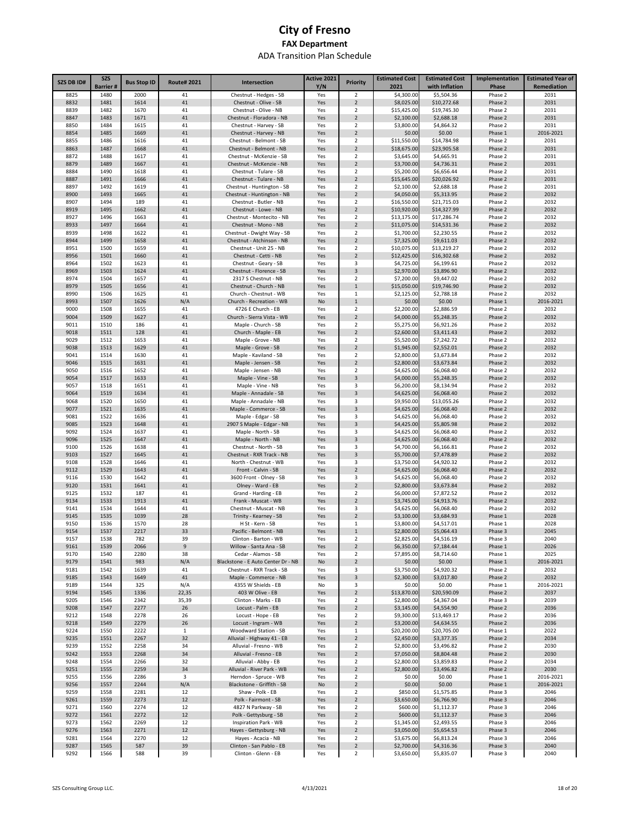| SZS DB ID#   | <b>SZS</b><br><b>Barrier#</b> | <b>Bus Stop ID</b> | <b>Route#2021</b> | Intersection                                         | Active 2021<br>Y/N | <b>Priority</b>                           | <b>Estimated Cost</b><br>2021 | <b>Estimated Cost</b><br>with Inflation | Implementation<br>Phase | <b>Estimated Year of</b><br>Remediation |
|--------------|-------------------------------|--------------------|-------------------|------------------------------------------------------|--------------------|-------------------------------------------|-------------------------------|-----------------------------------------|-------------------------|-----------------------------------------|
| 8825         | 1480                          | 2000               | 41                | Chestnut - Hedges - SB                               | Yes                | $\overline{2}$                            | \$4,300.00                    | \$5,504.36                              | Phase 2                 | 2031                                    |
| 8832         | 1481                          | 1614               | 41                | Chestnut - Olive - SB                                | Yes                | $\overline{2}$                            | \$8,025.00                    | \$10,272.68                             | Phase 2                 | 2031                                    |
| 8839         | 1482                          | 1670               | 41                | Chestnut - Olive - NB                                | Yes                | 2                                         | \$15,425.00                   | \$19,745.30                             | Phase 2                 | 2031                                    |
| 8847         | 1483                          | 1671               | 41                | Chestnut - Floradora - NB                            | Yes                | $\overline{2}$                            | \$2,100.00                    | \$2,688.18                              | Phase 2                 | 2031                                    |
| 8850<br>8854 | 1484<br>1485                  | 1615<br>1669       | 41<br>41          | Chestnut - Harvey - SB<br>Chestnut - Harvey - NB     | Yes<br>Yes         | 2<br>$\overline{2}$                       | \$3,800.00<br>\$0.00          | \$4,864.32<br>\$0.00                    | Phase 2<br>Phase 1      | 2031<br>2016-2021                       |
| 8855         | 1486                          | 1616               | 41                | Chestnut - Belmont - SB                              | Yes                | $\overline{\mathbf{2}}$                   | \$11,550.00                   | \$14,784.98                             | Phase 2                 | 2031                                    |
| 8863         | 1487                          | 1668               | 41                | Chestnut - Belmont - NB                              | Yes                | $\overline{2}$                            | \$18,675.00                   | \$23,905.58                             | Phase 2                 | 2031                                    |
| 8872         | 1488                          | 1617               | 41                | Chestnut - McKenzie - SB                             | Yes                | $\overline{\mathbf{2}}$                   | \$3,645.00                    | \$4,665.91                              | Phase 2                 | 2031                                    |
| 8879         | 1489                          | 1667               | 41                | Chestnut - McKenzie - NB                             | Yes                | $\overline{2}$                            | \$3,700.00                    | \$4,736.31                              | Phase 2                 | 2031                                    |
| 8884         | 1490                          | 1618               | 41                | Chestnut - Tulare - SB                               | Yes                | $\overline{2}$                            | \$5,200.00                    | \$6,656.44                              | Phase 2                 | 2031                                    |
| 8887<br>8897 | 1491<br>1492                  | 1666<br>1619       | 41<br>41          | Chestnut - Tulare - NB<br>Chestnut - Huntington - SB | Yes<br>Yes         | $\overline{2}$<br>$\overline{\mathbf{2}}$ | \$15,645.00<br>\$2,100.00     | \$20,026.92                             | Phase 2<br>Phase 2      | 2031<br>2031                            |
| 8900         | 1493                          | 1665               | 41                | Chestnut - Huntington - NB                           | Yes                | $\overline{2}$                            | \$4,050.00                    | \$2,688.18<br>\$5,313.95                | Phase 2                 | 2032                                    |
| 8907         | 1494                          | 189                | 41                | Chestnut - Butler - NB                               | Yes                | $\mathbf 2$                               | \$16,550.00                   | \$21,715.03                             | Phase 2                 | 2032                                    |
| 8919         | 1495                          | 1662               | 41                | Chestnut - Lowe - NB                                 | Yes                | $\overline{2}$                            | \$10,920.00                   | \$14,327.99                             | Phase 2                 | 2032                                    |
| 8927         | 1496                          | 1663               | 41                | Chestnut - Montecito - NB                            | Yes                | $\overline{\mathbf{2}}$                   | \$13,175.00                   | \$17,286.74                             | Phase 2                 | 2032                                    |
| 8933         | 1497                          | 1664               | 41                | Chestnut - Mono - NB                                 | Yes                | $\overline{2}$                            | \$11,075.00                   | \$14,531.36                             | Phase 2                 | 2032                                    |
| 8939         | 1498                          | 1622               | 41                | Chestnut - Dwight Way - SB                           | Yes                | $\overline{\mathbf{2}}$                   | \$1,700.00                    | \$2,230.55                              | Phase 2                 | 2032                                    |
| 8944<br>8951 | 1499<br>1500                  | 1658<br>1659       | 41<br>41          | Chestnut - Atchinson - NB<br>Chestnut - Unit 25 - NB | Yes<br>Yes         | $\overline{2}$<br>$\overline{2}$          | \$7,325.00                    | \$9,611.03                              | Phase 2<br>Phase 2      | 2032<br>2032                            |
| 8956         | 1501                          | 1660               | 41                | Chestnut - Cetti - NB                                | Yes                | $\overline{2}$                            | \$10,075.00<br>\$12,425.00    | \$13,219.27<br>\$16,302.68              | Phase 2                 | 2032                                    |
| 8964         | 1502                          | 1623               | 41                | Chestnut - Geary - SB                                | Yes                | 3                                         | \$4,725.00                    | \$6,199.61                              | Phase 2                 | 2032                                    |
| 8969         | 1503                          | 1624               | 41                | Chestnut - Florence - SB                             | Yes                | 3                                         | \$2,970.00                    | \$3,896.90                              | Phase 2                 | 2032                                    |
| 8974         | 1504                          | 1657               | 41                | 2317 S Chestnut - NB                                 | Yes                | 2                                         | \$7,200.00                    | \$9,447.02                              | Phase 2                 | 2032                                    |
| 8979         | 1505                          | 1656               | 41                | Chestnut - Church - NB                               | Yes                | $\mathbf{1}$                              | \$15,050.00                   | \$19,746.90                             | Phase 2                 | 2032                                    |
| 8990         | 1506                          | 1625               | 41                | Church - Chestnut - WB                               | Yes                | 1                                         | \$2,125.00                    | \$2,788.18                              | Phase 2                 | 2032                                    |
| 8993         | 1507                          | 1626               | N/A               | Church - Recreation - WB                             | No                 | $\mathbf{1}$                              | \$0.00                        | \$0.00                                  | Phase 1                 | 2016-2021                               |
| 9000<br>9004 | 1508<br>1509                  | 1655<br>1627       | 41<br>41          | 4726 E Church - EB<br>Church - Sierra Vista - WB     | Yes<br>Yes         | 2<br>$\overline{2}$                       | \$2,200.00<br>\$4,000.00      | \$2,886.59<br>\$5,248.35                | Phase 2<br>Phase 2      | 2032<br>2032                            |
| 9011         | 1510                          | 186                | 41                | Maple - Church - SB                                  | Yes                | 2                                         | \$5,275.00                    | \$6,921.26                              | Phase 2                 | 2032                                    |
| 9018         | 1511                          | 128                | 41                | Church - Maple - EB                                  | Yes                | $\overline{2}$                            | \$2,600.00                    | \$3,411.43                              | Phase 2                 | 2032                                    |
| 9029         | 1512                          | 1653               | 41                | Maple - Grove - NB                                   | Yes                | 2                                         | \$5,520.00                    | \$7,242.72                              | Phase 2                 | 2032                                    |
| 9038         | 1513                          | 1629               | 41                | Maple - Grove - SB                                   | Yes                | $\overline{2}$                            | \$1,945.00                    | \$2,552.01                              | Phase 2                 | 2032                                    |
| 9041         | 1514                          | 1630               | 41                | Maple - Kaviland - SB                                | Yes                | 2                                         | \$2,800.00                    | \$3,673.84                              | Phase 2                 | 2032                                    |
| 9046<br>9050 | 1515<br>1516                  | 1631<br>1652       | 41<br>41          | Maple - Jensen - SB<br>Maple - Jensen - NB           | Yes<br>Yes         | $\overline{2}$<br>$\overline{\mathbf{2}}$ | \$2,800.00<br>\$4,625.00      | \$3,673.84                              | Phase 2<br>Phase 2      | 2032<br>2032                            |
| 9054         | 1517                          | 1633               | 41                | Maple - Vine - SB                                    | Yes                | 3                                         | \$4,000.00                    | \$6,068.40<br>\$5,248.35                | Phase 2                 | 2032                                    |
| 9057         | 1518                          | 1651               | 41                | Maple - Vine - NB                                    | Yes                | 3                                         | \$6,200.00                    | \$8,134.94                              | Phase 2                 | 2032                                    |
| 9064         | 1519                          | 1634               | 41                | Maple - Annadale - SB                                | Yes                | 3                                         | \$4,625.00                    | \$6,068.40                              | Phase 2                 | 2032                                    |
| 9068         | 1520                          | 1650               | 41                | Maple - Annadale - NB                                | Yes                | 3                                         | \$9,950.00                    | \$13,055.26                             | Phase 2                 | 2032                                    |
| 9077         | 1521                          | 1635               | 41                | Maple - Commerce - SB                                | Yes                | 3                                         | \$4,625.00                    | \$6,068.40                              | Phase 2                 | 2032                                    |
| 9081         | 1522                          | 1636               | 41                | Maple - Edgar - SB                                   | Yes                | 3                                         | \$4,625.00                    | \$6,068.40                              | Phase 2                 | 2032                                    |
| 9085<br>9092 | 1523<br>1524                  | 1648<br>1637       | 41<br>41          | 2907 S Maple - Edgar - NB<br>Maple - North - SB      | Yes<br>Yes         | 3<br>3                                    | \$4,425.00<br>\$4,625.00      | \$5,805.98<br>\$6,068.40                | Phase 2<br>Phase 2      | 2032<br>2032                            |
| 9096         | 1525                          | 1647               | 41                | Maple - North - NB                                   | Yes                | 3                                         | \$4,625.00                    | \$6,068.40                              | Phase 2                 | 2032                                    |
| 9100         | 1526                          | 1638               | 41                | Chestnut - North - SB                                | Yes                | 3                                         | \$4,700.00                    | \$6,166.81                              | Phase 2                 | 2032                                    |
| 9103         | 1527                          | 1645               | 41                | Chestnut - RXR Track - NB                            | Yes                | 3                                         | \$5,700.00                    | \$7,478.89                              | Phase 2                 | 2032                                    |
| 9108         | 1528                          | 1646               | 41                | North - Chestnut - WB                                | Yes                | 3                                         | \$3,750.00                    | \$4,920.32                              | Phase 2                 | 2032                                    |
| 9112         | 1529                          | 1643               | 41                | Front - Calvin - SB                                  | Yes                | $\overline{2}$                            | \$4,625.00                    | \$6,068.40                              | Phase 2                 | 2032                                    |
| 9116<br>9120 | 1530                          | 1642<br>1641       | 41<br>41          | 3600 Front - Olney - SB                              | Yes<br>Yes         | 3<br>$\overline{2}$                       | \$4,625.00                    | \$6,068.40                              | Phase 2                 | 2032<br>2032                            |
| 9125         | 1531<br>1532                  | 187                | 41                | Olney - Ward - EB<br>Grand - Harding - EB            | Yes                | 2                                         | \$2,800.00<br>\$6,000.00      | \$3,673.84<br>\$7,872.52                | Phase 2<br>Phase 2      | 2032                                    |
| 9134         | 1533                          | 1913               | 41                | Frank - Muscat - WB                                  | Yes                | $\overline{2}$                            | \$3,745.00                    | \$4,913.76                              | Phase 2                 | 2032                                    |
| 9141         | 1534                          | 1644               | 41                | Chestnut - Muscat - NB                               | Yes                | 3                                         | \$4,625.00                    | \$6,068.40                              | Phase 2                 | 2032                                    |
| 9145         | 1535                          | 1039               | 28                | Trinity - Kearney - SB                               | Yes                | $\overline{2}$                            | \$3,100.00                    | \$3,684.93                              | Phase 1                 | 2028                                    |
| 9150         | 1536                          | 1570               | 28                | H St - Kern - SB                                     | Yes                | $\mathbf{1}$                              | \$3,800.00                    | \$4,517.01                              | Phase 1                 | 2028                                    |
| 9154         | 1537                          | 2217               | 33                | Pacific - Belmont - NB                               | Yes                |                                           | \$2,800.00                    | \$5,064.43                              | Phase 3                 | 2045                                    |
| 9157         | 1538                          | 782                | 39<br>$9$         | Clinton - Barton - WB                                | Yes                | $\overline{2}$<br>$\overline{2}$          | \$2,825.00<br>\$6,350.00      | \$4,516.19<br>\$7,184.44                | Phase 3                 | 2040<br>2026                            |
| 9161<br>9170 | 1539<br>1540                  | 2066<br>2280       | 38                | Willow - Santa Ana - SB<br>Cedar - Alamos - SB       | Yes<br>Yes         | $\overline{\mathbf{2}}$                   | \$7,895.00                    | \$8,714.60                              | Phase 1<br>Phase 1      | 2025                                    |
| 9179         | 1541                          | 983                | N/A               | Blackstone - E Auto Center Dr - NB                   | No                 | $\overline{2}$                            | \$0.00                        | \$0.00                                  | Phase 1                 | 2016-2021                               |
| 9181         | 1542                          | 1639               | 41                | Chestnut - RXR Track - SB                            | Yes                | 3                                         | \$3,750.00                    | \$4,920.32                              | Phase 2                 | 2032                                    |
| 9185         | 1543                          | 1649               | 41                | Maple - Commerce - NB                                | Yes                | 3                                         | \$2,300.00                    | \$3,017.80                              | Phase 2                 | 2032                                    |
| 9189         | 1544                          | 325                | N/A               | 4355 W Shields - EB                                  | No                 | 3                                         | \$0.00                        | \$0.00                                  | Phase 1                 | 2016-2021                               |
| 9194         | 1545                          | 1336               | 22,35             | 403 W Olive - EB                                     | Yes                | $\mathbf 2$                               | \$13,870.00                   | \$20,590.09                             | Phase 2                 | 2037                                    |
| 9205<br>9208 | 1546<br>1547                  | 2342<br>2277       | 35,39<br>26       | Clinton - Marks - EB<br>Locust - Palm - EB           | Yes                | $\mathbf 2$<br>$\mathbf 2$                | \$2,800.00                    | \$4,367.04                              | Phase 3<br>Phase 2      | 2039<br>2036                            |
| 9212         | 1548                          | 2278               | 26                | Locust - Hope - EB                                   | Yes<br>Yes         | $\overline{2}$                            | \$3,145.00<br>\$9,300.00      | \$4,554.90<br>\$13,469.17               | Phase 2                 | 2036                                    |
| 9218         | 1549                          | 2279               | 26                | Locust - Ingram - WB                                 | Yes                | $\overline{2}$                            | \$3,200.00                    | \$4,634.55                              | Phase 2                 | 2036                                    |
| 9224         | 1550                          | 2222               | $\mathbf{1}$      | Woodward Station - SB                                | Yes                | $1\,$                                     | \$20,200.00                   | \$20,705.00                             | Phase 1                 | 2022                                    |
| 9235         | 1551                          | 2267               | 32                | Alluvial - Highway 41 - EB                           | Yes                | $\overline{2}$                            | \$2,450.00                    | \$3,377.35                              | Phase 2                 | 2034                                    |
| 9239         | 1552                          | 2258               | 34                | Alluvial - Fresno - WB                               | Yes                | $\overline{2}$                            | \$2,800.00                    | \$3,496.82                              | Phase 2                 | 2030                                    |
| 9242         | 1553                          | 2268               | 34                | Alluvial - Fresno - EB                               | Yes                | $\overline{2}$                            | \$7,050.00                    | \$8,804.48                              | Phase 2                 | 2030                                    |
| 9248         | 1554                          | 2266               | 32                | Alluvial - Abby - EB                                 | Yes                | $\overline{2}$                            | \$2,800.00                    | \$3,859.83                              | Phase 2                 | 2034                                    |
| 9251<br>9255 | 1555<br>1556                  | 2259<br>2286       | 34<br>3           | Alluvial - River Park - WB<br>Herndon - Spruce - WB  | Yes<br>Yes         | $\overline{2}$<br>$\overline{2}$          | \$2,800.00<br>\$0.00          | \$3,496.82<br>\$0.00                    | Phase 2<br>Phase 1      | 2030<br>2016-2021                       |
| 9256         | 1557                          | 2244               | N/A               | Blackstone - Griffith - SB                           | No                 | $\overline{2}$                            | \$0.00                        | \$0.00                                  | Phase 1                 | 2016-2021                               |
| 9259         | 1558                          | 2281               | 12                | Shaw - Polk - EB                                     | Yes                | $\overline{2}$                            | \$850.00                      | \$1,575.85                              | Phase 3                 | 2046                                    |
| 9261         | 1559                          | 2273               | 12                | Polk - Fairmont - SB                                 | Yes                | $\overline{2}$                            | \$3,650.00                    | \$6,766.90                              | Phase 3                 | 2046                                    |
| 9271         | 1560                          | 2274               | 12                | 4827 N Parkway - SB                                  | Yes                | $\overline{2}$                            | \$600.00                      | \$1,112.37                              | Phase 3                 | 2046                                    |
| 9272         | 1561                          | 2272               | 12                | Polk - Gettysburg - SB                               | Yes                | $\mathbf 2$                               | \$600.00                      | \$1,112.37                              | Phase 3                 | 2046                                    |
| 9273         | 1562                          | 2269               | 12                | Inspiration Park - WB                                | Yes                | 2                                         | \$1,345.00                    | \$2,493.55                              | Phase 3                 | 2046                                    |
| 9276<br>9281 | 1563                          | 2271<br>2270       | 12<br>12          | Hayes - Gettysburg - NB<br>Hayes - Acacia - NB       | Yes                | $\mathbf 2$                               | \$3,050.00<br>\$3,675.00      | \$5,654.53                              | Phase 3                 | 2046<br>2046                            |
| 9287         | 1564<br>1565                  | 587                | 39                | Clinton - San Pablo - EB                             | Yes<br>Yes         | 2<br>$\overline{2}$                       | \$2,700.00                    | \$6,813.24<br>\$4,316.36                | Phase 3<br>Phase 3      | 2040                                    |
| 9292         | 1566                          | 588                | 39                | Clinton - Glenn - EB                                 | Yes                | $\mathbf 2$                               | \$3,650.00                    | \$5,835.07                              | Phase 3                 | 2040                                    |
|              |                               |                    |                   |                                                      |                    |                                           |                               |                                         |                         |                                         |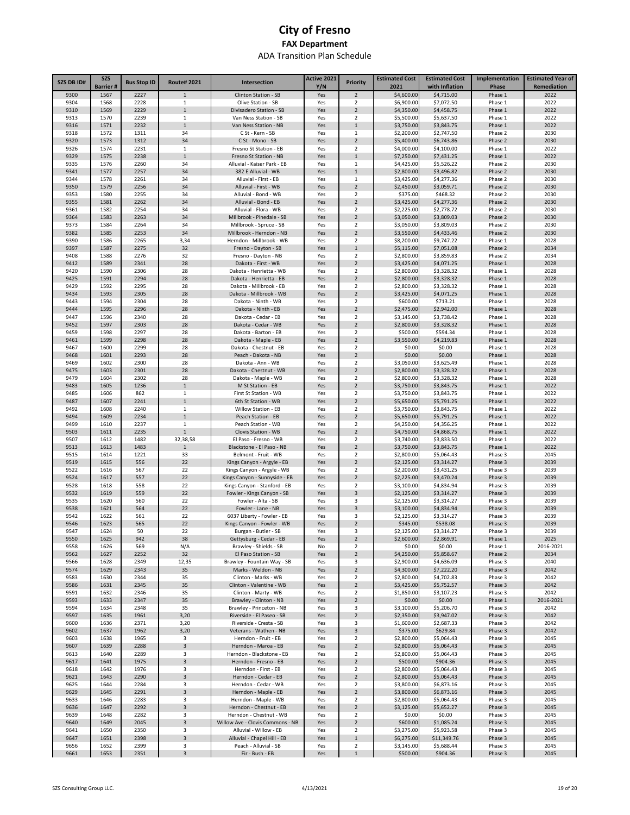| SZS DB ID#   | <b>SZS</b><br>Barrier # | <b>Bus Stop ID</b> | <b>Route#2021</b>            | Intersection                                                | Active 2021<br>Y/N | Priority                         | <b>Estimated Cost</b><br>2021 | <b>Estimated Cost</b><br>with Inflation | Implementation<br>Phase | <b>Estimated Year of</b><br>Remediation |
|--------------|-------------------------|--------------------|------------------------------|-------------------------------------------------------------|--------------------|----------------------------------|-------------------------------|-----------------------------------------|-------------------------|-----------------------------------------|
| 9300         | 1567                    | 2227               | $\mathbf{1}$                 | Clinton Station - SB                                        | Yes                | $\overline{2}$                   | \$4,600.00                    | \$4,715.00                              | Phase 1                 | 2022                                    |
| 9304         | 1568                    | 2228               | 1                            | Olive Station - SB                                          | Yes                | $\overline{2}$                   | \$6,900.00                    | \$7,072.50                              | Phase 1                 | 2022                                    |
| 9310         | 1569                    | 2229               | $\mathbf{1}$                 | Divisadero Station - SB                                     | Yes                | $\overline{2}$                   | \$4,350.00                    | \$4,458.75                              | Phase 1                 | 2022                                    |
| 9313         | 1570                    | 2239               | 1                            | Van Ness Station - SB                                       | Yes                | 2                                | \$5,500.00                    | \$5,637.50                              | Phase 1                 | 2022                                    |
| 9316         | 1571                    | 2232               | $\mathbf{1}$                 | Van Ness Station - NB                                       | Yes                | $\mathbf{1}$                     | \$3,750.00                    | \$3,843.75                              | Phase 1                 | 2022                                    |
| 9318<br>9320 | 1572<br>1573            | 1311<br>1312       | 34<br>34                     | C St - Kern - SB                                            | Yes                | 1<br>$\overline{2}$              | \$2,200.00                    | \$2,747.50<br>\$6,743.86                | Phase 2                 | 2030<br>2030                            |
| 9326         | 1574                    | 2231               | $\mathbf{1}$                 | C St - Mono - SB<br>Fresno St Station - EB                  | Yes<br>Yes         | 2                                | \$5,400.00<br>\$4,000.00      | \$4,100.00                              | Phase 2<br>Phase 1      | 2022                                    |
| 9329         | 1575                    | 2238               | $\mathbf 1$                  | Fresno St Station - NB                                      | Yes                | $\mathbf{1}$                     | \$7,250.00                    | \$7,431.25                              | Phase 1                 | 2022                                    |
| 9335         | 1576                    | 2260               | 34                           | Alluvial - Kaiser Park - EB                                 | Yes                | 1                                | \$4,425.00                    | \$5,526.22                              | Phase 2                 | 2030                                    |
| 9341         | 1577                    | 2257               | 34                           | 382 E Alluvial - WB                                         | Yes                | $\mathbf{1}$                     | \$2,800.00                    | \$3,496.82                              | Phase 2                 | 2030                                    |
| 9344         | 1578                    | 2261               | 34                           | Alluvial - First - EB                                       | Yes                | 1                                | \$3,425.00                    | \$4,277.36                              | Phase 2                 | 2030                                    |
| 9350         | 1579                    | 2256               | 34                           | Alluvial - First - WB                                       | Yes                | $\overline{2}$                   | \$2,450.00                    | \$3,059.71                              | Phase 2                 | 2030                                    |
| 9353         | 1580                    | 2255               | 34                           | Alluvial - Bond - WB                                        | Yes                | 2                                | \$375.00                      | \$468.32                                | Phase 2                 | 2030                                    |
| 9355<br>9361 | 1581<br>1582            | 2262<br>2254       | 34<br>34                     | Alluvial - Bond - EB<br>Alluvial - Flora - WB               | Yes<br>Yes         | $\overline{2}$<br>2              | \$3,425.00<br>\$2,225.00      | \$4,277.36<br>\$2,778.72                | Phase 2<br>Phase 2      | 2030<br>2030                            |
| 9364         | 1583                    | 2263               | 34                           | Millbrook - Pinedale - SB                                   | Yes                | $\overline{2}$                   | \$3,050.00                    | \$3,809.03                              | Phase 2                 | 2030                                    |
| 9373         | 1584                    | 2264               | 34                           | Millbrook - Spruce - SB                                     | Yes                | $\overline{2}$                   | \$3,050.00                    | \$3,809.03                              | Phase 2                 | 2030                                    |
| 9382         | 1585                    | 2253               | 34                           | Millbrook - Herndon - NB                                    | Yes                | $\overline{2}$                   | \$3,550.00                    | \$4,433.46                              | Phase 2                 | 2030                                    |
| 9390         | 1586                    | 2265               | 3,34                         | Herndon - Millbrook - WB                                    | Yes                | $\overline{2}$                   | \$8,200.00                    | \$9,747.22                              | Phase 1                 | 2028                                    |
| 9397         | 1587                    | 2275               | 32                           | Fresno - Dayton - SB                                        | Yes                | $\mathbf{1}$                     | \$5,115.00                    | \$7,051.08                              | Phase 2                 | 2034                                    |
| 9408         | 1588                    | 2276               | 32                           | Fresno - Dayton - NB                                        | Yes                | $\overline{2}$                   | \$2,800.00                    | \$3,859.83                              | Phase 2                 | 2034                                    |
| 9412         | 1589                    | 2341               | 28                           | Dakota - First - WB                                         | Yes                | $\overline{2}$                   | \$3,425.00                    | \$4,071.25                              | Phase 1                 | 2028                                    |
| 9420<br>9425 | 1590<br>1591            | 2306<br>2294       | 28<br>28                     | Dakota - Henrietta - WB<br>Dakota - Henrietta - EB          | Yes<br>Yes         | $\overline{2}$<br>$\overline{2}$ | \$2,800.00<br>\$2,800.00      | \$3,328.32<br>\$3,328.32                | Phase 1<br>Phase 1      | 2028<br>2028                            |
| 9429         | 1592                    | 2295               | 28                           | Dakota - Millbrook - EB                                     | Yes                | 2                                | \$2,800.00                    | \$3,328.32                              | Phase 1                 | 2028                                    |
| 9434         | 1593                    | 2305               | 28                           | Dakota - Millbrook - WB                                     | Yes                | $\overline{2}$                   | \$3,425.00                    | \$4,071.25                              | Phase 1                 | 2028                                    |
| 9443         | 1594                    | 2304               | 28                           | Dakota - Ninth - WB                                         | Yes                | 2                                | \$600.00                      | \$713.21                                | Phase 1                 | 2028                                    |
| 9444         | 1595                    | 2296               | 28                           | Dakota - Ninth - EB                                         | Yes                | $\overline{2}$                   | \$2,475.00                    | \$2,942.00                              | Phase 1                 | 2028                                    |
| 9447         | 1596                    | 2340               | 28                           | Dakota - Cedar - EB                                         | Yes                | 2                                | \$3,145.00                    | \$3,738.42                              | Phase 1                 | 2028                                    |
| 9452         | 1597                    | 2303               | 28                           | Dakota - Cedar - WB                                         | Yes                | $\overline{2}$                   | \$2,800.00                    | \$3,328.32                              | Phase 1                 | 2028                                    |
| 9459         | 1598                    | 2297               | 28                           | Dakota - Barton - EB                                        | Yes                | $\overline{2}$                   | \$500.00                      | \$594.34                                | Phase 1                 | 2028                                    |
| 9461         | 1599                    | 2298               | 28                           | Dakota - Maple - EB                                         | Yes                | $\overline{2}$<br>$\overline{2}$ | \$3,550.00                    | \$4,219.83                              | Phase 1                 | 2028                                    |
| 9467<br>9468 | 1600<br>1601            | 2299<br>2293       | 28<br>28                     | Dakota - Chestnut - EB<br>Peach - Dakota - NB               | Yes<br>Yes         | $\overline{2}$                   | \$0.00<br>\$0.00              | \$0.00<br>\$0.00                        | Phase 1<br>Phase 1      | 2028<br>2028                            |
| 9469         | 1602                    | 2300               | 28                           | Dakota - Ann - WB                                           | Yes                | $\overline{2}$                   | \$3,050.00                    | \$3,625.49                              | Phase 1                 | 2028                                    |
| 9475         | 1603                    | 2301               | 28                           | Dakota - Chestnut - WB                                      | Yes                | $\overline{2}$                   | \$2,800.00                    | \$3,328.32                              | Phase 1                 | 2028                                    |
| 9479         | 1604                    | 2302               | 28                           | Dakota - Maple - WB                                         | Yes                | $\overline{2}$                   | \$2,800.00                    | \$3,328.32                              | Phase 1                 | 2028                                    |
| 9483         | 1605                    | 1236               | $\mathbf{1}$                 | M St Station - EB                                           | Yes                | $\overline{2}$                   | \$3,750.00                    | \$3,843.75                              | Phase 1                 | 2022                                    |
| 9485         | 1606                    | 862                | 1                            | First St Station - WB                                       | Yes                | $\overline{2}$                   | \$3,750.00                    | \$3,843.75                              | Phase 1                 | 2022                                    |
| 9487         | 1607                    | 2241               | $\mathbf{1}$                 | 6th St Station - WB                                         | Yes                | $\overline{2}$                   | \$5,650.00                    | \$5,791.25                              | Phase 1                 | 2022                                    |
| 9492         | 1608                    | 2240               | 1                            | Willow Station - EB                                         | Yes                | $\overline{2}$                   | \$3,750.00                    | \$3,843.75                              | Phase 1                 | 2022                                    |
| 9494         | 1609<br>1610            | 2234<br>2237       | $\mathbf{1}$<br>$\mathbf{1}$ | Peach Station - EB                                          | Yes                | $\overline{2}$<br>$\overline{2}$ | \$5,650.00                    | \$5,791.25                              | Phase 1                 | 2022                                    |
| 9499<br>9503 | 1611                    | 2235               | $\mathbf{1}$                 | Peach Station - WB<br>Clovis Station - WB                   | Yes<br>Yes         | $\overline{2}$                   | \$4,250.00<br>\$4,750.00      | \$4,356.25<br>\$4,868.75                | Phase 1<br>Phase 1      | 2022<br>2022                            |
| 9507         | 1612                    | 1482               | 32,38,58                     | El Paso - Fresno - WB                                       | Yes                | $\overline{2}$                   | \$3,740.00                    | \$3,833.50                              | Phase 1                 | 2022                                    |
| 9513         | 1613                    | 1483               | $1\,$                        | Blackstone - El Paso - NB                                   | Yes                | $\overline{2}$                   | \$3,750.00                    | \$3,843.75                              | Phase 1                 | 2022                                    |
| 9515         | 1614                    | 1221               | 33                           | Belmont - Fruit - WB                                        | Yes                | $\overline{2}$                   | \$2,800.00                    | \$5,064.43                              | Phase 3                 | 2045                                    |
| 9519         | 1615                    | 556                | 22                           | Kings Canyon - Argyle - EB                                  | Yes                | $\overline{2}$                   | \$2,125.00                    | \$3,314.27                              | Phase 3                 | 2039                                    |
| 9522         | 1616                    | 567                | 22                           | Kings Canyon - Argyle - WB                                  | Yes                | 2                                | \$2,200.00                    | \$3,431.25                              | Phase 3                 | 2039                                    |
| 9524         | 1617                    | 557                | 22                           | Kings Canyon - Sunnyside - EB                               | Yes                | $\overline{2}$                   | \$2,225.00                    | \$3,470.24                              | Phase 3                 | 2039                                    |
| 9528         | 1618                    | 558                | 22                           | Kings Canyon - Stanford - EB                                | Yes                | 2<br>$\overline{3}$              | \$3,100.00                    | \$4,834.94                              | Phase 3                 | 2039                                    |
| 9532<br>9535 | 1619<br>1620            | 559<br>560         | 22<br>22                     | Fowler - Kings Canyon - SB<br>Fowler - Alta - SB            | Yes<br>Yes         | 3                                | \$2,125.00<br>\$2,125.00      | \$3,314.27<br>\$3,314.27                | Phase 3<br>Phase 3      | 2039<br>2039                            |
| 9538         | 1621                    | 564                | 22                           | Fowler - Lane - NB                                          | Yes                | $\overline{3}$                   | \$3,100.00                    | \$4,834.94                              | Phase 3                 | 2039                                    |
| 9542         | 1622                    | 561                | 22                           | 6037 Liberty - Fowler - EB                                  | Yes                | 3                                | \$2,125.00                    | \$3,314.27                              | Phase 3                 | 2039                                    |
| 9546         | 1623                    | 565                | 22                           | Kings Canyon - Fowler - WB                                  | Yes                | $\overline{2}$                   | \$345.00                      | \$538.08                                | Phase 3                 | 2039                                    |
| 9547         | 1624                    | 50                 | 22                           | Burgan - Butler - SB                                        | Yes                | 3                                | \$2,125.00                    | \$3,314.27                              | Phase 3                 | 2039                                    |
| 9550         | 1625                    | 942                | 38                           | Gettysburg - Cedar - EB                                     | Yes                | $\overline{2}$                   | \$2,600.00                    | \$2,869.91                              | Phase 1                 | 2025                                    |
| 9558         | 1626                    | 569                | N/A                          | Brawley - Shields - SB                                      | No                 | $\overline{2}$                   | \$0.00                        | \$0.00                                  | Phase 1                 | 2016-2021                               |
| 9562<br>9566 | 1627<br>1628            | 2252<br>2349       | 32<br>12,35                  | El Paso Station - SB                                        | Yes                | $\overline{2}$<br>3              | \$4,250.00<br>\$2,900.00      | \$5,858.67                              | Phase 2<br>Phase 3      | 2034<br>2040                            |
| 9574         | 1629                    | 2343               | 35                           | Brawley - Fountain Way - SB<br>Marks - Weldon - NB          | Yes<br>Yes         | $\mathbf 2$                      | \$4,300.00                    | \$4,636.09<br>\$7,222.20                | Phase 3                 | 2042                                    |
| 9583         | 1630                    | 2344               | 35                           | Clinton - Marks - WB                                        | Yes                | $\overline{2}$                   | \$2,800.00                    | \$4,702.83                              | Phase 3                 | 2042                                    |
| 9586         | 1631                    | 2345               | 35                           | Clinton - Valentine - WB                                    | Yes                | $\mathbf 2$                      | \$3,425.00                    | \$5,752.57                              | Phase 3                 | 2042                                    |
| 9591         | 1632                    | 2346               | 35                           | Clinton - Marty - WB                                        | Yes                | $\overline{2}$                   | \$1,850.00                    | \$3,107.23                              | Phase 3                 | 2042                                    |
| 9593         | 1633                    | 2347               | 35                           | Brawley - Clinton - NB                                      | Yes                | $\mathbf 2$                      | \$0.00                        | \$0.00                                  | Phase 1                 | 2016-2021                               |
| 9594         | 1634                    | 2348               | 35                           | Brawley - Princeton - NB                                    | Yes                | 3                                | \$3,100.00                    | \$5,206.70                              | Phase 3                 | 2042                                    |
| 9597         | 1635                    | 1961               | 3,20                         | Riverside - El Paseo - SB                                   | Yes                | $\overline{2}$                   | \$2,350.00                    | \$3,947.02                              | Phase 3                 | 2042                                    |
| 9600         | 1636                    | 2371               | 3,20                         | Riverside - Cresta - SB                                     | Yes                | 3                                | \$1,600.00                    | \$2,687.33                              | Phase 3                 | 2042                                    |
| 9602<br>9603 | 1637<br>1638            | 1962<br>1965       | 3,20<br>3                    | Veterans - Wathen - NB<br>Herndon - Fruit - EB              | Yes<br>Yes         | 3<br>$\overline{2}$              | \$375.00<br>\$2,800.00        | \$629.84                                | Phase 3<br>Phase 3      | 2042<br>2045                            |
| 9607         | 1639                    | 2288               | 3                            | Herndon - Maroa - EB                                        | Yes                | $\overline{2}$                   | \$2,800.00                    | \$5,064.43<br>\$5,064.43                | Phase 3                 | 2045                                    |
| 9613         | 1640                    | 2289               | 3                            | Herndon - Blackstone - EB                                   | Yes                | $\overline{2}$                   | \$2,800.00                    | \$5,064.43                              | Phase 3                 | 2045                                    |
| 9617         | 1641                    | 1975               | 3                            | Herndon - Fresno - EB                                       | Yes                | $\overline{2}$                   | \$500.00                      | \$904.36                                | Phase 3                 | 2045                                    |
| 9618         | 1642                    | 1976               | 3                            | Herndon - First - EB                                        | Yes                | 2                                | \$2,800.00                    | \$5,064.43                              | Phase 3                 | 2045                                    |
| 9621         | 1643                    | 2290               | 3                            | Herndon - Cedar - EB                                        | Yes                | $\overline{2}$                   | \$2,800.00                    | \$5,064.43                              | Phase 3                 | 2045                                    |
| 9625         | 1644                    | 2284               | 3                            | Herndon - Cedar - WB                                        | Yes                | $\overline{2}$                   | \$3,800.00                    | \$6,873.16                              | Phase 3                 | 2045                                    |
| 9629         | 1645                    | 2291               | 3                            | Herndon - Maple - EB                                        | Yes                | $\overline{2}$                   | \$3,800.00                    | \$6,873.16                              | Phase 3                 | 2045                                    |
| 9633         | 1646                    | 2283               | 3                            | Herndon - Maple - WB                                        | Yes                | 2                                | \$2,800.00                    | \$5,064.43                              | Phase 3                 | 2045                                    |
| 9636         | 1647                    | 2292               | 3                            | Herndon - Chestnut - EB                                     | Yes                | $\overline{2}$                   | \$3,125.00                    | \$5,652.27                              | Phase 3                 | 2045                                    |
| 9639<br>9640 | 1648<br>1649            | 2282<br>2045       | 3<br>3                       | Herndon - Chestnut - WB<br>Willow Ave - Clovis Commons - NB | Yes<br>Yes         | $\overline{2}$<br>$\overline{2}$ | \$0.00<br>\$600.00            | \$0.00<br>\$1,085.24                    | Phase 3<br>Phase 3      | 2045<br>2045                            |
| 9641         | 1650                    | 2350               | 3                            | Alluvial - Willow - EB                                      | Yes                | $\overline{2}$                   | \$3,275.00                    | \$5,923.58                              | Phase 3                 | 2045                                    |
| 9647         | 1651                    | 2398               | 3                            | Alluvial - Chapel Hill - EB                                 | Yes                | $\mathbf{1}$                     | \$6,275.00                    | \$11,349.76                             | Phase 3                 | 2045                                    |
| 9656         | 1652                    | 2399               | 3                            | Peach - Alluvial - SB                                       | Yes                | $\overline{2}$                   | \$3,145.00                    | \$5,688.44                              | Phase 3                 | 2045                                    |
| 9661         | 1653                    | 2351               | 3                            | Fir - Bush - EB                                             | Yes                | $\,1\,$                          | \$500.00                      | \$904.36                                | Phase 3                 | 2045                                    |